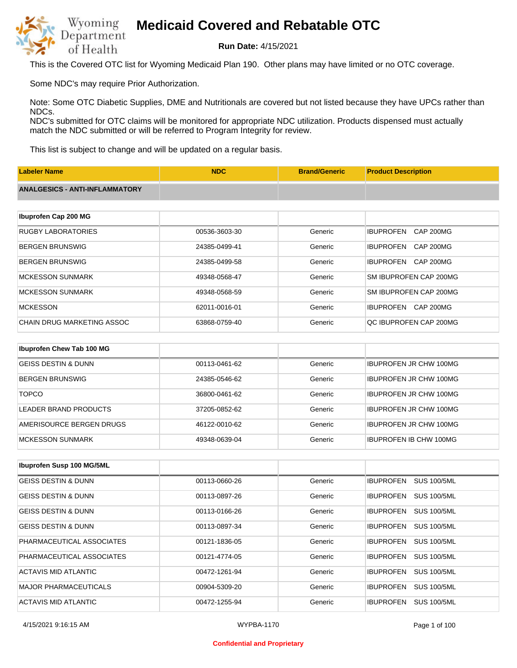

**Run Date:** 4/15/2021

This is the Covered OTC list for Wyoming Medicaid Plan 190. Other plans may have limited or no OTC coverage.

Some NDC's may require Prior Authorization.

Note: Some OTC Diabetic Supplies, DME and Nutritionals are covered but not listed because they have UPCs rather than NDCs.

NDC's submitted for OTC claims will be monitored for appropriate NDC utilization. Products dispensed must actually match the NDC submitted or will be referred to Program Integrity for review.

This list is subject to change and will be updated on a regular basis.

| <b>Labeler Name</b>                   | <b>NDC</b>    | <b>Brand/Generic</b> | <b>Product Description</b>           |
|---------------------------------------|---------------|----------------------|--------------------------------------|
| <b>ANALGESICS - ANTI-INFLAMMATORY</b> |               |                      |                                      |
|                                       |               |                      |                                      |
| Ibuprofen Cap 200 MG                  |               |                      |                                      |
| <b>RUGBY LABORATORIES</b>             | 00536-3603-30 | Generic              | <b>IBUPROFEN</b><br><b>CAP 200MG</b> |
| <b>BERGEN BRUNSWIG</b>                | 24385-0499-41 | Generic              | <b>IBUPROFEN</b><br><b>CAP 200MG</b> |
| <b>BERGEN BRUNSWIG</b>                | 24385-0499-58 | Generic              | <b>IBUPROFEN</b><br>CAP 200MG        |
| <b>MCKESSON SUNMARK</b>               | 49348-0568-47 | Generic              | SM IBUPROFEN CAP 200MG               |
| <b>MCKESSON SUNMARK</b>               | 49348-0568-59 | Generic              | SM IBUPROFEN CAP 200MG               |
| <b>MCKESSON</b>                       | 62011-0016-01 | Generic              | <b>IBUPROFEN</b><br>CAP 200MG        |
| <b>CHAIN DRUG MARKETING ASSOC</b>     | 63868-0759-40 | Generic              | QC IBUPROFEN CAP 200MG               |
|                                       |               |                      |                                      |
| Ibuprofen Chew Tab 100 MG             |               |                      |                                      |
| <b>GEISS DESTIN &amp; DUNN</b>        | 00113-0461-62 | Generic              | <b>IBUPROFEN JR CHW 100MG</b>        |
| <b>BERGEN BRUNSWIG</b>                | 24385-0546-62 | Generic              | <b>IBUPROFEN JR CHW 100MG</b>        |

| <b>TOPCO</b>             | 36800-0461-62 | Generic | <b>IBUPROFEN JR CHW 100MG</b> |
|--------------------------|---------------|---------|-------------------------------|
| LEADER BRAND PRODUCTS    | 37205-0852-62 | Generic | <b>IBUPROFEN JR CHW 100MG</b> |
| AMERISOURCE BERGEN DRUGS | 46122-0010-62 | Generic | <b>IBUPROFEN JR CHW 100MG</b> |
| IMCKESSON SUNMARK        | 49348-0639-04 | Generic | <b>IBUPROFEN IB CHW 100MG</b> |

| <b>Ibuprofen Susp 100 MG/5ML</b> |               |         |                                        |
|----------------------------------|---------------|---------|----------------------------------------|
| GEISS DESTIN & DUNN              | 00113-0660-26 | Generic | <b>SUS 100/5ML</b><br><b>IBUPROFEN</b> |
| <b>GEISS DESTIN &amp; DUNN</b>   | 00113-0897-26 | Generic | <b>SUS 100/5ML</b><br><b>IBUPROFEN</b> |
| <b>GEISS DESTIN &amp; DUNN</b>   | 00113-0166-26 | Generic | <b>IBUPROFEN</b><br><b>SUS 100/5ML</b> |
| <b>GEISS DESTIN &amp; DUNN</b>   | 00113-0897-34 | Generic | <b>SUS 100/5ML</b><br><b>IBUPROFEN</b> |
| PHARMACEUTICAL ASSOCIATES        | 00121-1836-05 | Generic | <b>SUS 100/5ML</b><br><b>IBUPROFEN</b> |
| PHARMACEUTICAL ASSOCIATES        | 00121-4774-05 | Generic | <b>SUS 100/5ML</b><br><b>IBUPROFEN</b> |
| ACTAVIS MID ATLANTIC             | 00472-1261-94 | Generic | <b>IBUPROFEN</b><br><b>SUS 100/5ML</b> |
| <b>MAJOR PHARMACEUTICALS</b>     | 00904-5309-20 | Generic | <b>IBUPROFEN</b><br><b>SUS 100/5ML</b> |
| ACTAVIS MID ATLANTIC             | 00472-1255-94 | Generic | <b>SUS 100/5ML</b><br><b>IBUPROFEN</b> |

#### **Confidential and Proprietary**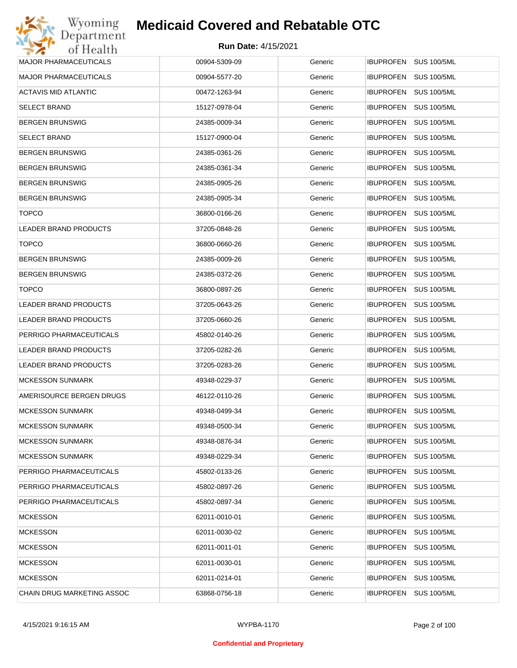| Wyoming                      | <b>Medicaid Covered and Rebatable OTC</b> |         |                                        |
|------------------------------|-------------------------------------------|---------|----------------------------------------|
| Department<br>of Health      | <b>Run Date: 4/15/2021</b>                |         |                                        |
| <b>MAJOR PHARMACEUTICALS</b> | 00904-5309-09                             | Generic | <b>IBUPROFEN</b><br><b>SUS 100/5ML</b> |
| <b>MAJOR PHARMACEUTICALS</b> | 00904-5577-20                             | Generic | <b>IBUPROFEN</b><br><b>SUS 100/5ML</b> |
| ACTAVIS MID ATLANTIC         | 00472-1263-94                             | Generic | <b>SUS 100/5ML</b><br><b>IBUPROFEN</b> |
| <b>SELECT BRAND</b>          | 15127-0978-04                             | Generic | <b>IBUPROFEN</b><br><b>SUS 100/5ML</b> |
| <b>BERGEN BRUNSWIG</b>       | 24385-0009-34                             | Generic | <b>SUS 100/5ML</b><br><b>IBUPROFEN</b> |
| <b>SELECT BRAND</b>          | 15127-0900-04                             | Generic | <b>IBUPROFEN</b><br><b>SUS 100/5ML</b> |
| <b>BERGEN BRUNSWIG</b>       | 24385-0361-26                             | Generic | <b>IBUPROFEN</b><br><b>SUS 100/5ML</b> |
| <b>BERGEN BRUNSWIG</b>       | 24385-0361-34                             | Generic | <b>IBUPROFEN</b><br><b>SUS 100/5ML</b> |
| <b>BERGEN BRUNSWIG</b>       | 24385-0905-26                             | Generic | <b>IBUPROFEN</b><br><b>SUS 100/5ML</b> |
| <b>BERGEN BRUNSWIG</b>       | 24385-0905-34                             | Generic | <b>IBUPROFEN</b><br><b>SUS 100/5ML</b> |
| <b>TOPCO</b>                 | 36800-0166-26                             | Generic | <b>IBUPROFEN</b><br><b>SUS 100/5ML</b> |
| <b>LEADER BRAND PRODUCTS</b> | 37205-0848-26                             | Generic | <b>IBUPROFEN</b><br><b>SUS 100/5ML</b> |
| <b>TOPCO</b>                 | 36800-0660-26                             | Generic | <b>SUS 100/5ML</b><br><b>IBUPROFEN</b> |
| <b>BERGEN BRUNSWIG</b>       | 24385-0009-26                             | Generic | <b>IBUPROFEN</b><br><b>SUS 100/5ML</b> |
| <b>BERGEN BRUNSWIG</b>       | 24385-0372-26                             | Generic | <b>SUS 100/5ML</b><br><b>IBUPROFEN</b> |
| <b>TOPCO</b>                 | 36800-0897-26                             | Generic | <b>IBUPROFEN</b><br><b>SUS 100/5ML</b> |
| <b>LEADER BRAND PRODUCTS</b> | 37205-0643-26                             | Generic | <b>SUS 100/5ML</b><br><b>IBUPROFEN</b> |
| LEADER BRAND PRODUCTS        | 37205-0660-26                             | Generic | <b>IBUPROFEN</b><br><b>SUS 100/5ML</b> |
| PERRIGO PHARMACEUTICALS      | 45802-0140-26                             | Generic | <b>IBUPROFEN</b><br><b>SUS 100/5ML</b> |
| LEADER BRAND PRODUCTS        | 37205-0282-26                             | Generic | <b>IBUPROFEN</b><br><b>SUS 100/5ML</b> |
| LEADER BRAND PRODUCTS        | 37205-0283-26                             | Generic | <b>IBUPROFEN</b><br><b>SUS 100/5ML</b> |
| <b>MCKESSON SUNMARK</b>      | 49348-0229-37                             | Generic | IBUPROFEN SUS 100/5ML                  |
| AMERISOURCE BERGEN DRUGS     | 46122-0110-26                             | Generic | IBUPROFEN SUS 100/5ML                  |
| <b>MCKESSON SUNMARK</b>      | 49348-0499-34                             | Generic | <b>SUS 100/5ML</b><br><b>IBUPROFEN</b> |
| <b>MCKESSON SUNMARK</b>      | 49348-0500-34                             | Generic | <b>IBUPROFEN</b><br><b>SUS 100/5ML</b> |
| <b>MCKESSON SUNMARK</b>      | 49348-0876-34                             | Generic | <b>SUS 100/5ML</b><br><b>IBUPROFEN</b> |
| <b>MCKESSON SUNMARK</b>      | 49348-0229-34                             | Generic | <b>SUS 100/5ML</b><br><b>IBUPROFEN</b> |
| PERRIGO PHARMACEUTICALS      | 45802-0133-26                             | Generic | <b>SUS 100/5ML</b><br><b>IBUPROFEN</b> |
| PERRIGO PHARMACEUTICALS      | 45802-0897-26                             | Generic | <b>SUS 100/5ML</b><br><b>IBUPROFEN</b> |
| PERRIGO PHARMACEUTICALS      | 45802-0897-34                             | Generic | <b>SUS 100/5ML</b><br><b>IBUPROFEN</b> |
| <b>MCKESSON</b>              | 62011-0010-01                             | Generic | <b>SUS 100/5ML</b><br><b>IBUPROFEN</b> |
| <b>MCKESSON</b>              | 62011-0030-02                             | Generic | <b>SUS 100/5ML</b><br><b>IBUPROFEN</b> |
| <b>MCKESSON</b>              | 62011-0011-01                             | Generic | <b>IBUPROFEN</b><br><b>SUS 100/5ML</b> |
| <b>MCKESSON</b>              | 62011-0030-01                             | Generic | <b>SUS 100/5ML</b><br><b>IBUPROFEN</b> |
| <b>MCKESSON</b>              | 62011-0214-01                             | Generic | <b>SUS 100/5ML</b><br><b>IBUPROFEN</b> |
| CHAIN DRUG MARKETING ASSOC   | 63868-0756-18                             | Generic | <b>SUS 100/5ML</b><br><b>IBUPROFEN</b> |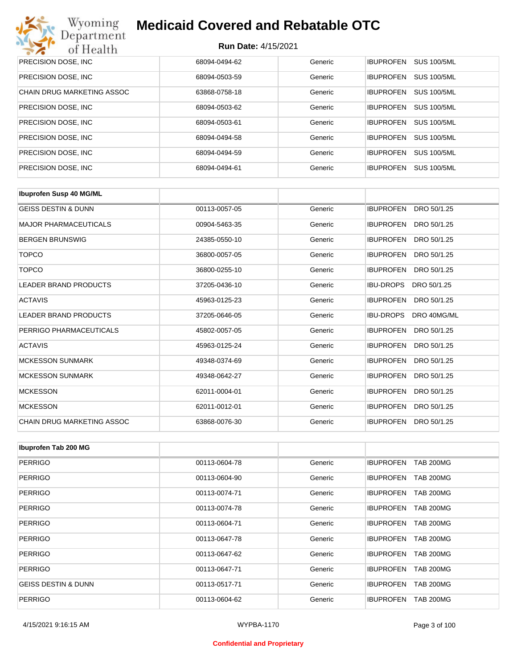| Wyoming<br><b>Medicaid Covered and Rebatable OTC</b><br>Department |                            |         |                  |                    |  |  |
|--------------------------------------------------------------------|----------------------------|---------|------------------|--------------------|--|--|
| of Health                                                          | <b>Run Date: 4/15/2021</b> |         |                  |                    |  |  |
| PRECISION DOSE, INC                                                | 68094-0494-62              | Generic | <b>IBUPROFEN</b> | <b>SUS 100/5ML</b> |  |  |
| PRECISION DOSE, INC.                                               | 68094-0503-59              | Generic | <b>IBUPROFEN</b> | <b>SUS 100/5ML</b> |  |  |
| <b>CHAIN DRUG MARKETING ASSOC</b>                                  | 63868-0758-18              | Generic | <b>IBUPROFEN</b> | <b>SUS 100/5ML</b> |  |  |
| PRECISION DOSE, INC.                                               | 68094-0503-62              | Generic | <b>IBUPROFEN</b> | <b>SUS 100/5ML</b> |  |  |
| PRECISION DOSE, INC.                                               | 68094-0503-61              | Generic | <b>IBUPROFEN</b> | <b>SUS 100/5ML</b> |  |  |
| PRECISION DOSE, INC.                                               | 68094-0494-58              | Generic | <b>IBUPROFEN</b> | <b>SUS 100/5ML</b> |  |  |
| PRECISION DOSE, INC.                                               | 68094-0494-59              | Generic | <b>IBUPROFEN</b> | <b>SUS 100/5ML</b> |  |  |
| PRECISION DOSE, INC.                                               | 68094-0494-61              | Generic | <b>IBUPROFEN</b> | <b>SUS 100/5ML</b> |  |  |

| <b>Ibuprofen Susp 40 MG/ML</b>    |               |         |                                 |
|-----------------------------------|---------------|---------|---------------------------------|
| <b>GEISS DESTIN &amp; DUNN</b>    | 00113-0057-05 | Generic | <b>IBUPROFEN</b><br>DRO 50/1.25 |
| <b>MAJOR PHARMACEUTICALS</b>      | 00904-5463-35 | Generic | <b>IBUPROFEN</b><br>DRO 50/1.25 |
| <b>BERGEN BRUNSWIG</b>            | 24385-0550-10 | Generic | <b>IBUPROFEN</b><br>DRO 50/1.25 |
| <b>TOPCO</b>                      | 36800-0057-05 | Generic | <b>IBUPROFEN</b><br>DRO 50/1.25 |
| <b>TOPCO</b>                      | 36800-0255-10 | Generic | <b>IBUPROFEN</b><br>DRO 50/1.25 |
| <b>LEADER BRAND PRODUCTS</b>      | 37205-0436-10 | Generic | <b>IBU-DROPS</b><br>DRO 50/1.25 |
| <b>ACTAVIS</b>                    | 45963-0125-23 | Generic | <b>IBUPROFEN</b><br>DRO 50/1.25 |
| <b>LEADER BRAND PRODUCTS</b>      | 37205-0646-05 | Generic | DRO 40MG/ML<br><b>IBU-DROPS</b> |
| PERRIGO PHARMACEUTICALS           | 45802-0057-05 | Generic | <b>IBUPROFEN</b><br>DRO 50/1.25 |
| <b>ACTAVIS</b>                    | 45963-0125-24 | Generic | <b>IBUPROFEN</b><br>DRO 50/1.25 |
| <b>MCKESSON SUNMARK</b>           | 49348-0374-69 | Generic | <b>IBUPROFEN</b><br>DRO 50/1.25 |
| <b>MCKESSON SUNMARK</b>           | 49348-0642-27 | Generic | <b>IBUPROFEN</b><br>DRO 50/1.25 |
| <b>MCKESSON</b>                   | 62011-0004-01 | Generic | <b>IBUPROFEN</b><br>DRO 50/1.25 |
| <b>MCKESSON</b>                   | 62011-0012-01 | Generic | <b>IBUPROFEN</b><br>DRO 50/1.25 |
| <b>CHAIN DRUG MARKETING ASSOC</b> | 63868-0076-30 | Generic | <b>IBUPROFEN</b><br>DRO 50/1.25 |

| Ibuprofen Tab 200 MG           |               |         |                                      |
|--------------------------------|---------------|---------|--------------------------------------|
| <b>PERRIGO</b>                 | 00113-0604-78 | Generic | <b>IBUPROFEN</b><br><b>TAB 200MG</b> |
| <b>PERRIGO</b>                 | 00113-0604-90 | Generic | <b>IBUPROFEN</b><br><b>TAB 200MG</b> |
| <b>PERRIGO</b>                 | 00113-0074-71 | Generic | <b>TAB 200MG</b><br><b>IBUPROFEN</b> |
| <b>PERRIGO</b>                 | 00113-0074-78 | Generic | <b>IBUPROFEN</b><br><b>TAB 200MG</b> |
| <b>PERRIGO</b>                 | 00113-0604-71 | Generic | <b>TAB 200MG</b><br><b>IBUPROFEN</b> |
| <b>PERRIGO</b>                 | 00113-0647-78 | Generic | <b>IBUPROFEN</b><br><b>TAB 200MG</b> |
| <b>PERRIGO</b>                 | 00113-0647-62 | Generic | <b>IBUPROFEN</b><br><b>TAB 200MG</b> |
| <b>PERRIGO</b>                 | 00113-0647-71 | Generic | <b>TAB 200MG</b><br><b>IBUPROFEN</b> |
| <b>GEISS DESTIN &amp; DUNN</b> | 00113-0517-71 | Generic | <b>IBUPROFEN</b><br><b>TAB 200MG</b> |
| <b>PERRIGO</b>                 | 00113-0604-62 | Generic | <b>TAB 200MG</b><br><b>IBUPROFEN</b> |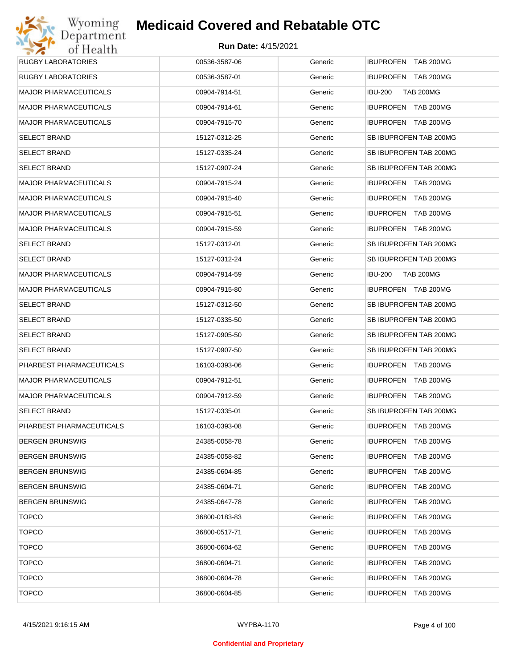| <b>RUGBY LABORATORIES</b>    | 00536-3587-06 | Generic | IBUPROFEN TAB 200MG                  |
|------------------------------|---------------|---------|--------------------------------------|
| <b>RUGBY LABORATORIES</b>    | 00536-3587-01 | Generic | IBUPROFEN TAB 200MG                  |
| <b>MAJOR PHARMACEUTICALS</b> | 00904-7914-51 | Generic | <b>IBU-200</b><br><b>TAB 200MG</b>   |
| <b>MAJOR PHARMACEUTICALS</b> | 00904-7914-61 | Generic | IBUPROFEN TAB 200MG                  |
| <b>MAJOR PHARMACEUTICALS</b> | 00904-7915-70 | Generic | IBUPROFEN TAB 200MG                  |
| <b>SELECT BRAND</b>          | 15127-0312-25 | Generic | SB IBUPROFEN TAB 200MG               |
| <b>SELECT BRAND</b>          | 15127-0335-24 | Generic | SB IBUPROFEN TAB 200MG               |
| <b>SELECT BRAND</b>          | 15127-0907-24 | Generic | SB IBUPROFEN TAB 200MG               |
| <b>MAJOR PHARMACEUTICALS</b> | 00904-7915-24 | Generic | IBUPROFEN TAB 200MG                  |
| <b>MAJOR PHARMACEUTICALS</b> | 00904-7915-40 | Generic | IBUPROFEN TAB 200MG                  |
| <b>MAJOR PHARMACEUTICALS</b> | 00904-7915-51 | Generic | <b>IBUPROFEN TAB 200MG</b>           |
| <b>MAJOR PHARMACEUTICALS</b> | 00904-7915-59 | Generic | IBUPROFEN TAB 200MG                  |
| <b>SELECT BRAND</b>          | 15127-0312-01 | Generic | SB IBUPROFEN TAB 200MG               |
| <b>SELECT BRAND</b>          | 15127-0312-24 | Generic | SB IBUPROFEN TAB 200MG               |
| <b>MAJOR PHARMACEUTICALS</b> | 00904-7914-59 | Generic | <b>IBU-200</b><br><b>TAB 200MG</b>   |
| <b>MAJOR PHARMACEUTICALS</b> | 00904-7915-80 | Generic | IBUPROFEN TAB 200MG                  |
| <b>SELECT BRAND</b>          | 15127-0312-50 | Generic | SB IBUPROFEN TAB 200MG               |
| <b>SELECT BRAND</b>          | 15127-0335-50 | Generic | SB IBUPROFEN TAB 200MG               |
| <b>SELECT BRAND</b>          | 15127-0905-50 | Generic | SB IBUPROFEN TAB 200MG               |
| <b>SELECT BRAND</b>          | 15127-0907-50 | Generic | SB IBUPROFEN TAB 200MG               |
| PHARBEST PHARMACEUTICALS     | 16103-0393-06 | Generic | IBUPROFEN TAB 200MG                  |
| <b>MAJOR PHARMACEUTICALS</b> | 00904-7912-51 | Generic | IBUPROFEN TAB 200MG                  |
| <b>MAJOR PHARMACEUTICALS</b> | 00904-7912-59 | Generic | <b>IBUPROFEN TAB 200MG</b>           |
| <b>SELECT BRAND</b>          | 15127-0335-01 | Generic | SB IBUPROFEN TAB 200MG               |
| PHARBEST PHARMACEUTICALS     | 16103-0393-08 | Generic | IBUPROFEN TAB 200MG                  |
| <b>BERGEN BRUNSWIG</b>       | 24385-0058-78 | Generic | IBUPROFEN TAB 200MG                  |
| <b>BERGEN BRUNSWIG</b>       | 24385-0058-82 | Generic | IBUPROFEN TAB 200MG                  |
| <b>BERGEN BRUNSWIG</b>       | 24385-0604-85 | Generic | <b>IBUPROFEN</b><br><b>TAB 200MG</b> |
| <b>BERGEN BRUNSWIG</b>       | 24385-0604-71 | Generic | <b>IBUPROFEN</b><br>TAB 200MG        |
| <b>BERGEN BRUNSWIG</b>       | 24385-0647-78 | Generic | <b>IBUPROFEN</b><br>TAB 200MG        |
| <b>TOPCO</b>                 | 36800-0183-83 | Generic | <b>IBUPROFEN</b><br>TAB 200MG        |
| <b>TOPCO</b>                 | 36800-0517-71 | Generic | <b>IBUPROFEN</b><br>TAB 200MG        |
| <b>TOPCO</b>                 | 36800-0604-62 | Generic | <b>IBUPROFEN</b><br>TAB 200MG        |
| <b>TOPCO</b>                 | 36800-0604-71 | Generic | <b>IBUPROFEN</b><br><b>TAB 200MG</b> |
| <b>TOPCO</b>                 | 36800-0604-78 | Generic | <b>IBUPROFEN</b><br>TAB 200MG        |
| <b>TOPCO</b>                 | 36800-0604-85 | Generic | IBUPROFEN TAB 200MG                  |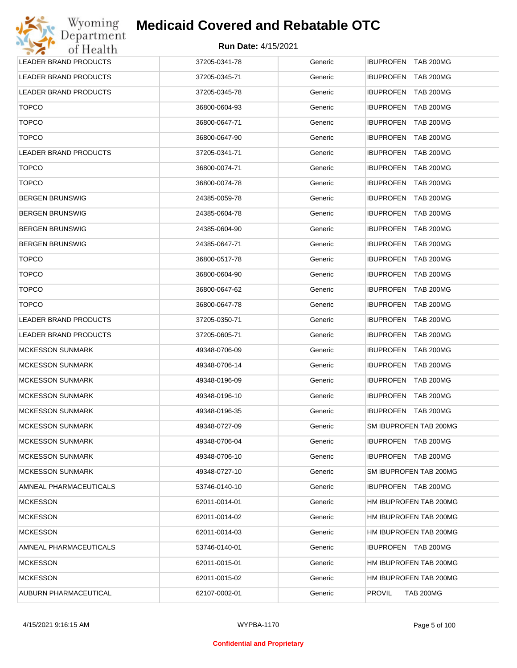| <b>LEADER BRAND PRODUCTS</b> | 37205-0341-78 | Generic | <b>IBUPROFEN TAB 200MG</b>           |
|------------------------------|---------------|---------|--------------------------------------|
| LEADER BRAND PRODUCTS        | 37205-0345-71 | Generic | IBUPROFEN TAB 200MG                  |
| LEADER BRAND PRODUCTS        | 37205-0345-78 | Generic | <b>IBUPROFEN TAB 200MG</b>           |
| <b>TOPCO</b>                 | 36800-0604-93 | Generic | <b>IBUPROFEN</b><br><b>TAB 200MG</b> |
| <b>TOPCO</b>                 | 36800-0647-71 | Generic | <b>IBUPROFEN TAB 200MG</b>           |
| <b>TOPCO</b>                 | 36800-0647-90 | Generic | <b>IBUPROFEN</b><br><b>TAB 200MG</b> |
| LEADER BRAND PRODUCTS        | 37205-0341-71 | Generic | <b>IBUPROFEN TAB 200MG</b>           |
| <b>TOPCO</b>                 | 36800-0074-71 | Generic | <b>IBUPROFEN</b><br><b>TAB 200MG</b> |
| <b>TOPCO</b>                 | 36800-0074-78 | Generic | <b>IBUPROFEN TAB 200MG</b>           |
| <b>BERGEN BRUNSWIG</b>       | 24385-0059-78 | Generic | <b>IBUPROFEN</b><br><b>TAB 200MG</b> |
| <b>BERGEN BRUNSWIG</b>       | 24385-0604-78 | Generic | <b>IBUPROFEN TAB 200MG</b>           |
| <b>BERGEN BRUNSWIG</b>       | 24385-0604-90 | Generic | <b>IBUPROFEN</b><br><b>TAB 200MG</b> |
| <b>BERGEN BRUNSWIG</b>       | 24385-0647-71 | Generic | IBUPROFEN TAB 200MG                  |
| <b>TOPCO</b>                 | 36800-0517-78 | Generic | <b>IBUPROFEN</b><br><b>TAB 200MG</b> |
| <b>TOPCO</b>                 | 36800-0604-90 | Generic | <b>IBUPROFEN TAB 200MG</b>           |
| <b>TOPCO</b>                 | 36800-0647-62 | Generic | <b>IBUPROFEN</b><br><b>TAB 200MG</b> |
| <b>TOPCO</b>                 | 36800-0647-78 | Generic | <b>IBUPROFEN TAB 200MG</b>           |
| LEADER BRAND PRODUCTS        | 37205-0350-71 | Generic | <b>IBUPROFEN</b><br><b>TAB 200MG</b> |
| LEADER BRAND PRODUCTS        | 37205-0605-71 | Generic | <b>IBUPROFEN TAB 200MG</b>           |
| <b>MCKESSON SUNMARK</b>      | 49348-0706-09 | Generic | <b>IBUPROFEN</b><br><b>TAB 200MG</b> |
| <b>MCKESSON SUNMARK</b>      | 49348-0706-14 | Generic | <b>IBUPROFEN TAB 200MG</b>           |
| <b>MCKESSON SUNMARK</b>      | 49348-0196-09 | Generic | <b>IBUPROFEN</b><br><b>TAB 200MG</b> |
| <b>MCKESSON SUNMARK</b>      | 49348-0196-10 | Generic | IBUPROFEN TAB 200MG                  |
| <b>MCKESSON SUNMARK</b>      | 49348-0196-35 | Generic | IBUPROFEN TAB 200MG                  |
| <b>MCKESSON SUNMARK</b>      | 49348-0727-09 | Generic | SM IBUPROFEN TAB 200MG               |
| <b>MCKESSON SUNMARK</b>      | 49348-0706-04 | Generic | IBUPROFEN TAB 200MG                  |
| <b>MCKESSON SUNMARK</b>      | 49348-0706-10 | Generic | IBUPROFEN TAB 200MG                  |
| <b>MCKESSON SUNMARK</b>      | 49348-0727-10 | Generic | SM IBUPROFEN TAB 200MG               |
| AMNEAL PHARMACEUTICALS       | 53746-0140-10 | Generic | IBUPROFEN TAB 200MG                  |
| <b>MCKESSON</b>              | 62011-0014-01 | Generic | HM IBUPROFEN TAB 200MG               |
| <b>MCKESSON</b>              | 62011-0014-02 | Generic | HM IBUPROFEN TAB 200MG               |
| <b>MCKESSON</b>              | 62011-0014-03 | Generic | HM IBUPROFEN TAB 200MG               |
| AMNEAL PHARMACEUTICALS       | 53746-0140-01 | Generic | IBUPROFEN TAB 200MG                  |
| <b>MCKESSON</b>              | 62011-0015-01 | Generic | HM IBUPROFEN TAB 200MG               |
| <b>MCKESSON</b>              | 62011-0015-02 | Generic | HM IBUPROFEN TAB 200MG               |
| AUBURN PHARMACEUTICAL        | 62107-0002-01 | Generic | PROVIL<br><b>TAB 200MG</b>           |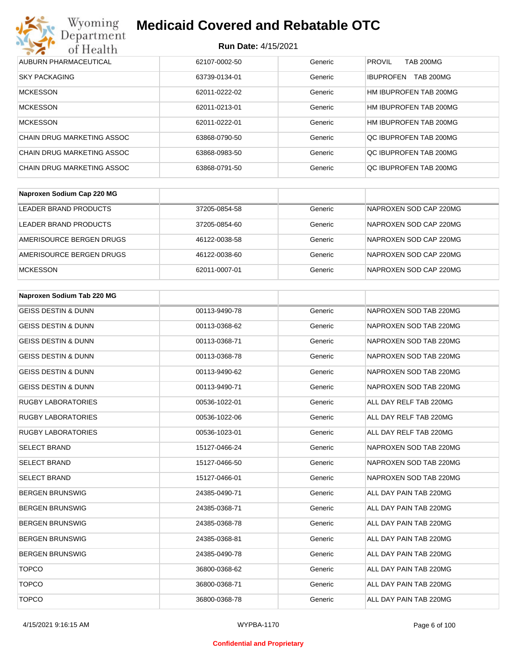

| AUBURN PHARMACEUTICAL      | 62107-0002-50 | Generic | <b>PROVIL</b><br><b>TAB 200MG</b>    |
|----------------------------|---------------|---------|--------------------------------------|
| <b>SKY PACKAGING</b>       | 63739-0134-01 | Generic | <b>TAB 200MG</b><br><b>IBUPROFEN</b> |
| <b>MCKESSON</b>            | 62011-0222-02 | Generic | HM IBUPROFEN TAB 200MG               |
| <b>MCKESSON</b>            | 62011-0213-01 | Generic | HM IBUPROFEN TAB 200MG               |
| <b>MCKESSON</b>            | 62011-0222-01 | Generic | HM IBUPROFEN TAB 200MG               |
| CHAIN DRUG MARKETING ASSOC | 63868-0790-50 | Generic | OC IBUPROFEN TAB 200MG               |
| CHAIN DRUG MARKETING ASSOC | 63868-0983-50 | Generic | QC IBUPROFEN TAB 200MG               |
| CHAIN DRUG MARKETING ASSOC | 63868-0791-50 | Generic | OC IBUPROFEN TAB 200MG               |

| Naproxen Sodium Cap 220 MG |               |         |                        |
|----------------------------|---------------|---------|------------------------|
| LEADER BRAND PRODUCTS      | 37205-0854-58 | Generic | NAPROXEN SOD CAP 220MG |
| LEADER BRAND PRODUCTS      | 37205-0854-60 | Generic | NAPROXEN SOD CAP 220MG |
| AMERISOURCE BERGEN DRUGS   | 46122-0038-58 | Generic | NAPROXEN SOD CAP 220MG |
| AMERISOURCE BERGEN DRUGS   | 46122-0038-60 | Generic | NAPROXEN SOD CAP 220MG |
| <b>MCKESSON</b>            | 62011-0007-01 | Generic | NAPROXEN SOD CAP 220MG |

| Naproxen Sodium Tab 220 MG     |               |         |                        |
|--------------------------------|---------------|---------|------------------------|
| <b>GEISS DESTIN &amp; DUNN</b> | 00113-9490-78 | Generic | NAPROXEN SOD TAB 220MG |
| <b>GEISS DESTIN &amp; DUNN</b> | 00113-0368-62 | Generic | NAPROXEN SOD TAB 220MG |
| <b>GEISS DESTIN &amp; DUNN</b> | 00113-0368-71 | Generic | NAPROXEN SOD TAB 220MG |
| <b>GEISS DESTIN &amp; DUNN</b> | 00113-0368-78 | Generic | NAPROXEN SOD TAB 220MG |
| <b>GEISS DESTIN &amp; DUNN</b> | 00113-9490-62 | Generic | NAPROXEN SOD TAB 220MG |
| <b>GEISS DESTIN &amp; DUNN</b> | 00113-9490-71 | Generic | NAPROXEN SOD TAB 220MG |
| <b>RUGBY LABORATORIES</b>      | 00536-1022-01 | Generic | ALL DAY RELF TAB 220MG |
| <b>RUGBY LABORATORIES</b>      | 00536-1022-06 | Generic | ALL DAY RELF TAB 220MG |
| <b>RUGBY LABORATORIES</b>      | 00536-1023-01 | Generic | ALL DAY RELF TAB 220MG |
| <b>SELECT BRAND</b>            | 15127-0466-24 | Generic | NAPROXEN SOD TAB 220MG |
| <b>SELECT BRAND</b>            | 15127-0466-50 | Generic | NAPROXEN SOD TAB 220MG |
| <b>SELECT BRAND</b>            | 15127-0466-01 | Generic | NAPROXEN SOD TAB 220MG |
| <b>BERGEN BRUNSWIG</b>         | 24385-0490-71 | Generic | ALL DAY PAIN TAB 220MG |
| <b>BERGEN BRUNSWIG</b>         | 24385-0368-71 | Generic | ALL DAY PAIN TAB 220MG |
| <b>BERGEN BRUNSWIG</b>         | 24385-0368-78 | Generic | ALL DAY PAIN TAB 220MG |
| <b>BERGEN BRUNSWIG</b>         | 24385-0368-81 | Generic | ALL DAY PAIN TAB 220MG |
| <b>BERGEN BRUNSWIG</b>         | 24385-0490-78 | Generic | ALL DAY PAIN TAB 220MG |
| <b>TOPCO</b>                   | 36800-0368-62 | Generic | ALL DAY PAIN TAB 220MG |
| <b>TOPCO</b>                   | 36800-0368-71 | Generic | ALL DAY PAIN TAB 220MG |
| <b>TOPCO</b>                   | 36800-0368-78 | Generic | ALL DAY PAIN TAB 220MG |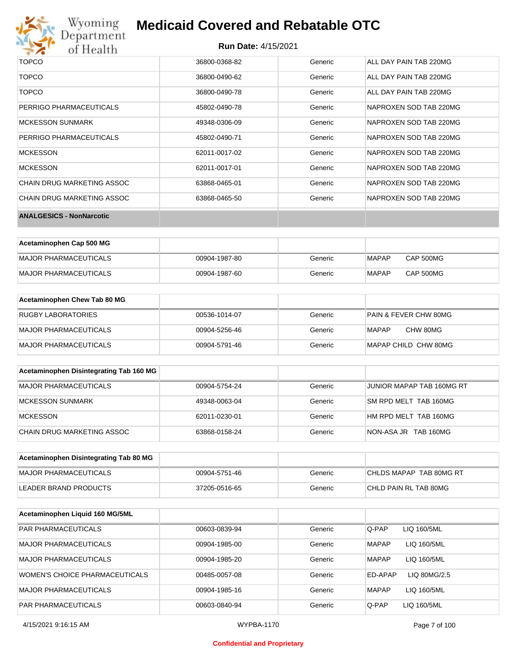

#### **Run Date:** 4/15/2021

| <b>ANALGESICS - NonNarcotic</b> |               |         |                        |
|---------------------------------|---------------|---------|------------------------|
| CHAIN DRUG MARKETING ASSOC      | 63868-0465-50 | Generic | NAPROXEN SOD TAB 220MG |
| CHAIN DRUG MARKETING ASSOC      | 63868-0465-01 | Generic | NAPROXEN SOD TAB 220MG |
| <b>MCKESSON</b>                 | 62011-0017-01 | Generic | NAPROXEN SOD TAB 220MG |
| <b>MCKESSON</b>                 | 62011-0017-02 | Generic | NAPROXEN SOD TAB 220MG |
| PERRIGO PHARMACEUTICALS         | 45802-0490-71 | Generic | NAPROXEN SOD TAB 220MG |
| <b>MCKESSON SUNMARK</b>         | 49348-0306-09 | Generic | NAPROXEN SOD TAB 220MG |
| PERRIGO PHARMACEUTICALS         | 45802-0490-78 | Generic | NAPROXEN SOD TAB 220MG |
| TOPCO                           | 36800-0490-78 | Generic | ALL DAY PAIN TAB 220MG |
| TOPCO                           | 36800-0490-62 | Generic | ALL DAY PAIN TAB 220MG |
| TOPCO                           | 36800-0368-82 | Generic | ALL DAY PAIN TAB 220MG |

| Acetaminophen Cap 500 MG |               |         |              |                  |
|--------------------------|---------------|---------|--------------|------------------|
| MAJOR PHARMACEUTICALS    | 00904-1987-80 | Generic | <b>MAPAP</b> | <b>CAP 500MG</b> |
| MAJOR PHARMACEUTICALS    | 00904-1987-60 | Generic | <b>MAPAP</b> | <b>CAP 500MG</b> |

| Acetaminophen Chew Tab 80 MG |               |         |                       |
|------------------------------|---------------|---------|-----------------------|
| <b>RUGBY LABORATORIES</b>    | 00536-1014-07 | Generic | PAIN & FEVER CHW 80MG |
| <b>MAJOR PHARMACEUTICALS</b> | 00904-5256-46 | Generic | CHW 80MG<br>MAPAP     |
| <b>MAJOR PHARMACEUTICALS</b> | 00904-5791-46 | Generic | MAPAP CHILD CHW 80MG  |

| Acetaminophen Disintegrating Tab 160 MG |               |         |                           |
|-----------------------------------------|---------------|---------|---------------------------|
| MAJOR PHARMACEUTICALS                   | 00904-5754-24 | Generic | JUNIOR MAPAP TAB 160MG RT |
| MCKESSON SUNMARK                        | 49348-0063-04 | Generic | SM RPD MELT TAB 160MG     |
| MCKESSON                                | 62011-0230-01 | Generic | HM RPD MELT TAB 160MG     |
| CHAIN DRUG MARKETING ASSOC              | 63868-0158-24 | Generic | NON-ASA JR TAB 160MG      |

| Acetaminophen Disintegrating Tab 80 MG |               |         |                         |
|----------------------------------------|---------------|---------|-------------------------|
| IMAJOR PHARMACEUTICALS                 | 00904-5751-46 | Generic | CHLDS MAPAP TAB 80MG RT |
| LEADER BRAND PRODUCTS                  | 37205-0516-65 | Generic | CHLD PAIN RL TAB 80MG   |

| Acetaminophen Liquid 160 MG/5ML |               |         |              |              |
|---------------------------------|---------------|---------|--------------|--------------|
| <b>PAR PHARMACEUTICALS</b>      | 00603-0839-94 | Generic | Q-PAP        | LIQ 160/5ML  |
| <b>MAJOR PHARMACEUTICALS</b>    | 00904-1985-00 | Generic | <b>MAPAP</b> | LIQ 160/5ML  |
| MAJOR PHARMACEUTICALS           | 00904-1985-20 | Generic | <b>MAPAP</b> | LIQ 160/5ML  |
| WOMEN'S CHOICE PHARMACEUTICALS  | 00485-0057-08 | Generic | ED-APAP      | LIQ 80MG/2.5 |
| <b>MAJOR PHARMACEUTICALS</b>    | 00904-1985-16 | Generic | <b>MAPAP</b> | LIQ 160/5ML  |
| <b>PAR PHARMACEUTICALS</b>      | 00603-0840-94 | Generic | Q-PAP        | LIQ 160/5ML  |

#### **Confidential and Proprietary**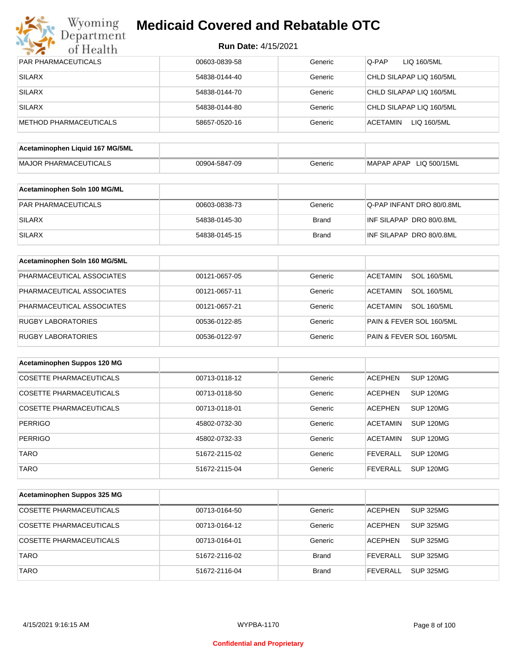

| <b>PAR PHARMACEUTICALS</b>      | 00603-0839-58 | Generic      | Q-PAP<br>LIQ 160/5ML                  |
|---------------------------------|---------------|--------------|---------------------------------------|
| <b>SILARX</b>                   | 54838-0144-40 | Generic      | CHLD SILAPAP LIQ 160/5ML              |
| <b>SILARX</b>                   | 54838-0144-70 | Generic      | CHLD SILAPAP LIQ 160/5ML              |
| <b>SILARX</b>                   | 54838-0144-80 | Generic      | CHLD SILAPAP LIQ 160/5ML              |
| <b>METHOD PHARMACEUTICALS</b>   | 58657-0520-16 | Generic      | <b>ACETAMIN</b><br>LIQ 160/5ML        |
|                                 |               |              |                                       |
| Acetaminophen Liquid 167 MG/5ML |               |              |                                       |
| <b>MAJOR PHARMACEUTICALS</b>    | 00904-5847-09 | Generic      | MAPAP APAP LIQ 500/15ML               |
| Acetaminophen Soln 100 MG/ML    |               |              |                                       |
| PAR PHARMACEUTICALS             | 00603-0838-73 | Generic      | Q-PAP INFANT DRO 80/0.8ML             |
| <b>SILARX</b>                   | 54838-0145-30 | <b>Brand</b> | INF SILAPAP DRO 80/0.8ML              |
| <b>SILARX</b>                   | 54838-0145-15 | <b>Brand</b> | INF SILAPAP DRO 80/0.8ML              |
|                                 |               |              |                                       |
| Acetaminophen Soln 160 MG/5ML   |               |              |                                       |
| PHARMACEUTICAL ASSOCIATES       | 00121-0657-05 | Generic      | <b>SOL 160/5ML</b><br><b>ACETAMIN</b> |
| PHARMACEUTICAL ASSOCIATES       | 00121-0657-11 | Generic      | <b>ACETAMIN</b><br><b>SOL 160/5ML</b> |
| PHARMACEUTICAL ASSOCIATES       | 00121-0657-21 | Generic      | <b>ACETAMIN</b><br><b>SOL 160/5ML</b> |
| <b>RUGBY LABORATORIES</b>       | 00536-0122-85 | Generic      | PAIN & FEVER SOL 160/5ML              |
| RUGBY LABORATORIES              | 00536-0122-97 | Generic      | PAIN & FEVER SOL 160/5ML              |
|                                 |               |              |                                       |
| Acetaminophen Suppos 120 MG     |               |              |                                       |
| <b>COSETTE PHARMACEUTICALS</b>  | 00713-0118-12 | Generic      | <b>ACEPHEN</b><br><b>SUP 120MG</b>    |
| <b>COSETTE PHARMACEUTICALS</b>  | 00713-0118-50 | Generic      | <b>ACEPHEN</b><br>SUP 120MG           |
| <b>COSETTE PHARMACEUTICALS</b>  | 00713-0118-01 | Generic      | <b>ACEPHEN</b><br>SUP 120MG           |
| <b>PERRIGO</b>                  | 45802-0732-30 | Generic      | <b>ACETAMIN</b><br>SUP 120MG          |
| PERRIGO                         | 45802-0732-33 | Generic      | <b>ACETAMIN</b><br><b>SUP 120MG</b>   |
| <b>TARO</b>                     | 51672-2115-02 | Generic      | <b>SUP 120MG</b><br><b>FEVERALL</b>   |
| <b>TARO</b>                     | 51672-2115-04 | Generic      | <b>SUP 120MG</b><br><b>FEVERALL</b>   |
|                                 |               |              |                                       |
| Acetaminophen Suppos 325 MG     |               |              |                                       |
| COSETTE PHARMACEUTICALS         | 00713-0164-50 | Generic      | <b>ACEPHEN</b><br>SUP 325MG           |
| COSETTE PHARMACEUTICALS         | 00713-0164-12 | Generic      | <b>SUP 325MG</b><br><b>ACEPHEN</b>    |
| COSETTE PHARMACEUTICALS         | 00713-0164-01 | Generic      | <b>ACEPHEN</b><br><b>SUP 325MG</b>    |
| <b>TARO</b>                     | 51672-2116-02 | <b>Brand</b> | <b>FEVERALL</b><br><b>SUP 325MG</b>   |
| <b>TARO</b>                     | 51672-2116-04 | <b>Brand</b> | <b>SUP 325MG</b><br><b>FEVERALL</b>   |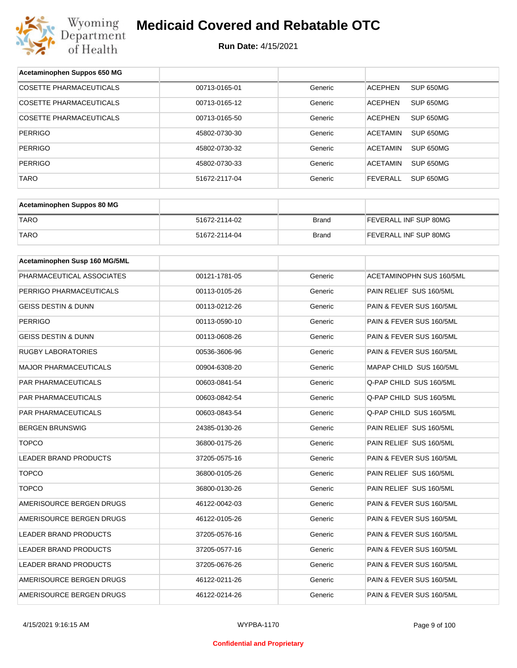

| Acetaminophen Suppos 650 MG    |               |              |                                 |
|--------------------------------|---------------|--------------|---------------------------------|
| <b>COSETTE PHARMACEUTICALS</b> | 00713-0165-01 | Generic      | <b>ACEPHEN</b><br>SUP 650MG     |
| COSETTE PHARMACEUTICALS        | 00713-0165-12 | Generic      | <b>ACEPHEN</b><br>SUP 650MG     |
| <b>COSETTE PHARMACEUTICALS</b> | 00713-0165-50 | Generic      | <b>ACEPHEN</b><br>SUP 650MG     |
| <b>PERRIGO</b>                 | 45802-0730-30 | Generic      | <b>ACETAMIN</b><br>SUP 650MG    |
| <b>PERRIGO</b>                 | 45802-0730-32 | Generic      | <b>ACETAMIN</b><br>SUP 650MG    |
| <b>PERRIGO</b>                 | 45802-0730-33 | Generic      | <b>ACETAMIN</b><br>SUP 650MG    |
| <b>TARO</b>                    | 51672-2117-04 | Generic      | <b>FEVERALL</b><br>SUP 650MG    |
|                                |               |              |                                 |
| Acetaminophen Suppos 80 MG     |               |              |                                 |
| <b>TARO</b>                    | 51672-2114-02 | <b>Brand</b> | FEVERALL INF SUP 80MG           |
| <b>TARO</b>                    | 51672-2114-04 | <b>Brand</b> | FEVERALL INF SUP 80MG           |
|                                |               |              |                                 |
| Acetaminophen Susp 160 MG/5ML  |               |              |                                 |
| PHARMACEUTICAL ASSOCIATES      | 00121-1781-05 | Generic      | <b>ACETAMINOPHN SUS 160/5ML</b> |
| PERRIGO PHARMACEUTICALS        | 00113-0105-26 | Generic      | PAIN RELIEF SUS 160/5ML         |
| GEISS DESTIN & DUNN            | 00113-0212-26 | Generic      | PAIN & FEVER SUS 160/5ML        |
| <b>PERRIGO</b>                 | 00113-0590-10 | Generic      | PAIN & FEVER SUS 160/5ML        |
| <b>GEISS DESTIN &amp; DUNN</b> | 00113-0608-26 | Generic      | PAIN & FEVER SUS 160/5ML        |
| <b>RUGBY LABORATORIES</b>      | 00536-3606-96 | Generic      | PAIN & FEVER SUS 160/5ML        |
| <b>MAJOR PHARMACEUTICALS</b>   | 00904-6308-20 | Generic      | MAPAP CHILD SUS 160/5ML         |
| PAR PHARMACEUTICALS            | 00603-0841-54 | Generic      | Q-PAP CHILD SUS 160/5ML         |
| PAR PHARMACEUTICALS            | 00603-0842-54 | Generic      | Q-PAP CHILD SUS 160/5ML         |
| PAR PHARMACEUTICALS            | 00603-0843-54 | Generic      | Q-PAP CHILD SUS 160/5ML         |
| <b>BERGEN BRUNSWIG</b>         | 24385-0130-26 | Generic      | PAIN RELIEF SUS 160/5ML         |
| <b>TOPCO</b>                   | 36800-0175-26 | Generic      | PAIN RELIEF SUS 160/5ML         |
| LEADER BRAND PRODUCTS          | 37205-0575-16 | Generic      | PAIN & FEVER SUS 160/5ML        |
| <b>TOPCO</b>                   | 36800-0105-26 | Generic      | PAIN RELIEF SUS 160/5ML         |
| <b>TOPCO</b>                   | 36800-0130-26 | Generic      | PAIN RELIEF SUS 160/5ML         |
| AMERISOURCE BERGEN DRUGS       | 46122-0042-03 | Generic      | PAIN & FEVER SUS 160/5ML        |
| AMERISOURCE BERGEN DRUGS       | 46122-0105-26 | Generic      | PAIN & FEVER SUS 160/5ML        |
| LEADER BRAND PRODUCTS          | 37205-0576-16 | Generic      | PAIN & FEVER SUS 160/5ML        |
| LEADER BRAND PRODUCTS          | 37205-0577-16 | Generic      | PAIN & FEVER SUS 160/5ML        |
| LEADER BRAND PRODUCTS          | 37205-0676-26 | Generic      | PAIN & FEVER SUS 160/5ML        |
| AMERISOURCE BERGEN DRUGS       | 46122-0211-26 | Generic      | PAIN & FEVER SUS 160/5ML        |
| AMERISOURCE BERGEN DRUGS       | 46122-0214-26 | Generic      | PAIN & FEVER SUS 160/5ML        |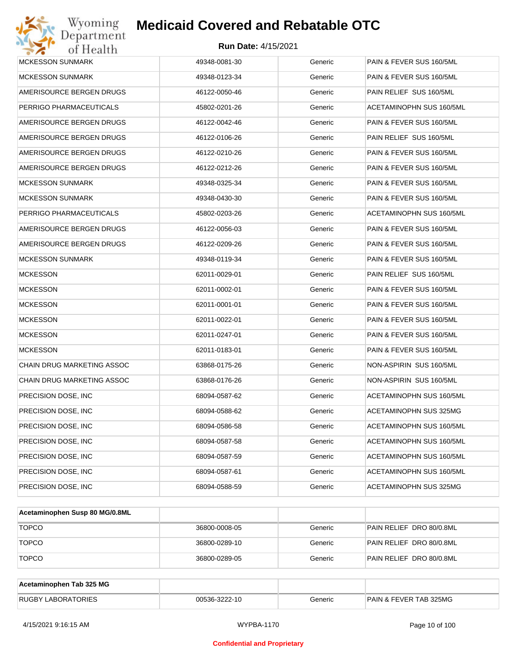| Wyoming<br>Department                   | <b>Medicaid Covered and Rebatable OTC</b> |         |                                 |  |  |  |
|-----------------------------------------|-------------------------------------------|---------|---------------------------------|--|--|--|
| <b>Run Date: 4/15/2021</b><br>of Health |                                           |         |                                 |  |  |  |
| <b>MCKESSON SUNMARK</b>                 | 49348-0081-30                             | Generic | PAIN & FEVER SUS 160/5ML        |  |  |  |
| <b>MCKESSON SUNMARK</b>                 | 49348-0123-34                             | Generic | PAIN & FEVER SUS 160/5ML        |  |  |  |
| AMERISOURCE BERGEN DRUGS                | 46122-0050-46                             | Generic | PAIN RELIEF SUS 160/5ML         |  |  |  |
| PERRIGO PHARMACEUTICALS                 | 45802-0201-26                             | Generic | <b>ACETAMINOPHN SUS 160/5ML</b> |  |  |  |
| AMERISOURCE BERGEN DRUGS                | 46122-0042-46                             | Generic | PAIN & FEVER SUS 160/5ML        |  |  |  |
| AMERISOURCE BERGEN DRUGS                | 46122-0106-26                             | Generic | PAIN RELIEF SUS 160/5ML         |  |  |  |
| AMERISOURCE BERGEN DRUGS                | 46122-0210-26                             | Generic | PAIN & FEVER SUS 160/5ML        |  |  |  |
| AMERISOURCE BERGEN DRUGS                | 46122-0212-26                             | Generic | PAIN & FEVER SUS 160/5ML        |  |  |  |
| <b>MCKESSON SUNMARK</b>                 | 49348-0325-34                             | Generic | PAIN & FEVER SUS 160/5ML        |  |  |  |
| <b>MCKESSON SUNMARK</b>                 | 49348-0430-30                             | Generic | PAIN & FEVER SUS 160/5ML        |  |  |  |
| PERRIGO PHARMACEUTICALS                 | 45802-0203-26                             | Generic | ACETAMINOPHN SUS 160/5ML        |  |  |  |
| AMERISOURCE BERGEN DRUGS                | 46122-0056-03                             | Generic | PAIN & FEVER SUS 160/5ML        |  |  |  |
| AMERISOURCE BERGEN DRUGS                | 46122-0209-26                             | Generic | PAIN & FEVER SUS 160/5ML        |  |  |  |
| <b>MCKESSON SUNMARK</b>                 | 49348-0119-34                             | Generic | PAIN & FEVER SUS 160/5ML        |  |  |  |
| <b>MCKESSON</b>                         | 62011-0029-01                             | Generic | PAIN RELIEF SUS 160/5ML         |  |  |  |
| <b>MCKESSON</b>                         | 62011-0002-01                             | Generic | PAIN & FEVER SUS 160/5ML        |  |  |  |
| <b>MCKESSON</b>                         | 62011-0001-01                             | Generic | PAIN & FEVER SUS 160/5ML        |  |  |  |
| <b>MCKESSON</b>                         | 62011-0022-01                             | Generic | PAIN & FEVER SUS 160/5ML        |  |  |  |
| <b>MCKESSON</b>                         | 62011-0247-01                             | Generic | PAIN & FEVER SUS 160/5ML        |  |  |  |
| <b>MCKESSON</b>                         | 62011-0183-01                             | Generic | PAIN & FEVER SUS 160/5ML        |  |  |  |
| CHAIN DRUG MARKETING ASSOC              | 63868-0175-26                             | Generic | NON-ASPIRIN SUS 160/5ML         |  |  |  |
| CHAIN DRUG MARKETING ASSOC              | 63868-0176-26                             | Generic | NON-ASPIRIN SUS 160/5ML         |  |  |  |
| PRECISION DOSE, INC                     | 68094-0587-62                             | Generic | ACETAMINOPHN SUS 160/5ML        |  |  |  |
| PRECISION DOSE, INC                     | 68094-0588-62                             | Generic | ACETAMINOPHN SUS 325MG          |  |  |  |
| PRECISION DOSE, INC                     | 68094-0586-58                             | Generic | ACETAMINOPHN SUS 160/5ML        |  |  |  |
| PRECISION DOSE, INC                     | 68094-0587-58                             | Generic | ACETAMINOPHN SUS 160/5ML        |  |  |  |
| PRECISION DOSE, INC                     | 68094-0587-59                             | Generic | ACETAMINOPHN SUS 160/5ML        |  |  |  |
| PRECISION DOSE, INC                     | 68094-0587-61                             | Generic | ACETAMINOPHN SUS 160/5ML        |  |  |  |
| PRECISION DOSE, INC                     | 68094-0588-59                             | Generic | ACETAMINOPHN SUS 325MG          |  |  |  |

| Acetaminophen Susp 80 MG/0.8ML |               |         |                          |
|--------------------------------|---------------|---------|--------------------------|
| <b>TOPCO</b>                   | 36800-0008-05 | Generic | PAIN RELIEF DRO 80/0.8ML |
| <b>TOPCO</b>                   | 36800-0289-10 | Generic | PAIN RELIEF DRO 80/0.8ML |
| <b>TOPCO</b>                   | 36800-0289-05 | Generic | PAIN RELIEF DRO 80/0.8ML |

| Acetaminophen Tab 325 MG  |               |         |                                   |
|---------------------------|---------------|---------|-----------------------------------|
| <b>RUGBY LABORATORIES</b> | 00536-3222-10 | Generic | <b>PAIN &amp; FEVER TAB 325MG</b> |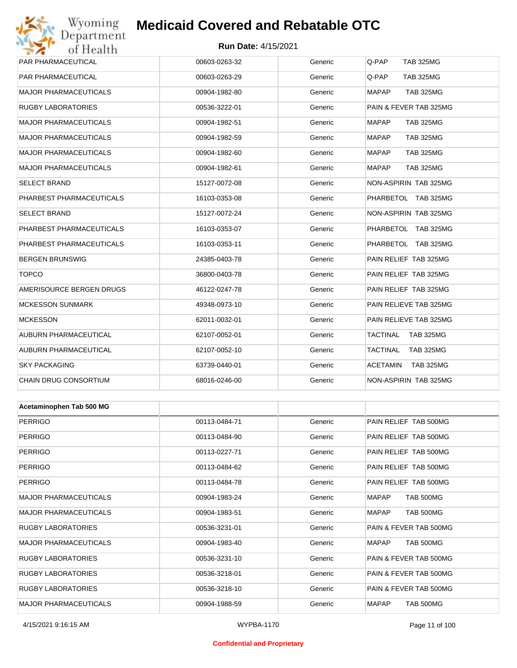## Wyoming<br>Department<br>of Health

## **Medicaid Covered and Rebatable OTC**

#### **Run Date:** 4/15/2021

| PAR PHARMACEUTICAL           | 00603-0263-32 | Generic | Q-PAP<br><b>TAB 325MG</b>        |
|------------------------------|---------------|---------|----------------------------------|
| PAR PHARMACEUTICAL           | 00603-0263-29 | Generic | Q-PAP<br>TAB 325MG               |
| MAJOR PHARMACEUTICALS        | 00904-1982-80 | Generic | <b>MAPAP</b><br><b>TAB 325MG</b> |
| RUGBY LABORATORIES           | 00536-3222-01 | Generic | PAIN & FEVER TAB 325MG           |
| MAJOR PHARMACEUTICALS        | 00904-1982-51 | Generic | <b>MAPAP</b><br><b>TAB 325MG</b> |
| MAJOR PHARMACEUTICALS        | 00904-1982-59 | Generic | <b>MAPAP</b><br><b>TAB 325MG</b> |
| MAJOR PHARMACEUTICALS        | 00904-1982-60 | Generic | <b>MAPAP</b><br><b>TAB 325MG</b> |
| MAJOR PHARMACEUTICALS        | 00904-1982-61 | Generic | <b>MAPAP</b><br><b>TAB 325MG</b> |
| SELECT BRAND                 | 15127-0072-08 | Generic | NON-ASPIRIN TAB 325MG            |
| PHARBEST PHARMACEUTICALS     | 16103-0353-08 | Generic | PHARBETOL TAB 325MG              |
| SELECT BRAND                 | 15127-0072-24 | Generic | NON-ASPIRIN TAB 325MG            |
| PHARBEST PHARMACEUTICALS     | 16103-0353-07 | Generic | PHARBETOL TAB 325MG              |
| PHARBEST PHARMACEUTICALS     | 16103-0353-11 | Generic | PHARBETOL TAB 325MG              |
| BERGEN BRUNSWIG              | 24385-0403-78 | Generic | PAIN RELIEF TAB 325MG            |
| <b>TOPCO</b>                 | 36800-0403-78 | Generic | PAIN RELIEF TAB 325MG            |
| AMERISOURCE BERGEN DRUGS     | 46122-0247-78 | Generic | PAIN RELIEF TAB 325MG            |
| <b>MCKESSON SUNMARK</b>      | 49348-0973-10 | Generic | PAIN RELIEVE TAB 325MG           |
| <b>MCKESSON</b>              | 62011-0032-01 | Generic | PAIN RELIEVE TAB 325MG           |
| AUBURN PHARMACEUTICAL        | 62107-0052-01 | Generic | TACTINAL<br><b>TAB 325MG</b>     |
| AUBURN PHARMACEUTICAL        | 62107-0052-10 | Generic | TACTINAL<br><b>TAB 325MG</b>     |
| <b>SKY PACKAGING</b>         | 63739-0440-01 | Generic | ACETAMIN<br><b>TAB 325MG</b>     |
| CHAIN DRUG CONSORTIUM        | 68016-0246-00 | Generic | NON-ASPIRIN TAB 325MG            |
|                              |               |         |                                  |
| Acetaminophen Tab 500 MG     |               |         |                                  |
| PERRIGO                      | 00113-0484-71 | Generic | PAIN RELIEF TAB 500MG            |
| <b>PERRIGO</b>               | 00113-0484-90 | Generic | PAIN RELIEF TAB 500MG            |
| PERRIGO                      | 00113-0227-71 | Generic | PAIN RELIEF TAB 500MG            |
| PERRIGO                      | 00113-0484-62 | Generic | PAIN RELIEF TAB 500MG            |
| PERRIGO                      | 00113-0484-78 | Generic | PAIN RELIEF TAB 500MG            |
| <b>MAJOR PHARMACEUTICALS</b> | 00904-1983-24 | Generic | <b>TAB 500MG</b><br>MAPAP        |
| MAJOR PHARMACEUTICALS        | 00904-1983-51 | Generic | <b>MAPAP</b><br>TAB 500MG        |
| RUGBY LABORATORIES           | 00536-3231-01 | Generic | PAIN & FEVER TAB 500MG           |
| MAJOR PHARMACEUTICALS        | 00904-1983-40 | Generic | TAB 500MG<br><b>MAPAP</b>        |
| RUGBY LABORATORIES           | 00536-3231-10 | Generic | PAIN & FEVER TAB 500MG           |
| RUGBY LABORATORIES           | 00536-3218-01 | Generic | PAIN & FEVER TAB 500MG           |
| RUGBY LABORATORIES           | 00536-3218-10 | Generic | PAIN & FEVER TAB 500MG           |

MAJOR PHARMACEUTICALS 00904-1988-59 Generic MAPAP TAB 500MG

#### **Confidential and Proprietary**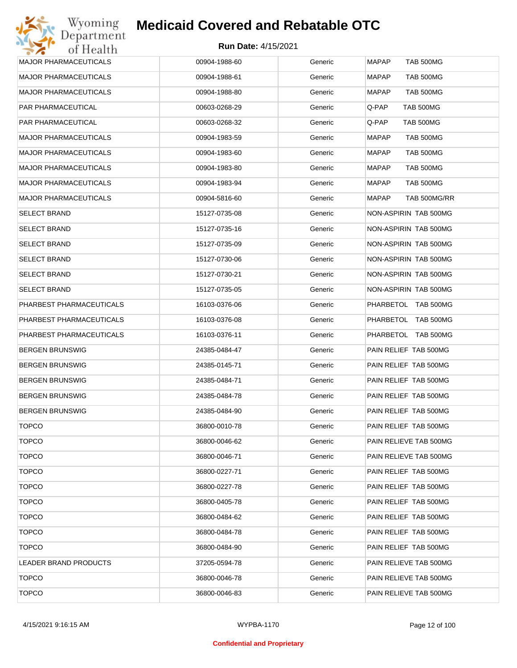| <b>MAJOR PHARMACEUTICALS</b> | 00904-1988-60 | Generic | MAPAP<br><b>TAB 500MG</b>        |
|------------------------------|---------------|---------|----------------------------------|
| <b>MAJOR PHARMACEUTICALS</b> | 00904-1988-61 | Generic | <b>MAPAP</b><br><b>TAB 500MG</b> |
| <b>MAJOR PHARMACEUTICALS</b> | 00904-1988-80 | Generic | <b>MAPAP</b><br><b>TAB 500MG</b> |
| PAR PHARMACEUTICAL           | 00603-0268-29 | Generic | Q-PAP<br>TAB 500MG               |
| PAR PHARMACEUTICAL           | 00603-0268-32 | Generic | TAB 500MG<br>Q-PAP               |
| <b>MAJOR PHARMACEUTICALS</b> | 00904-1983-59 | Generic | <b>MAPAP</b><br><b>TAB 500MG</b> |
| <b>MAJOR PHARMACEUTICALS</b> | 00904-1983-60 | Generic | MAPAP<br><b>TAB 500MG</b>        |
| <b>MAJOR PHARMACEUTICALS</b> | 00904-1983-80 | Generic | <b>MAPAP</b><br>TAB 500MG        |
| <b>MAJOR PHARMACEUTICALS</b> | 00904-1983-94 | Generic | MAPAP<br>TAB 500MG               |
| <b>MAJOR PHARMACEUTICALS</b> | 00904-5816-60 | Generic | <b>MAPAP</b><br>TAB 500MG/RR     |
| <b>SELECT BRAND</b>          | 15127-0735-08 | Generic | NON-ASPIRIN TAB 500MG            |
| <b>SELECT BRAND</b>          | 15127-0735-16 | Generic | NON-ASPIRIN TAB 500MG            |
| <b>SELECT BRAND</b>          | 15127-0735-09 | Generic | NON-ASPIRIN TAB 500MG            |
| <b>SELECT BRAND</b>          | 15127-0730-06 | Generic | NON-ASPIRIN TAB 500MG            |
| <b>SELECT BRAND</b>          | 15127-0730-21 | Generic | NON-ASPIRIN TAB 500MG            |
| <b>SELECT BRAND</b>          | 15127-0735-05 | Generic | NON-ASPIRIN TAB 500MG            |
| PHARBEST PHARMACEUTICALS     | 16103-0376-06 | Generic | PHARBETOL TAB 500MG              |
| PHARBEST PHARMACEUTICALS     | 16103-0376-08 | Generic | PHARBETOL TAB 500MG              |
| PHARBEST PHARMACEUTICALS     | 16103-0376-11 | Generic | PHARBETOL TAB 500MG              |
| <b>BERGEN BRUNSWIG</b>       | 24385-0484-47 | Generic | PAIN RELIEF TAB 500MG            |
| <b>BERGEN BRUNSWIG</b>       | 24385-0145-71 | Generic | PAIN RELIEF TAB 500MG            |
| <b>BERGEN BRUNSWIG</b>       | 24385-0484-71 | Generic | PAIN RELIEF TAB 500MG            |
| <b>BERGEN BRUNSWIG</b>       | 24385-0484-78 | Generic | PAIN RELIEF TAB 500MG            |
| <b>BERGEN BRUNSWIG</b>       | 24385-0484-90 | Generic | PAIN RELIEF TAB 500MG            |
| <b>TOPCO</b>                 | 36800-0010-78 | Generic | PAIN RELIEF TAB 500MG            |
| <b>TOPCO</b>                 | 36800-0046-62 | Generic | PAIN RELIEVE TAB 500MG           |
| <b>TOPCO</b>                 | 36800-0046-71 | Generic | PAIN RELIEVE TAB 500MG           |
| <b>TOPCO</b>                 | 36800-0227-71 | Generic | PAIN RELIEF TAB 500MG            |
| <b>TOPCO</b>                 | 36800-0227-78 | Generic | PAIN RELIEF TAB 500MG            |
| <b>TOPCO</b>                 | 36800-0405-78 | Generic | PAIN RELIEF TAB 500MG            |
| <b>TOPCO</b>                 | 36800-0484-62 | Generic | PAIN RELIEF TAB 500MG            |
| <b>TOPCO</b>                 | 36800-0484-78 | Generic | PAIN RELIEF TAB 500MG            |
| <b>TOPCO</b>                 | 36800-0484-90 | Generic | PAIN RELIEF TAB 500MG            |
| LEADER BRAND PRODUCTS        | 37205-0594-78 | Generic | PAIN RELIEVE TAB 500MG           |
| <b>TOPCO</b>                 | 36800-0046-78 | Generic | PAIN RELIEVE TAB 500MG           |
| <b>TOPCO</b>                 | 36800-0046-83 | Generic | PAIN RELIEVE TAB 500MG           |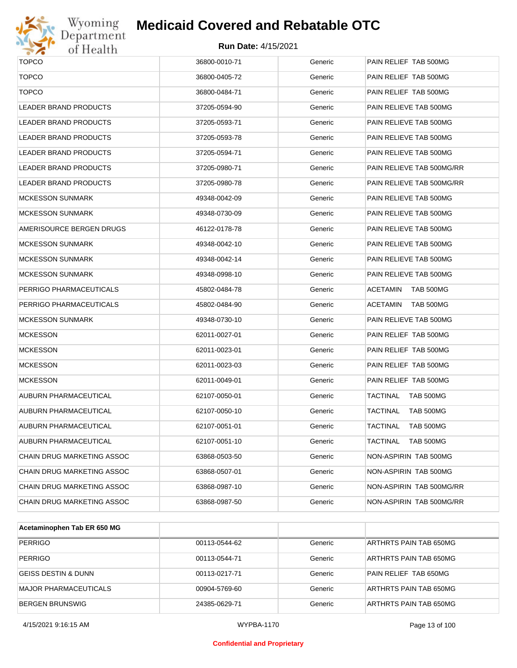

# Wyoming<br>Department<br>of Health

## **Medicaid Covered and Rebatable OTC**

| <b>TOPCO</b>                 | 36800-0010-71 | Generic | PAIN RELIEF TAB 500MG        |
|------------------------------|---------------|---------|------------------------------|
| <b>TOPCO</b>                 | 36800-0405-72 | Generic | PAIN RELIEF TAB 500MG        |
| <b>TOPCO</b>                 | 36800-0484-71 | Generic | PAIN RELIEF TAB 500MG        |
| <b>LEADER BRAND PRODUCTS</b> | 37205-0594-90 | Generic | PAIN RELIEVE TAB 500MG       |
| LEADER BRAND PRODUCTS        | 37205-0593-71 | Generic | PAIN RELIEVE TAB 500MG       |
| LEADER BRAND PRODUCTS        | 37205-0593-78 | Generic | PAIN RELIEVE TAB 500MG       |
| LEADER BRAND PRODUCTS        | 37205-0594-71 | Generic | PAIN RELIEVE TAB 500MG       |
| LEADER BRAND PRODUCTS        | 37205-0980-71 | Generic | PAIN RELIEVE TAB 500MG/RR    |
| LEADER BRAND PRODUCTS        | 37205-0980-78 | Generic | PAIN RELIEVE TAB 500MG/RR    |
| <b>MCKESSON SUNMARK</b>      | 49348-0042-09 | Generic | PAIN RELIEVE TAB 500MG       |
| <b>MCKESSON SUNMARK</b>      | 49348-0730-09 | Generic | PAIN RELIEVE TAB 500MG       |
| AMERISOURCE BERGEN DRUGS     | 46122-0178-78 | Generic | PAIN RELIEVE TAB 500MG       |
| <b>MCKESSON SUNMARK</b>      | 49348-0042-10 | Generic | PAIN RELIEVE TAB 500MG       |
| <b>MCKESSON SUNMARK</b>      | 49348-0042-14 | Generic | PAIN RELIEVE TAB 500MG       |
| <b>MCKESSON SUNMARK</b>      | 49348-0998-10 | Generic | PAIN RELIEVE TAB 500MG       |
| PERRIGO PHARMACEUTICALS      | 45802-0484-78 | Generic | ACETAMIN<br>TAB 500MG        |
| PERRIGO PHARMACEUTICALS      | 45802-0484-90 | Generic | ACETAMIN<br>TAB 500MG        |
| <b>MCKESSON SUNMARK</b>      | 49348-0730-10 | Generic | PAIN RELIEVE TAB 500MG       |
| <b>MCKESSON</b>              | 62011-0027-01 | Generic | PAIN RELIEF TAB 500MG        |
| <b>MCKESSON</b>              | 62011-0023-01 | Generic | PAIN RELIEF TAB 500MG        |
| <b>MCKESSON</b>              | 62011-0023-03 | Generic | PAIN RELIEF TAB 500MG        |
| <b>MCKESSON</b>              | 62011-0049-01 | Generic | PAIN RELIEF TAB 500MG        |
| AUBURN PHARMACEUTICAL        | 62107-0050-01 | Generic | TACTINAL<br>TAB 500MG        |
| AUBURN PHARMACEUTICAL        | 62107-0050-10 | Generic | TACTINAL<br>TAB 500MG        |
| AUBURN PHARMACEUTICAL        | 62107-0051-01 | Generic | TACTINAL<br>TAB 500MG        |
| AUBURN PHARMACEUTICAL        | 62107-0051-10 | Generic | <b>TACTINAL</b><br>TAB 500MG |
| CHAIN DRUG MARKETING ASSOC   | 63868-0503-50 | Generic | NON-ASPIRIN TAB 500MG        |
| CHAIN DRUG MARKETING ASSOC   | 63868-0507-01 | Generic | NON-ASPIRIN TAB 500MG        |
| CHAIN DRUG MARKETING ASSOC   | 63868-0987-10 | Generic | NON-ASPIRIN TAB 500MG/RR     |
| CHAIN DRUG MARKETING ASSOC   | 63868-0987-50 | Generic | NON-ASPIRIN TAB 500MG/RR     |
|                              |               |         |                              |

| Acetaminophen Tab ER 650 MG |               |         |                        |
|-----------------------------|---------------|---------|------------------------|
| <b>PERRIGO</b>              | 00113-0544-62 | Generic | ARTHRTS PAIN TAB 650MG |
| PERRIGO                     | 00113-0544-71 | Generic | ARTHRTS PAIN TAB 650MG |
| GEISS DESTIN & DUNN         | 00113-0217-71 | Generic | PAIN RELIEF TAB 650MG  |
| MAJOR PHARMACEUTICALS       | 00904-5769-60 | Generic | ARTHRTS PAIN TAB 650MG |
| <b>BERGEN BRUNSWIG</b>      | 24385-0629-71 | Generic | ARTHRTS PAIN TAB 650MG |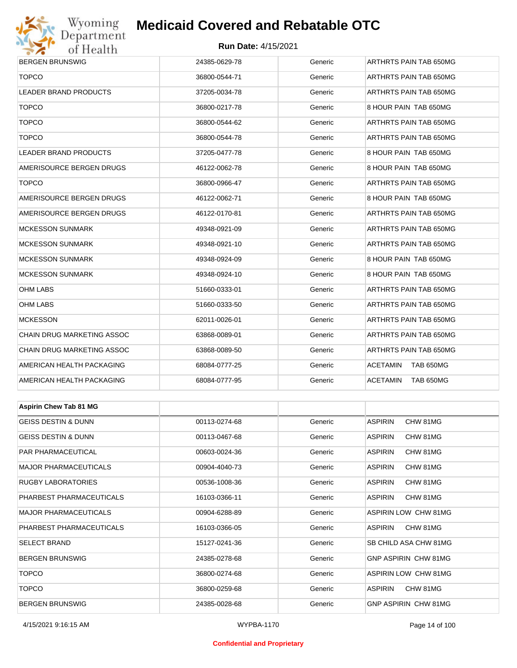

#### **Run Date:** 4/15/2021

| <b>BERGEN BRUNSWIG</b>        | 24385-0629-78 | Generic | ARTHRTS PAIN TAB 650MG       |  |  |
|-------------------------------|---------------|---------|------------------------------|--|--|
| <b>TOPCO</b>                  | 36800-0544-71 | Generic | ARTHRTS PAIN TAB 650MG       |  |  |
| LEADER BRAND PRODUCTS         | 37205-0034-78 | Generic | ARTHRTS PAIN TAB 650MG       |  |  |
| <b>TOPCO</b>                  | 36800-0217-78 | Generic | 8 HOUR PAIN TAB 650MG        |  |  |
| <b>TOPCO</b>                  | 36800-0544-62 | Generic | ARTHRTS PAIN TAB 650MG       |  |  |
| <b>TOPCO</b>                  | 36800-0544-78 | Generic | ARTHRTS PAIN TAB 650MG       |  |  |
| LEADER BRAND PRODUCTS         | 37205-0477-78 | Generic | 8 HOUR PAIN TAB 650MG        |  |  |
| AMERISOURCE BERGEN DRUGS      | 46122-0062-78 | Generic | 8 HOUR PAIN TAB 650MG        |  |  |
| <b>TOPCO</b>                  | 36800-0966-47 | Generic | ARTHRTS PAIN TAB 650MG       |  |  |
| AMERISOURCE BERGEN DRUGS      | 46122-0062-71 | Generic | 8 HOUR PAIN TAB 650MG        |  |  |
| AMERISOURCE BERGEN DRUGS      | 46122-0170-81 | Generic | ARTHRTS PAIN TAB 650MG       |  |  |
| <b>MCKESSON SUNMARK</b>       | 49348-0921-09 | Generic | ARTHRTS PAIN TAB 650MG       |  |  |
| MCKESSON SUNMARK              | 49348-0921-10 | Generic | ARTHRTS PAIN TAB 650MG       |  |  |
| <b>MCKESSON SUNMARK</b>       | 49348-0924-09 | Generic | 8 HOUR PAIN TAB 650MG        |  |  |
| <b>MCKESSON SUNMARK</b>       | 49348-0924-10 | Generic | 8 HOUR PAIN TAB 650MG        |  |  |
| OHM LABS                      | 51660-0333-01 | Generic | ARTHRTS PAIN TAB 650MG       |  |  |
| OHM LABS                      | 51660-0333-50 | Generic | ARTHRTS PAIN TAB 650MG       |  |  |
| <b>MCKESSON</b>               | 62011-0026-01 | Generic | ARTHRTS PAIN TAB 650MG       |  |  |
| CHAIN DRUG MARKETING ASSOC    | 63868-0089-01 | Generic | ARTHRTS PAIN TAB 650MG       |  |  |
| CHAIN DRUG MARKETING ASSOC    | 63868-0089-50 | Generic | ARTHRTS PAIN TAB 650MG       |  |  |
| AMERICAN HEALTH PACKAGING     | 68084-0777-25 | Generic | <b>ACETAMIN</b><br>TAB 650MG |  |  |
| AMERICAN HEALTH PACKAGING     | 68084-0777-95 | Generic | <b>ACETAMIN</b><br>TAB 650MG |  |  |
|                               |               |         |                              |  |  |
| <b>Aspirin Chew Tab 81 MG</b> |               |         |                              |  |  |
| GEISS DESTIN & DUNN           | 00113-0274-68 | Generic | <b>ASPIRIN</b><br>CHW 81MG   |  |  |
| GEISS DESTIN & DUNN           | 00113-0467-68 | Generic | <b>ASPIRIN</b><br>CHW 81MG   |  |  |
| PAR PHARMACEUTICAL            | 00603-0024-36 | Generic | <b>ASPIRIN</b><br>CHW 81MG   |  |  |
| MAJOR PHARMACEUTICALS         | 00904-4040-73 | Generic | <b>ASPIRIN</b><br>CHW 81MG   |  |  |
| RUGBY LABORATORIES            | 00536-1008-36 | Generic | <b>ASPIRIN</b><br>CHW 81MG   |  |  |
| PHARBEST PHARMACEUTICALS      | 16103-0366-11 | Generic | <b>ASPIRIN</b><br>CHW 81MG   |  |  |
| <b>MAJOR PHARMACEUTICALS</b>  | 00904-6288-89 | Generic | ASPIRIN LOW CHW 81MG         |  |  |
| PHARBEST PHARMACEUTICALS      | 16103-0366-05 | Generic | ASPIRIN<br>CHW 81MG          |  |  |
| SELECT BRAND                  | 15127-0241-36 | Generic | SB CHILD ASA CHW 81MG        |  |  |
| BERGEN BRUNSWIG               | 24385-0278-68 | Generic | GNP ASPIRIN CHW 81MG         |  |  |
| <b>TOPCO</b>                  | 36800-0274-68 | Generic | ASPIRIN LOW CHW 81MG         |  |  |

4/15/2021 9:16:15 AM WYPBA-1170 Page 14 of 100

TOPCO 36800-0259-68 Generic ASPIRIN CHW 81MG BERGEN BRUNSWIG 24385-0028-68 Generic GNP ASPIRIN CHW 81MG

#### **Confidential and Proprietary**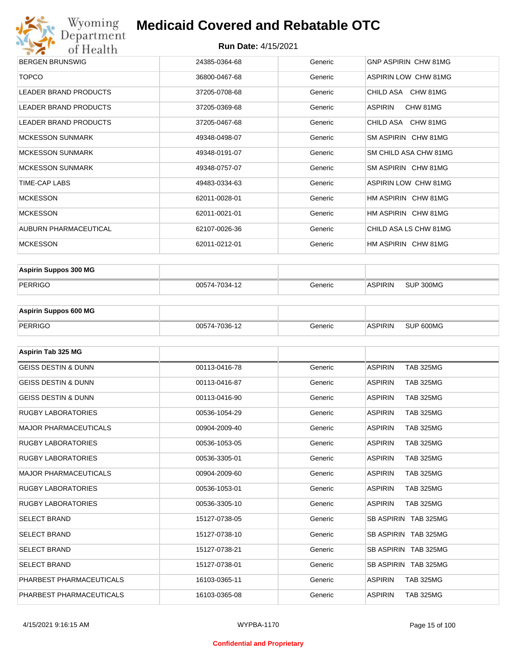

| <b>BERGEN BRUNSWIG</b>       | 24385-0364-68 | Generic | GNP ASPIRIN CHW 81MG        |
|------------------------------|---------------|---------|-----------------------------|
| <b>TOPCO</b>                 | 36800-0467-68 | Generic | <b>ASPIRIN LOW CHW 81MG</b> |
| LEADER BRAND PRODUCTS        | 37205-0708-68 | Generic | CHILD ASA CHW 81MG          |
| LEADER BRAND PRODUCTS        | 37205-0369-68 | Generic | CHW 81MG<br>ASPIRIN         |
| <b>LEADER BRAND PRODUCTS</b> | 37205-0467-68 | Generic | CHILD ASA CHW 81MG          |
| <b>MCKESSON SUNMARK</b>      | 49348-0498-07 | Generic | SM ASPIRIN CHW 81MG         |
| <b>MCKESSON SUNMARK</b>      | 49348-0191-07 | Generic | SM CHILD ASA CHW 81MG       |
| <b>MCKESSON SUNMARK</b>      | 49348-0757-07 | Generic | SM ASPIRIN CHW 81MG         |
| TIME-CAP LABS                | 49483-0334-63 | Generic | ASPIRIN LOW CHW 81MG        |
| <b>MCKESSON</b>              | 62011-0028-01 | Generic | HM ASPIRIN CHW 81MG         |
| <b>MCKESSON</b>              | 62011-0021-01 | Generic | HM ASPIRIN CHW 81MG         |
| AUBURN PHARMACEUTICAL        | 62107-0026-36 | Generic | CHILD ASA LS CHW 81MG       |
| <b>MCKESSON</b>              | 62011-0212-01 | Generic | HM ASPIRIN CHW 81MG         |

| <b>Aspirin Suppos 300 MG</b> |               |         |                |           |
|------------------------------|---------------|---------|----------------|-----------|
| PERRIGO                      | 00574-7034-12 | Generic | <b>ASPIRIN</b> | SUP 300MG |

| <b>Aspirin Suppos 600 MG</b> |               |         |                |           |
|------------------------------|---------------|---------|----------------|-----------|
| PERRIGO                      | 00574-7036-12 | Generic | <b>ASPIRIN</b> | SUP 600MG |

| Aspirin Tab 325 MG             |               |         |                                    |
|--------------------------------|---------------|---------|------------------------------------|
| <b>GEISS DESTIN &amp; DUNN</b> | 00113-0416-78 | Generic | <b>ASPIRIN</b><br><b>TAB 325MG</b> |
| <b>GEISS DESTIN &amp; DUNN</b> | 00113-0416-87 | Generic | <b>ASPIRIN</b><br><b>TAB 325MG</b> |
| <b>GEISS DESTIN &amp; DUNN</b> | 00113-0416-90 | Generic | <b>ASPIRIN</b><br><b>TAB 325MG</b> |
| <b>RUGBY LABORATORIES</b>      | 00536-1054-29 | Generic | <b>ASPIRIN</b><br><b>TAB 325MG</b> |
| <b>MAJOR PHARMACEUTICALS</b>   | 00904-2009-40 | Generic | <b>ASPIRIN</b><br><b>TAB 325MG</b> |
| <b>RUGBY LABORATORIES</b>      | 00536-1053-05 | Generic | <b>ASPIRIN</b><br><b>TAB 325MG</b> |
| <b>RUGBY LABORATORIES</b>      | 00536-3305-01 | Generic | <b>ASPIRIN</b><br><b>TAB 325MG</b> |
| <b>MAJOR PHARMACEUTICALS</b>   | 00904-2009-60 | Generic | <b>ASPIRIN</b><br><b>TAB 325MG</b> |
| <b>RUGBY LABORATORIES</b>      | 00536-1053-01 | Generic | <b>TAB 325MG</b><br><b>ASPIRIN</b> |
| <b>RUGBY LABORATORIES</b>      | 00536-3305-10 | Generic | <b>ASPIRIN</b><br><b>TAB 325MG</b> |
| <b>SELECT BRAND</b>            | 15127-0738-05 | Generic | SB ASPIRIN TAB 325MG               |
| <b>SELECT BRAND</b>            | 15127-0738-10 | Generic | SB ASPIRIN TAB 325MG               |
| <b>SELECT BRAND</b>            | 15127-0738-21 | Generic | SB ASPIRIN TAB 325MG               |
| <b>SELECT BRAND</b>            | 15127-0738-01 | Generic | SB ASPIRIN TAB 325MG               |
| PHARBEST PHARMACEUTICALS       | 16103-0365-11 | Generic | <b>ASPIRIN</b><br><b>TAB 325MG</b> |
| PHARBEST PHARMACEUTICALS       | 16103-0365-08 | Generic | <b>ASPIRIN</b><br><b>TAB 325MG</b> |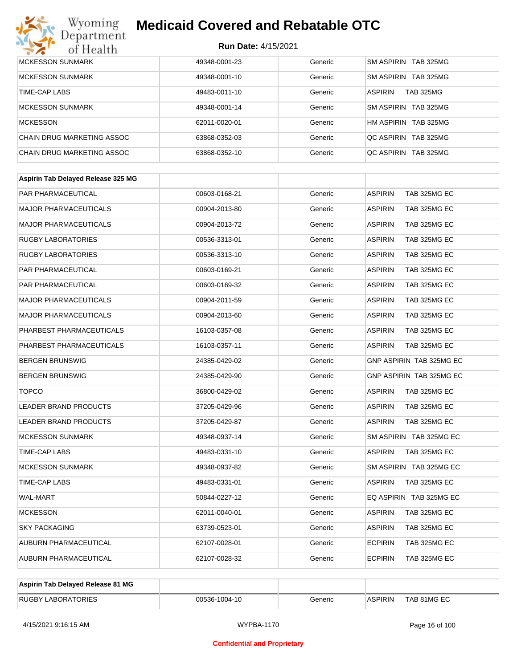

| MCKESSON SUNMARK           | 49348-0001-23 | Generic | SM ASPIRIN TAB 325MG               |
|----------------------------|---------------|---------|------------------------------------|
|                            |               |         |                                    |
| <b>MCKESSON SUNMARK</b>    | 49348-0001-10 | Generic | SM ASPIRIN TAB 325MG               |
| TIME-CAP LABS              | 49483-0011-10 | Generic | <b>ASPIRIN</b><br><b>TAB 325MG</b> |
| <b>MCKESSON SUNMARK</b>    | 49348-0001-14 | Generic | SM ASPIRIN TAB 325MG               |
| <b>MCKESSON</b>            | 62011-0020-01 | Generic | HM ASPIRIN TAB 325MG               |
| CHAIN DRUG MARKETING ASSOC | 63868-0352-03 | Generic | OC ASPIRIN TAB 325MG               |
| CHAIN DRUG MARKETING ASSOC | 63868-0352-10 | Generic | OC ASPIRIN TAB 325MG               |

| Aspirin Tab Delayed Release 325 MG |               |         |                                |
|------------------------------------|---------------|---------|--------------------------------|
| <b>PAR PHARMACEUTICAL</b>          | 00603-0168-21 | Generic | <b>ASPIRIN</b><br>TAB 325MG EC |
| <b>MAJOR PHARMACEUTICALS</b>       | 00904-2013-80 | Generic | TAB 325MG EC<br><b>ASPIRIN</b> |
| <b>MAJOR PHARMACEUTICALS</b>       | 00904-2013-72 | Generic | <b>ASPIRIN</b><br>TAB 325MG EC |
| <b>RUGBY LABORATORIES</b>          | 00536-3313-01 | Generic | <b>ASPIRIN</b><br>TAB 325MG EC |
| <b>RUGBY LABORATORIES</b>          | 00536-3313-10 | Generic | TAB 325MG EC<br><b>ASPIRIN</b> |
| <b>PAR PHARMACEUTICAL</b>          | 00603-0169-21 | Generic | <b>ASPIRIN</b><br>TAB 325MG EC |
| PAR PHARMACEUTICAL                 | 00603-0169-32 | Generic | <b>ASPIRIN</b><br>TAB 325MG EC |
| <b>MAJOR PHARMACEUTICALS</b>       | 00904-2011-59 | Generic | <b>ASPIRIN</b><br>TAB 325MG EC |
| <b>MAJOR PHARMACEUTICALS</b>       | 00904-2013-60 | Generic | <b>ASPIRIN</b><br>TAB 325MG EC |
| PHARBEST PHARMACEUTICALS           | 16103-0357-08 | Generic | <b>ASPIRIN</b><br>TAB 325MG EC |
| PHARBEST PHARMACEUTICALS           | 16103-0357-11 | Generic | <b>ASPIRIN</b><br>TAB 325MG EC |
| <b>BERGEN BRUNSWIG</b>             | 24385-0429-02 | Generic | GNP ASPIRIN TAB 325MG EC       |
| <b>BERGEN BRUNSWIG</b>             | 24385-0429-90 | Generic | GNP ASPIRIN TAB 325MG EC       |
| <b>TOPCO</b>                       | 36800-0429-02 | Generic | <b>ASPIRIN</b><br>TAB 325MG EC |
| <b>LEADER BRAND PRODUCTS</b>       | 37205-0429-96 | Generic | <b>ASPIRIN</b><br>TAB 325MG EC |
| <b>LEADER BRAND PRODUCTS</b>       | 37205-0429-87 | Generic | <b>ASPIRIN</b><br>TAB 325MG EC |
| <b>MCKESSON SUNMARK</b>            | 49348-0937-14 | Generic | SM ASPIRIN TAB 325MG EC        |
| <b>TIME-CAP LABS</b>               | 49483-0331-10 | Generic | <b>ASPIRIN</b><br>TAB 325MG EC |
| <b>MCKESSON SUNMARK</b>            | 49348-0937-82 | Generic | SM ASPIRIN TAB 325MG EC        |
| <b>TIME-CAP LABS</b>               | 49483-0331-01 | Generic | <b>ASPIRIN</b><br>TAB 325MG EC |
| <b>WAL-MART</b>                    | 50844-0227-12 | Generic | EQ ASPIRIN TAB 325MG EC        |
| <b>MCKESSON</b>                    | 62011-0040-01 | Generic | <b>ASPIRIN</b><br>TAB 325MG EC |
| <b>SKY PACKAGING</b>               | 63739-0523-01 | Generic | <b>ASPIRIN</b><br>TAB 325MG EC |
| <b>AUBURN PHARMACEUTICAL</b>       | 62107-0028-01 | Generic | <b>ECPIRIN</b><br>TAB 325MG EC |
| <b>AUBURN PHARMACEUTICAL</b>       | 62107-0028-32 | Generic | <b>ECPIRIN</b><br>TAB 325MG EC |
|                                    |               |         |                                |

| Aspirin Tab Delayed Release 81 MG |               |         |                |             |
|-----------------------------------|---------------|---------|----------------|-------------|
| <b>RUGBY LABORATORIES</b>         | 00536-1004-10 | Generic | <b>ASPIRIN</b> | TAB 81MG EC |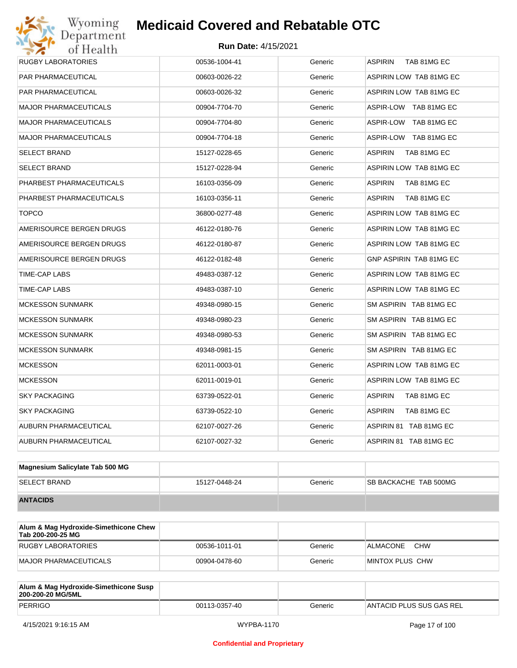# Wyoming<br>Department<br>of Health

## **Medicaid Covered and Rebatable OTC**

| RUGBY LABORATORIES           | 00536-1004-41 | Generic | <b>ASPIRIN</b><br>TAB 81MG EC  |  |
|------------------------------|---------------|---------|--------------------------------|--|
| PAR PHARMACEUTICAL           | 00603-0026-22 | Generic | ASPIRIN LOW TAB 81MG EC        |  |
| <b>PAR PHARMACEUTICAL</b>    | 00603-0026-32 | Generic | ASPIRIN LOW TAB 81MG EC        |  |
| <b>MAJOR PHARMACEUTICALS</b> | 00904-7704-70 | Generic | ASPIR-LOW TAB 81MG EC          |  |
| <b>MAJOR PHARMACEUTICALS</b> | 00904-7704-80 | Generic | ASPIR-LOW TAB 81MG EC          |  |
| <b>MAJOR PHARMACEUTICALS</b> | 00904-7704-18 | Generic | ASPIR-LOW TAB 81MG EC          |  |
| <b>SELECT BRAND</b>          | 15127-0228-65 | Generic | <b>ASPIRIN</b><br>TAB 81MG EC  |  |
| <b>SELECT BRAND</b>          | 15127-0228-94 | Generic | ASPIRIN LOW TAB 81MG EC        |  |
| PHARBEST PHARMACEUTICALS     | 16103-0356-09 | Generic | <b>ASPIRIN</b><br>TAB 81MG EC  |  |
| PHARBEST PHARMACEUTICALS     | 16103-0356-11 | Generic | <b>ASPIRIN</b><br>TAB 81MG EC  |  |
| <b>TOPCO</b>                 | 36800-0277-48 | Generic | ASPIRIN LOW TAB 81MG EC        |  |
| AMERISOURCE BERGEN DRUGS     | 46122-0180-76 | Generic | ASPIRIN LOW TAB 81MG EC        |  |
| AMERISOURCE BERGEN DRUGS     | 46122-0180-87 | Generic | ASPIRIN LOW TAB 81MG EC        |  |
| AMERISOURCE BERGEN DRUGS     | 46122-0182-48 | Generic | <b>GNP ASPIRIN TAB 81MG EC</b> |  |
| TIME-CAP LABS                | 49483-0387-12 | Generic | ASPIRIN LOW TAB 81MG EC        |  |
| TIME-CAP LABS                | 49483-0387-10 | Generic | ASPIRIN LOW TAB 81MG EC        |  |
| <b>MCKESSON SUNMARK</b>      | 49348-0980-15 | Generic | SM ASPIRIN TAB 81MG EC         |  |
| <b>MCKESSON SUNMARK</b>      | 49348-0980-23 | Generic | SM ASPIRIN TAB 81MG EC         |  |
| <b>MCKESSON SUNMARK</b>      | 49348-0980-53 | Generic | SM ASPIRIN TAB 81MG EC         |  |
| <b>MCKESSON SUNMARK</b>      | 49348-0981-15 | Generic | SM ASPIRIN TAB 81MG EC         |  |
| <b>MCKESSON</b>              | 62011-0003-01 | Generic | ASPIRIN LOW TAB 81MG EC        |  |
| <b>MCKESSON</b>              | 62011-0019-01 | Generic | ASPIRIN LOW TAB 81MG EC        |  |
| <b>SKY PACKAGING</b>         | 63739-0522-01 | Generic | <b>ASPIRIN</b><br>TAB 81MG EC  |  |
| <b>SKY PACKAGING</b>         | 63739-0522-10 | Generic | <b>ASPIRIN</b><br>TAB 81MG EC  |  |
| AUBURN PHARMACEUTICAL        | 62107-0027-26 | Generic | ASPIRIN 81 TAB 81MG EC         |  |
| <b>AUBURN PHARMACEUTICAL</b> | 62107-0027-32 | Generic | ASPIRIN 81 TAB 81MG EC         |  |
|                              |               |         |                                |  |

| Magnesium Salicylate Tab 500 MG |               |         |                               |
|---------------------------------|---------------|---------|-------------------------------|
| <b>SELECT BRAND</b>             | 15127-0448-24 | Generic | <b>ISB BACKACHE TAB 500MG</b> |
| <b>ANTACIDS</b>                 |               |         |                               |

| Alum & Mag Hydroxide-Simethicone Chew<br>Tab 200-200-25 MG |               |         |                         |
|------------------------------------------------------------|---------------|---------|-------------------------|
| RUGBY LABORATORIES                                         | 00536-1011-01 | Generic | CHW<br>ALMACONE         |
| MAJOR PHARMACEUTICALS                                      | 00904-0478-60 | Generic | <b>IMINTOX PLUS CHW</b> |

| Alum & Mag Hydroxide-Simethicone Susp<br>200-200-20 MG/5ML |               |         |                           |
|------------------------------------------------------------|---------------|---------|---------------------------|
| <b>PERRIGO</b>                                             | 00113-0357-40 | Generic | IANTACID PLUS SUS GAS REL |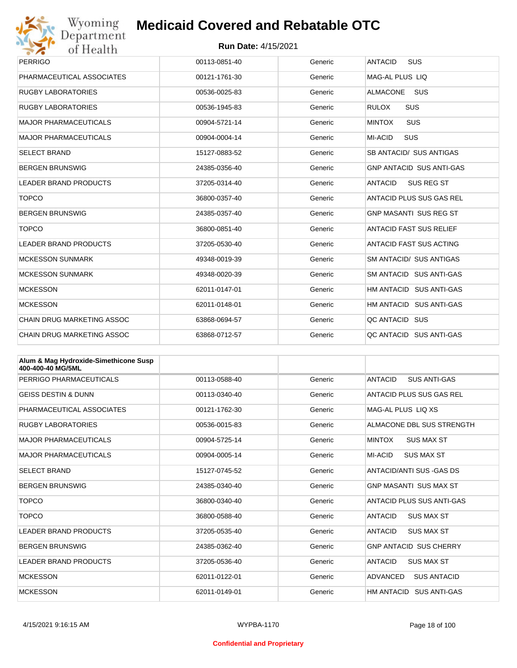

| <b>PERRIGO</b>                    | 00113-0851-40 | Generic | <b>ANTACID</b><br>SUS           |
|-----------------------------------|---------------|---------|---------------------------------|
| PHARMACEUTICAL ASSOCIATES         | 00121-1761-30 | Generic | <b>MAG-AL PLUS LIQ</b>          |
| <b>RUGBY LABORATORIES</b>         | 00536-0025-83 | Generic | <b>SUS</b><br><b>ALMACONE</b>   |
| <b>RUGBY LABORATORIES</b>         | 00536-1945-83 | Generic | <b>RULOX</b><br><b>SUS</b>      |
| <b>MAJOR PHARMACEUTICALS</b>      | 00904-5721-14 | Generic | SUS<br><b>MINTOX</b>            |
| <b>MAJOR PHARMACEUTICALS</b>      | 00904-0004-14 | Generic | <b>SUS</b><br>MI-ACID           |
| <b>SELECT BRAND</b>               | 15127-0883-52 | Generic | SB ANTACID/ SUS ANTIGAS         |
| <b>BERGEN BRUNSWIG</b>            | 24385-0356-40 | Generic | <b>GNP ANTACID SUS ANTI-GAS</b> |
| <b>LEADER BRAND PRODUCTS</b>      | 37205-0314-40 | Generic | SUS REG ST<br><b>ANTACID</b>    |
| <b>TOPCO</b>                      | 36800-0357-40 | Generic | ANTACID PLUS SUS GAS REL        |
| <b>BERGEN BRUNSWIG</b>            | 24385-0357-40 | Generic | <b>GNP MASANTI SUS REG ST</b>   |
| <b>TOPCO</b>                      | 36800-0851-40 | Generic | <b>ANTACID FAST SUS RELIEF</b>  |
| <b>LEADER BRAND PRODUCTS</b>      | 37205-0530-40 | Generic | <b>ANTACID FAST SUS ACTING</b>  |
| <b>MCKESSON SUNMARK</b>           | 49348-0019-39 | Generic | SM ANTACID/ SUS ANTIGAS         |
| <b>MCKESSON SUNMARK</b>           | 49348-0020-39 | Generic | SM ANTACID SUS ANTI-GAS         |
| <b>MCKESSON</b>                   | 62011-0147-01 | Generic | HM ANTACID SUS ANTI-GAS         |
| <b>MCKESSON</b>                   | 62011-0148-01 | Generic | HM ANTACID SUS ANTI-GAS         |
| <b>CHAIN DRUG MARKETING ASSOC</b> | 63868-0694-57 | Generic | QC ANTACID SUS                  |
| <b>CHAIN DRUG MARKETING ASSOC</b> | 63868-0712-57 | Generic | QC ANTACID SUS ANTI-GAS         |

| Alum & Mag Hydroxide-Simethicone Susp<br>400-400-40 MG/5ML |               |         |                                       |
|------------------------------------------------------------|---------------|---------|---------------------------------------|
| PERRIGO PHARMACEUTICALS                                    | 00113-0588-40 | Generic | <b>ANTACID</b><br><b>SUS ANTI-GAS</b> |
| <b>GEISS DESTIN &amp; DUNN</b>                             | 00113-0340-40 | Generic | ANTACID PLUS SUS GAS REL              |
| PHARMACEUTICAL ASSOCIATES                                  | 00121-1762-30 | Generic | MAG-AL PLUS LIO XS                    |
| <b>RUGBY LABORATORIES</b>                                  | 00536-0015-83 | Generic | ALMACONE DBL SUS STRENGTH             |
| <b>MAJOR PHARMACEUTICALS</b>                               | 00904-5725-14 | Generic | <b>MINTOX</b><br><b>SUS MAX ST</b>    |
| <b>MAJOR PHARMACEUTICALS</b>                               | 00904-0005-14 | Generic | MI-ACID<br><b>SUS MAX ST</b>          |
| <b>SELECT BRAND</b>                                        | 15127-0745-52 | Generic | ANTACID/ANTI SUS-GAS DS               |
| <b>BERGEN BRUNSWIG</b>                                     | 24385-0340-40 | Generic | <b>GNP MASANTI SUS MAX ST</b>         |
| <b>TOPCO</b>                                               | 36800-0340-40 | Generic | ANTACID PLUS SUS ANTI-GAS             |
| <b>TOPCO</b>                                               | 36800-0588-40 | Generic | <b>ANTACID</b><br><b>SUS MAX ST</b>   |
| <b>LEADER BRAND PRODUCTS</b>                               | 37205-0535-40 | Generic | <b>ANTACID</b><br><b>SUS MAX ST</b>   |
| <b>BERGEN BRUNSWIG</b>                                     | 24385-0362-40 | Generic | <b>GNP ANTACID SUS CHERRY</b>         |
| <b>LEADER BRAND PRODUCTS</b>                               | 37205-0536-40 | Generic | <b>ANTACID</b><br><b>SUS MAX ST</b>   |
| <b>MCKESSON</b>                                            | 62011-0122-01 | Generic | <b>ADVANCED</b><br><b>SUS ANTACID</b> |
| <b>MCKESSON</b>                                            | 62011-0149-01 | Generic | HM ANTACID SUS ANTI-GAS               |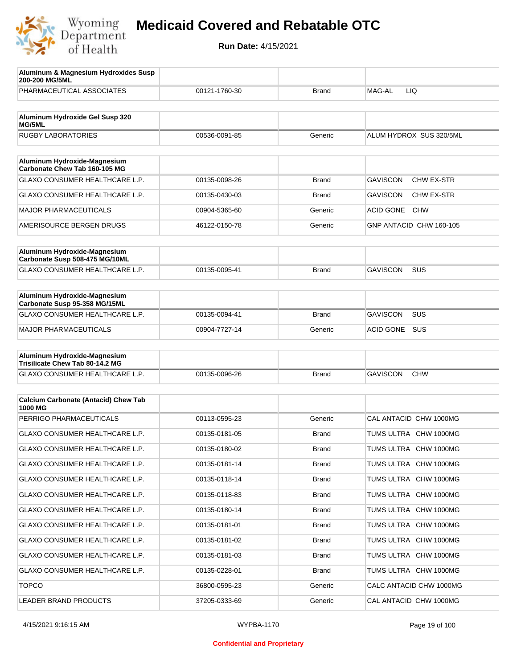

| Aluminum & Magnesium Hydroxides Susp<br>200-200 MG/5ML          |               |              |                                      |
|-----------------------------------------------------------------|---------------|--------------|--------------------------------------|
| PHARMACEUTICAL ASSOCIATES                                       | 00121-1760-30 | <b>Brand</b> | MAG-AL<br>LIQ.                       |
| Aluminum Hydroxide Gel Susp 320<br>MG/5ML                       |               |              |                                      |
| <b>RUGBY LABORATORIES</b>                                       | 00536-0091-85 | Generic      | ALUM HYDROX SUS 320/5ML              |
| Aluminum Hydroxide-Magnesium                                    |               |              |                                      |
| Carbonate Chew Tab 160-105 MG<br>GLAXO CONSUMER HEALTHCARE L.P. |               |              | <b>GAVISCON</b><br><b>CHW EX-STR</b> |
|                                                                 | 00135-0098-26 | <b>Brand</b> |                                      |
| GLAXO CONSUMER HEALTHCARE L.P.                                  | 00135-0430-03 | <b>Brand</b> | GAVISCON<br><b>CHW EX-STR</b>        |
| MAJOR PHARMACEUTICALS                                           | 00904-5365-60 | Generic      | <b>ACID GONE</b><br><b>CHW</b>       |
| AMERISOURCE BERGEN DRUGS                                        | 46122-0150-78 | Generic      | GNP ANTACID CHW 160-105              |
| Aluminum Hydroxide-Magnesium<br>Carbonate Susp 508-475 MG/10ML  |               |              |                                      |
| GLAXO CONSUMER HEALTHCARE L.P.                                  | 00135-0095-41 | <b>Brand</b> | <b>GAVISCON</b><br>SUS               |
| Aluminum Hydroxide-Magnesium<br>Carbonate Susp 95-358 MG/15ML   |               |              |                                      |
| GLAXO CONSUMER HEALTHCARE L.P.                                  | 00135-0094-41 | <b>Brand</b> | <b>SUS</b><br>GAVISCON               |
| <b>MAJOR PHARMACEUTICALS</b>                                    | 00904-7727-14 | Generic      | ACID GONE<br>SUS                     |
| Aluminum Hydroxide-Magnesium<br>Trisilicate Chew Tab 80-14.2 MG |               |              |                                      |
| GLAXO CONSUMER HEALTHCARE L.P.                                  | 00135-0096-26 | <b>Brand</b> | <b>GAVISCON</b><br><b>CHW</b>        |
| <b>Calcium Carbonate (Antacid) Chew Tab</b><br>1000 MG          |               |              |                                      |
| PERRIGO PHARMACEUTICALS                                         | 00113-0595-23 | Generic      | CAL ANTACID CHW 1000MG               |
| <b>GLAXO CONSUMER HEALTHCARE L.P.</b>                           | 00135-0181-05 | <b>Brand</b> | TUMS ULTRA CHW 1000MG                |
| <b>GLAXO CONSUMER HEALTHCARE L.P.</b>                           | 00135-0180-02 | <b>Brand</b> | TUMS ULTRA CHW 1000MG                |
| GLAXO CONSUMER HEALTHCARE L.P.                                  | 00135-0181-14 | <b>Brand</b> | TUMS ULTRA CHW 1000MG                |
| <b>GLAXO CONSUMER HEALTHCARE L.P.</b>                           | 00135-0118-14 | <b>Brand</b> | TUMS ULTRA CHW 1000MG                |
| GLAXO CONSUMER HEALTHCARE L.P.                                  | 00135-0118-83 | <b>Brand</b> | TUMS ULTRA CHW 1000MG                |
| GLAXO CONSUMER HEALTHCARE L.P.                                  | 00135-0180-14 | <b>Brand</b> | TUMS ULTRA CHW 1000MG                |
| GLAXO CONSUMER HEALTHCARE L.P.                                  | 00135-0181-01 | Brand        | TUMS ULTRA CHW 1000MG                |
| GLAXO CONSUMER HEALTHCARE L.P.                                  | 00135-0181-02 | Brand        | TUMS ULTRA CHW 1000MG                |
| GLAXO CONSUMER HEALTHCARE L.P.                                  | 00135-0181-03 | <b>Brand</b> | TUMS ULTRA CHW 1000MG                |
| GLAXO CONSUMER HEALTHCARE L.P.                                  | 00135-0228-01 | <b>Brand</b> | TUMS ULTRA CHW 1000MG                |
| <b>TOPCO</b>                                                    | 36800-0595-23 | Generic      | CALC ANTACID CHW 1000MG              |
| LEADER BRAND PRODUCTS                                           | 37205-0333-69 | Generic      | CAL ANTACID CHW 1000MG               |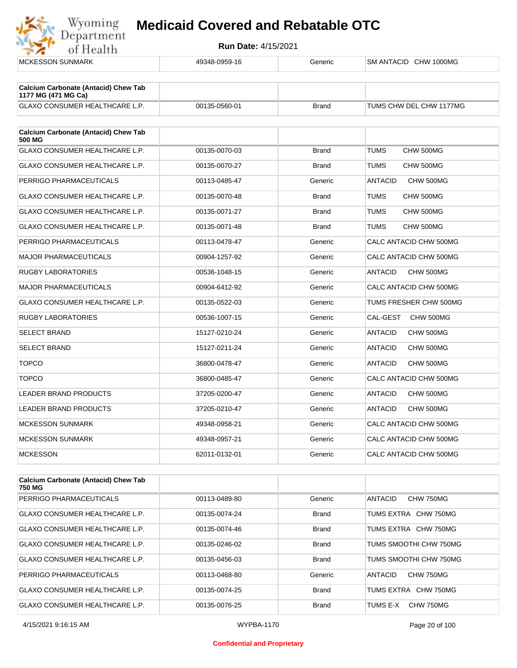

|               | Generic       | SM ANTACID CHW 1000MG       |
|---------------|---------------|-----------------------------|
|               |               |                             |
|               |               |                             |
| 00135-0560-01 | <b>Brand</b>  | TUMS CHW DEL CHW 1177MG     |
|               |               |                             |
|               |               |                             |
| 00135-0070-03 | <b>Brand</b>  | <b>TUMS</b><br>CHW 500MG    |
| 00135-0070-27 | <b>Brand</b>  | TUMS<br>CHW 500MG           |
| 00113-0485-47 | Generic       | ANTACID<br>CHW 500MG        |
| 00135-0070-48 | <b>Brand</b>  | TUMS<br>CHW 500MG           |
| 00135-0071-27 | <b>Brand</b>  | <b>TUMS</b><br>CHW 500MG    |
| 00135-0071-48 | <b>Brand</b>  | <b>TUMS</b><br>CHW 500MG    |
| 00113-0478-47 | Generic       | CALC ANTACID CHW 500MG      |
| 00904-1257-92 | Generic       | CALC ANTACID CHW 500MG      |
| 00536-1048-15 | Generic       | <b>ANTACID</b><br>CHW 500MG |
| 00904-6412-92 | Generic       | CALC ANTACID CHW 500MG      |
| 00135-0522-03 | Generic       | TUMS FRESHER CHW 500MG      |
| 00536-1007-15 | Generic       | CAL-GEST<br>CHW 500MG       |
| 15127-0210-24 | Generic       | <b>ANTACID</b><br>CHW 500MG |
| 15127-0211-24 | Generic       | <b>ANTACID</b><br>CHW 500MG |
| 36800-0478-47 | Generic       | <b>ANTACID</b><br>CHW 500MG |
| 36800-0485-47 | Generic       | CALC ANTACID CHW 500MG      |
| 37205-0200-47 | Generic       | ANTACID<br>CHW 500MG        |
| 37205-0210-47 | Generic       | <b>ANTACID</b><br>CHW 500MG |
| 49348-0958-21 | Generic       | CALC ANTACID CHW 500MG      |
| 49348-0957-21 | Generic       | CALC ANTACID CHW 500MG      |
| 62011-0132-01 | Generic       | CALC ANTACID CHW 500MG      |
|               | 49348-0959-16 |                             |

| <b>Calcium Carbonate (Antacid) Chew Tab</b><br>750 MG |               |              |                        |
|-------------------------------------------------------|---------------|--------------|------------------------|
| PERRIGO PHARMACEUTICALS                               | 00113-0489-80 | Generic      | ANTACID<br>CHW 750MG   |
| <b>GLAXO CONSUMER HEALTHCARE L.P.</b>                 | 00135-0074-24 | <b>Brand</b> | TUMS EXTRA CHW 750MG   |
| <b>GLAXO CONSUMER HEALTHCARE L.P.</b>                 | 00135-0074-46 | <b>Brand</b> | TUMS EXTRA CHW 750MG   |
| <b>GLAXO CONSUMER HEALTHCARE L.P.</b>                 | 00135-0246-02 | <b>Brand</b> | TUMS SMOOTHI CHW 750MG |
| <b>GLAXO CONSUMER HEALTHCARE L.P.</b>                 | 00135-0456-03 | <b>Brand</b> | TUMS SMOOTHI CHW 750MG |
| PERRIGO PHARMACEUTICALS                               | 00113-0468-80 | Generic      | ANTACID<br>CHW 750MG   |
| <b>GLAXO CONSUMER HEALTHCARE L.P.</b>                 | 00135-0074-25 | <b>Brand</b> | TUMS EXTRA CHW 750MG   |
| <b>GLAXO CONSUMER HEALTHCARE L.P.</b>                 | 00135-0076-25 | <b>Brand</b> | CHW 750MG<br>TUMS E-X  |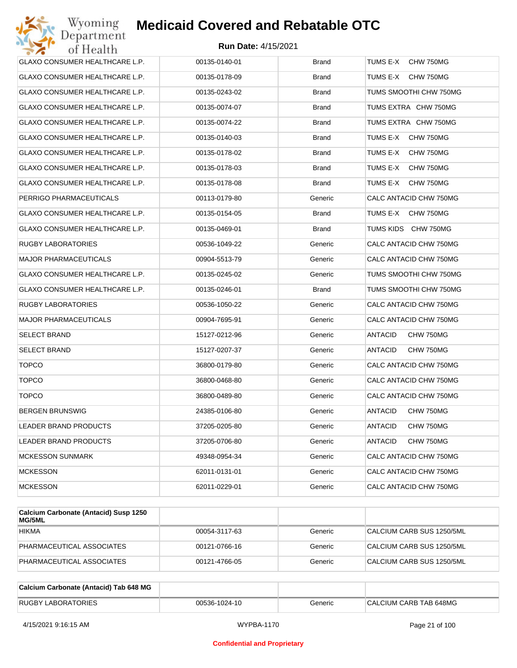| Wyoming<br>Department          | <b>Medicaid Covered and Rebatable OTC</b> |              |                        |
|--------------------------------|-------------------------------------------|--------------|------------------------|
| of Health                      | <b>Run Date: 4/15/2021</b>                |              |                        |
| GLAXO CONSUMER HEALTHCARE L.P. | 00135-0140-01                             | <b>Brand</b> | TUMS E-X<br>CHW 750MG  |
| GLAXO CONSUMER HEALTHCARE L.P. | 00135-0178-09                             | Brand        | TUMS E-X<br>CHW 750MG  |
| GLAXO CONSUMER HEALTHCARE L.P. | 00135-0243-02                             | Brand        | TUMS SMOOTHI CHW 750MG |
| GLAXO CONSUMER HEALTHCARE L.P. | 00135-0074-07                             | <b>Brand</b> | TUMS EXTRA CHW 750MG   |
| GLAXO CONSUMER HEALTHCARE L.P. | 00135-0074-22                             | Brand        | TUMS EXTRA CHW 750MG   |
| GLAXO CONSUMER HEALTHCARE L.P. | 00135-0140-03                             | <b>Brand</b> | TUMS E-X<br>CHW 750MG  |
| GLAXO CONSUMER HEALTHCARE L.P. | 00135-0178-02                             | <b>Brand</b> | TUMS E-X<br>CHW 750MG  |
| GLAXO CONSUMER HEALTHCARE L.P. | 00135-0178-03                             | Brand        | TUMS E-X<br>CHW 750MG  |
| GLAXO CONSUMER HEALTHCARE L.P. | 00135-0178-08                             | <b>Brand</b> | TUMS E-X<br>CHW 750MG  |
| PERRIGO PHARMACEUTICALS        | 00113-0179-80                             | Generic      | CALC ANTACID CHW 750MG |
| GLAXO CONSUMER HEALTHCARE L.P. | 00135-0154-05                             | <b>Brand</b> | TUMS E-X<br>CHW 750MG  |
| GLAXO CONSUMER HEALTHCARE L.P. | 00135-0469-01                             | <b>Brand</b> | TUMS KIDS CHW 750MG    |
| RUGBY LABORATORIES             | 00536-1049-22                             | Generic      | CALC ANTACID CHW 750MG |
| MAJOR PHARMACEUTICALS          | 00904-5513-79                             | Generic      | CALC ANTACID CHW 750MG |
| GLAXO CONSUMER HEALTHCARE L.P. | 00135-0245-02                             | Generic      | TUMS SMOOTHI CHW 750MG |
| GLAXO CONSUMER HEALTHCARE L.P. | 00135-0246-01                             | <b>Brand</b> | TUMS SMOOTHI CHW 750MG |
| RUGBY LABORATORIES             | 00536-1050-22                             | Generic      | CALC ANTACID CHW 750MG |
| MAJOR PHARMACEUTICALS          | 00904-7695-91                             | Generic      | CALC ANTACID CHW 750MG |
| SELECT BRAND                   | 15127-0212-96                             | Generic      | ANTACID<br>CHW 750MG   |
| SELECT BRAND                   | 15127-0207-37                             | Generic      | ANTACID<br>CHW 750MG   |
| <b>TOPCO</b>                   | 36800-0179-80                             | Generic      | CALC ANTACID CHW 750MG |
| <b>TOPCO</b>                   | 36800-0468-80                             | Generic      | CALC ANTACID CHW 750MG |
| <b>TOPCO</b>                   | 36800-0489-80                             | Generic      | CALC ANTACID CHW 750MG |
| BERGEN BRUNSWIG                | 24385-0106-80                             | Generic      | CHW 750MG<br>ANTACID   |
| LEADER BRAND PRODUCTS          | 37205-0205-80                             | Generic      | ANTACID<br>CHW 750MG   |
| LEADER BRAND PRODUCTS          | 37205-0706-80                             | Generic      | ANTACID<br>CHW 750MG   |
| <b>MCKESSON SUNMARK</b>        | 49348-0954-34                             | Generic      | CALC ANTACID CHW 750MG |
| <b>MCKESSON</b>                | 62011-0131-01                             | Generic      | CALC ANTACID CHW 750MG |
| MCKESSON                       | 62011-0229-01                             | Generic      | CALC ANTACID CHW 750MG |
|                                |                                           |              |                        |

| Calcium Carbonate (Antacid) Susp 1250<br><b>MG/5ML</b> |               |         |                           |
|--------------------------------------------------------|---------------|---------|---------------------------|
| <b>HIKMA</b>                                           | 00054-3117-63 | Generic | CALCIUM CARB SUS 1250/5ML |
| PHARMACEUTICAL ASSOCIATES                              | 00121-0766-16 | Generic | CALCIUM CARB SUS 1250/5ML |
| PHARMACEUTICAL ASSOCIATES                              | 00121-4766-05 | Generic | CALCIUM CARB SUS 1250/5ML |

| Calcium Carbonate (Antacid) Tab 648 MG |               |         |                        |
|----------------------------------------|---------------|---------|------------------------|
| <b>RUGBY LABORATORIES</b>              | 00536-1024-10 | Generic | CALCIUM CARB TAB 648MG |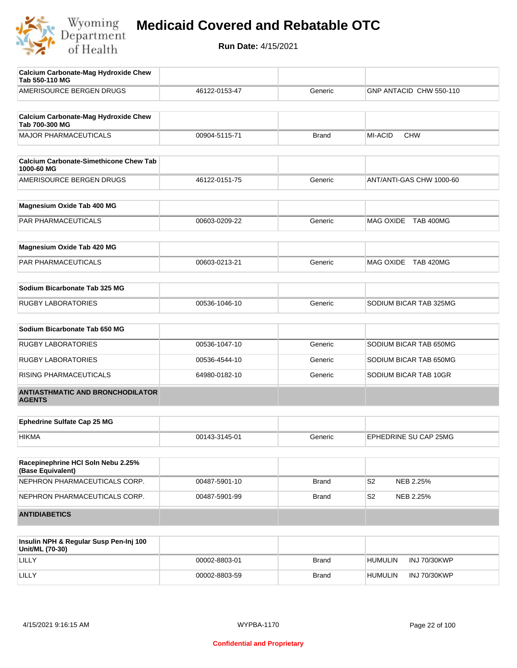

| <b>Calcium Carbonate-Mag Hydroxide Chew</b><br>Tab 550-110 MG |               |              |                          |
|---------------------------------------------------------------|---------------|--------------|--------------------------|
| AMERISOURCE BERGEN DRUGS                                      | 46122-0153-47 | Generic      | GNP ANTACID CHW 550-110  |
|                                                               |               |              |                          |
| <b>Calcium Carbonate-Mag Hydroxide Chew</b><br>Tab 700-300 MG |               |              |                          |
| <b>MAJOR PHARMACEUTICALS</b>                                  | 00904-5115-71 | <b>Brand</b> | MI-ACID<br><b>CHW</b>    |
| <b>Calcium Carbonate-Simethicone Chew Tab</b>                 |               |              |                          |
| 1000-60 MG                                                    |               |              |                          |
| AMERISOURCE BERGEN DRUGS                                      | 46122-0151-75 | Generic      | ANT/ANTI-GAS CHW 1000-60 |
| Magnesium Oxide Tab 400 MG                                    |               |              |                          |
| <b>PAR PHARMACEUTICALS</b>                                    | 00603-0209-22 | Generic      | MAG OXIDE TAB 400MG      |
| Magnesium Oxide Tab 420 MG                                    |               |              |                          |
| PAR PHARMACEUTICALS                                           | 00603-0213-21 | Generic      | MAG OXIDE TAB 420MG      |
|                                                               |               |              |                          |
| Sodium Bicarbonate Tab 325 MG                                 |               |              |                          |
| <b>RUGBY LABORATORIES</b>                                     | 00536-1046-10 | Generic      | SODIUM BICAR TAB 325MG   |
| Sodium Bicarbonate Tab 650 MG                                 |               |              |                          |
| <b>RUGBY LABORATORIES</b>                                     | 00536-1047-10 | Generic      | SODIUM BICAR TAB 650MG   |
| <b>RUGBY LABORATORIES</b>                                     | 00536-4544-10 | Generic      | SODIUM BICAR TAB 650MG   |
| RISING PHARMACEUTICALS                                        | 64980-0182-10 | Generic      | SODIUM BICAR TAB 10GR    |
| <b>ANTIASTHMATIC AND BRONCHODILATOR</b><br><b>AGENTS</b>      |               |              |                          |
| <b>Ephedrine Sulfate Cap 25 MG</b>                            |               |              |                          |
| <b>HIKMA</b>                                                  | 00143-3145-01 | Generic      | EPHEDRINE SU CAP 25MG    |
|                                                               |               |              |                          |
| Racepinephrine HCI Soln Nebu 2.25%<br>(Base Equivalent)       |               |              |                          |
| NEPHRON PHARMACEUTICALS CORP.                                 | 00487-5901-10 | <b>Brand</b> | S2<br>NEB 2.25%          |
| NEPHRON PHARMACEUTICALS CORP.                                 | 00487-5901-99 | <b>Brand</b> | S2<br>NEB 2.25%          |
| <b>ANTIDIABETICS</b>                                          |               |              |                          |
|                                                               |               |              |                          |
| Insulin NPH & Regular Susn Pen-Ini 100                        |               |              |                          |

| Insulin NPH & Regular Susp Pen-Inj 100<br>Unit/ML (70-30) |               |              |                |                     |
|-----------------------------------------------------------|---------------|--------------|----------------|---------------------|
| LILLY                                                     | 00002-8803-01 | <b>Brand</b> | <b>HUMULIN</b> | <b>INJ 70/30KWP</b> |
| LILLY                                                     | 00002-8803-59 | Brand        | <b>HUMULIN</b> | INJ 70/30KWP        |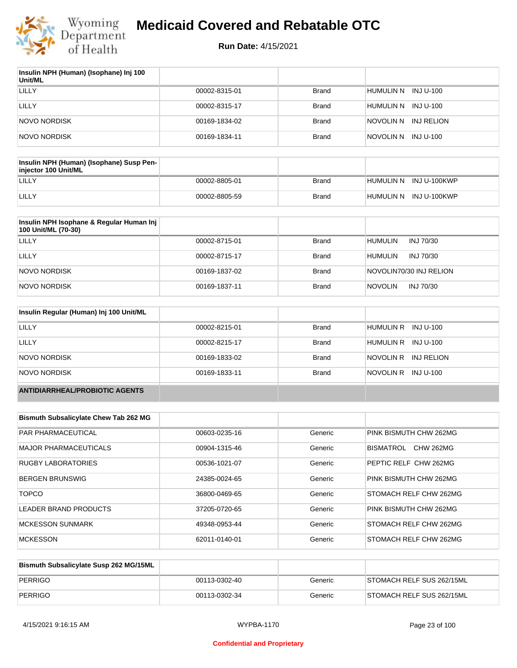

| Insulin NPH (Human) (Isophane) Inj 100<br>Unit/ML |               |              |                         |
|---------------------------------------------------|---------------|--------------|-------------------------|
| LILLY                                             | 00002-8315-01 | <b>Brand</b> | HUMULIN N<br>INJ U-100  |
| LILLY                                             | 00002-8315-17 | Brand        | HUMULIN N<br>INJ U-100  |
| NOVO NORDISK                                      | 00169-1834-02 | Brand        | INJ RELION<br>NOVOLIN N |
| NOVO NORDISK                                      | 00169-1834-11 | <b>Brand</b> | NOVOLIN N INJ U-100     |

| Insulin NPH (Human) (Isophane) Susp Pen-<br>injector 100 Unit/ML |               |       |                        |
|------------------------------------------------------------------|---------------|-------|------------------------|
| LILLY                                                            | 00002-8805-01 | Brand | HUMULIN N INJ U-100KWP |
| LILLY                                                            | 00002-8805-59 | Brand | HUMULIN N INJ U-100KWP |

| Insulin NPH Isophane & Regular Human Inj<br>100 Unit/ML (70-30) |               |              |                             |
|-----------------------------------------------------------------|---------------|--------------|-----------------------------|
| LILLY                                                           | 00002-8715-01 | <b>Brand</b> | HUMULIN<br>INJ 70/30        |
| LILLY                                                           | 00002-8715-17 | <b>Brand</b> | HUMULIN<br>INJ 70/30        |
| NOVO NORDISK                                                    | 00169-1837-02 | <b>Brand</b> | NOVOLIN70/30 INJ RELION     |
| NOVO NORDISK                                                    | 00169-1837-11 | <b>Brand</b> | <b>NOVOLIN</b><br>INJ 70/30 |

| Insulin Regular (Human) Inj 100 Unit/ML |               |              |                         |
|-----------------------------------------|---------------|--------------|-------------------------|
| LILLY                                   | 00002-8215-01 | <b>Brand</b> | HUMULIN R INJ U-100     |
| LILLY                                   | 00002-8215-17 | <b>Brand</b> | HUMULIN R INJ U-100     |
| NOVO NORDISK                            | 00169-1833-02 | <b>Brand</b> | NOVOLIN R<br>INJ RELION |
| NOVO NORDISK                            | 00169-1833-11 | <b>Brand</b> | NOVOLIN R INJ U-100     |
| <b>ANTIDIARRHEAL/PROBIOTIC AGENTS</b>   |               |              |                         |

| <b>Bismuth Subsalicylate Chew Tab 262 MG</b> |               |         |                        |
|----------------------------------------------|---------------|---------|------------------------|
| PAR PHARMACEUTICAL                           | 00603-0235-16 | Generic | PINK BISMUTH CHW 262MG |
| <b>MAJOR PHARMACEUTICALS</b>                 | 00904-1315-46 | Generic | BISMATROL<br>CHW 262MG |
| <b>RUGBY LABORATORIES</b>                    | 00536-1021-07 | Generic | PEPTIC RELF CHW 262MG  |
| <b>BERGEN BRUNSWIG</b>                       | 24385-0024-65 | Generic | PINK BISMUTH CHW 262MG |
| <b>TOPCO</b>                                 | 36800-0469-65 | Generic | STOMACH RELF CHW 262MG |
| LEADER BRAND PRODUCTS                        | 37205-0720-65 | Generic | PINK BISMUTH CHW 262MG |
| <b>MCKESSON SUNMARK</b>                      | 49348-0953-44 | Generic | STOMACH RELF CHW 262MG |
| <b>MCKESSON</b>                              | 62011-0140-01 | Generic | STOMACH RELF CHW 262MG |

| Bismuth Subsalicylate Susp 262 MG/15ML |               |         |                                   |
|----------------------------------------|---------------|---------|-----------------------------------|
| PERRIGO                                | 00113-0302-40 | Generic | <b>ISTOMACH RELF SUS 262/15ML</b> |
| PERRIGO                                | 00113-0302-34 | Generic | STOMACH RELF SUS 262/15ML         |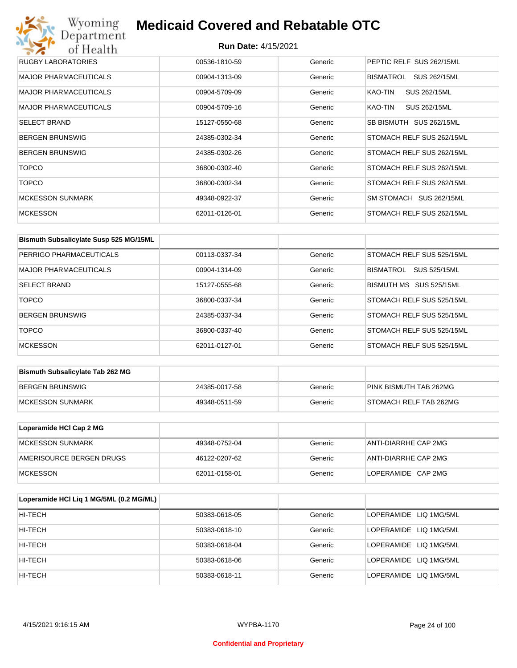## Wyoming<br>Department<br>of Health **Medicaid Covered and Rebatable OTC**

| RUGBY LABORATORIES           | 00536-1810-59 | Generic | PEPTIC RELF SUS 262/15ML  |
|------------------------------|---------------|---------|---------------------------|
| <b>MAJOR PHARMACEUTICALS</b> | 00904-1313-09 | Generic | BISMATROL<br>SUS 262/15ML |
| <b>MAJOR PHARMACEUTICALS</b> | 00904-5709-09 | Generic | SUS 262/15ML<br>KAO-TIN   |
| <b>MAJOR PHARMACEUTICALS</b> | 00904-5709-16 | Generic | SUS 262/15ML<br>KAO-TIN   |
| <b>SELECT BRAND</b>          | 15127-0550-68 | Generic | SB BISMUTH SUS 262/15ML   |
| <b>BERGEN BRUNSWIG</b>       | 24385-0302-34 | Generic | STOMACH RELF SUS 262/15ML |
| <b>BERGEN BRUNSWIG</b>       | 24385-0302-26 | Generic | STOMACH RELF SUS 262/15ML |
| <b>TOPCO</b>                 | 36800-0302-40 | Generic | STOMACH RELF SUS 262/15ML |
| <b>TOPCO</b>                 | 36800-0302-34 | Generic | STOMACH RELF SUS 262/15ML |
| <b>MCKESSON SUNMARK</b>      | 49348-0922-37 | Generic | SM STOMACH SUS 262/15ML   |
| <b>MCKESSON</b>              | 62011-0126-01 | Generic | STOMACH RELF SUS 262/15ML |

| Bismuth Subsalicylate Susp 525 MG/15ML |               |         |                                         |
|----------------------------------------|---------------|---------|-----------------------------------------|
| PERRIGO PHARMACEUTICALS                | 00113-0337-34 | Generic | STOMACH RELF SUS 525/15ML               |
| MAJOR PHARMACEUTICALS                  | 00904-1314-09 | Generic | <b>SUS 525/15ML</b><br><b>BISMATROL</b> |
| <b>SELECT BRAND</b>                    | 15127-0555-68 | Generic | BISMUTH MS SUS 525/15ML                 |
| <b>TOPCO</b>                           | 36800-0337-34 | Generic | STOMACH RELF SUS 525/15ML               |
| <b>BERGEN BRUNSWIG</b>                 | 24385-0337-34 | Generic | STOMACH RELF SUS 525/15ML               |
| <b>TOPCO</b>                           | 36800-0337-40 | Generic | STOMACH RELF SUS 525/15ML               |
| <b>MCKESSON</b>                        | 62011-0127-01 | Generic | STOMACH RELF SUS 525/15ML               |

| <b>Bismuth Subsalicylate Tab 262 MG</b> |               |         |                        |
|-----------------------------------------|---------------|---------|------------------------|
| BERGEN BRUNSWIG                         | 24385-0017-58 | Generic | PINK BISMUTH TAB 262MG |
| <b>IMCKESSON SUNMARK</b>                | 49348-0511-59 | Generic | STOMACH RELF TAB 262MG |

| Loperamide HCI Cap 2 MG  |               |         |                      |
|--------------------------|---------------|---------|----------------------|
| <b>IMCKESSON SUNMARK</b> | 49348-0752-04 | Generic | ANTI-DIARRHE CAP 2MG |
| AMERISOURCE BERGEN DRUGS | 46122-0207-62 | Generic | ANTI-DIARRHE CAP 2MG |
| <b>IMCKESSON</b>         | 62011-0158-01 | Generic | LOPERAMIDE CAP 2MG   |

| Loperamide HCI Liq 1 MG/5ML (0.2 MG/ML) |               |         |                        |
|-----------------------------------------|---------------|---------|------------------------|
| HI-TECH                                 | 50383-0618-05 | Generic | LOPERAMIDE LIQ 1MG/5ML |
| HI-TECH                                 | 50383-0618-10 | Generic | LOPERAMIDE LIQ 1MG/5ML |
| HI-TECH                                 | 50383-0618-04 | Generic | LOPERAMIDE LIQ 1MG/5ML |
| HI-TECH                                 | 50383-0618-06 | Generic | LOPERAMIDE LIQ 1MG/5ML |
| HI-TECH                                 | 50383-0618-11 | Generic | LOPERAMIDE LIQ 1MG/5ML |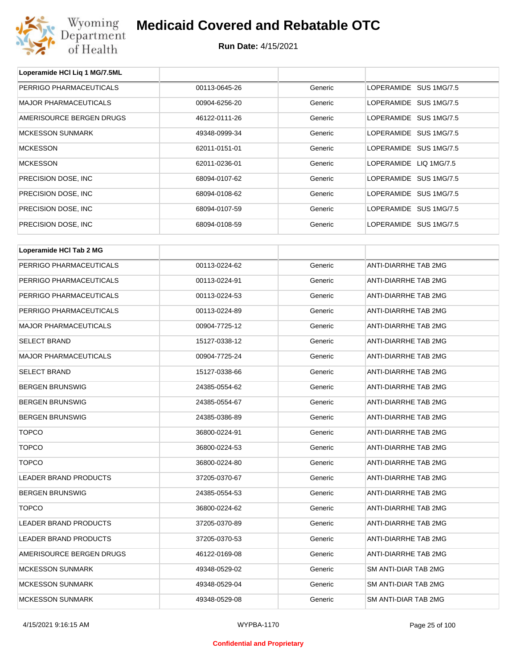

| Loperamide HCI Liq 1 MG/7.5ML |               |         |                        |
|-------------------------------|---------------|---------|------------------------|
| PERRIGO PHARMACEUTICALS       | 00113-0645-26 | Generic | LOPERAMIDE SUS 1MG/7.5 |
| <b>MAJOR PHARMACEUTICALS</b>  | 00904-6256-20 | Generic | LOPERAMIDE SUS 1MG/7.5 |
| AMERISOURCE BERGEN DRUGS      | 46122-0111-26 | Generic | LOPERAMIDE SUS 1MG/7.5 |
| <b>MCKESSON SUNMARK</b>       | 49348-0999-34 | Generic | LOPERAMIDE SUS 1MG/7.5 |
| <b>MCKESSON</b>               | 62011-0151-01 | Generic | LOPERAMIDE SUS 1MG/7.5 |
| <b>MCKESSON</b>               | 62011-0236-01 | Generic | LOPERAMIDE LIQ 1MG/7.5 |
| PRECISION DOSE, INC.          | 68094-0107-62 | Generic | LOPERAMIDE SUS 1MG/7.5 |
| PRECISION DOSE, INC.          | 68094-0108-62 | Generic | LOPERAMIDE SUS 1MG/7.5 |
| PRECISION DOSE, INC           | 68094-0107-59 | Generic | LOPERAMIDE SUS 1MG/7.5 |
| PRECISION DOSE, INC.          | 68094-0108-59 | Generic | LOPERAMIDE SUS 1MG/7.5 |
|                               |               |         |                        |
| Loperamide HCI Tab 2 MG       |               |         |                        |
| PERRIGO PHARMACEUTICALS       | 00113-0224-62 | Generic | ANTI-DIARRHE TAB 2MG   |
| PERRIGO PHARMACEUTICALS       | 00113-0224-91 | Generic | ANTI-DIARRHE TAB 2MG   |
| PERRIGO PHARMACEUTICALS       | 00113-0224-53 | Generic | ANTI-DIARRHE TAB 2MG   |
| PERRIGO PHARMACEUTICALS       | 00113-0224-89 | Generic | ANTI-DIARRHE TAB 2MG   |
| <b>MAJOR PHARMACEUTICALS</b>  | 00904-7725-12 | Generic | ANTI-DIARRHE TAB 2MG   |
| <b>SELECT BRAND</b>           | 15127-0338-12 | Generic | ANTI-DIARRHE TAB 2MG   |
| <b>MAJOR PHARMACEUTICALS</b>  | 00904-7725-24 | Generic | ANTI-DIARRHE TAB 2MG   |
| <b>SELECT BRAND</b>           | 15127-0338-66 | Generic | ANTI-DIARRHE TAB 2MG   |
| <b>BERGEN BRUNSWIG</b>        | 24385-0554-62 | Generic | ANTI-DIARRHE TAB 2MG   |
| <b>BERGEN BRUNSWIG</b>        | 24385-0554-67 | Generic | ANTI-DIARRHE TAB 2MG   |
| <b>BERGEN BRUNSWIG</b>        | 24385-0386-89 | Generic | ANTI-DIARRHE TAB 2MG   |
| <b>TOPCO</b>                  | 36800-0224-91 | Generic | ANTI-DIARRHE TAB 2MG   |
| TOPCO                         | 36800-0224-53 | Generic | ANTI-DIARRHE TAB 2MG   |
| <b>TOPCO</b>                  | 36800-0224-80 | Generic | ANTI-DIARRHE TAB 2MG   |
| LEADER BRAND PRODUCTS         | 37205-0370-67 | Generic | ANTI-DIARRHE TAB 2MG   |
| <b>BERGEN BRUNSWIG</b>        | 24385-0554-53 | Generic | ANTI-DIARRHE TAB 2MG   |
| <b>TOPCO</b>                  | 36800-0224-62 | Generic | ANTI-DIARRHE TAB 2MG   |
| <b>LEADER BRAND PRODUCTS</b>  | 37205-0370-89 | Generic | ANTI-DIARRHE TAB 2MG   |
| <b>LEADER BRAND PRODUCTS</b>  | 37205-0370-53 | Generic | ANTI-DIARRHE TAB 2MG   |
| AMERISOURCE BERGEN DRUGS      | 46122-0169-08 | Generic | ANTI-DIARRHE TAB 2MG   |
| <b>MCKESSON SUNMARK</b>       | 49348-0529-02 | Generic | SM ANTI-DIAR TAB 2MG   |
| <b>MCKESSON SUNMARK</b>       | 49348-0529-04 | Generic | SM ANTI-DIAR TAB 2MG   |
| <b>MCKESSON SUNMARK</b>       | 49348-0529-08 | Generic | SM ANTI-DIAR TAB 2MG   |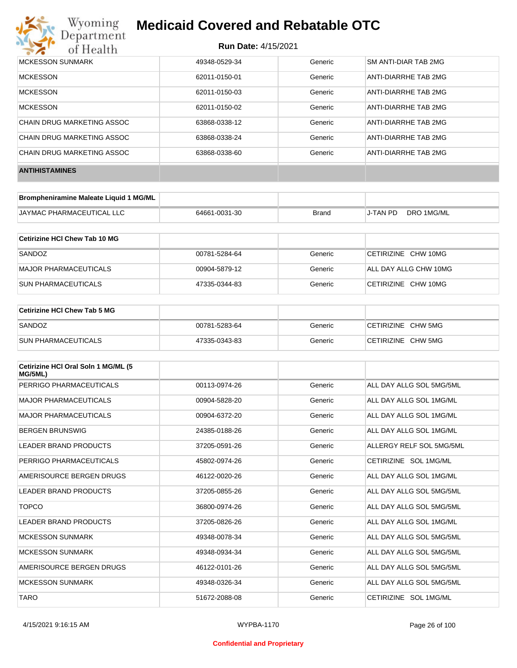

| MCKESSON SUNMARK           | 49348-0529-34 | Generic | SM ANTI-DIAR TAB 2MG |
|----------------------------|---------------|---------|----------------------|
| <b>MCKESSON</b>            | 62011-0150-01 | Generic | ANTI-DIARRHE TAB 2MG |
| <b>MCKESSON</b>            | 62011-0150-03 | Generic | ANTI-DIARRHE TAB 2MG |
| <b>MCKESSON</b>            | 62011-0150-02 | Generic | ANTI-DIARRHE TAB 2MG |
| CHAIN DRUG MARKETING ASSOC | 63868-0338-12 | Generic | ANTI-DIARRHE TAB 2MG |
| CHAIN DRUG MARKETING ASSOC | 63868-0338-24 | Generic | ANTI-DIARRHE TAB 2MG |
| CHAIN DRUG MARKETING ASSOC | 63868-0338-60 | Generic | ANTI-DIARRHE TAB 2MG |
| <b>ANTIHISTAMINES</b>      |               |         |                      |

| Brompheniramine Maleate Liquid 1 MG/ML |               |       |          |            |
|----------------------------------------|---------------|-------|----------|------------|
| <b>JAYMAC PHARMACEUTICAL LLC</b>       | 64661-0031-30 | Brand | J-TAN PD | DRO 1MG/ML |

| Cetirizine HCI Chew Tab 10 MG |               |         |                       |
|-------------------------------|---------------|---------|-----------------------|
| SANDOZ                        | 00781-5284-64 | Generic | CETIRIZINE CHW 10MG   |
| MAJOR PHARMACEUTICALS         | 00904-5879-12 | Generic | ALL DAY ALLG CHW 10MG |
| <b>SUN PHARMACEUTICALS</b>    | 47335-0344-83 | Generic | CETIRIZINE CHW 10MG   |

| Cetirizine HCI Chew Tab 5 MG |               |         |                    |
|------------------------------|---------------|---------|--------------------|
| SANDOZ                       | 00781-5283-64 | Generic | CETIRIZINE CHW 5MG |
| <b>SUN PHARMACEUTICALS</b>   | 47335-0343-83 | Generic | CETIRIZINE CHW 5MG |

| Cetirizine HCI Oral Soln 1 MG/ML (5<br>MG/5ML) |               |         |                          |
|------------------------------------------------|---------------|---------|--------------------------|
| PERRIGO PHARMACEUTICALS                        | 00113-0974-26 | Generic | ALL DAY ALLG SOL 5MG/5ML |
| <b>MAJOR PHARMACEUTICALS</b>                   | 00904-5828-20 | Generic | ALL DAY ALLG SOL 1MG/ML  |
| <b>MAJOR PHARMACEUTICALS</b>                   | 00904-6372-20 | Generic | ALL DAY ALLG SOL 1MG/ML  |
| <b>BERGEN BRUNSWIG</b>                         | 24385-0188-26 | Generic | ALL DAY ALLG SOL 1MG/ML  |
| LEADER BRAND PRODUCTS                          | 37205-0591-26 | Generic | ALLERGY RELF SOL 5MG/5ML |
| PERRIGO PHARMACEUTICALS                        | 45802-0974-26 | Generic | CETIRIZINE SOL 1MG/ML    |
| AMERISOURCE BERGEN DRUGS                       | 46122-0020-26 | Generic | ALL DAY ALLG SOL 1MG/ML  |
| LEADER BRAND PRODUCTS                          | 37205-0855-26 | Generic | ALL DAY ALLG SOL 5MG/5ML |
| <b>TOPCO</b>                                   | 36800-0974-26 | Generic | ALL DAY ALLG SOL 5MG/5ML |
| <b>LEADER BRAND PRODUCTS</b>                   | 37205-0826-26 | Generic | ALL DAY ALLG SOL 1MG/ML  |
| <b>MCKESSON SUNMARK</b>                        | 49348-0078-34 | Generic | ALL DAY ALLG SOL 5MG/5ML |
| <b>MCKESSON SUNMARK</b>                        | 49348-0934-34 | Generic | ALL DAY ALLG SOL 5MG/5ML |
| AMERISOURCE BERGEN DRUGS                       | 46122-0101-26 | Generic | ALL DAY ALLG SOL 5MG/5ML |
| <b>MCKESSON SUNMARK</b>                        | 49348-0326-34 | Generic | ALL DAY ALLG SOL 5MG/5ML |
| <b>TARO</b>                                    | 51672-2088-08 | Generic | CETIRIZINE SOL 1MG/ML    |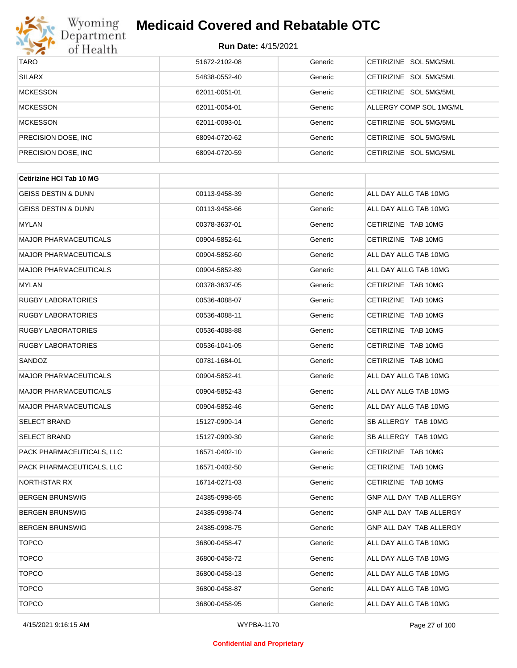

| <b>TARO</b>          | 51672-2102-08 | Generic | CETIRIZINE SOL 5MG/5ML           |
|----------------------|---------------|---------|----------------------------------|
| <b>SILARX</b>        | 54838-0552-40 | Generic | CETIRIZINE SOL 5MG/5ML           |
| <b>MCKESSON</b>      | 62011-0051-01 | Generic | CETIRIZINE SOL 5MG/5ML           |
| <b>MCKESSON</b>      | 62011-0054-01 | Generic | ALLERGY COMP SOL 1MG/ML          |
| <b>MCKESSON</b>      | 62011-0093-01 | Generic | CETIRIZINE SOL 5MG/5ML           |
| PRECISION DOSE, INC. | 68094-0720-62 | Generic | CETIRIZINE SOL 5MG/5ML           |
| PRECISION DOSE, INC. | 68094-0720-59 | Generic | SOL 5MG/5ML<br><b>CETIRIZINE</b> |

| <b>Cetirizine HCI Tab 10 MG</b> |               |         |                         |
|---------------------------------|---------------|---------|-------------------------|
| <b>GEISS DESTIN &amp; DUNN</b>  | 00113-9458-39 | Generic | ALL DAY ALLG TAB 10MG   |
| GEISS DESTIN & DUNN             | 00113-9458-66 | Generic | ALL DAY ALLG TAB 10MG   |
| <b>MYLAN</b>                    | 00378-3637-01 | Generic | CETIRIZINE TAB 10MG     |
| <b>MAJOR PHARMACEUTICALS</b>    | 00904-5852-61 | Generic | CETIRIZINE TAB 10MG     |
| <b>MAJOR PHARMACEUTICALS</b>    | 00904-5852-60 | Generic | ALL DAY ALLG TAB 10MG   |
| <b>MAJOR PHARMACEUTICALS</b>    | 00904-5852-89 | Generic | ALL DAY ALLG TAB 10MG   |
| <b>MYLAN</b>                    | 00378-3637-05 | Generic | CETIRIZINE TAB 10MG     |
| <b>RUGBY LABORATORIES</b>       | 00536-4088-07 | Generic | CETIRIZINE TAB 10MG     |
| <b>RUGBY LABORATORIES</b>       | 00536-4088-11 | Generic | CETIRIZINE TAB 10MG     |
| <b>RUGBY LABORATORIES</b>       | 00536-4088-88 | Generic | CETIRIZINE TAB 10MG     |
| <b>RUGBY LABORATORIES</b>       | 00536-1041-05 | Generic | CETIRIZINE TAB 10MG     |
| SANDOZ                          | 00781-1684-01 | Generic | CETIRIZINE TAB 10MG     |
| <b>MAJOR PHARMACEUTICALS</b>    | 00904-5852-41 | Generic | ALL DAY ALLG TAB 10MG   |
| <b>MAJOR PHARMACEUTICALS</b>    | 00904-5852-43 | Generic | ALL DAY ALLG TAB 10MG   |
| <b>MAJOR PHARMACEUTICALS</b>    | 00904-5852-46 | Generic | ALL DAY ALLG TAB 10MG   |
| <b>SELECT BRAND</b>             | 15127-0909-14 | Generic | SB ALLERGY TAB 10MG     |
| <b>SELECT BRAND</b>             | 15127-0909-30 | Generic | SB ALLERGY TAB 10MG     |
| PACK PHARMACEUTICALS, LLC       | 16571-0402-10 | Generic | CETIRIZINE TAB 10MG     |
| PACK PHARMACEUTICALS, LLC       | 16571-0402-50 | Generic | CETIRIZINE TAB 10MG     |
| NORTHSTAR RX                    | 16714-0271-03 | Generic | CETIRIZINE TAB 10MG     |
| <b>BERGEN BRUNSWIG</b>          | 24385-0998-65 | Generic | GNP ALL DAY TAB ALLERGY |
| <b>BERGEN BRUNSWIG</b>          | 24385-0998-74 | Generic | GNP ALL DAY TAB ALLERGY |
| <b>BERGEN BRUNSWIG</b>          | 24385-0998-75 | Generic | GNP ALL DAY TAB ALLERGY |
| <b>TOPCO</b>                    | 36800-0458-47 | Generic | ALL DAY ALLG TAB 10MG   |
| <b>TOPCO</b>                    | 36800-0458-72 | Generic | ALL DAY ALLG TAB 10MG   |
| <b>TOPCO</b>                    | 36800-0458-13 | Generic | ALL DAY ALLG TAB 10MG   |
| <b>TOPCO</b>                    | 36800-0458-87 | Generic | ALL DAY ALLG TAB 10MG   |
| <b>TOPCO</b>                    | 36800-0458-95 | Generic | ALL DAY ALLG TAB 10MG   |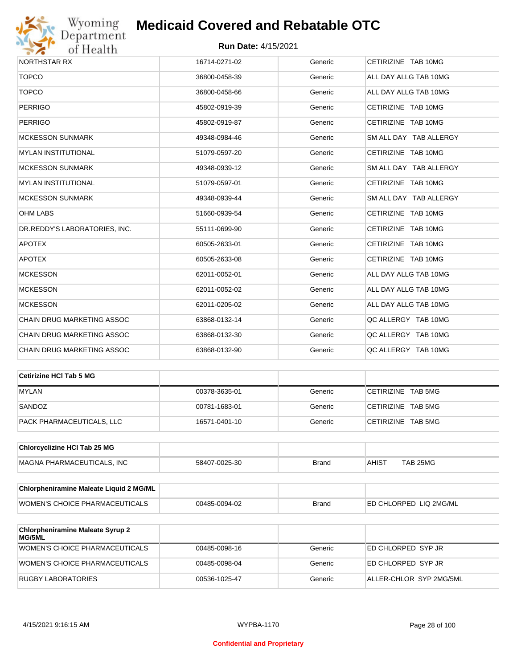

| NORTHSTAR RX                  | 16714-0271-02 | Generic | CETIRIZINE TAB 10MG    |
|-------------------------------|---------------|---------|------------------------|
| <b>TOPCO</b>                  | 36800-0458-39 | Generic | ALL DAY ALLG TAB 10MG  |
| <b>TOPCO</b>                  | 36800-0458-66 | Generic | ALL DAY ALLG TAB 10MG  |
| <b>PERRIGO</b>                | 45802-0919-39 | Generic | CETIRIZINE TAB 10MG    |
| <b>PERRIGO</b>                | 45802-0919-87 | Generic | CETIRIZINE TAB 10MG    |
| <b>MCKESSON SUNMARK</b>       | 49348-0984-46 | Generic | SM ALL DAY TAB ALLERGY |
| <b>MYLAN INSTITUTIONAL</b>    | 51079-0597-20 | Generic | CETIRIZINE TAB 10MG    |
| <b>MCKESSON SUNMARK</b>       | 49348-0939-12 | Generic | SM ALL DAY TAB ALLERGY |
| <b>MYLAN INSTITUTIONAL</b>    | 51079-0597-01 | Generic | CETIRIZINE TAB 10MG    |
| <b>MCKESSON SUNMARK</b>       | 49348-0939-44 | Generic | SM ALL DAY TAB ALLERGY |
| <b>OHM LABS</b>               | 51660-0939-54 | Generic | CETIRIZINE TAB 10MG    |
| DR.REDDY'S LABORATORIES, INC. | 55111-0699-90 | Generic | CETIRIZINE TAB 10MG    |
| <b>APOTEX</b>                 | 60505-2633-01 | Generic | CETIRIZINE TAB 10MG    |
| <b>APOTEX</b>                 | 60505-2633-08 | Generic | CETIRIZINE TAB 10MG    |
| <b>MCKESSON</b>               | 62011-0052-01 | Generic | ALL DAY ALLG TAB 10MG  |
| <b>MCKESSON</b>               | 62011-0052-02 | Generic | ALL DAY ALLG TAB 10MG  |
| <b>MCKESSON</b>               | 62011-0205-02 | Generic | ALL DAY ALLG TAB 10MG  |
| CHAIN DRUG MARKETING ASSOC    | 63868-0132-14 | Generic | QC ALLERGY TAB 10MG    |
| CHAIN DRUG MARKETING ASSOC    | 63868-0132-30 | Generic | QC ALLERGY TAB 10MG    |
| CHAIN DRUG MARKETING ASSOC    | 63868-0132-90 | Generic | QC ALLERGY TAB 10MG    |
|                               |               |         |                        |

| ∣Cetirizine HCl Tab 5 MG  |               |         |                    |
|---------------------------|---------------|---------|--------------------|
| <b>MYLAN</b>              | 00378-3635-01 | Generic | CETIRIZINE TAB 5MG |
| SANDOZ                    | 00781-1683-01 | Generic | CETIRIZINE TAB 5MG |
| PACK PHARMACEUTICALS, LLC | 16571-0401-10 | Generic | CETIRIZINE TAB 5MG |

| <b>Chlorcyclizine HCI Tab 25 MG</b> |               |       |       |          |
|-------------------------------------|---------------|-------|-------|----------|
| MAGNA PHARMACEUTICALS. INC          | 58407-0025-30 | Brand | AHIS1 | TAB 25MG |

| Chlorpheniramine Maleate Liquid 2 MG/ML |               |              |                                |
|-----------------------------------------|---------------|--------------|--------------------------------|
| WOMEN'S CHOICE PHARMACEUTICALS          | 00485-0094-02 | <b>Brand</b> | <b>IED CHLORPED LIQ 2MG/ML</b> |

| <b>Chlorpheniramine Maleate Syrup 2</b><br>MG/5ML |               |         |                         |
|---------------------------------------------------|---------------|---------|-------------------------|
| WOMEN'S CHOICE PHARMACEUTICALS                    | 00485-0098-16 | Generic | ED CHLORPED SYP JR      |
| WOMEN'S CHOICE PHARMACEUTICALS                    | 00485-0098-04 | Generic | ED CHLORPED SYP JR      |
| RUGBY LABORATORIES                                | 00536-1025-47 | Generic | ALLER-CHLOR SYP 2MG/5ML |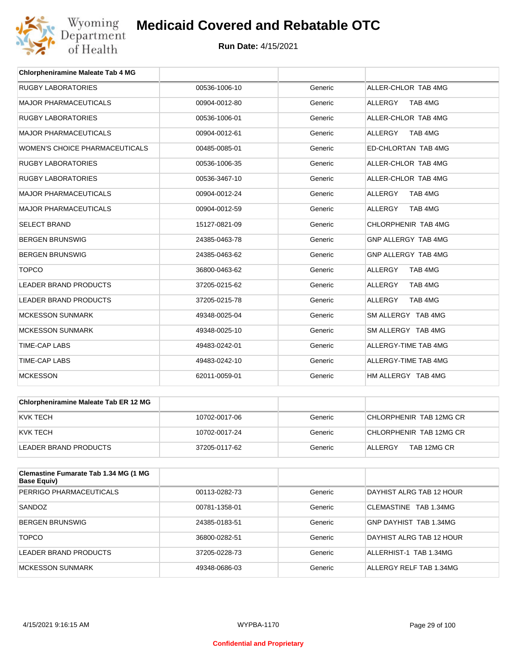

| <b>Chlorpheniramine Maleate Tab 4 MG</b> |               |         |                           |
|------------------------------------------|---------------|---------|---------------------------|
| <b>RUGBY LABORATORIES</b>                | 00536-1006-10 | Generic | ALLER-CHLOR TAB 4MG       |
| <b>MAJOR PHARMACEUTICALS</b>             | 00904-0012-80 | Generic | <b>ALLERGY</b><br>TAB 4MG |
| <b>RUGBY LABORATORIES</b>                | 00536-1006-01 | Generic | ALLER-CHLOR TAB 4MG       |
| <b>MAJOR PHARMACEUTICALS</b>             | 00904-0012-61 | Generic | TAB 4MG<br><b>ALLERGY</b> |
| WOMEN'S CHOICE PHARMACEUTICALS           | 00485-0085-01 | Generic | ED-CHLORTAN TAB 4MG       |
| <b>RUGBY LABORATORIES</b>                | 00536-1006-35 | Generic | ALLER-CHLOR TAB 4MG       |
| <b>RUGBY LABORATORIES</b>                | 00536-3467-10 | Generic | ALLER-CHLOR TAB 4MG       |
| <b>MAJOR PHARMACEUTICALS</b>             | 00904-0012-24 | Generic | ALLERGY<br>TAB 4MG        |
| <b>MAJOR PHARMACEUTICALS</b>             | 00904-0012-59 | Generic | <b>ALLERGY</b><br>TAB 4MG |
| <b>SELECT BRAND</b>                      | 15127-0821-09 | Generic | CHLORPHENIR TAB 4MG       |
| <b>BERGEN BRUNSWIG</b>                   | 24385-0463-78 | Generic | GNP ALLERGY TAB 4MG       |
| <b>BERGEN BRUNSWIG</b>                   | 24385-0463-62 | Generic | GNP ALLERGY TAB 4MG       |
| <b>TOPCO</b>                             | 36800-0463-62 | Generic | <b>ALLERGY</b><br>TAB 4MG |
| <b>LEADER BRAND PRODUCTS</b>             | 37205-0215-62 | Generic | TAB 4MG<br><b>ALLERGY</b> |
| <b>LEADER BRAND PRODUCTS</b>             | 37205-0215-78 | Generic | <b>ALLERGY</b><br>TAB 4MG |
| <b>MCKESSON SUNMARK</b>                  | 49348-0025-04 | Generic | SM ALLERGY TAB 4MG        |
| <b>MCKESSON SUNMARK</b>                  | 49348-0025-10 | Generic | SM ALLERGY TAB 4MG        |
| <b>TIME-CAP LABS</b>                     | 49483-0242-01 | Generic | ALLERGY-TIME TAB 4MG      |
| <b>TIME-CAP LABS</b>                     | 49483-0242-10 | Generic | ALLERGY-TIME TAB 4MG      |
| <b>MCKESSON</b>                          | 62011-0059-01 | Generic | HM ALLERGY TAB 4MG        |

| <b>Chlorpheniramine Maleate Tab ER 12 MG</b> |               |         |                         |
|----------------------------------------------|---------------|---------|-------------------------|
| KVK TECH                                     | 10702-0017-06 | Generic | CHLORPHENIR TAB 12MG CR |
| KVK TECH                                     | 10702-0017-24 | Generic | CHLORPHENIR TAB 12MG CR |
| LEADER BRAND PRODUCTS                        | 37205-0117-62 | Generic | TAB 12MG CR<br>ALLERGY  |

| Clemastine Fumarate Tab 1.34 MG (1 MG<br><b>Base Equiv)</b> |               |         |                          |
|-------------------------------------------------------------|---------------|---------|--------------------------|
| PERRIGO PHARMACEUTICALS                                     | 00113-0282-73 | Generic | DAYHIST ALRG TAB 12 HOUR |
| SANDOZ                                                      | 00781-1358-01 | Generic | CLEMASTINE TAB 1.34MG    |
| <b>BERGEN BRUNSWIG</b>                                      | 24385-0183-51 | Generic | GNP DAYHIST TAB 1.34MG   |
| <b>TOPCO</b>                                                | 36800-0282-51 | Generic | DAYHIST ALRG TAB 12 HOUR |
| LEADER BRAND PRODUCTS                                       | 37205-0228-73 | Generic | ALLERHIST-1 TAB 1.34MG   |
| MCKESSON SUNMARK                                            | 49348-0686-03 | Generic | ALLERGY RELF TAB 1.34MG  |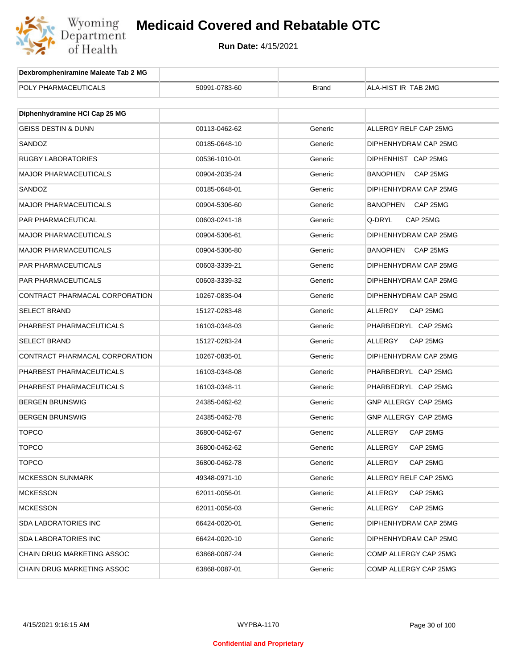

| Dexbrompheniramine Maleate Tab 2 MG |               |              |                             |
|-------------------------------------|---------------|--------------|-----------------------------|
| POLY PHARMACEUTICALS                | 50991-0783-60 | <b>Brand</b> | ALA-HIST IR TAB 2MG         |
|                                     |               |              |                             |
| Diphenhydramine HCI Cap 25 MG       |               |              |                             |
| <b>GEISS DESTIN &amp; DUNN</b>      | 00113-0462-62 | Generic      | ALLERGY RELF CAP 25MG       |
| SANDOZ                              | 00185-0648-10 | Generic      | DIPHENHYDRAM CAP 25MG       |
| RUGBY LABORATORIES                  | 00536-1010-01 | Generic      | DIPHENHIST CAP 25MG         |
| <b>MAJOR PHARMACEUTICALS</b>        | 00904-2035-24 | Generic      | BANOPHEN<br>CAP 25MG        |
| SANDOZ                              | 00185-0648-01 | Generic      | DIPHENHYDRAM CAP 25MG       |
| MAJOR PHARMACEUTICALS               | 00904-5306-60 | Generic      | BANOPHEN<br>CAP 25MG        |
| PAR PHARMACEUTICAL                  | 00603-0241-18 | Generic      | Q-DRYL<br>CAP 25MG          |
| MAJOR PHARMACEUTICALS               | 00904-5306-61 | Generic      | DIPHENHYDRAM CAP 25MG       |
| <b>MAJOR PHARMACEUTICALS</b>        | 00904-5306-80 | Generic      | <b>BANOPHEN</b><br>CAP 25MG |
| PAR PHARMACEUTICALS                 | 00603-3339-21 | Generic      | DIPHENHYDRAM CAP 25MG       |
| PAR PHARMACEUTICALS                 | 00603-3339-32 | Generic      | DIPHENHYDRAM CAP 25MG       |
| CONTRACT PHARMACAL CORPORATION      | 10267-0835-04 | Generic      | DIPHENHYDRAM CAP 25MG       |
| <b>SELECT BRAND</b>                 | 15127-0283-48 | Generic      | ALLERGY<br>CAP 25MG         |
| PHARBEST PHARMACEUTICALS            | 16103-0348-03 | Generic      | PHARBEDRYL CAP 25MG         |
| <b>SELECT BRAND</b>                 | 15127-0283-24 | Generic      | ALLERGY<br>CAP 25MG         |
| CONTRACT PHARMACAL CORPORATION      | 10267-0835-01 | Generic      | DIPHENHYDRAM CAP 25MG       |
| PHARBEST PHARMACEUTICALS            | 16103-0348-08 | Generic      | PHARBEDRYL CAP 25MG         |
| PHARBEST PHARMACEUTICALS            | 16103-0348-11 | Generic      | PHARBEDRYL CAP 25MG         |
| BERGEN BRUNSWIG                     | 24385-0462-62 | Generic      | GNP ALLERGY CAP 25MG        |
| BERGEN BRUNSWIG                     | 24385-0462-78 | Generic      | GNP ALLERGY CAP 25MG        |
| <b>TOPCO</b>                        | 36800-0462-67 | Generic      | ALLERGY<br>CAP 25MG         |
| TOPCO                               | 36800-0462-62 | Generic      | ALLERGY<br>CAP 25MG         |
| <b>TOPCO</b>                        | 36800-0462-78 | Generic      | <b>ALLERGY</b><br>CAP 25MG  |
| <b>MCKESSON SUNMARK</b>             | 49348-0971-10 | Generic      | ALLERGY RELF CAP 25MG       |
| <b>MCKESSON</b>                     | 62011-0056-01 | Generic      | ALLERGY<br>CAP 25MG         |
| <b>MCKESSON</b>                     | 62011-0056-03 | Generic      | ALLERGY<br>CAP 25MG         |
| SDA LABORATORIES INC                | 66424-0020-01 | Generic      | DIPHENHYDRAM CAP 25MG       |
| SDA LABORATORIES INC                | 66424-0020-10 | Generic      | DIPHENHYDRAM CAP 25MG       |
| CHAIN DRUG MARKETING ASSOC          | 63868-0087-24 | Generic      | COMP ALLERGY CAP 25MG       |
| CHAIN DRUG MARKETING ASSOC          | 63868-0087-01 | Generic      | COMP ALLERGY CAP 25MG       |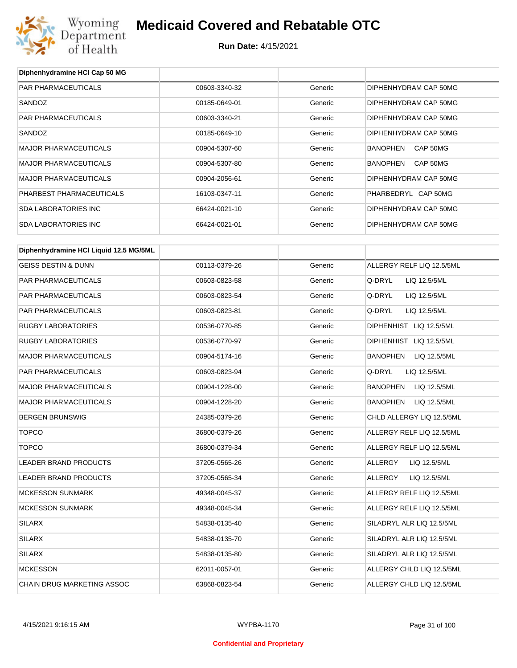

**Diphenhydramine HCl Cap 50 MG**

## **Medicaid Covered and Rebatable OTC**

| PAR PHARMACEUTICALS                    | 00603-3340-32 | Generic | DIPHENHYDRAM CAP 50MG           |
|----------------------------------------|---------------|---------|---------------------------------|
| SANDOZ                                 | 00185-0649-01 | Generic | DIPHENHYDRAM CAP 50MG           |
| PAR PHARMACEUTICALS                    | 00603-3340-21 | Generic | DIPHENHYDRAM CAP 50MG           |
| SANDOZ                                 | 00185-0649-10 | Generic | DIPHENHYDRAM CAP 50MG           |
| <b>MAJOR PHARMACEUTICALS</b>           | 00904-5307-60 | Generic | BANOPHEN<br>CAP 50MG            |
| <b>MAJOR PHARMACEUTICALS</b>           | 00904-5307-80 | Generic | BANOPHEN<br>CAP 50MG            |
| <b>MAJOR PHARMACEUTICALS</b>           | 00904-2056-61 | Generic | DIPHENHYDRAM CAP 50MG           |
| PHARBEST PHARMACEUTICALS               | 16103-0347-11 | Generic | PHARBEDRYL CAP 50MG             |
| <b>SDA LABORATORIES INC</b>            | 66424-0021-10 | Generic | DIPHENHYDRAM CAP 50MG           |
| <b>SDA LABORATORIES INC</b>            | 66424-0021-01 | Generic | DIPHENHYDRAM CAP 50MG           |
| Diphenhydramine HCI Liquid 12.5 MG/5ML |               |         |                                 |
| <b>GEISS DESTIN &amp; DUNN</b>         | 00113-0379-26 | Generic | ALLERGY RELF LIQ 12.5/5ML       |
| <b>PAR PHARMACEUTICALS</b>             | 00603-0823-58 | Generic | Q-DRYL<br>LIQ 12.5/5ML          |
| PAR PHARMACEUTICALS                    | 00603-0823-54 | Generic | Q-DRYL<br>LIQ 12.5/5ML          |
| PAR PHARMACEUTICALS                    | 00603-0823-81 | Generic | Q-DRYL<br>LIQ 12.5/5ML          |
| <b>RUGBY LABORATORIES</b>              | 00536-0770-85 | Generic | DIPHENHIST LIQ 12.5/5ML         |
| <b>RUGBY LABORATORIES</b>              | 00536-0770-97 | Generic | DIPHENHIST LIQ 12.5/5ML         |
| <b>MAJOR PHARMACEUTICALS</b>           | 00904-5174-16 | Generic | BANOPHEN<br>LIQ 12.5/5ML        |
| PAR PHARMACEUTICALS                    | 00603-0823-94 | Generic | Q-DRYL<br>LIQ 12.5/5ML          |
| <b>MAJOR PHARMACEUTICALS</b>           | 00904-1228-00 | Generic | <b>BANOPHEN</b><br>LIQ 12.5/5ML |
| <b>MAJOR PHARMACEUTICALS</b>           | 00904-1228-20 | Generic | <b>BANOPHEN</b><br>LIQ 12.5/5ML |
| <b>BERGEN BRUNSWIG</b>                 | 24385-0379-26 | Generic | CHLD ALLERGY LIQ 12.5/5ML       |
| <b>TOPCO</b>                           | 36800-0379-26 | Generic | ALLERGY RELF LIQ 12.5/5ML       |
| <b>TOPCO</b>                           | 36800-0379-34 | Generic | ALLERGY RELF LIQ 12.5/5ML       |
| LEADER BRAND PRODUCTS                  | 37205-0565-26 | Generic | <b>ALLERGY</b><br>LIQ 12.5/5ML  |
| LEADER BRAND PRODUCTS                  | 37205-0565-34 | Generic | <b>ALLERGY</b><br>LIQ 12.5/5ML  |
| <b>MCKESSON SUNMARK</b>                | 49348-0045-37 | Generic | ALLERGY RELF LIQ 12.5/5ML       |
| <b>MCKESSON SUNMARK</b>                | 49348-0045-34 | Generic | ALLERGY RELF LIQ 12.5/5ML       |
| <b>SILARX</b>                          | 54838-0135-40 | Generic | SILADRYL ALR LIQ 12.5/5ML       |
| <b>SILARX</b>                          | 54838-0135-70 | Generic | SILADRYL ALR LIQ 12.5/5ML       |
| <b>SILARX</b>                          | 54838-0135-80 | Generic | SILADRYL ALR LIQ 12.5/5ML       |
| <b>MCKESSON</b>                        | 62011-0057-01 | Generic | ALLERGY CHLD LIQ 12.5/5ML       |
| CHAIN DRUG MARKETING ASSOC             | 63868-0823-54 | Generic | ALLERGY CHLD LIQ 12.5/5ML       |
|                                        |               |         |                                 |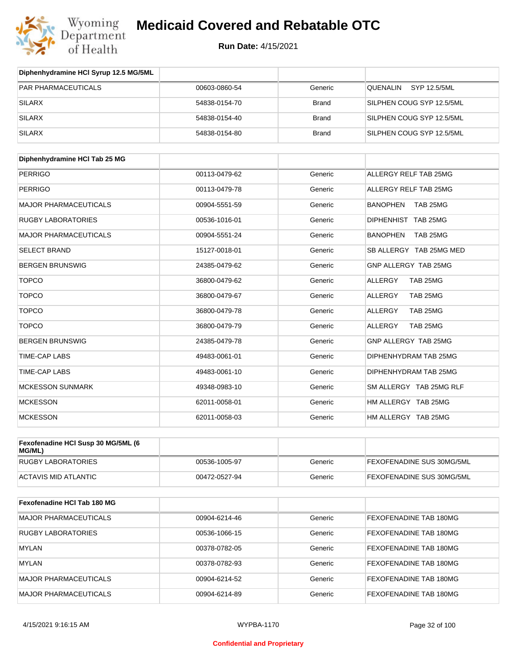

| Diphenhydramine HCI Syrup 12.5 MG/5ML |               |              |                           |
|---------------------------------------|---------------|--------------|---------------------------|
| <b>PAR PHARMACEUTICALS</b>            | 00603-0860-54 | Generic      | SYP 12.5/5ML<br>QUENALIN  |
| <b>SILARX</b>                         | 54838-0154-70 | <b>Brand</b> | SILPHEN COUG SYP 12.5/5ML |
| <b>SILARX</b>                         | 54838-0154-40 | <b>Brand</b> | SILPHEN COUG SYP 12.5/5ML |
| <b>SILARX</b>                         | 54838-0154-80 | <b>Brand</b> | SILPHEN COUG SYP 12.5/5ML |

| Diphenhydramine HCI Tab 25 MG |               |         |                             |
|-------------------------------|---------------|---------|-----------------------------|
| <b>PERRIGO</b>                | 00113-0479-62 | Generic | ALLERGY RELF TAB 25MG       |
| <b>PERRIGO</b>                | 00113-0479-78 | Generic | ALLERGY RELF TAB 25MG       |
| <b>MAJOR PHARMACEUTICALS</b>  | 00904-5551-59 | Generic | <b>BANOPHEN</b><br>TAB 25MG |
| <b>RUGBY LABORATORIES</b>     | 00536-1016-01 | Generic | DIPHENHIST TAB 25MG         |
| <b>MAJOR PHARMACEUTICALS</b>  | 00904-5551-24 | Generic | <b>BANOPHEN</b><br>TAB 25MG |
| <b>SELECT BRAND</b>           | 15127-0018-01 | Generic | SB ALLERGY TAB 25MG MED     |
| <b>BERGEN BRUNSWIG</b>        | 24385-0479-62 | Generic | GNP ALLERGY TAB 25MG        |
| <b>TOPCO</b>                  | 36800-0479-62 | Generic | <b>ALLERGY</b><br>TAB 25MG  |
| <b>TOPCO</b>                  | 36800-0479-67 | Generic | <b>ALLERGY</b><br>TAB 25MG  |
| <b>TOPCO</b>                  | 36800-0479-78 | Generic | ALLERGY<br>TAB 25MG         |
| <b>TOPCO</b>                  | 36800-0479-79 | Generic | <b>ALLERGY</b><br>TAB 25MG  |
| <b>BERGEN BRUNSWIG</b>        | 24385-0479-78 | Generic | GNP ALLERGY TAB 25MG        |
| <b>TIME-CAP LABS</b>          | 49483-0061-01 | Generic | DIPHENHYDRAM TAB 25MG       |
| <b>TIME-CAP LABS</b>          | 49483-0061-10 | Generic | DIPHENHYDRAM TAB 25MG       |
| <b>MCKESSON SUNMARK</b>       | 49348-0983-10 | Generic | SM ALLERGY TAB 25MG RLF     |
| <b>MCKESSON</b>               | 62011-0058-01 | Generic | HM ALLERGY TAB 25MG         |
| <b>MCKESSON</b>               | 62011-0058-03 | Generic | HM ALLERGY TAB 25MG         |

| Fexofenadine HCI Susp 30 MG/5ML (6<br>MG/ML) |               |         |                                  |
|----------------------------------------------|---------------|---------|----------------------------------|
| RUGBY LABORATORIES                           | 00536-1005-97 | Generic | <b>FEXOFENADINE SUS 30MG/5ML</b> |
| ACTAVIS MID ATLANTIC                         | 00472-0527-94 | Generic | <b>FEXOFENADINE SUS 30MG/5ML</b> |

| Fexofenadine HCI Tab 180 MG  |               |         |                               |
|------------------------------|---------------|---------|-------------------------------|
| <b>MAJOR PHARMACEUTICALS</b> | 00904-6214-46 | Generic | <b>FEXOFENADINE TAB 180MG</b> |
| <b>RUGBY LABORATORIES</b>    | 00536-1066-15 | Generic | <b>FEXOFENADINE TAB 180MG</b> |
| <b>MYLAN</b>                 | 00378-0782-05 | Generic | FEXOFENADINE TAB 180MG        |
| MYLAN                        | 00378-0782-93 | Generic | <b>FEXOFENADINE TAB 180MG</b> |
| <b>MAJOR PHARMACEUTICALS</b> | 00904-6214-52 | Generic | FEXOFENADINE TAB 180MG        |
| <b>MAJOR PHARMACEUTICALS</b> | 00904-6214-89 | Generic | FEXOFENADINE TAB 180MG        |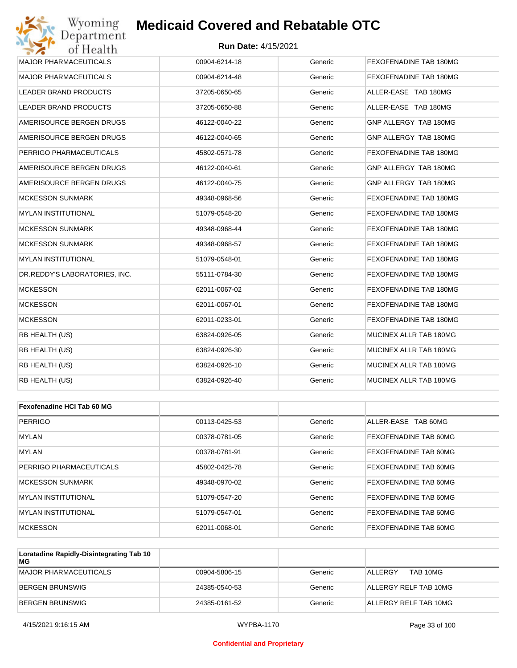#### **Run Date:** 4/15/2021

| Wyoming<br>Department         | <b>Medicaid Covered and Rebatable OTC</b> |         |                        |
|-------------------------------|-------------------------------------------|---------|------------------------|
| of Health                     | <b>Run Date: 4/15/2021</b>                |         |                        |
| <b>MAJOR PHARMACEUTICALS</b>  | 00904-6214-18                             | Generic | FEXOFENADINE TAB 180MG |
| <b>MAJOR PHARMACEUTICALS</b>  | 00904-6214-48                             | Generic | FEXOFENADINE TAB 180MG |
| LEADER BRAND PRODUCTS         | 37205-0650-65                             | Generic | ALLER-EASE TAB 180MG   |
| <b>LEADER BRAND PRODUCTS</b>  | 37205-0650-88                             | Generic | ALLER-EASE TAB 180MG   |
| AMERISOURCE BERGEN DRUGS      | 46122-0040-22                             | Generic | GNP ALLERGY TAB 180MG  |
| AMERISOURCE BERGEN DRUGS      | 46122-0040-65                             | Generic | GNP ALLERGY TAB 180MG  |
| PERRIGO PHARMACEUTICALS       | 45802-0571-78                             | Generic | FEXOFENADINE TAB 180MG |
| AMERISOURCE BERGEN DRUGS      | 46122-0040-61                             | Generic | GNP ALLERGY TAB 180MG  |
| AMERISOURCE BERGEN DRUGS      | 46122-0040-75                             | Generic | GNP ALLERGY TAB 180MG  |
| MCKESSON SUNMARK              | 49348-0968-56                             | Generic | FEXOFENADINE TAB 180MG |
| <b>MYLAN INSTITUTIONAL</b>    | 51079-0548-20                             | Generic | FEXOFENADINE TAB 180MG |
| MCKESSON SUNMARK              | 49348-0968-44                             | Generic | FEXOFENADINE TAB 180MG |
| <b>MCKESSON SUNMARK</b>       | 49348-0968-57                             | Generic | FEXOFENADINE TAB 180MG |
| MYLAN INSTITUTIONAL           | 51079-0548-01                             | Generic | FEXOFENADINE TAB 180MG |
| DR.REDDY'S LABORATORIES, INC. | 55111-0784-30                             | Generic | FEXOFENADINE TAB 180MG |
| <b>MCKESSON</b>               | 62011-0067-02                             | Generic | FEXOFENADINE TAB 180MG |
| <b>MCKESSON</b>               | 62011-0067-01                             | Generic | FEXOFENADINE TAB 180MG |
| <b>MCKESSON</b>               | 62011-0233-01                             | Generic | FEXOFENADINE TAB 180MG |
| RB HEALTH (US)                | 63824-0926-05                             | Generic | MUCINEX ALLR TAB 180MG |
| RB HEALTH (US)                | 63824-0926-30                             | Generic | MUCINEX ALLR TAB 180MG |
| RB HEALTH (US)                | 63824-0926-10                             | Generic | MUCINEX ALLR TAB 180MG |
| RB HEALTH (US)                | 63824-0926-40                             | Generic | MUCINEX ALLR TAB 180MG |
|                               |                                           |         |                        |
| Fexofenadine HCI Tab 60 MG    |                                           |         |                        |
| <b>PERRIGO</b>                | 00113-0425-53                             | Generic | ALLER-EASE TAB 60MG    |
| MYLAN                         | 00378-0781-05                             | Generic | FEXOFENADINE TAB 60MG  |
| <b>MYLAN</b>                  | 00378-0781-91                             | Generic | FEXOFENADINE TAB 60MG  |
| PERRIGO PHARMACEUTICALS       | 45802-0425-78                             | Generic | FEXOFENADINE TAB 60MG  |
|                               |                                           |         |                        |

| FERRIGU FHARIVIAUEU HUALS | 40002-0420-70 | <b>GELIELIC</b> | <b>FEAUFEINADIINE TAD OUIVIU</b> |
|---------------------------|---------------|-----------------|----------------------------------|
| MCKESSON SUNMARK          | 49348-0970-02 | Generic         | <b>FEXOFENADINE TAB 60MG</b>     |
| MYLAN INSTITUTIONAL       | 51079-0547-20 | Generic         | <b>FEXOFENADINE TAB 60MG</b>     |
| MYLAN INSTITUTIONAL       | 51079-0547-01 | Generic         | <b>FEXOFENADINE TAB 60MG</b>     |
| <b>MCKESSON</b>           | 62011-0068-01 | Generic         | <b>FEXOFENADINE TAB 60MG</b>     |

| Loratadine Rapidly-Disintegrating Tab 10<br>MG |               |         |                       |
|------------------------------------------------|---------------|---------|-----------------------|
| <b>IMAJOR PHARMACEUTICALS</b>                  | 00904-5806-15 | Generic | TAB 10MG<br>ALLERGY   |
| BERGEN BRUNSWIG                                | 24385-0540-53 | Generic | ALLERGY RELF TAB 10MG |
| IBERGEN BRUNSWIG                               | 24385-0161-52 | Generic | ALLERGY RELF TAB 10MG |

#### **Confidential and Proprietary**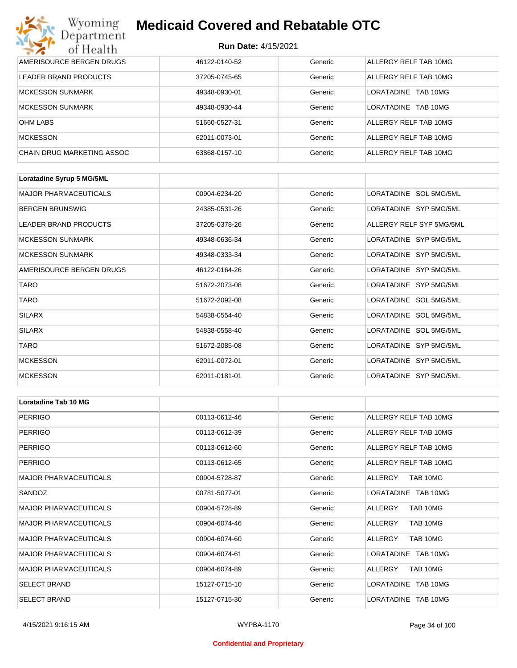#### **Run Date:** 4/15/2021

| Wyoming<br>Department             | <b>Medicaid Covered and Rebatable OTC</b><br><b>Run Date: 4/15/2021</b> |         |                        |  |
|-----------------------------------|-------------------------------------------------------------------------|---------|------------------------|--|
| of Health                         |                                                                         |         |                        |  |
| AMERISOURCE BERGEN DRUGS          | 46122-0140-52                                                           | Generic | ALLERGY RELF TAB 10MG  |  |
| LEADER BRAND PRODUCTS             | 37205-0745-65                                                           | Generic | ALLERGY RELF TAB 10MG  |  |
| <b>MCKESSON SUNMARK</b>           | 49348-0930-01                                                           | Generic | LORATADINE<br>TAB 10MG |  |
| <b>MCKESSON SUNMARK</b>           | 49348-0930-44                                                           | Generic | LORATADINE<br>TAB 10MG |  |
| <b>OHM LABS</b>                   | 51660-0527-31                                                           | Generic | ALLERGY RELF TAB 10MG  |  |
| <b>MCKESSON</b>                   | 62011-0073-01                                                           | Generic | ALLERGY RELF TAB 10MG  |  |
| <b>CHAIN DRUG MARKETING ASSOC</b> | 63868-0157-10                                                           | Generic | ALLERGY RELF TAB 10MG  |  |

| Loratadine Syrup 5 MG/5ML    |               |         |                          |
|------------------------------|---------------|---------|--------------------------|
| <b>MAJOR PHARMACEUTICALS</b> | 00904-6234-20 | Generic | LORATADINE SOL 5MG/5ML   |
| <b>BERGEN BRUNSWIG</b>       | 24385-0531-26 | Generic | LORATADINE SYP 5MG/5ML   |
| LEADER BRAND PRODUCTS        | 37205-0378-26 | Generic | ALLERGY RELF SYP 5MG/5ML |
| <b>MCKESSON SUNMARK</b>      | 49348-0636-34 | Generic | LORATADINE SYP 5MG/5ML   |
| <b>MCKESSON SUNMARK</b>      | 49348-0333-34 | Generic | LORATADINE SYP 5MG/5ML   |
| AMERISOURCE BERGEN DRUGS     | 46122-0164-26 | Generic | LORATADINE SYP 5MG/5ML   |
| <b>TARO</b>                  | 51672-2073-08 | Generic | LORATADINE SYP 5MG/5ML   |
| <b>TARO</b>                  | 51672-2092-08 | Generic | LORATADINE SOL 5MG/5ML   |
| <b>SILARX</b>                | 54838-0554-40 | Generic | LORATADINE SOL 5MG/5ML   |
| <b>SILARX</b>                | 54838-0558-40 | Generic | LORATADINE SOL 5MG/5ML   |
| <b>TARO</b>                  | 51672-2085-08 | Generic | LORATADINE SYP 5MG/5ML   |
| <b>MCKESSON</b>              | 62011-0072-01 | Generic | LORATADINE SYP 5MG/5ML   |
| <b>MCKESSON</b>              | 62011-0181-01 | Generic | LORATADINE SYP 5MG/5ML   |

| Loratadine Tab 10 MG         |               |         |                       |
|------------------------------|---------------|---------|-----------------------|
| <b>PERRIGO</b>               | 00113-0612-46 | Generic | ALLERGY RELF TAB 10MG |
| <b>PERRIGO</b>               | 00113-0612-39 | Generic | ALLERGY RELF TAB 10MG |
| <b>PERRIGO</b>               | 00113-0612-60 | Generic | ALLERGY RELF TAB 10MG |
| <b>PERRIGO</b>               | 00113-0612-65 | Generic | ALLERGY RELF TAB 10MG |
| <b>MAJOR PHARMACEUTICALS</b> | 00904-5728-87 | Generic | TAB 10MG<br>ALLERGY   |
| SANDOZ                       | 00781-5077-01 | Generic | LORATADINE TAB 10MG   |
| <b>MAJOR PHARMACEUTICALS</b> | 00904-5728-89 | Generic | ALLERGY<br>TAB 10MG   |
| <b>MAJOR PHARMACEUTICALS</b> | 00904-6074-46 | Generic | TAB 10MG<br>ALLERGY   |
| <b>MAJOR PHARMACEUTICALS</b> | 00904-6074-60 | Generic | ALLERGY<br>TAB 10MG   |
| <b>MAJOR PHARMACEUTICALS</b> | 00904-6074-61 | Generic | LORATADINE TAB 10MG   |
| <b>MAJOR PHARMACEUTICALS</b> | 00904-6074-89 | Generic | ALLERGY<br>TAB 10MG   |
| <b>SELECT BRAND</b>          | 15127-0715-10 | Generic | LORATADINE TAB 10MG   |
| <b>SELECT BRAND</b>          | 15127-0715-30 | Generic | LORATADINE TAB 10MG   |

#### **Confidential and Proprietary**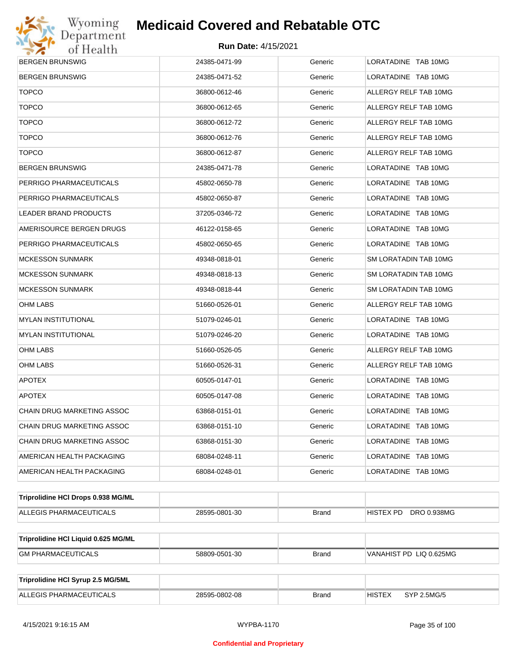

| <b>BERGEN BRUNSWIG</b>              | 24385-0471-99 | Generic      | LORATADINE TAB 10MG          |
|-------------------------------------|---------------|--------------|------------------------------|
| <b>BERGEN BRUNSWIG</b>              | 24385-0471-52 | Generic      | LORATADINE TAB 10MG          |
| <b>TOPCO</b>                        | 36800-0612-46 | Generic      | ALLERGY RELF TAB 10MG        |
| <b>TOPCO</b>                        | 36800-0612-65 | Generic      | ALLERGY RELF TAB 10MG        |
| <b>TOPCO</b>                        | 36800-0612-72 | Generic      | ALLERGY RELF TAB 10MG        |
| <b>TOPCO</b>                        | 36800-0612-76 | Generic      | ALLERGY RELF TAB 10MG        |
| <b>TOPCO</b>                        | 36800-0612-87 | Generic      | ALLERGY RELF TAB 10MG        |
| BERGEN BRUNSWIG                     | 24385-0471-78 | Generic      | LORATADINE TAB 10MG          |
| PERRIGO PHARMACEUTICALS             | 45802-0650-78 | Generic      | LORATADINE TAB 10MG          |
| PERRIGO PHARMACEUTICALS             | 45802-0650-87 | Generic      | LORATADINE TAB 10MG          |
| LEADER BRAND PRODUCTS               | 37205-0346-72 | Generic      | LORATADINE TAB 10MG          |
| AMERISOURCE BERGEN DRUGS            | 46122-0158-65 | Generic      | LORATADINE TAB 10MG          |
| PERRIGO PHARMACEUTICALS             | 45802-0650-65 | Generic      | LORATADINE TAB 10MG          |
| <b>MCKESSON SUNMARK</b>             | 49348-0818-01 | Generic      | SM LORATADIN TAB 10MG        |
| MCKESSON SUNMARK                    | 49348-0818-13 | Generic      | SM LORATADIN TAB 10MG        |
| <b>MCKESSON SUNMARK</b>             | 49348-0818-44 | Generic      | SM LORATADIN TAB 10MG        |
| OHM LABS                            | 51660-0526-01 | Generic      | ALLERGY RELF TAB 10MG        |
| MYLAN INSTITUTIONAL                 | 51079-0246-01 | Generic      | LORATADINE TAB 10MG          |
| <b>MYLAN INSTITUTIONAL</b>          | 51079-0246-20 | Generic      | LORATADINE TAB 10MG          |
| OHM LABS                            | 51660-0526-05 | Generic      | ALLERGY RELF TAB 10MG        |
| OHM LABS                            | 51660-0526-31 | Generic      | ALLERGY RELF TAB 10MG        |
| <b>APOTEX</b>                       | 60505-0147-01 | Generic      | LORATADINE TAB 10MG          |
| <b>APOTEX</b>                       | 60505-0147-08 | Generic      | LORATADINE TAB 10MG          |
| CHAIN DRUG MARKETING ASSOC          | 63868-0151-01 | Generic      | LORATADINE TAB 10MG          |
| CHAIN DRUG MARKETING ASSOC          | 63868-0151-10 | Generic      | LORATADINE TAB 10MG          |
| CHAIN DRUG MARKETING ASSOC          | 63868-0151-30 | Generic      | LORATADINE TAB 10MG          |
| AMERICAN HEALTH PACKAGING           | 68084-0248-11 | Generic      | LORATADINE TAB 10MG          |
| AMERICAN HEALTH PACKAGING           | 68084-0248-01 | Generic      | LORATADINE TAB 10MG          |
| Triprolidine HCI Drops 0.938 MG/ML  |               |              |                              |
| ALLEGIS PHARMACEUTICALS             | 28595-0801-30 | <b>Brand</b> | HISTEX PD DRO 0.938MG        |
| Triprolidine HCI Liquid 0.625 MG/ML |               |              |                              |
| <b>GM PHARMACEUTICALS</b>           | 58809-0501-30 | <b>Brand</b> | VANAHIST PD LIQ 0.625MG      |
|                                     |               |              |                              |
| Triprolidine HCI Syrup 2.5 MG/5ML   |               |              |                              |
| ALLEGIS PHARMACEUTICALS             | 28595-0802-08 | <b>Brand</b> | <b>HISTEX</b><br>SYP 2.5MG/5 |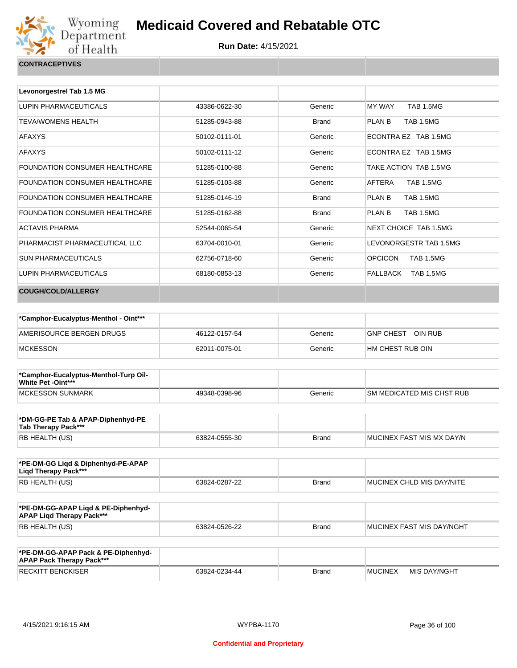

| Levonorgestrel Tab 1.5 MG             |               |              |                                    |
|---------------------------------------|---------------|--------------|------------------------------------|
| LUPIN PHARMACEUTICALS                 | 43386-0622-30 | Generic      | <b>MY WAY</b><br><b>TAB 1.5MG</b>  |
| <b>TEVA/WOMENS HEALTH</b>             | 51285-0943-88 | <b>Brand</b> | <b>TAB 1.5MG</b><br>PLAN B         |
| <b>AFAXYS</b>                         | 50102-0111-01 | Generic      | ECONTRA EZ TAB 1.5MG               |
| <b>AFAXYS</b>                         | 50102-0111-12 | Generic      | ECONTRA EZ TAB 1.5MG               |
| <b>FOUNDATION CONSUMER HEALTHCARE</b> | 51285-0100-88 | Generic      | TAKE ACTION TAB 1.5MG              |
| <b>FOUNDATION CONSUMER HEALTHCARE</b> | 51285-0103-88 | Generic      | AFTERA<br><b>TAB 1.5MG</b>         |
| <b>FOUNDATION CONSUMER HEALTHCARE</b> | 51285-0146-19 | <b>Brand</b> | PLAN B<br><b>TAB 1.5MG</b>         |
| <b>FOUNDATION CONSUMER HEALTHCARE</b> | 51285-0162-88 | <b>Brand</b> | <b>TAB 1.5MG</b><br>PLAN B         |
| <b>ACTAVIS PHARMA</b>                 | 52544-0065-54 | Generic      | NEXT CHOICE TAB 1.5MG              |
| PHARMACIST PHARMACEUTICAL LLC         | 63704-0010-01 | Generic      | LEVONORGESTR TAB 1.5MG             |
| <b>SUN PHARMACEUTICALS</b>            | 62756-0718-60 | Generic      | <b>OPCICON</b><br><b>TAB 1.5MG</b> |
| LUPIN PHARMACEUTICALS                 | 68180-0853-13 | Generic      | FALLBACK<br><b>TAB 1.5MG</b>       |
| <b>COUGH/COLD/ALLERGY</b>             |               |              |                                    |

| *Camphor-Eucalyptus-Menthol - Oint*** |               |         |                             |
|---------------------------------------|---------------|---------|-----------------------------|
| AMERISOURCE BERGEN DRUGS              | 46122-0157-54 | Generic | OIN RUB<br><b>GNP CHEST</b> |
| <b>MCKESSON</b>                       | 62011-0075-01 | Generic | I HM CHEST RUB OIN          |

| *Camphor-Eucalyptus-Menthol-Turp Oil-<br>White Pet -Oint*** |               |         |                            |
|-------------------------------------------------------------|---------------|---------|----------------------------|
| MCKESSON SUNMARK                                            | 49348-0398-96 | Generic | ISM MEDICATED MIS CHST RUB |

| *DM-GG-PE Tab & APAP-Diphenhyd-PE<br>Tab Therapy Pack*** |               |       |                            |
|----------------------------------------------------------|---------------|-------|----------------------------|
| RB HEALTH (US)                                           | 63824-0555-30 | Brand | IMUCINEX FAST MIS MX DAY/N |

| *PE-DM-GG Ligd & Diphenhyd-PE-APAP<br>Ligd Therapy Pack*** |               |       |                           |
|------------------------------------------------------------|---------------|-------|---------------------------|
| RB HEALTH (US)                                             | 63824-0287-22 | Brand | MUCINEX CHLD MIS DAY/NITE |

| *PE-DM-GG-APAP Ligd & PE-Diphenhyd-<br><b>APAP Ligd Therapy Pack***</b> |               |              |                             |
|-------------------------------------------------------------------------|---------------|--------------|-----------------------------|
| <b>RB HEALTH (US)</b>                                                   | 63824-0526-22 | <b>Brand</b> | I MUCINEX FAST MIS DAY/NGHT |

| *PE-DM-GG-APAP Pack & PE-Diphenhyd-<br><b>APAP Pack Therapy Pack***</b> |               |              |                |              |
|-------------------------------------------------------------------------|---------------|--------------|----------------|--------------|
| <b>RECKITT BENCKISER</b>                                                | 63824-0234-44 | <b>Brand</b> | <b>MUCINEX</b> | MIS DAY/NGHT |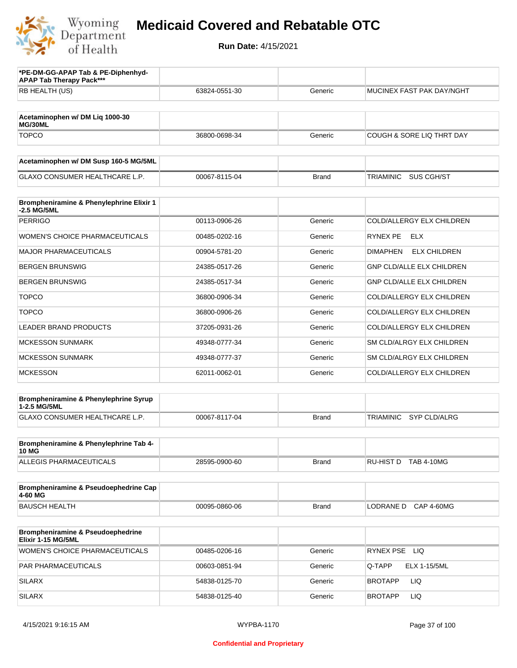

| *PE-DM-GG-APAP Tab & PE-Diphenhyd-<br><b>APAP Tab Therapy Pack***</b> |               |              |                                         |
|-----------------------------------------------------------------------|---------------|--------------|-----------------------------------------|
| RB HEALTH (US)                                                        | 63824-0551-30 | Generic      | MUCINEX FAST PAK DAY/NGHT               |
|                                                                       |               |              |                                         |
| Acetaminophen w/ DM Liq 1000-30<br>MG/30ML                            |               |              |                                         |
| <b>TOPCO</b>                                                          | 36800-0698-34 | Generic      | <b>COUGH &amp; SORE LIQ THRT DAY</b>    |
| Acetaminophen w/ DM Susp 160-5 MG/5ML                                 |               |              |                                         |
| <b>GLAXO CONSUMER HEALTHCARE L.P.</b>                                 | 00067-8115-04 | <b>Brand</b> | SUS CGH/ST<br>TRIAMINIC                 |
| Brompheniramine & Phenylephrine Elixir 1<br>-2.5 MG/5ML               |               |              |                                         |
| <b>PERRIGO</b>                                                        | 00113-0906-26 | Generic      | COLD/ALLERGY ELX CHILDREN               |
| <b>WOMEN'S CHOICE PHARMACEUTICALS</b>                                 | 00485-0202-16 | Generic      | RYNEX PE<br>ELX                         |
| <b>MAJOR PHARMACEUTICALS</b>                                          | 00904-5781-20 | Generic      | <b>ELX CHILDREN</b><br><b>DIMAPHEN</b>  |
| <b>BERGEN BRUNSWIG</b>                                                | 24385-0517-26 | Generic      | <b>GNP CLD/ALLE ELX CHILDREN</b>        |
| <b>BERGEN BRUNSWIG</b>                                                | 24385-0517-34 | Generic      | GNP CLD/ALLE ELX CHILDREN               |
| <b>TOPCO</b>                                                          | 36800-0906-34 | Generic      | COLD/ALLERGY ELX CHILDREN               |
| <b>TOPCO</b>                                                          | 36800-0906-26 | Generic      | COLD/ALLERGY ELX CHILDREN               |
| <b>LEADER BRAND PRODUCTS</b>                                          | 37205-0931-26 | Generic      | COLD/ALLERGY ELX CHILDREN               |
| <b>MCKESSON SUNMARK</b>                                               | 49348-0777-34 | Generic      | SM CLD/ALRGY ELX CHILDREN               |
| <b>MCKESSON SUNMARK</b>                                               | 49348-0777-37 | Generic      | SM CLD/ALRGY ELX CHILDREN               |
| <b>MCKESSON</b>                                                       | 62011-0062-01 | Generic      | COLD/ALLERGY ELX CHILDREN               |
| Brompheniramine & Phenylephrine Syrup<br>1-2.5 MG/5ML                 |               |              |                                         |
| GLAXO CONSUMER HEALTHCARE L.P.                                        | 00067-8117-04 | <b>Brand</b> | <b>TRIAMINIC</b><br><b>SYP CLD/ALRG</b> |
| Brompheniramine & Phenylephrine Tab 4-                                |               |              |                                         |
| <b>10 MG</b><br><b>ALLEGIS PHARMACEUTICALS</b>                        | 28595-0900-60 | <b>Brand</b> | RU-HIST D TAB 4-10MG                    |
|                                                                       |               |              |                                         |
| Brompheniramine & Pseudoephedrine Cap<br>4-60 MG                      |               |              |                                         |
| <b>BAUSCH HEALTH</b>                                                  | 00095-0860-06 | <b>Brand</b> | LODRANE D CAP 4-60MG                    |
| Brompheniramine & Pseudoephedrine<br>Elixir 1-15 MG/5ML               |               |              |                                         |
| WOMEN'S CHOICE PHARMACEUTICALS                                        | 00485-0206-16 | Generic      | RYNEX PSE LIQ                           |
| PAR PHARMACEUTICALS                                                   | 00603-0851-94 | Generic      | Q-TAPP<br>ELX 1-15/5ML                  |
| <b>SILARX</b>                                                         | 54838-0125-70 | Generic      | LIQ<br>BROTAPP                          |
| <b>SILARX</b>                                                         | 54838-0125-40 | Generic      | LIQ<br><b>BROTAPP</b>                   |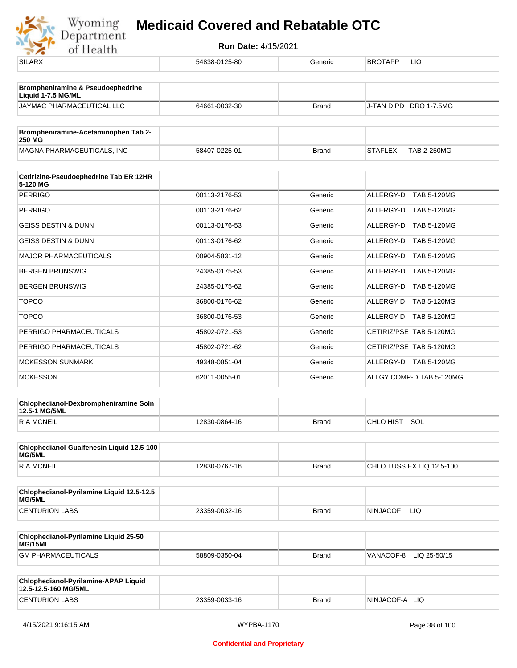| <b>SILARX</b>                                              | 54838-0125-80 | Generic      | <b>BROTAPP</b><br>LIQ                |
|------------------------------------------------------------|---------------|--------------|--------------------------------------|
| <b>Brompheniramine &amp; Pseudoephedrine</b>               |               |              |                                      |
| Liquid 1-7.5 MG/ML                                         |               |              |                                      |
| JAYMAC PHARMACEUTICAL LLC                                  | 64661-0032-30 | <b>Brand</b> | J-TAN D PD DRO 1-7.5MG               |
| Brompheniramine-Acetaminophen Tab 2-<br><b>250 MG</b>      |               |              |                                      |
| MAGNA PHARMACEUTICALS, INC                                 | 58407-0225-01 | <b>Brand</b> | <b>STAFLEX</b><br><b>TAB 2-250MG</b> |
|                                                            |               |              |                                      |
| Cetirizine-Pseudoephedrine Tab ER 12HR<br>5-120 MG         |               |              |                                      |
| <b>PERRIGO</b>                                             | 00113-2176-53 | Generic      | ALLERGY-D TAB 5-120MG                |
| <b>PERRIGO</b>                                             | 00113-2176-62 | Generic      | ALLERGY-D TAB 5-120MG                |
| <b>GEISS DESTIN &amp; DUNN</b>                             | 00113-0176-53 | Generic      | ALLERGY-D TAB 5-120MG                |
| <b>GEISS DESTIN &amp; DUNN</b>                             | 00113-0176-62 | Generic      | ALLERGY-D<br><b>TAB 5-120MG</b>      |
| <b>MAJOR PHARMACEUTICALS</b>                               | 00904-5831-12 | Generic      | ALLERGY-D TAB 5-120MG                |
| <b>BERGEN BRUNSWIG</b>                                     | 24385-0175-53 | Generic      | ALLERGY-D TAB 5-120MG                |
| <b>BERGEN BRUNSWIG</b>                                     | 24385-0175-62 | Generic      | ALLERGY-D TAB 5-120MG                |
| <b>TOPCO</b>                                               | 36800-0176-62 | Generic      | ALLERGY D TAB 5-120MG                |
| <b>TOPCO</b>                                               | 36800-0176-53 | Generic      | ALLERGY D TAB 5-120MG                |
| PERRIGO PHARMACEUTICALS                                    | 45802-0721-53 | Generic      | CETIRIZ/PSE TAB 5-120MG              |
| PERRIGO PHARMACEUTICALS                                    | 45802-0721-62 | Generic      | CETIRIZ/PSE TAB 5-120MG              |
| <b>MCKESSON SUNMARK</b>                                    | 49348-0851-04 | Generic      | ALLERGY-D TAB 5-120MG                |
| <b>MCKESSON</b>                                            | 62011-0055-01 | Generic      | ALLGY COMP-D TAB 5-120MG             |
| Chlophedianol-Dexbrompheniramine Soln                      |               |              |                                      |
| 12.5-1 MG/5ML<br>R A MCNEIL                                | 12830-0864-16 | <b>Brand</b> | CHLO HIST<br>SOL                     |
|                                                            |               |              |                                      |
| Chlophedianol-Guaifenesin Liquid 12.5-100<br><b>MG/5ML</b> |               |              |                                      |
| R A MCNEIL                                                 | 12830-0767-16 | <b>Brand</b> | CHLO TUSS EX LIQ 12.5-100            |
| Chlophedianol-Pyrilamine Liquid 12.5-12.5                  |               |              |                                      |
| MG/5ML<br><b>CENTURION LABS</b>                            | 23359-0032-16 | Brand        | <b>NINJACOF</b><br>LIQ.              |
|                                                            |               |              |                                      |
| Chlophedianol-Pyrilamine Liquid 25-50<br>MG/15ML           |               |              |                                      |
| <b>GM PHARMACEUTICALS</b>                                  | 58809-0350-04 | Brand        | VANACOF-8 LIQ 25-50/15               |
| Chlophedianol-Pyrilamine-APAP Liquid                       |               |              |                                      |
| 12.5-12.5-160 MG/5ML                                       |               |              |                                      |
| <b>CENTURION LABS</b>                                      | 23359-0033-16 | Brand        | NINJACOF-A LIQ                       |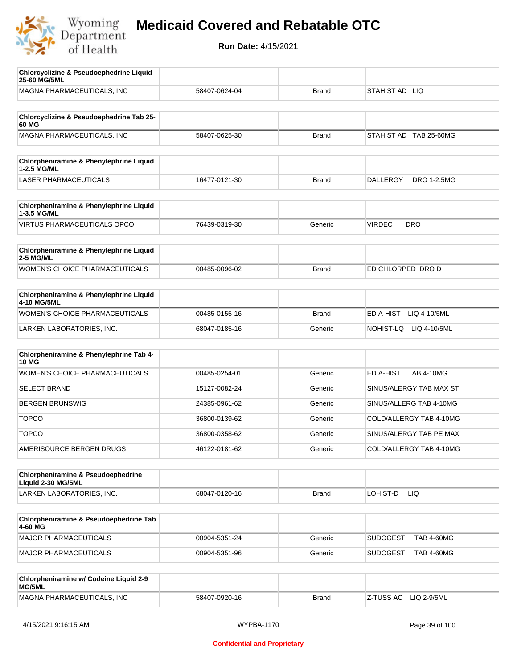

| <b>Chlorcyclizine &amp; Pseudoephedrine Liquid</b><br>25-60 MG/5ML  |               |              |                                      |
|---------------------------------------------------------------------|---------------|--------------|--------------------------------------|
| MAGNA PHARMACEUTICALS, INC                                          | 58407-0624-04 | <b>Brand</b> | STAHIST AD LIQ                       |
| Chlorcyclizine & Pseudoephedrine Tab 25-<br>60 MG                   |               |              |                                      |
| MAGNA PHARMACEUTICALS, INC                                          | 58407-0625-30 | <b>Brand</b> | STAHIST AD TAB 25-60MG               |
| <b>Chlorpheniramine &amp; Phenylephrine Liquid</b>                  |               |              |                                      |
| 1-2.5 MG/ML                                                         |               |              |                                      |
| <b>LASER PHARMACEUTICALS</b>                                        | 16477-0121-30 | <b>Brand</b> | DRO 1-2.5MG<br>DALLERGY              |
| Chlorpheniramine & Phenylephrine Liquid<br>1-3.5 MG/ML              |               |              |                                      |
| <b>VIRTUS PHARMACEUTICALS OPCO</b>                                  | 76439-0319-30 | Generic      | <b>VIRDEC</b><br><b>DRO</b>          |
| Chlorpheniramine & Phenylephrine Liquid<br><b>2-5 MG/ML</b>         |               |              |                                      |
| <b>WOMEN'S CHOICE PHARMACEUTICALS</b>                               | 00485-0096-02 | <b>Brand</b> | ED CHLORPED DRO D                    |
| Chlorpheniramine & Phenylephrine Liquid<br>4-10 MG/5ML              |               |              |                                      |
| WOMEN'S CHOICE PHARMACEUTICALS                                      | 00485-0155-16 | <b>Brand</b> | ED A-HIST<br>LIQ 4-10/5ML            |
| LARKEN LABORATORIES, INC.                                           | 68047-0185-16 | Generic      | NOHIST-LQ LIQ 4-10/5ML               |
| Chlorpheniramine & Phenylephrine Tab 4-<br><b>10 MG</b>             |               |              |                                      |
| <b>WOMEN'S CHOICE PHARMACEUTICALS</b>                               | 00485-0254-01 | Generic      | ED A-HIST TAB 4-10MG                 |
| <b>SELECT BRAND</b>                                                 | 15127-0082-24 | Generic      | SINUS/ALERGY TAB MAX ST              |
| <b>BERGEN BRUNSWIG</b>                                              | 24385-0961-62 | Generic      | SINUS/ALLERG TAB 4-10MG              |
| <b>TOPCO</b>                                                        | 36800-0139-62 | Generic      | COLD/ALLERGY TAB 4-10MG              |
| <b>TOPCO</b>                                                        | 36800-0358-62 | Generic      | SINUS/ALERGY TAB PE MAX              |
| AMERISOURCE BERGEN DRUGS                                            | 46122-0181-62 | Generic      | COLD/ALLERGY TAB 4-10MG              |
| <b>Chlorpheniramine &amp; Pseudoephedrine</b><br>Liquid 2-30 MG/5ML |               |              |                                      |
| LARKEN LABORATORIES, INC.                                           | 68047-0120-16 | <b>Brand</b> | LOHIST-D<br>LIQ                      |
| Chlorpheniramine & Pseudoephedrine Tab<br>4-60 MG                   |               |              |                                      |
| MAJOR PHARMACEUTICALS                                               | 00904-5351-24 | Generic      | <b>SUDOGEST</b><br><b>TAB 4-60MG</b> |
| <b>MAJOR PHARMACEUTICALS</b>                                        | 00904-5351-96 | Generic      | <b>SUDOGEST</b><br><b>TAB 4-60MG</b> |
| Chlorpheniramine w/ Codeine Liquid 2-9<br>MG/5ML                    |               |              |                                      |
| MAGNA PHARMACEUTICALS, INC                                          | 58407-0920-16 | <b>Brand</b> | Z-TUSS AC<br>LIQ 2-9/5ML             |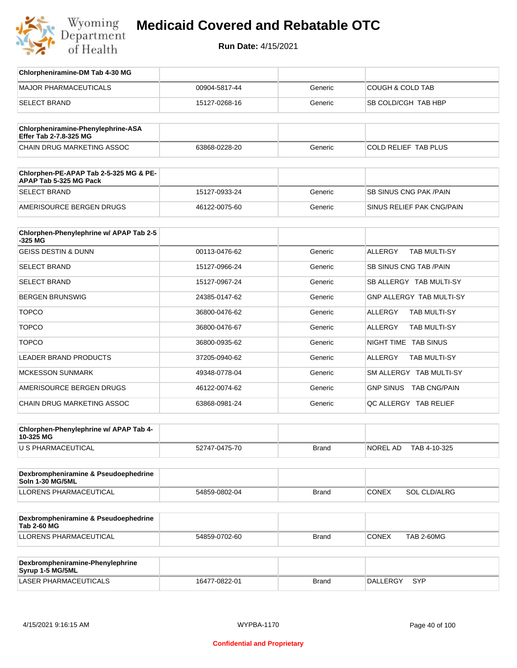

| Chlorpheniramine-DM Tab 4-30 MG                                  |               |              |                                     |
|------------------------------------------------------------------|---------------|--------------|-------------------------------------|
| <b>MAJOR PHARMACEUTICALS</b>                                     | 00904-5817-44 | Generic      | <b>COUGH &amp; COLD TAB</b>         |
| <b>SELECT BRAND</b>                                              | 15127-0268-16 | Generic      | SB COLD/CGH TAB HBP                 |
|                                                                  |               |              |                                     |
| Chlorpheniramine-Phenylephrine-ASA<br>Effer Tab 2-7.8-325 MG     |               |              |                                     |
| CHAIN DRUG MARKETING ASSOC                                       | 63868-0228-20 | Generic      | COLD RELIEF TAB PLUS                |
|                                                                  |               |              |                                     |
| Chlorphen-PE-APAP Tab 2-5-325 MG & PE-<br>APAP Tab 5-325 MG Pack |               |              |                                     |
| <b>SELECT BRAND</b>                                              | 15127-0933-24 | Generic      | <b>SB SINUS CNG PAK/PAIN</b>        |
| AMERISOURCE BERGEN DRUGS                                         | 46122-0075-60 | Generic      | SINUS RELIEF PAK CNG/PAIN           |
|                                                                  |               |              |                                     |
| Chlorphen-Phenylephrine w/ APAP Tab 2-5<br>$-325$ MG             |               |              |                                     |
| <b>GEISS DESTIN &amp; DUNN</b>                                   | 00113-0476-62 | Generic      | <b>ALLERGY</b><br>TAB MULTI-SY      |
| <b>SELECT BRAND</b>                                              | 15127-0966-24 | Generic      | <b>SB SINUS CNG TAB/PAIN</b>        |
| <b>SELECT BRAND</b>                                              | 15127-0967-24 | Generic      | SB ALLERGY TAB MULTI-SY             |
| <b>BERGEN BRUNSWIG</b>                                           | 24385-0147-62 | Generic      | <b>GNP ALLERGY TAB MULTI-SY</b>     |
| <b>TOPCO</b>                                                     | 36800-0476-62 | Generic      | ALLERGY<br><b>TAB MULTI-SY</b>      |
| <b>TOPCO</b>                                                     | 36800-0476-67 | Generic      | TAB MULTI-SY<br>ALLERGY             |
| <b>TOPCO</b>                                                     | 36800-0935-62 | Generic      | NIGHT TIME TAB SINUS                |
| <b>LEADER BRAND PRODUCTS</b>                                     | 37205-0940-62 | Generic      | TAB MULTI-SY<br>ALLERGY             |
| <b>MCKESSON SUNMARK</b>                                          | 49348-0778-04 | Generic      | SM ALLERGY TAB MULTI-SY             |
| AMERISOURCE BERGEN DRUGS                                         | 46122-0074-62 | Generic      | GNP SINUS TAB CNG/PAIN              |
| CHAIN DRUG MARKETING ASSOC                                       | 63868-0981-24 | Generic      | QC ALLERGY TAB RELIEF               |
|                                                                  |               |              |                                     |
| Chlorphen-Phenylephrine w/ APAP Tab 4-<br>10-325 MG              |               |              |                                     |
| U S PHARMACEUTICAL                                               | 52747-0475-70 | Brand        | NOREL AD<br>TAB 4-10-325            |
|                                                                  |               |              |                                     |
| Dexbrompheniramine & Pseudoephedrine<br>Soln 1-30 MG/5ML         |               |              |                                     |
| LLORENS PHARMACEUTICAL                                           | 54859-0802-04 | Brand        | <b>CONEX</b><br><b>SOL CLD/ALRG</b> |
|                                                                  |               |              |                                     |
| Dexbrompheniramine & Pseudoephedrine<br><b>Tab 2-60 MG</b>       |               |              |                                     |
| LLORENS PHARMACEUTICAL                                           | 54859-0702-60 | <b>Brand</b> | <b>CONEX</b><br><b>TAB 2-60MG</b>   |
|                                                                  |               |              |                                     |
| Dexbrompheniramine-Phenylephrine<br>Syrup 1-5 MG/5ML             |               |              |                                     |
| LASER PHARMACEUTICALS                                            | 16477-0822-01 | <b>Brand</b> | <b>DALLERGY</b><br><b>SYP</b>       |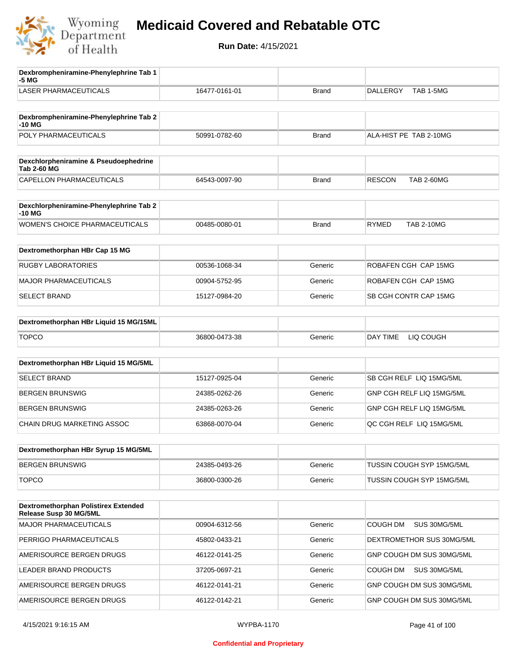

| Dexbrompheniramine-Phenylephrine Tab 1<br>-5 MG                |               |              |                                    |
|----------------------------------------------------------------|---------------|--------------|------------------------------------|
| <b>LASER PHARMACEUTICALS</b>                                   | 16477-0161-01 | <b>Brand</b> | <b>DALLERGY</b><br>TAB 1-5MG       |
| Dexbrompheniramine-Phenylephrine Tab 2<br>-10 MG               |               |              |                                    |
| POLY PHARMACEUTICALS                                           | 50991-0782-60 | <b>Brand</b> | ALA-HIST PE TAB 2-10MG             |
|                                                                |               |              |                                    |
| Dexchlorpheniramine & Pseudoephedrine<br><b>Tab 2-60 MG</b>    |               |              |                                    |
| CAPELLON PHARMACEUTICALS                                       | 64543-0097-90 | <b>Brand</b> | <b>RESCON</b><br><b>TAB 2-60MG</b> |
| Dexchlorpheniramine-Phenylephrine Tab 2<br>-10 MG              |               |              |                                    |
| WOMEN'S CHOICE PHARMACEUTICALS                                 | 00485-0080-01 | <b>Brand</b> | <b>RYMED</b><br><b>TAB 2-10MG</b>  |
| Dextromethorphan HBr Cap 15 MG                                 |               |              |                                    |
| <b>RUGBY LABORATORIES</b>                                      | 00536-1068-34 | Generic      | ROBAFEN CGH CAP 15MG               |
| <b>MAJOR PHARMACEUTICALS</b>                                   | 00904-5752-95 | Generic      | ROBAFEN CGH CAP 15MG               |
| <b>SELECT BRAND</b>                                            | 15127-0984-20 | Generic      | SB CGH CONTR CAP 15MG              |
| Dextromethorphan HBr Liquid 15 MG/15ML                         |               |              |                                    |
| <b>TOPCO</b>                                                   | 36800-0473-38 | Generic      | DAY TIME<br>LIQ COUGH              |
| Dextromethorphan HBr Liquid 15 MG/5ML                          |               |              |                                    |
| <b>SELECT BRAND</b>                                            | 15127-0925-04 | Generic      | SB CGH RELF LIQ 15MG/5ML           |
| <b>BERGEN BRUNSWIG</b>                                         | 24385-0262-26 | Generic      | GNP CGH RELF LIQ 15MG/5ML          |
| <b>BERGEN BRUNSWIG</b>                                         | 24385-0263-26 | Generic      | GNP CGH RELF LIQ 15MG/5ML          |
| CHAIN DRUG MARKETING ASSOC                                     | 63868-0070-04 | Generic      | QC CGH RELF LIQ 15MG/5ML           |
| Dextromethorphan HBr Syrup 15 MG/5ML                           |               |              |                                    |
| <b>BERGEN BRUNSWIG</b>                                         | 24385-0493-26 | Generic      | TUSSIN COUGH SYP 15MG/5ML          |
| <b>TOPCO</b>                                                   | 36800-0300-26 | Generic      | TUSSIN COUGH SYP 15MG/5ML          |
|                                                                |               |              |                                    |
| Dextromethorphan Polistirex Extended<br>Release Susp 30 MG/5ML |               |              |                                    |
| MAJOR PHARMACEUTICALS                                          | 00904-6312-56 | Generic      | COUGH DM<br>SUS 30MG/5ML           |
| PERRIGO PHARMACEUTICALS                                        | 45802-0433-21 | Generic      | DEXTROMETHOR SUS 30MG/5ML          |
| AMERISOURCE BERGEN DRUGS                                       | 46122-0141-25 | Generic      | GNP COUGH DM SUS 30MG/5ML          |
| LEADER BRAND PRODUCTS                                          | 37205-0697-21 | Generic      | SUS 30MG/5ML<br>COUGH DM           |
| AMERISOURCE BERGEN DRUGS                                       | 46122-0141-21 | Generic      | GNP COUGH DM SUS 30MG/5ML          |
| AMERISOURCE BERGEN DRUGS                                       | 46122-0142-21 | Generic      | GNP COUGH DM SUS 30MG/5ML          |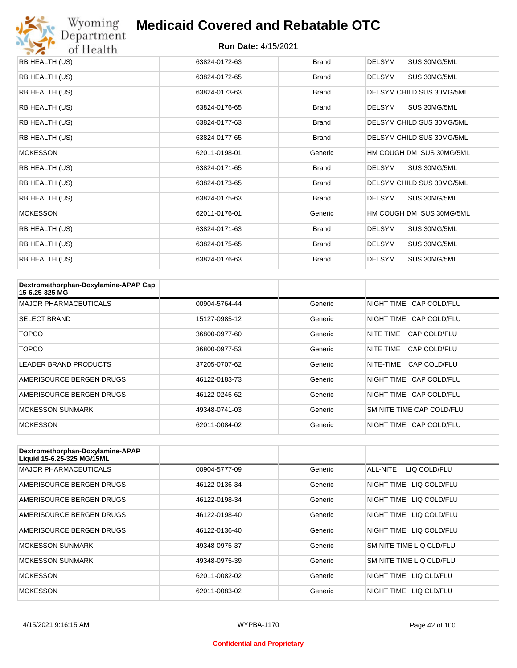

| RB HEALTH (US)  | 63824-0172-63 | <b>Brand</b> | <b>DELSYM</b><br>SUS 30MG/5ML |
|-----------------|---------------|--------------|-------------------------------|
| RB HEALTH (US)  | 63824-0172-65 | <b>Brand</b> | DELSYM<br>SUS 30MG/5ML        |
| RB HEALTH (US)  | 63824-0173-63 | <b>Brand</b> | DELSYM CHILD SUS 30MG/5ML     |
| RB HEALTH (US)  | 63824-0176-65 | <b>Brand</b> | SUS 30MG/5ML<br><b>DELSYM</b> |
| RB HEALTH (US)  | 63824-0177-63 | <b>Brand</b> | DELSYM CHILD SUS 30MG/5ML     |
| RB HEALTH (US)  | 63824-0177-65 | <b>Brand</b> | DELSYM CHILD SUS 30MG/5ML     |
| <b>MCKESSON</b> | 62011-0198-01 | Generic      | HM COUGH DM SUS 30MG/5ML      |
| RB HEALTH (US)  | 63824-0171-65 | <b>Brand</b> | <b>DELSYM</b><br>SUS 30MG/5ML |
| RB HEALTH (US)  | 63824-0173-65 | <b>Brand</b> | DELSYM CHILD SUS 30MG/5ML     |
| RB HEALTH (US)  | 63824-0175-63 | <b>Brand</b> | <b>DELSYM</b><br>SUS 30MG/5ML |
| <b>MCKESSON</b> | 62011-0176-01 | Generic      | HM COUGH DM SUS 30MG/5ML      |
| RB HEALTH (US)  | 63824-0171-63 | <b>Brand</b> | <b>DELSYM</b><br>SUS 30MG/5ML |
| RB HEALTH (US)  | 63824-0175-65 | <b>Brand</b> | <b>DELSYM</b><br>SUS 30MG/5ML |
| RB HEALTH (US)  | 63824-0176-63 | <b>Brand</b> | <b>DELSYM</b><br>SUS 30MG/5ML |

| Dextromethorphan-Doxylamine-APAP Cap<br>15-6.25-325 MG |               |         |                           |
|--------------------------------------------------------|---------------|---------|---------------------------|
| <b>MAJOR PHARMACEUTICALS</b>                           | 00904-5764-44 | Generic | NIGHT TIME CAP COLD/FLU   |
| <b>SELECT BRAND</b>                                    | 15127-0985-12 | Generic | NIGHT TIME CAP COLD/FLU   |
| <b>TOPCO</b>                                           | 36800-0977-60 | Generic | CAP COLD/FLU<br>NITE TIME |
| <b>TOPCO</b>                                           | 36800-0977-53 | Generic | CAP COLD/FLU<br>NITE TIME |
| <b>LEADER BRAND PRODUCTS</b>                           | 37205-0707-62 | Generic | NITE-TIME<br>CAP COLD/FLU |
| AMERISOURCE BERGEN DRUGS                               | 46122-0183-73 | Generic | NIGHT TIME CAP COLD/FLU   |
| AMERISOURCE BERGEN DRUGS                               | 46122-0245-62 | Generic | NIGHT TIME CAP COLD/FLU   |
| <b>MCKESSON SUNMARK</b>                                | 49348-0741-03 | Generic | SM NITE TIME CAP COLD/FLU |
| <b>MCKESSON</b>                                        | 62011-0084-02 | Generic | NIGHT TIME CAP COLD/FLU   |

| Dextromethorphan-Doxylamine-APAP<br>Liquid 15-6.25-325 MG/15ML |               |         |                            |
|----------------------------------------------------------------|---------------|---------|----------------------------|
| <b>MAJOR PHARMACEUTICALS</b>                                   | 00904-5777-09 | Generic | ALL-NITE<br>LIQ COLD/FLU   |
| AMERISOURCE BERGEN DRUGS                                       | 46122-0136-34 | Generic | LIQ COLD/FLU<br>NIGHT TIME |
| AMERISOURCE BERGEN DRUGS                                       | 46122-0198-34 | Generic | NIGHT TIME<br>LIQ COLD/FLU |
| AMERISOURCE BERGEN DRUGS                                       | 46122-0198-40 | Generic | NIGHT TIME<br>LIQ COLD/FLU |
| AMERISOURCE BERGEN DRUGS                                       | 46122-0136-40 | Generic | LIQ COLD/FLU<br>NIGHT TIME |
| <b>MCKESSON SUNMARK</b>                                        | 49348-0975-37 | Generic | SM NITE TIME LIQ CLD/FLU   |
| <b>MCKESSON SUNMARK</b>                                        | 49348-0975-39 | Generic | SM NITE TIME LIQ CLD/FLU   |
| <b>MCKESSON</b>                                                | 62011-0082-02 | Generic | LIO CLD/FLU<br>NIGHT TIME  |
| <b>MCKESSON</b>                                                | 62011-0083-02 | Generic | LIQ CLD/FLU<br>NIGHT TIME  |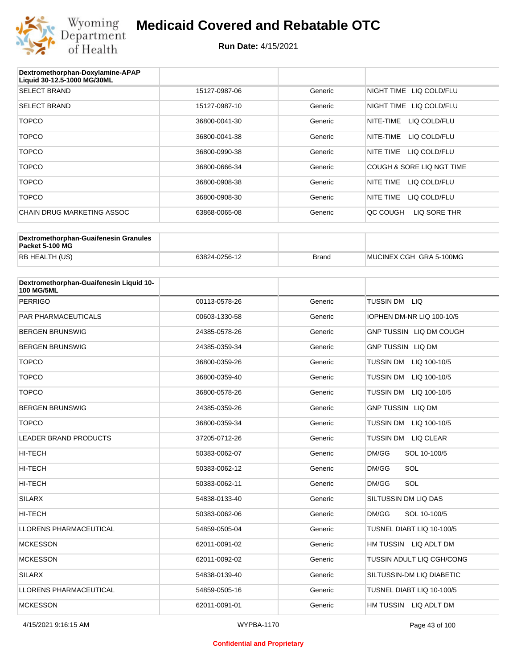

| Dextromethorphan-Doxylamine-APAP<br>Liquid 30-12.5-1000 MG/30ML |               |         |                           |
|-----------------------------------------------------------------|---------------|---------|---------------------------|
| <b>SELECT BRAND</b>                                             | 15127-0987-06 | Generic | NIGHT TIME LIQ COLD/FLU   |
| <b>SELECT BRAND</b>                                             | 15127-0987-10 | Generic | NIGHT TIME LIQ COLD/FLU   |
| <b>TOPCO</b>                                                    | 36800-0041-30 | Generic | NITE-TIME<br>LIQ COLD/FLU |
| <b>TOPCO</b>                                                    | 36800-0041-38 | Generic | LIQ COLD/FLU<br>NITE-TIME |
| <b>TOPCO</b>                                                    | 36800-0990-38 | Generic | LIQ COLD/FLU<br>NITE TIME |
| <b>TOPCO</b>                                                    | 36800-0666-34 | Generic | COUGH & SORE LIQ NGT TIME |
| <b>TOPCO</b>                                                    | 36800-0908-38 | Generic | NITE TIME<br>LIQ COLD/FLU |
| <b>TOPCO</b>                                                    | 36800-0908-30 | Generic | NITE TIME<br>LIQ COLD/FLU |
| CHAIN DRUG MARKETING ASSOC                                      | 63868-0065-08 | Generic | LIQ SORE THR<br>OC COUGH  |

| Dextromethorphan-Guaifenesin Granules<br>Packet 5-100 MG |               |              |                         |
|----------------------------------------------------------|---------------|--------------|-------------------------|
| RB HEALTH (US)                                           | 63824-0256-12 | <b>Brand</b> | MUCINEX CGH GRA 5-100MG |

| Dextromethorphan-Guaifenesin Liquid 10-<br><b>100 MG/5ML</b> |               |         |                                      |
|--------------------------------------------------------------|---------------|---------|--------------------------------------|
| <b>PERRIGO</b>                                               | 00113-0578-26 | Generic | TUSSIN DM LIQ                        |
| <b>PAR PHARMACEUTICALS</b>                                   | 00603-1330-58 | Generic | IOPHEN DM-NR LIQ 100-10/5            |
| <b>BERGEN BRUNSWIG</b>                                       | 24385-0578-26 | Generic | GNP TUSSIN LIQ DM COUGH              |
| <b>BERGEN BRUNSWIG</b>                                       | 24385-0359-34 | Generic | <b>GNP TUSSIN LIQ DM</b>             |
| <b>TOPCO</b>                                                 | 36800-0359-26 | Generic | TUSSIN DM LIQ 100-10/5               |
| <b>TOPCO</b>                                                 | 36800-0359-40 | Generic | <b>TUSSIN DM</b><br>LIQ 100-10/5     |
| <b>TOPCO</b>                                                 | 36800-0578-26 | Generic | <b>TUSSIN DM</b><br>LIQ 100-10/5     |
| <b>BERGEN BRUNSWIG</b>                                       | 24385-0359-26 | Generic | <b>GNP TUSSIN LIQ DM</b>             |
| <b>TOPCO</b>                                                 | 36800-0359-34 | Generic | <b>TUSSIN DM</b><br>LIQ 100-10/5     |
| <b>LEADER BRAND PRODUCTS</b>                                 | 37205-0712-26 | Generic | <b>TUSSIN DM</b><br><b>LIQ CLEAR</b> |
| HI-TECH                                                      | 50383-0062-07 | Generic | DM/GG<br>SOL 10-100/5                |
| HI-TECH                                                      | 50383-0062-12 | Generic | SOL<br>DM/GG                         |
| <b>HI-TECH</b>                                               | 50383-0062-11 | Generic | DM/GG<br>SOL                         |
| <b>SILARX</b>                                                | 54838-0133-40 | Generic | SILTUSSIN DM LIQ DAS                 |
| <b>HI-TECH</b>                                               | 50383-0062-06 | Generic | DM/GG<br>SOL 10-100/5                |
| <b>LLORENS PHARMACEUTICAL</b>                                | 54859-0505-04 | Generic | TUSNEL DIABT LIQ 10-100/5            |
| <b>MCKESSON</b>                                              | 62011-0091-02 | Generic | HM TUSSIN LIQ ADLT DM                |
| <b>MCKESSON</b>                                              | 62011-0092-02 | Generic | TUSSIN ADULT LIQ CGH/CONG            |
| <b>SILARX</b>                                                | 54838-0139-40 | Generic | SILTUSSIN-DM LIQ DIABETIC            |
| <b>LLORENS PHARMACEUTICAL</b>                                | 54859-0505-16 | Generic | TUSNEL DIABT LIQ 10-100/5            |
| <b>MCKESSON</b>                                              | 62011-0091-01 | Generic | HM TUSSIN LIQ ADLT DM                |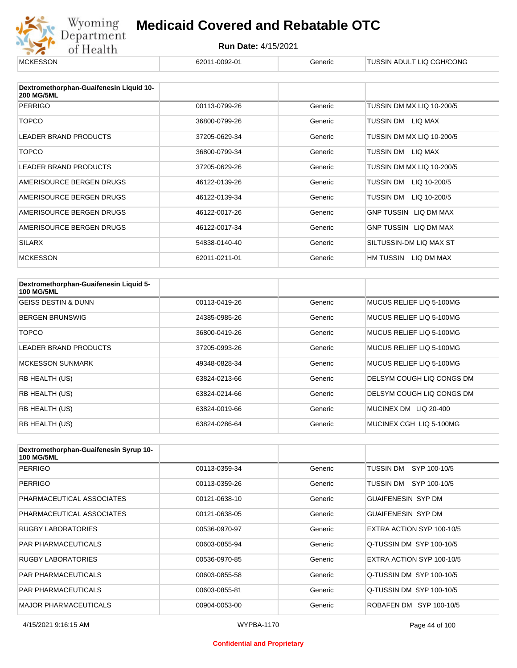

| <b>MCKESSON</b>                                              | 62011-0092-01 | Generic | TUSSIN ADULT LIQ CGH/CONG    |
|--------------------------------------------------------------|---------------|---------|------------------------------|
|                                                              |               |         |                              |
| Dextromethorphan-Guaifenesin Liquid 10-<br><b>200 MG/5ML</b> |               |         |                              |
| <b>PERRIGO</b>                                               | 00113-0799-26 | Generic | TUSSIN DM MX LIQ 10-200/5    |
| <b>TOPCO</b>                                                 | 36800-0799-26 | Generic | TUSSIN DM LIQ MAX            |
| <b>LEADER BRAND PRODUCTS</b>                                 | 37205-0629-34 | Generic | TUSSIN DM MX LIQ 10-200/5    |
| <b>TOPCO</b>                                                 | 36800-0799-34 | Generic | TUSSIN DM LIQ MAX            |
| <b>LEADER BRAND PRODUCTS</b>                                 | 37205-0629-26 | Generic | TUSSIN DM MX LIQ 10-200/5    |
| AMERISOURCE BERGEN DRUGS                                     | 46122-0139-26 | Generic | TUSSIN DM<br>LIQ 10-200/5    |
| AMERISOURCE BERGEN DRUGS                                     | 46122-0139-34 | Generic | TUSSIN DM<br>LIQ 10-200/5    |
| AMERISOURCE BERGEN DRUGS                                     | 46122-0017-26 | Generic | <b>GNP TUSSIN LIQ DM MAX</b> |
| AMERISOURCE BERGEN DRUGS                                     | 46122-0017-34 | Generic | GNP TUSSIN LIQ DM MAX        |
| <b>SILARX</b>                                                | 54838-0140-40 | Generic | SILTUSSIN-DM LIQ MAX ST      |
| <b>MCKESSON</b>                                              | 62011-0211-01 | Generic | HM TUSSIN LIQ DM MAX         |

| Dextromethorphan-Guaifenesin Liquid 5-<br><b>100 MG/5ML</b> |               |         |                           |
|-------------------------------------------------------------|---------------|---------|---------------------------|
| <b>GEISS DESTIN &amp; DUNN</b>                              | 00113-0419-26 | Generic | MUCUS RELIEF LIQ 5-100MG  |
| <b>BERGEN BRUNSWIG</b>                                      | 24385-0985-26 | Generic | MUCUS RELIEF LIQ 5-100MG  |
| <b>TOPCO</b>                                                | 36800-0419-26 | Generic | MUCUS RELIEF LIQ 5-100MG  |
| <b>LEADER BRAND PRODUCTS</b>                                | 37205-0993-26 | Generic | MUCUS RELIEF LIQ 5-100MG  |
| <b>MCKESSON SUNMARK</b>                                     | 49348-0828-34 | Generic | MUCUS RELIEF LIQ 5-100MG  |
| RB HEALTH (US)                                              | 63824-0213-66 | Generic | DELSYM COUGH LIQ CONGS DM |
| RB HEALTH (US)                                              | 63824-0214-66 | Generic | DELSYM COUGH LIQ CONGS DM |
| <b>RB HEALTH (US)</b>                                       | 63824-0019-66 | Generic | MUCINEX DM<br>LIQ 20-400  |
| RB HEALTH (US)                                              | 63824-0286-64 | Generic | MUCINEX CGH LIQ 5-100MG   |

| Dextromethorphan-Guaifenesin Syrup 10-<br><b>100 MG/5ML</b> |               |         |                           |
|-------------------------------------------------------------|---------------|---------|---------------------------|
| <b>PERRIGO</b>                                              | 00113-0359-34 | Generic | TUSSIN DM<br>SYP 100-10/5 |
| <b>PERRIGO</b>                                              | 00113-0359-26 | Generic | TUSSIN DM SYP 100-10/5    |
| PHARMACEUTICAL ASSOCIATES                                   | 00121-0638-10 | Generic | <b>GUAIFENESIN SYP DM</b> |
| PHARMACEUTICAL ASSOCIATES                                   | 00121-0638-05 | Generic | <b>GUAIFENESIN SYP DM</b> |
| RUGBY LABORATORIES                                          | 00536-0970-97 | Generic | EXTRA ACTION SYP 100-10/5 |
| <b>PAR PHARMACEUTICALS</b>                                  | 00603-0855-94 | Generic | Q-TUSSIN DM SYP 100-10/5  |
| RUGBY LABORATORIES                                          | 00536-0970-85 | Generic | EXTRA ACTION SYP 100-10/5 |
| <b>PAR PHARMACEUTICALS</b>                                  | 00603-0855-58 | Generic | Q-TUSSIN DM SYP 100-10/5  |
| <b>PAR PHARMACEUTICALS</b>                                  | 00603-0855-81 | Generic | Q-TUSSIN DM SYP 100-10/5  |
| <b>MAJOR PHARMACEUTICALS</b>                                | 00904-0053-00 | Generic | ROBAFEN DM SYP 100-10/5   |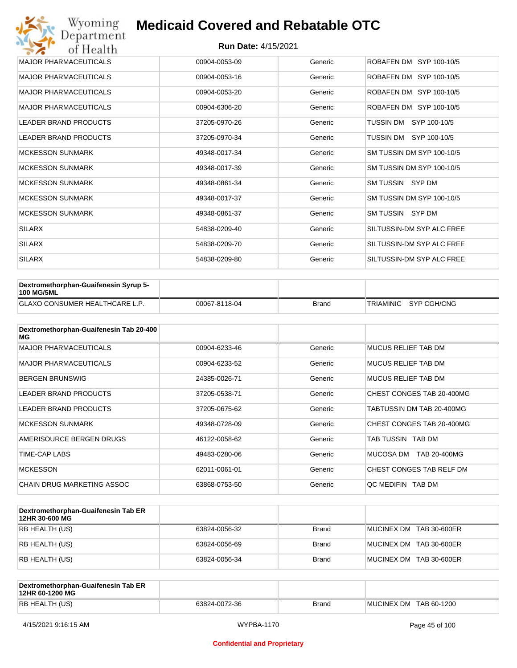| Wyoming<br>Department        | <b>Medicaid Covered and Rebatable OTC</b> |         |                           |  |  |
|------------------------------|-------------------------------------------|---------|---------------------------|--|--|
| of Health                    | <b>Run Date: 4/15/2021</b>                |         |                           |  |  |
| <b>MAJOR PHARMACEUTICALS</b> | 00904-0053-09                             | Generic | ROBAFEN DM SYP 100-10/5   |  |  |
| <b>MAJOR PHARMACEUTICALS</b> | 00904-0053-16                             | Generic | ROBAFEN DM SYP 100-10/5   |  |  |
| <b>MAJOR PHARMACEUTICALS</b> | 00904-0053-20                             | Generic | ROBAFEN DM SYP 100-10/5   |  |  |
| <b>MAJOR PHARMACEUTICALS</b> | 00904-6306-20                             | Generic | ROBAFEN DM SYP 100-10/5   |  |  |
| <b>LEADER BRAND PRODUCTS</b> | 37205-0970-26                             | Generic | SYP 100-10/5<br>TUSSIN DM |  |  |
| <b>LEADER BRAND PRODUCTS</b> | 37205-0970-34                             | Generic | TUSSIN DM<br>SYP 100-10/5 |  |  |
| <b>MCKESSON SUNMARK</b>      | 49348-0017-34                             | Generic | SM TUSSIN DM SYP 100-10/5 |  |  |
| <b>MCKESSON SUNMARK</b>      | 49348-0017-39                             | Generic | SM TUSSIN DM SYP 100-10/5 |  |  |
| <b>MCKESSON SUNMARK</b>      | 49348-0861-34                             | Generic | SM TUSSIN SYP DM          |  |  |
| <b>MCKESSON SUNMARK</b>      | 49348-0017-37                             | Generic | SM TUSSIN DM SYP 100-10/5 |  |  |
| <b>MCKESSON SUNMARK</b>      | 49348-0861-37                             | Generic | SM TUSSIN SYP DM          |  |  |
| <b>SILARX</b>                | 54838-0209-40                             | Generic | SILTUSSIN-DM SYP ALC FREE |  |  |
| <b>SILARX</b>                | 54838-0209-70                             | Generic | SILTUSSIN-DM SYP ALC FREE |  |  |
| <b>SILARX</b>                | 54838-0209-80                             | Generic | SILTUSSIN-DM SYP ALC FREE |  |  |

| Dextromethorphan-Guaifenesin Syrup 5-<br><b>100 MG/5ML</b> |               |              |                       |
|------------------------------------------------------------|---------------|--------------|-----------------------|
| <b>GLAXO CONSUMER HEALTHCARE L.P.</b>                      | 00067-8118-04 | <b>Brand</b> | TRIAMINIC SYP CGH/CNG |

| Dextromethorphan-Guaifenesin Tab 20-400<br>MG |               |         |                            |
|-----------------------------------------------|---------------|---------|----------------------------|
| <b>MAJOR PHARMACEUTICALS</b>                  | 00904-6233-46 | Generic | <b>MUCUS RELIEF TAB DM</b> |
| <b>MAJOR PHARMACEUTICALS</b>                  | 00904-6233-52 | Generic | <b>MUCUS RELIEF TAB DM</b> |
| <b>BERGEN BRUNSWIG</b>                        | 24385-0026-71 | Generic | MUCUS RELIEF TAB DM        |
| LEADER BRAND PRODUCTS                         | 37205-0538-71 | Generic | CHEST CONGES TAB 20-400MG  |
| LEADER BRAND PRODUCTS                         | 37205-0675-62 | Generic | TABTUSSIN DM TAB 20-400MG  |
| <b>MCKESSON SUNMARK</b>                       | 49348-0728-09 | Generic | CHEST CONGES TAB 20-400MG  |
| AMERISOURCE BERGEN DRUGS                      | 46122-0058-62 | Generic | TAB TUSSIN TAB DM          |
| TIME-CAP LABS                                 | 49483-0280-06 | Generic | MUCOSA DM<br>TAB 20-400MG  |
| <b>MCKESSON</b>                               | 62011-0061-01 | Generic | CHEST CONGES TAB RELF DM   |
| CHAIN DRUG MARKETING ASSOC                    | 63868-0753-50 | Generic | OC MEDIFIN TAB DM          |

| Dextromethorphan-Guaifenesin Tab ER<br>12HR 30-600 MG |               |              |                         |
|-------------------------------------------------------|---------------|--------------|-------------------------|
| RB HEALTH (US)                                        | 63824-0056-32 | <b>Brand</b> | MUCINEX DM TAB 30-600ER |
| RB HEALTH (US)                                        | 63824-0056-69 | <b>Brand</b> | MUCINEX DM TAB 30-600ER |
| RB HEALTH (US)                                        | 63824-0056-34 | <b>Brand</b> | MUCINEX DM TAB 30-600ER |

| Dextromethorphan-Guaifenesin Tab ER<br>12HR 60-1200 MG |               |              |                        |
|--------------------------------------------------------|---------------|--------------|------------------------|
| RB HEALTH (US)                                         | 63824-0072-36 | <b>Brand</b> | MUCINEX DM TAB 60-1200 |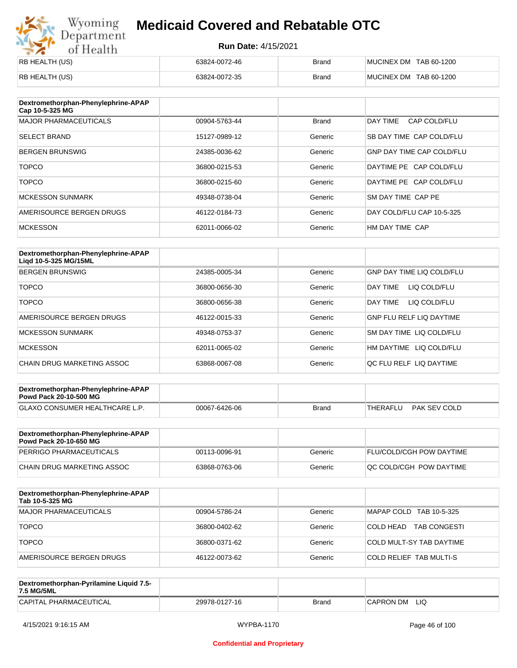# Wyoming<br>Department<br>of Health

### **Medicaid Covered and Rebatable OTC**

| RB HEALTH (US) | 63824-0072-46 | <b>Brand</b> | MUCINEX DM TAB 60-1200 |
|----------------|---------------|--------------|------------------------|
| RB HEALTH (US) | 63824-0072-35 | <b>Brand</b> | MUCINEX DM TAB 60-1200 |

| Dextromethorphan-Phenylephrine-APAP<br>Cap 10-5-325 MG |               |              |                                  |
|--------------------------------------------------------|---------------|--------------|----------------------------------|
| <b>MAJOR PHARMACEUTICALS</b>                           | 00904-5763-44 | <b>Brand</b> | DAY TIME<br>CAP COLD/FLU         |
| <b>SELECT BRAND</b>                                    | 15127-0989-12 | Generic      | SB DAY TIME CAP COLD/FLU         |
| <b>BERGEN BRUNSWIG</b>                                 | 24385-0036-62 | Generic      | <b>GNP DAY TIME CAP COLD/FLU</b> |
| <b>TOPCO</b>                                           | 36800-0215-53 | Generic      | DAYTIME PE CAP COLD/FLU          |
| <b>TOPCO</b>                                           | 36800-0215-60 | Generic      | DAYTIME PE CAP COLD/FLU          |
| <b>MCKESSON SUNMARK</b>                                | 49348-0738-04 | Generic      | SM DAY TIME CAP PE               |
| AMERISOURCE BERGEN DRUGS                               | 46122-0184-73 | Generic      | DAY COLD/FLU CAP 10-5-325        |
| <b>MCKESSON</b>                                        | 62011-0066-02 | Generic      | HM DAY TIME CAP                  |

| Dextromethorphan-Phenylephrine-APAP<br>Ligd 10-5-325 MG/15ML |               |         |                                  |
|--------------------------------------------------------------|---------------|---------|----------------------------------|
| <b>BERGEN BRUNSWIG</b>                                       | 24385-0005-34 | Generic | <b>GNP DAY TIME LIQ COLD/FLU</b> |
| <b>TOPCO</b>                                                 | 36800-0656-30 | Generic | LIQ COLD/FLU<br>DAY TIME         |
| <b>TOPCO</b>                                                 | 36800-0656-38 | Generic | DAY TIME<br>LIQ COLD/FLU         |
| AMERISOURCE BERGEN DRUGS                                     | 46122-0015-33 | Generic | <b>GNP FLU RELF LIQ DAYTIME</b>  |
| MCKESSON SUNMARK                                             | 49348-0753-37 | Generic | SM DAY TIME LIQ COLD/FLU         |
| <b>MCKESSON</b>                                              | 62011-0065-02 | Generic | LIQ COLD/FLU<br>HM DAYTIME       |
| CHAIN DRUG MARKETING ASSOC                                   | 63868-0067-08 | Generic | QC FLU RELF LIQ DAYTIME          |

| Dextromethorphan-Phenylephrine-APAP<br><b>Powd Pack 20-10-500 MG</b> |               |       |                          |
|----------------------------------------------------------------------|---------------|-------|--------------------------|
| <b>GLAXO CONSUMER HEALTHCARE L.P.</b>                                | 00067-6426-06 | Brand | PAK SEV COLD<br>THERAFLU |
|                                                                      |               |       |                          |

| Dextromethorphan-Phenylephrine-APAP<br>Powd Pack 20-10-650 MG |               |         |                                 |
|---------------------------------------------------------------|---------------|---------|---------------------------------|
| PERRIGO PHARMACEUTICALS                                       | 00113-0096-91 | Generic | <b>FLU/COLD/CGH POW DAYTIME</b> |
| CHAIN DRUG MARKETING ASSOC                                    | 63868-0763-06 | Generic | <b>OC COLD/CGH POW DAYTIME</b>  |

| Dextromethorphan-Phenylephrine-APAP<br>Tab 10-5-325 MG |               |         |                                   |
|--------------------------------------------------------|---------------|---------|-----------------------------------|
| <b>MAJOR PHARMACEUTICALS</b>                           | 00904-5786-24 | Generic | MAPAP COLD TAB 10-5-325           |
| <b>TOPCO</b>                                           | 36800-0402-62 | Generic | 'COLD HEAD<br><b>TAB CONGESTI</b> |
| <b>TOPCO</b>                                           | 36800-0371-62 | Generic | COLD MULT-SY TAB DAYTIME          |
| AMERISOURCE BERGEN DRUGS                               | 46122-0073-62 | Generic | <b>COLD RELIEF TAB MULTI-S</b>    |

| Dextromethorphan-Pyrilamine Liquid 7.5-<br>7.5 MG/5ML |               |       |                  |
|-------------------------------------------------------|---------------|-------|------------------|
| CAPITAL PHARMACEUTICAL                                | 29978-0127-16 | Brand | LIQ<br>CAPRON DM |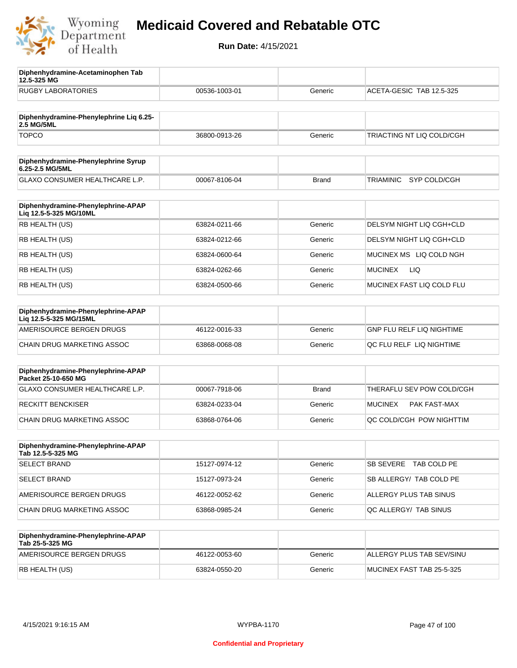

**12.5-325 MG**

**Diphenhydramine-Acetaminophen Tab** 

### **Medicaid Covered and Rebatable OTC**

| <b>RUGBY LABORATORIES</b>                                    | 00536-1003-01 | Generic      | ACETA-GESIC TAB 12.5-325              |
|--------------------------------------------------------------|---------------|--------------|---------------------------------------|
| Diphenhydramine-Phenylephrine Lig 6.25-<br><b>2.5 MG/5ML</b> |               |              |                                       |
| <b>TOPCO</b>                                                 | 36800-0913-26 | Generic      | TRIACTING NT LIQ COLD/CGH             |
| Diphenhydramine-Phenylephrine Syrup<br>6.25-2.5 MG/5ML       |               |              |                                       |
| GLAXO CONSUMER HEALTHCARE L.P.                               | 00067-8106-04 | <b>Brand</b> | TRIAMINIC<br>SYP COLD/CGH             |
| Diphenhydramine-Phenylephrine-APAP<br>Liq 12.5-5-325 MG/10ML |               |              |                                       |
| RB HEALTH (US)                                               | 63824-0211-66 | Generic      | DELSYM NIGHT LIQ CGH+CLD              |
| RB HEALTH (US)                                               | 63824-0212-66 | Generic      | DELSYM NIGHT LIQ CGH+CLD              |
| RB HEALTH (US)                                               | 63824-0600-64 | Generic      | MUCINEX MS LIQ COLD NGH               |
| RB HEALTH (US)                                               | 63824-0262-66 | Generic      | LIQ<br><b>MUCINEX</b>                 |
| RB HEALTH (US)                                               | 63824-0500-66 | Generic      | MUCINEX FAST LIQ COLD FLU             |
| Diphenhydramine-Phenylephrine-APAP<br>Liq 12.5-5-325 MG/15ML |               |              |                                       |
| AMERISOURCE BERGEN DRUGS                                     | 46122-0016-33 | Generic      | GNP FLU RELF LIQ NIGHTIME             |
| CHAIN DRUG MARKETING ASSOC                                   | 63868-0068-08 | Generic      | QC FLU RELF LIQ NIGHTIME              |
| Diphenhydramine-Phenylephrine-APAP<br>Packet 25-10-650 MG    |               |              |                                       |
| <b>GLAXO CONSUMER HEALTHCARE L.P.</b>                        | 00067-7918-06 | <b>Brand</b> | THERAFLU SEV POW COLD/CGH             |
| <b>RECKITT BENCKISER</b>                                     | 63824-0233-04 | Generic      | <b>MUCINEX</b><br><b>PAK FAST-MAX</b> |
| <b>CHAIN DRUG MARKETING ASSOC</b>                            | 63868-0764-06 | Generic      | QC COLD/CGH POW NIGHTTIM              |
| Diphenhydramine-Phenylephrine-APAP<br>Tab 12.5-5-325 MG      |               |              |                                       |
| <b>SELECT BRAND</b>                                          | 15127-0974-12 | Generic      | SB SEVERE<br>TAB COLD PE              |
| <b>SELECT BRAND</b>                                          | 15127-0973-24 | Generic      | SB ALLERGY/ TAB COLD PE               |
| AMERISOURCE BERGEN DRUGS                                     | 46122-0052-62 | Generic      | ALLERGY PLUS TAB SINUS                |
| CHAIN DRUG MARKETING ASSOC                                   | 63868-0985-24 | Generic      | QC ALLERGY/ TAB SINUS                 |
| Diphenhydramine-Phenylephrine-APAP<br>Tab 25-5-325 MG        |               |              |                                       |
| AMERISOURCE BERGEN DRUGS                                     | 46122-0053-60 | Generic      | ALLERGY PLUS TAB SEV/SINU             |
| RB HEALTH (US)                                               | 63824-0550-20 | Generic      | MUCINEX FAST TAB 25-5-325             |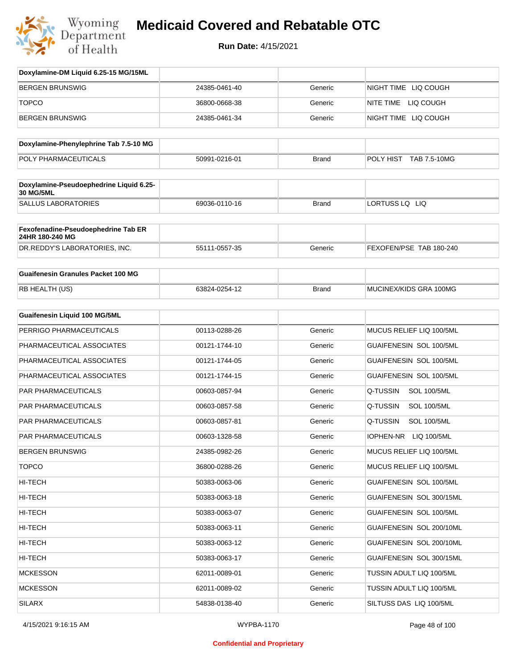

| Doxylamine-DM Liquid 6.25-15 MG/15ML                   |               |              |                                |
|--------------------------------------------------------|---------------|--------------|--------------------------------|
| <b>BERGEN BRUNSWIG</b>                                 | 24385-0461-40 | Generic      | NIGHT TIME LIQ COUGH           |
| <b>TOPCO</b>                                           | 36800-0668-38 | Generic      | NITE TIME LIQ COUGH            |
| <b>BERGEN BRUNSWIG</b>                                 | 24385-0461-34 | Generic      | NIGHT TIME LIQ COUGH           |
| Doxylamine-Phenylephrine Tab 7.5-10 MG                 |               |              |                                |
| POLY PHARMACEUTICALS                                   | 50991-0216-01 |              | POLY HIST TAB 7.5-10MG         |
|                                                        |               | <b>Brand</b> |                                |
| Doxylamine-Pseudoephedrine Liquid 6.25-<br>30 MG/5ML   |               |              |                                |
| <b>SALLUS LABORATORIES</b>                             | 69036-0110-16 | <b>Brand</b> | LORTUSS LQ LIQ                 |
| Fexofenadine-Pseudoephedrine Tab ER<br>24HR 180-240 MG |               |              |                                |
| DR.REDDY'S LABORATORIES, INC.                          | 55111-0557-35 | Generic      | FEXOFEN/PSE TAB 180-240        |
| <b>Guaifenesin Granules Packet 100 MG</b>              |               |              |                                |
| RB HEALTH (US)                                         | 63824-0254-12 | <b>Brand</b> | MUCINEX/KIDS GRA 100MG         |
|                                                        |               |              |                                |
| Guaifenesin Liquid 100 MG/5ML                          |               |              |                                |
| PERRIGO PHARMACEUTICALS                                | 00113-0288-26 | Generic      | MUCUS RELIEF LIQ 100/5ML       |
| PHARMACEUTICAL ASSOCIATES                              | 00121-1744-10 | Generic      | GUAIFENESIN SOL 100/5ML        |
| PHARMACEUTICAL ASSOCIATES                              | 00121-1744-05 | Generic      | GUAIFENESIN SOL 100/5ML        |
| PHARMACEUTICAL ASSOCIATES                              | 00121-1744-15 | Generic      | GUAIFENESIN SOL 100/5ML        |
| PAR PHARMACEUTICALS                                    | 00603-0857-94 | Generic      | Q-TUSSIN<br><b>SOL 100/5ML</b> |
| PAR PHARMACEUTICALS                                    | 00603-0857-58 | Generic      | Q-TUSSIN<br><b>SOL 100/5ML</b> |
| <b>PAR PHARMACEUTICALS</b>                             | 00603-0857-81 | Generic      | Q-TUSSIN<br><b>SOL 100/5ML</b> |
| PAR PHARMACEUTICALS                                    | 00603-1328-58 | Generic      | IOPHEN-NR<br>LIQ 100/5ML       |
| <b>BERGEN BRUNSWIG</b>                                 | 24385-0982-26 | Generic      | MUCUS RELIEF LIQ 100/5ML       |
| <b>TOPCO</b>                                           | 36800-0288-26 | Generic      | MUCUS RELIEF LIQ 100/5ML       |
| HI-TECH                                                | 50383-0063-06 | Generic      | GUAIFENESIN SOL 100/5ML        |
| HI-TECH                                                | 50383-0063-18 | Generic      | GUAIFENESIN SOL 300/15ML       |
| HI-TECH                                                | 50383-0063-07 | Generic      | GUAIFENESIN SOL 100/5ML        |
| HI-TECH                                                | 50383-0063-11 | Generic      | GUAIFENESIN SOL 200/10ML       |
| HI-TECH                                                | 50383-0063-12 | Generic      | GUAIFENESIN SOL 200/10ML       |
| HI-TECH                                                | 50383-0063-17 | Generic      | GUAIFENESIN SOL 300/15ML       |
| <b>MCKESSON</b>                                        | 62011-0089-01 | Generic      | TUSSIN ADULT LIQ 100/5ML       |
| <b>MCKESSON</b>                                        | 62011-0089-02 | Generic      | TUSSIN ADULT LIQ 100/5ML       |
| SILARX                                                 | 54838-0138-40 | Generic      | SILTUSS DAS LIQ 100/5ML        |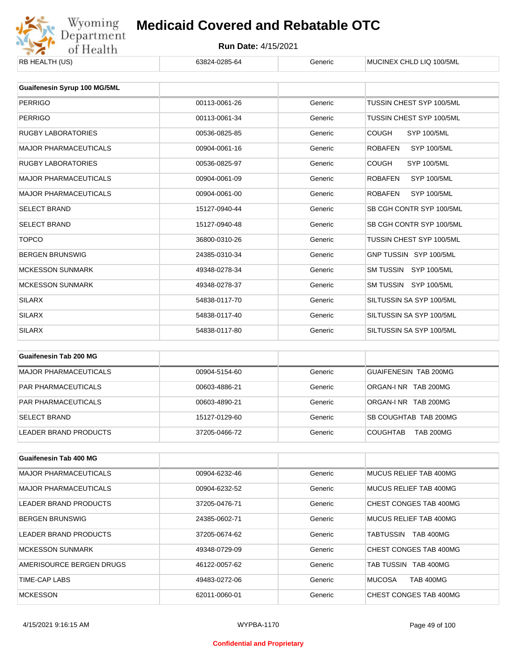

| RB HEALTH (US)                      | 63824-0285-64 | Generic | MUCINEX CHLD LIQ 100/5ML             |
|-------------------------------------|---------------|---------|--------------------------------------|
|                                     |               |         |                                      |
| <b>Guaifenesin Syrup 100 MG/5ML</b> |               |         |                                      |
| <b>PERRIGO</b>                      | 00113-0061-26 | Generic | TUSSIN CHEST SYP 100/5ML             |
| <b>PERRIGO</b>                      | 00113-0061-34 | Generic | TUSSIN CHEST SYP 100/5ML             |
| <b>RUGBY LABORATORIES</b>           | 00536-0825-85 | Generic | <b>COUGH</b><br><b>SYP 100/5ML</b>   |
| <b>MAJOR PHARMACEUTICALS</b>        | 00904-0061-16 | Generic | <b>ROBAFEN</b><br><b>SYP 100/5ML</b> |
| <b>RUGBY LABORATORIES</b>           | 00536-0825-97 | Generic | <b>COUGH</b><br><b>SYP 100/5ML</b>   |
| <b>MAJOR PHARMACEUTICALS</b>        | 00904-0061-09 | Generic | <b>ROBAFEN</b><br><b>SYP 100/5ML</b> |
| <b>MAJOR PHARMACEUTICALS</b>        | 00904-0061-00 | Generic | <b>SYP 100/5ML</b><br><b>ROBAFEN</b> |
| <b>SELECT BRAND</b>                 | 15127-0940-44 | Generic | SB CGH CONTR SYP 100/5ML             |
| <b>SELECT BRAND</b>                 | 15127-0940-48 | Generic | SB CGH CONTR SYP 100/5ML             |
| <b>TOPCO</b>                        | 36800-0310-26 | Generic | TUSSIN CHEST SYP 100/5ML             |
| <b>BERGEN BRUNSWIG</b>              | 24385-0310-34 | Generic | GNP TUSSIN SYP 100/5ML               |
| <b>MCKESSON SUNMARK</b>             | 49348-0278-34 | Generic | SM TUSSIN SYP 100/5ML                |
| <b>MCKESSON SUNMARK</b>             | 49348-0278-37 | Generic | SM TUSSIN SYP 100/5ML                |
| <b>SILARX</b>                       | 54838-0117-70 | Generic | SILTUSSIN SA SYP 100/5ML             |
| <b>SILARX</b>                       | 54838-0117-40 | Generic | SILTUSSIN SA SYP 100/5ML             |
| <b>SILARX</b>                       | 54838-0117-80 | Generic | SILTUSSIN SA SYP 100/5ML             |

| Guaifenesin Tab 200 MG     |               |         |                                     |
|----------------------------|---------------|---------|-------------------------------------|
| MAJOR PHARMACEUTICALS      | 00904-5154-60 | Generic | GUAIFENESIN TAB 200MG               |
| <b>PAR PHARMACEUTICALS</b> | 00603-4886-21 | Generic | ORGAN-INR TAB 200MG                 |
| <b>PAR PHARMACEUTICALS</b> | 00603-4890-21 | Generic | ORGAN-LNR TAB 200MG                 |
| <b>SELECT BRAND</b>        | 15127-0129-60 | Generic | SB COUGHTAB TAB 200MG               |
| LEADER BRAND PRODUCTS      | 37205-0466-72 | Generic | <b>TAB 200MG</b><br><b>COUGHTAB</b> |

| Guaifenesin Tab 400 MG       |               |         |                                   |
|------------------------------|---------------|---------|-----------------------------------|
| <b>MAJOR PHARMACEUTICALS</b> | 00904-6232-46 | Generic | MUCUS RELIEF TAB 400MG            |
| <b>MAJOR PHARMACEUTICALS</b> | 00904-6232-52 | Generic | MUCUS RELIEF TAB 400MG            |
| LEADER BRAND PRODUCTS        | 37205-0476-71 | Generic | CHEST CONGES TAB 400MG            |
| <b>BERGEN BRUNSWIG</b>       | 24385-0602-71 | Generic | MUCUS RELIEF TAB 400MG            |
| LEADER BRAND PRODUCTS        | 37205-0674-62 | Generic | TABTUSSIN<br><b>TAB 400MG</b>     |
| <b>MCKESSON SUNMARK</b>      | 49348-0729-09 | Generic | CHEST CONGES TAB 400MG            |
| AMERISOURCE BERGEN DRUGS     | 46122-0057-62 | Generic | TAB TUSSIN<br>TAB 400MG           |
| TIME-CAP LABS                | 49483-0272-06 | Generic | <b>MUCOSA</b><br><b>TAB 400MG</b> |
| <b>MCKESSON</b>              | 62011-0060-01 | Generic | CHEST CONGES TAB 400MG            |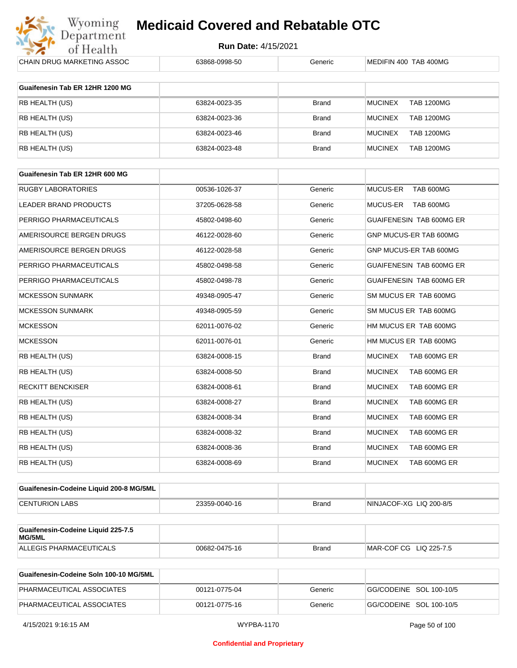

| CHAIN DRUG MARKETING ASSOC                   | 63868-0998-50 | Generic      | MEDIFIN 400 TAB 400MG               |
|----------------------------------------------|---------------|--------------|-------------------------------------|
| Guaifenesin Tab ER 12HR 1200 MG              |               |              |                                     |
| RB HEALTH (US)                               | 63824-0023-35 | <b>Brand</b> | <b>MUCINEX</b><br><b>TAB 1200MG</b> |
| RB HEALTH (US)                               | 63824-0023-36 | <b>Brand</b> | <b>MUCINEX</b><br><b>TAB 1200MG</b> |
| RB HEALTH (US)                               | 63824-0023-46 | <b>Brand</b> | <b>MUCINEX</b><br><b>TAB 1200MG</b> |
| RB HEALTH (US)                               | 63824-0023-48 | <b>Brand</b> | <b>TAB 1200MG</b><br><b>MUCINEX</b> |
|                                              |               |              |                                     |
| Guaifenesin Tab ER 12HR 600 MG               |               |              |                                     |
| <b>RUGBY LABORATORIES</b>                    | 00536-1026-37 | Generic      | MUCUS-ER<br>TAB 600MG               |
| LEADER BRAND PRODUCTS                        | 37205-0628-58 | Generic      | TAB 600MG<br><b>MUCUS-ER</b>        |
| PERRIGO PHARMACEUTICALS                      | 45802-0498-60 | Generic      | GUAIFENESIN TAB 600MG ER            |
| AMERISOURCE BERGEN DRUGS                     | 46122-0028-60 | Generic      | GNP MUCUS-ER TAB 600MG              |
| AMERISOURCE BERGEN DRUGS                     | 46122-0028-58 | Generic      | GNP MUCUS-ER TAB 600MG              |
| PERRIGO PHARMACEUTICALS                      | 45802-0498-58 | Generic      | GUAIFENESIN TAB 600MG ER            |
| PERRIGO PHARMACEUTICALS                      | 45802-0498-78 | Generic      | GUAIFENESIN TAB 600MG ER            |
| <b>MCKESSON SUNMARK</b>                      | 49348-0905-47 | Generic      | SM MUCUS ER TAB 600MG               |
| <b>MCKESSON SUNMARK</b>                      | 49348-0905-59 | Generic      | SM MUCUS ER TAB 600MG               |
| <b>MCKESSON</b>                              | 62011-0076-02 | Generic      | HM MUCUS ER TAB 600MG               |
| <b>MCKESSON</b>                              | 62011-0076-01 | Generic      | HM MUCUS ER TAB 600MG               |
| RB HEALTH (US)                               | 63824-0008-15 | <b>Brand</b> | <b>MUCINEX</b><br>TAB 600MG ER      |
| RB HEALTH (US)                               | 63824-0008-50 | <b>Brand</b> | <b>MUCINEX</b><br>TAB 600MG ER      |
| <b>RECKITT BENCKISER</b>                     | 63824-0008-61 | <b>Brand</b> | <b>MUCINEX</b><br>TAB 600MG ER      |
| RB HEALTH (US)                               | 63824-0008-27 | <b>Brand</b> | <b>MUCINEX</b><br>TAB 600MG ER      |
| RB HEALTH (US)                               | 63824-0008-34 | <b>Brand</b> | <b>MUCINEX</b><br>TAB 600MG ER      |
| RB HEALTH (US)                               | 63824-0008-32 | <b>Brand</b> | <b>MUCINEX</b><br>TAB 600MG ER      |
| RB HEALTH (US)                               | 63824-0008-36 | <b>Brand</b> | <b>MUCINEX</b><br>TAB 600MG ER      |
| RB HEALTH (US)                               | 63824-0008-69 | <b>Brand</b> | TAB 600MG ER<br><b>MUCINEX</b>      |
| Guaifenesin-Codeine Liquid 200-8 MG/5ML      |               |              |                                     |
| <b>CENTURION LABS</b>                        | 23359-0040-16 | <b>Brand</b> | NINJACOF-XG LIQ 200-8/5             |
|                                              |               |              |                                     |
| Guaifenesin-Codeine Liquid 225-7.5<br>MG/5ML |               |              |                                     |
| ALLEGIS PHARMACEUTICALS                      | 00682-0475-16 | <b>Brand</b> | MAR-COF CG LIQ 225-7.5              |
|                                              |               |              |                                     |

| Guaifenesin-Codeine Soln 100-10 MG/5ML |               |         |                         |
|----------------------------------------|---------------|---------|-------------------------|
| PHARMACEUTICAL ASSOCIATES              | 00121-0775-04 | Generic | GG/CODEINE SOL 100-10/5 |
| PHARMACEUTICAL ASSOCIATES              | 00121-0775-16 | Generic | GG/CODEINE SOL 100-10/5 |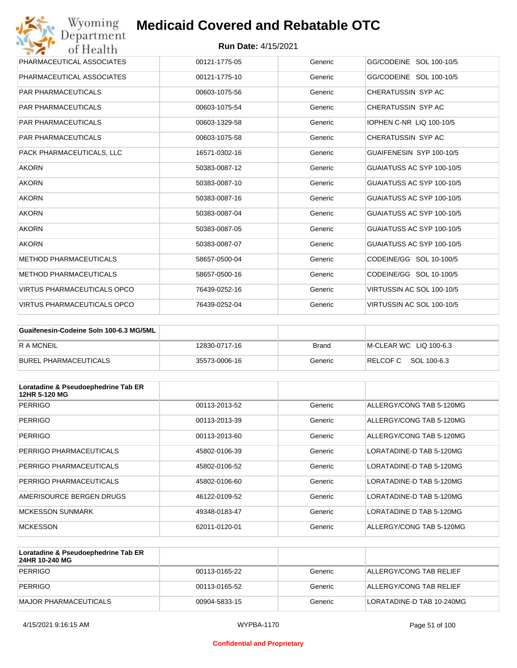| Wyoming<br>Department              | <b>Medicaid Covered and Rebatable OTC</b> |         |                           |
|------------------------------------|-------------------------------------------|---------|---------------------------|
| of Health                          | <b>Run Date: 4/15/2021</b>                |         |                           |
| PHARMACEUTICAL ASSOCIATES          | 00121-1775-05                             | Generic | GG/CODEINE SOL 100-10/5   |
| PHARMACEUTICAL ASSOCIATES          | 00121-1775-10                             | Generic | GG/CODEINE SOL 100-10/5   |
| <b>PAR PHARMACEUTICALS</b>         | 00603-1075-56                             | Generic | CHERATUSSIN SYP AC        |
| <b>PAR PHARMACEUTICALS</b>         | 00603-1075-54                             | Generic | CHERATUSSIN SYP AC        |
| <b>PAR PHARMACEUTICALS</b>         | 00603-1329-58                             | Generic | IOPHEN C-NR LIQ 100-10/5  |
| <b>PAR PHARMACEUTICALS</b>         | 00603-1075-58                             | Generic | CHERATUSSIN SYP AC        |
| PACK PHARMACEUTICALS. LLC          | 16571-0302-16                             | Generic | GUAIFENESIN SYP 100-10/5  |
| <b>AKORN</b>                       | 50383-0087-12                             | Generic | GUAIATUSS AC SYP 100-10/5 |
| <b>AKORN</b>                       | 50383-0087-10                             | Generic | GUAIATUSS AC SYP 100-10/5 |
| <b>AKORN</b>                       | 50383-0087-16                             | Generic | GUAIATUSS AC SYP 100-10/5 |
| <b>AKORN</b>                       | 50383-0087-04                             | Generic | GUAIATUSS AC SYP 100-10/5 |
| <b>AKORN</b>                       | 50383-0087-05                             | Generic | GUAIATUSS AC SYP 100-10/5 |
| <b>AKORN</b>                       | 50383-0087-07                             | Generic | GUAIATUSS AC SYP 100-10/5 |
| <b>METHOD PHARMACEUTICALS</b>      | 58657-0500-04                             | Generic | CODEINE/GG SOL 10-100/5   |
| <b>METHOD PHARMACEUTICALS</b>      | 58657-0500-16                             | Generic | CODEINE/GG SOL 10-100/5   |
| <b>VIRTUS PHARMACEUTICALS OPCO</b> | 76439-0252-16                             | Generic | VIRTUSSIN AC SOL 100-10/5 |
| VIRTUS PHARMACEUTICALS OPCO        | 76439-0252-04                             | Generic | VIRTUSSIN AC SOL 100-10/5 |

| Guaifenesin-Codeine Soln 100-6.3 MG/5ML |               |         |                        |
|-----------------------------------------|---------------|---------|------------------------|
| R A MCNEIL                              | 12830-0717-16 | Brand   | M-CLEAR WC LIQ 100-6.3 |
| BUREL PHARMACEUTICALS                   | 35573-0006-16 | Generic | RELCOF C SOL 100-6.3   |

| Loratadine & Pseudoephedrine Tab ER<br>12HR 5-120 MG |               |         |                          |
|------------------------------------------------------|---------------|---------|--------------------------|
| <b>PERRIGO</b>                                       | 00113-2013-52 | Generic | ALLERGY/CONG TAB 5-120MG |
| <b>PERRIGO</b>                                       | 00113-2013-39 | Generic | ALLERGY/CONG TAB 5-120MG |
| <b>PERRIGO</b>                                       | 00113-2013-60 | Generic | ALLERGY/CONG TAB 5-120MG |
| PERRIGO PHARMACEUTICALS                              | 45802-0106-39 | Generic | LORATADINE-D TAB 5-120MG |
| PERRIGO PHARMACEUTICALS                              | 45802-0106-52 | Generic | LORATADINE-D TAB 5-120MG |
| PERRIGO PHARMACEUTICALS                              | 45802-0106-60 | Generic | LORATADINE-D TAB 5-120MG |
| AMERISOURCE BERGEN DRUGS                             | 46122-0109-52 | Generic | LORATADINE-D TAB 5-120MG |
| <b>MCKESSON SUNMARK</b>                              | 49348-0183-47 | Generic | LORATADINE D TAB 5-120MG |
| <b>MCKESSON</b>                                      | 62011-0120-01 | Generic | ALLERGY/CONG TAB 5-120MG |

| Loratadine & Pseudoephedrine Tab ER<br>24HR 10-240 MG |               |         |                           |
|-------------------------------------------------------|---------------|---------|---------------------------|
| PERRIGO                                               | 00113-0165-22 | Generic | ALLERGY/CONG TAB RELIEF   |
| PERRIGO                                               | 00113-0165-52 | Generic | ALLERGY/CONG TAB RELIEF   |
| MAJOR PHARMACEUTICALS                                 | 00904-5833-15 | Generic | LORATADINE-D TAB 10-240MG |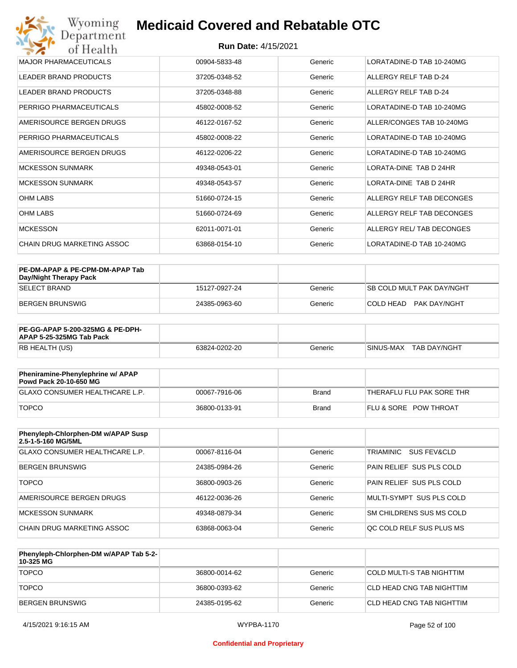| Wyoming<br>Department                   | <b>Medicaid Covered and Rebatable OTC</b> |         |                           |  |
|-----------------------------------------|-------------------------------------------|---------|---------------------------|--|
| <b>Run Date: 4/15/2021</b><br>of Health |                                           |         |                           |  |
| <b>MAJOR PHARMACEUTICALS</b>            | 00904-5833-48                             | Generic | LORATADINE-D TAB 10-240MG |  |
| <b>LEADER BRAND PRODUCTS</b>            | 37205-0348-52                             | Generic | ALLERGY RELF TAB D-24     |  |
| <b>LEADER BRAND PRODUCTS</b>            | 37205-0348-88                             | Generic | ALLERGY RELF TAB D-24     |  |
| PERRIGO PHARMACEUTICALS                 | 45802-0008-52                             | Generic | LORATADINE-D TAB 10-240MG |  |
| AMERISOURCE BERGEN DRUGS                | 46122-0167-52                             | Generic | ALLER/CONGES TAB 10-240MG |  |
| PERRIGO PHARMACEUTICALS                 | 45802-0008-22                             | Generic | LORATADINE-D TAB 10-240MG |  |
| AMERISOURCE BERGEN DRUGS                | 46122-0206-22                             | Generic | LORATADINE-D TAB 10-240MG |  |
| <b>MCKESSON SUNMARK</b>                 | 49348-0543-01                             | Generic | LORATA-DINE TAB D 24HR    |  |
| <b>MCKESSON SUNMARK</b>                 | 49348-0543-57                             | Generic | LORATA-DINE TAB D 24HR    |  |
| <b>OHM LABS</b>                         | 51660-0724-15                             | Generic | ALLERGY RELF TAB DECONGES |  |
| <b>OHM LABS</b>                         | 51660-0724-69                             | Generic | ALLERGY RELF TAB DECONGES |  |
| <b>MCKESSON</b>                         | 62011-0071-01                             | Generic | ALLERGY REL/ TAB DECONGES |  |
| <b>CHAIN DRUG MARKETING ASSOC</b>       | 63868-0154-10                             | Generic | LORATADINE-D TAB 10-240MG |  |

| PE-DM-APAP & PE-CPM-DM-APAP Tab<br>Day/Night Therapy Pack |               |         |                                  |
|-----------------------------------------------------------|---------------|---------|----------------------------------|
| <b>SELECT BRAND</b>                                       | 15127-0927-24 | Generic | <b>SB COLD MULT PAK DAY/NGHT</b> |
| BERGEN BRUNSWIG                                           | 24385-0963-60 | Generic | PAK DAY/NGHT<br>ICOI D HEAD.     |

| <b>PE-GG-APAP 5-200-325MG &amp; PE-DPH-</b><br>APAP 5-25-325MG Tab Pack |               |         |                           |
|-------------------------------------------------------------------------|---------------|---------|---------------------------|
| RB HEALTH (US)                                                          | 63824-0202-20 | Generic | SINUS-MAX<br>TAB DAY/NGHT |

| Pheniramine-Phenylephrine w/ APAP<br>Powd Pack 20-10-650 MG |               |       |                                  |
|-------------------------------------------------------------|---------------|-------|----------------------------------|
| GLAXO CONSUMER HEALTHCARE L.P.                              | 00067-7916-06 | Brand | 'THERAFLU FLU PAK SORE THR       |
| <b>TOPCO</b>                                                | 36800-0133-91 | Brand | <b>FLU &amp; SORE POW THROAT</b> |

| Phenyleph-Chlorphen-DM w/APAP Susp<br>2.5-1-5-160 MG/5ML |               |         |                          |
|----------------------------------------------------------|---------------|---------|--------------------------|
| GLAXO CONSUMER HEALTHCARE L.P.                           | 00067-8116-04 | Generic | TRIAMINIC<br>SUS FEV&CLD |
| BERGEN BRUNSWIG                                          | 24385-0984-26 | Generic | PAIN RELIEF SUS PLS COLD |
| <b>TOPCO</b>                                             | 36800-0903-26 | Generic | PAIN RELIEF SUS PLS COLD |
| AMERISOURCE BERGEN DRUGS                                 | 46122-0036-26 | Generic | MULTI-SYMPT SUS PLS COLD |
| MCKESSON SUNMARK                                         | 49348-0879-34 | Generic | SM CHILDRENS SUS MS COLD |
| CHAIN DRUG MARKETING ASSOC                               | 63868-0063-04 | Generic | OC COLD RELF SUS PLUS MS |

| Phenyleph-Chlorphen-DM w/APAP Tab 5-2-<br>10-325 MG |               |         |                           |
|-----------------------------------------------------|---------------|---------|---------------------------|
| <b>TOPCO</b>                                        | 36800-0014-62 | Generic | COLD MULTI-S TAB NIGHTTIM |
| <b>TOPCO</b>                                        | 36800-0393-62 | Generic | CLD HEAD CNG TAB NIGHTTIM |
| <b>BERGEN BRUNSWIG</b>                              | 24385-0195-62 | Generic | CLD HEAD CNG TAB NIGHTTIM |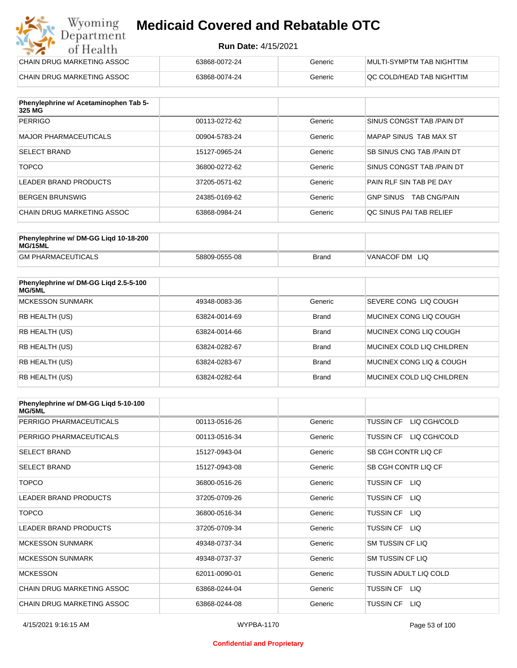#### **Run Date:** 4/15/2021

| Wyoming<br><b>Medicaid Covered and Rebatable OTC</b><br>Department |                            |         |                           |  |
|--------------------------------------------------------------------|----------------------------|---------|---------------------------|--|
| of Health                                                          | <b>Run Date: 4/15/2021</b> |         |                           |  |
| CHAIN DRUG MARKETING ASSOC                                         | 63868-0072-24              | Generic | MULTI-SYMPTM TAB NIGHTTIM |  |
| CHAIN DRUG MARKETING ASSOC                                         | 63868-0074-24              | Generic | QC COLD/HEAD TAB NIGHTTIM |  |

| Phenylephrine w/ Acetaminophen Tab 5-<br>325 MG |               |         |                                         |
|-------------------------------------------------|---------------|---------|-----------------------------------------|
| <b>PERRIGO</b>                                  | 00113-0272-62 | Generic | SINUS CONGST TAB /PAIN DT               |
| MAJOR PHARMACEUTICALS                           | 00904-5783-24 | Generic | MAPAP SINUS TAB MAX ST                  |
| <b>SELECT BRAND</b>                             | 15127-0965-24 | Generic | SB SINUS CNG TAB / PAIN DT              |
| <b>TOPCO</b>                                    | 36800-0272-62 | Generic | SINUS CONGST TAB /PAIN DT               |
| LEADER BRAND PRODUCTS                           | 37205-0571-62 | Generic | PAIN RLF SIN TAB PE DAY                 |
| BERGEN BRUNSWIG                                 | 24385-0169-62 | Generic | <b>TAB CNG/PAIN</b><br><b>GNP SINUS</b> |
| CHAIN DRUG MARKETING ASSOC                      | 63868-0984-24 | Generic | QC SINUS PAI TAB RELIEF                 |

| Phenylephrine w/ DM-GG Ligd 10-18-200<br>MG/15ML |               |              |                      |
|--------------------------------------------------|---------------|--------------|----------------------|
| <b>GM PHARMACEUTICALS</b>                        | 58809-0555-08 | <b>Brand</b> | 'VANACOF DM<br>- LIQ |

| Phenylephrine w/ DM-GG Ligd 2.5-5-100<br>MG/5ML |               |              |                           |
|-------------------------------------------------|---------------|--------------|---------------------------|
| <b>MCKESSON SUNMARK</b>                         | 49348-0083-36 | Generic      | SEVERE CONG LIO COUGH     |
| <b>RB HEALTH (US)</b>                           | 63824-0014-69 | <b>Brand</b> | MUCINEX CONG LIO COUGH    |
| <b>RB HEALTH (US)</b>                           | 63824-0014-66 | <b>Brand</b> | MUCINEX CONG LIO COUGH    |
| <b>RB HEALTH (US)</b>                           | 63824-0282-67 | <b>Brand</b> | MUCINEX COLD LIQ CHILDREN |
| <b>RB HEALTH (US)</b>                           | 63824-0283-67 | <b>Brand</b> | MUCINEX CONG LIO & COUGH  |
| <b>RB HEALTH (US)</b>                           | 63824-0282-64 | <b>Brand</b> | MUCINEX COLD LIQ CHILDREN |

| Phenylephrine w/ DM-GG Ligd 5-10-100<br><b>MG/5ML</b> |               |         |                                  |
|-------------------------------------------------------|---------------|---------|----------------------------------|
| PERRIGO PHARMACEUTICALS                               | 00113-0516-26 | Generic | LIQ CGH/COLD<br><b>TUSSIN CF</b> |
| PERRIGO PHARMACEUTICALS                               | 00113-0516-34 | Generic | LIQ CGH/COLD<br><b>TUSSIN CF</b> |
| <b>SELECT BRAND</b>                                   | 15127-0943-04 | Generic | SB CGH CONTR LIQ CF              |
| <b>SELECT BRAND</b>                                   | 15127-0943-08 | Generic | SB CGH CONTR LIQ CF              |
| <b>TOPCO</b>                                          | 36800-0516-26 | Generic | TUSSIN CF<br>LIQ.                |
| <b>LEADER BRAND PRODUCTS</b>                          | 37205-0709-26 | Generic | <b>TUSSIN CF</b><br>LIQ.         |
| <b>TOPCO</b>                                          | 36800-0516-34 | Generic | TUSSIN CF<br>LIQ.                |
| <b>LEADER BRAND PRODUCTS</b>                          | 37205-0709-34 | Generic | <b>TUSSIN CF</b><br>LIQ.         |
| <b>MCKESSON SUNMARK</b>                               | 49348-0737-34 | Generic | <b>SM TUSSIN CF LIQ</b>          |
| <b>MCKESSON SUNMARK</b>                               | 49348-0737-37 | Generic | SM TUSSIN CF LIQ                 |
| <b>MCKESSON</b>                                       | 62011-0090-01 | Generic | TUSSIN ADULT LIQ COLD            |
| CHAIN DRUG MARKETING ASSOC                            | 63868-0244-04 | Generic | LIQ.<br>TUSSIN CF                |
| CHAIN DRUG MARKETING ASSOC                            | 63868-0244-08 | Generic | <b>TUSSIN CF</b><br>LIQ.         |

#### **Confidential and Proprietary**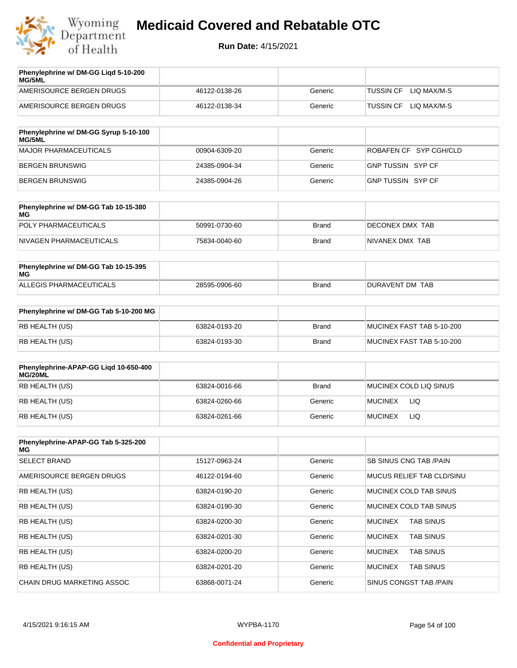

| Phenylephrine w/ DM-GG Liqd 5-10-200<br><b>MG/5ML</b> |               |         |                                 |
|-------------------------------------------------------|---------------|---------|---------------------------------|
| AMERISOURCE BERGEN DRUGS                              | 46122-0138-26 | Generic | LIO MAX/M-S<br><b>TUSSIN CF</b> |
| AMERISOURCE BERGEN DRUGS                              | 46122-0138-34 | Generic | LIO MAX/M-S<br><b>TUSSIN CF</b> |
|                                                       |               |         |                                 |

| Phenylephrine w/ DM-GG Syrup 5-10-100<br>MG/5ML |               |         |                          |
|-------------------------------------------------|---------------|---------|--------------------------|
| MAJOR PHARMACEUTICALS                           | 00904-6309-20 | Generic | ROBAFEN CF SYP CGH/CLD   |
| BERGEN BRUNSWIG                                 | 24385-0904-34 | Generic | GNP TUSSIN SYP CF        |
| BERGEN BRUNSWIG                                 | 24385-0904-26 | Generic | <b>GNP TUSSIN SYP CF</b> |

| Phenylephrine w/ DM-GG Tab 10-15-380<br>MG |               |       |                 |
|--------------------------------------------|---------------|-------|-----------------|
| POLY PHARMACEUTICALS                       | 50991-0730-60 | Brand | DECONEX DMX TAB |
| NIVAGEN PHARMACEUTICALS                    | 75834-0040-60 | Brand | NIVANEX DMX TAB |

| Phenylephrine w/ DM-GG Tab 10-15-395<br>MG |               |       |                 |
|--------------------------------------------|---------------|-------|-----------------|
| ALLEGIS PHARMACEUTICALS                    | 28595-0906-60 | Brand | DURAVENT DM TAB |

| Phenylephrine w/ DM-GG Tab 5-10-200 MG |               |       |                           |
|----------------------------------------|---------------|-------|---------------------------|
| RB HEALTH (US)                         | 63824-0193-20 | Brand | MUCINEX FAST TAB 5-10-200 |
| RB HEALTH (US)                         | 63824-0193-30 | Brand | MUCINEX FAST TAB 5-10-200 |

| Phenylephrine-APAP-GG Ligd 10-650-400<br>MG/20ML |               |              |                              |
|--------------------------------------------------|---------------|--------------|------------------------------|
| RB HEALTH (US)                                   | 63824-0016-66 | <b>Brand</b> | MUCINEX COLD LIQ SINUS       |
| RB HEALTH (US)                                   | 63824-0260-66 | Generic      | <b>LIQ</b><br><b>MUCINEX</b> |
| RB HEALTH (US)                                   | 63824-0261-66 | Generic      | LIQ<br><b>MUCINEX</b>        |

| Phenylephrine-APAP-GG Tab 5-325-200<br>MG |               |         |                                    |
|-------------------------------------------|---------------|---------|------------------------------------|
| <b>SELECT BRAND</b>                       | 15127-0963-24 | Generic | SB SINUS CNG TAB /PAIN             |
| AMERISOURCE BERGEN DRUGS                  | 46122-0194-60 | Generic | MUCUS RELIEF TAB CLD/SINU          |
| <b>RB HEALTH (US)</b>                     | 63824-0190-20 | Generic | MUCINEX COLD TAB SINUS             |
| <b>RB HEALTH (US)</b>                     | 63824-0190-30 | Generic | MUCINEX COLD TAB SINUS             |
| <b>RB HEALTH (US)</b>                     | 63824-0200-30 | Generic | <b>TAB SINUS</b><br><b>MUCINEX</b> |
| <b>RB HEALTH (US)</b>                     | 63824-0201-30 | Generic | <b>MUCINEX</b><br><b>TAB SINUS</b> |
| <b>RB HEALTH (US)</b>                     | 63824-0200-20 | Generic | <b>TAB SINUS</b><br><b>MUCINEX</b> |
| <b>RB HEALTH (US)</b>                     | 63824-0201-20 | Generic | <b>MUCINEX</b><br><b>TAB SINUS</b> |
| <b>CHAIN DRUG MARKETING ASSOC</b>         | 63868-0071-24 | Generic | SINUS CONGST TAB /PAIN             |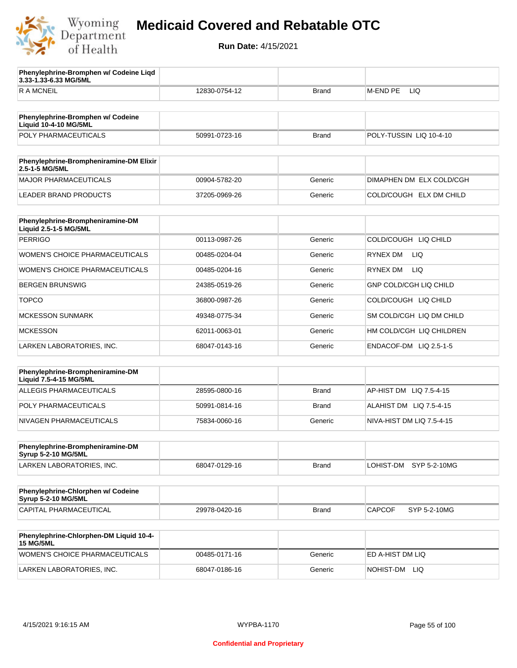

**3.33-1.33-6.33 MG/5ML**

**Phenylephrine-Bromphen w/ Codeine Liqd** 

### **Medicaid Covered and Rebatable OTC**

| <b>RAMCNEIL</b>                                                   | 12830-0754-12 | Brand        | M-END PE<br>LIQ               |
|-------------------------------------------------------------------|---------------|--------------|-------------------------------|
|                                                                   |               |              |                               |
| Phenylephrine-Bromphen w/ Codeine<br><b>Liquid 10-4-10 MG/5ML</b> |               |              |                               |
| POLY PHARMACEUTICALS                                              | 50991-0723-16 | <b>Brand</b> | POLY-TUSSIN LIQ 10-4-10       |
| Phenylephrine-Brompheniramine-DM Elixir<br>2.5-1-5 MG/5ML         |               |              |                               |
| <b>MAJOR PHARMACEUTICALS</b>                                      | 00904-5782-20 | Generic      | DIMAPHEN DM ELX COLD/CGH      |
| <b>LEADER BRAND PRODUCTS</b>                                      | 37205-0969-26 | Generic      | COLD/COUGH ELX DM CHILD       |
|                                                                   |               |              |                               |
| Phenylephrine-Brompheniramine-DM<br>Liquid 2.5-1-5 MG/5ML         |               |              |                               |
| <b>PERRIGO</b>                                                    | 00113-0987-26 | Generic      | COLD/COUGH LIQ CHILD          |
| WOMEN'S CHOICE PHARMACEUTICALS                                    | 00485-0204-04 | Generic      | <b>RYNEX DM</b><br>LIQ.       |
| <b>WOMEN'S CHOICE PHARMACEUTICALS</b>                             | 00485-0204-16 | Generic      | <b>LIQ</b><br>RYNEX DM        |
| <b>BERGEN BRUNSWIG</b>                                            | 24385-0519-26 | Generic      | <b>GNP COLD/CGH LIQ CHILD</b> |
| <b>TOPCO</b>                                                      | 36800-0987-26 | Generic      | COLD/COUGH LIQ CHILD          |
| <b>MCKESSON SUNMARK</b>                                           | 49348-0775-34 | Generic      | SM COLD/CGH LIQ DM CHILD      |
| <b>MCKESSON</b>                                                   | 62011-0063-01 | Generic      | HM COLD/CGH LIQ CHILDREN      |
| LARKEN LABORATORIES, INC.                                         | 68047-0143-16 | Generic      | ENDACOF-DM LIQ 2.5-1-5        |
|                                                                   |               |              |                               |
| Phenylephrine-Brompheniramine-DM<br>Liquid 7.5-4-15 MG/5ML        |               |              |                               |
| ALLEGIS PHARMACEUTICALS                                           | 28595-0800-16 | <b>Brand</b> | AP-HIST DM LIQ 7.5-4-15       |
| POLY PHARMACEUTICALS                                              | 50991-0814-16 | Brand        | ALAHIST DM LIQ 7.5-4-15       |
| NIVAGEN PHARMACEUTICALS                                           | 75834-0060-16 | Generic      | NIVA-HIST DM LIQ 7.5-4-15     |
|                                                                   |               |              |                               |
| Phenylephrine-Brompheniramine-DM<br>Syrup 5-2-10 MG/5ML           |               |              |                               |
| LARKEN LABORATORIES, INC.                                         | 68047-0129-16 | Brand        | LOHIST-DM<br>SYP 5-2-10MG     |
| Phenylephrine-Chlorphen w/ Codeine<br>Syrup 5-2-10 MG/5ML         |               |              |                               |
| CAPITAL PHARMACEUTICAL                                            | 29978-0420-16 | Brand        | <b>CAPCOF</b><br>SYP 5-2-10MG |
|                                                                   |               |              |                               |
| Phenylephrine-Chlorphen-DM Liquid 10-4-<br><b>15 MG/5ML</b>       |               |              |                               |
| WOMEN'S CHOICE PHARMACEUTICALS                                    | 00485-0171-16 | Generic      | ED A-HIST DM LIQ              |
| LARKEN LABORATORIES, INC.                                         | 68047-0186-16 | Generic      | NOHIST-DM LIQ                 |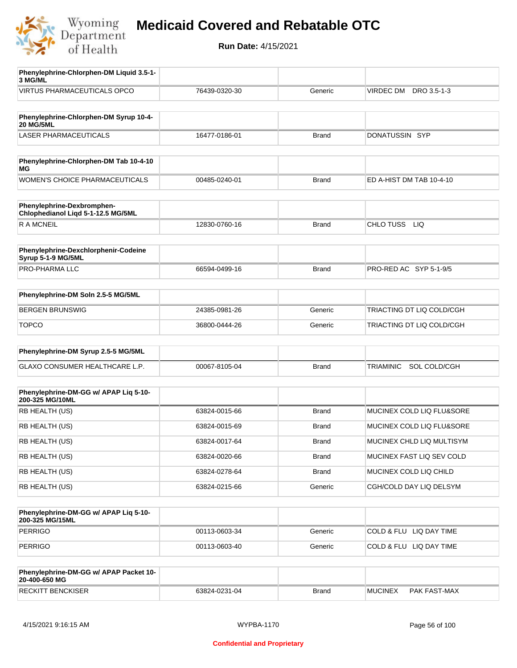

| Phenylephrine-Chlorphen-DM Liquid 3.5-1-<br>3 MG/ML              |               |              |                                  |
|------------------------------------------------------------------|---------------|--------------|----------------------------------|
| VIRTUS PHARMACEUTICALS OPCO                                      | 76439-0320-30 | Generic      | DRO 3.5-1-3<br>VIRDEC DM         |
| Phenylephrine-Chlorphen-DM Syrup 10-4-                           |               |              |                                  |
| <b>20 MG/5ML</b>                                                 |               |              |                                  |
| <b>LASER PHARMACEUTICALS</b>                                     | 16477-0186-01 | <b>Brand</b> | DONATUSSIN SYP                   |
| Phenylephrine-Chlorphen-DM Tab 10-4-10<br>ΜG                     |               |              |                                  |
| WOMEN'S CHOICE PHARMACEUTICALS                                   | 00485-0240-01 | <b>Brand</b> | ED A-HIST DM TAB 10-4-10         |
| Phenylephrine-Dexbromphen-<br>Chlophedianol Liqd 5-1-12.5 MG/5ML |               |              |                                  |
| <b>RAMCNEIL</b>                                                  | 12830-0760-16 | <b>Brand</b> | CHLO TUSS LIQ                    |
| Phenylephrine-Dexchlorphenir-Codeine<br>Syrup 5-1-9 MG/5ML       |               |              |                                  |
| PRO-PHARMA LLC                                                   | 66594-0499-16 | <b>Brand</b> | PRO-RED AC SYP 5-1-9/5           |
| Phenylephrine-DM Soln 2.5-5 MG/5ML                               |               |              |                                  |
| <b>BERGEN BRUNSWIG</b>                                           | 24385-0981-26 | Generic      | TRIACTING DT LIQ COLD/CGH        |
| <b>TOPCO</b>                                                     | 36800-0444-26 | Generic      | TRIACTING DT LIQ COLD/CGH        |
| Phenylephrine-DM Syrup 2.5-5 MG/5ML                              |               |              |                                  |
| GLAXO CONSUMER HEALTHCARE L.P.                                   | 00067-8105-04 | <b>Brand</b> | <b>TRIAMINIC</b><br>SOL COLD/CGH |
| Phenylephrine-DM-GG w/ APAP Liq 5-10-                            |               |              |                                  |
| 200-325 MG/10ML                                                  |               |              |                                  |
| RB HEALTH (US)                                                   | 63824-0015-66 | <b>Brand</b> | MUCINEX COLD LIQ FLU&SORE        |
| RB HEALTH (US)                                                   | 63824-0015-69 | Brand        | MUCINEX COLD LIQ FLU&SORE        |
| RB HEALTH (US)                                                   | 63824-0017-64 | <b>Brand</b> | MUCINEX CHLD LIQ MULTISYM        |
| RB HEALTH (US)                                                   | 63824-0020-66 | <b>Brand</b> | MUCINEX FAST LIQ SEV COLD        |
| RB HEALTH (US)                                                   | 63824-0278-64 | Brand        | MUCINEX COLD LIQ CHILD           |
| RB HEALTH (US)                                                   | 63824-0215-66 | Generic      | CGH/COLD DAY LIQ DELSYM          |
| Phenylephrine-DM-GG w/ APAP Liq 5-10-<br>200-325 MG/15ML         |               |              |                                  |
| <b>PERRIGO</b>                                                   | 00113-0603-34 | Generic      | COLD & FLU LIQ DAY TIME          |
| <b>PERRIGO</b>                                                   | 00113-0603-40 | Generic      | COLD & FLU LIQ DAY TIME          |
| Phenylephrine-DM-GG w/ APAP Packet 10-<br>20-400-650 MG          |               |              |                                  |
| <b>RECKITT BENCKISER</b>                                         | 63824-0231-04 | <b>Brand</b> | <b>MUCINEX</b><br>PAK FAST-MAX   |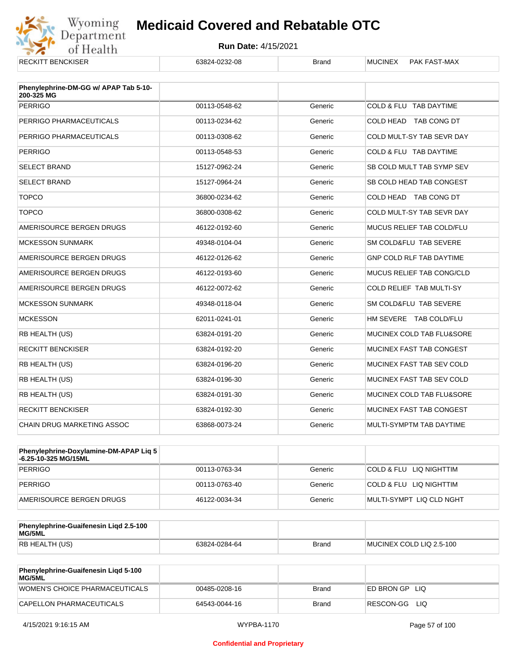

| <b>RECKITT BENCKISER</b>                            | 63824-0232-08 | <b>Brand</b> | <b>MUCINEX</b><br>PAK FAST-MAX  |
|-----------------------------------------------------|---------------|--------------|---------------------------------|
| Phenylephrine-DM-GG w/ APAP Tab 5-10-<br>200-325 MG |               |              |                                 |
| <b>PERRIGO</b>                                      | 00113-0548-62 | Generic      | COLD & FLU TAB DAYTIME          |
| PERRIGO PHARMACEUTICALS                             | 00113-0234-62 | Generic      | COLD HEAD TAB CONG DT           |
| PERRIGO PHARMACEUTICALS                             | 00113-0308-62 | Generic      | COLD MULT-SY TAB SEVR DAY       |
| <b>PERRIGO</b>                                      | 00113-0548-53 | Generic      | COLD & FLU TAB DAYTIME          |
| <b>SELECT BRAND</b>                                 | 15127-0962-24 | Generic      | SB COLD MULT TAB SYMP SEV       |
| <b>SELECT BRAND</b>                                 | 15127-0964-24 | Generic      | SB COLD HEAD TAB CONGEST        |
| <b>TOPCO</b>                                        | 36800-0234-62 | Generic      | COLD HEAD TAB CONG DT           |
| <b>TOPCO</b>                                        | 36800-0308-62 | Generic      | COLD MULT-SY TAB SEVR DAY       |
| AMERISOURCE BERGEN DRUGS                            | 46122-0192-60 | Generic      | MUCUS RELIEF TAB COLD/FLU       |
| <b>MCKESSON SUNMARK</b>                             | 49348-0104-04 | Generic      | SM COLD&FLU TAB SEVERE          |
| AMERISOURCE BERGEN DRUGS                            | 46122-0126-62 | Generic      | <b>GNP COLD RLF TAB DAYTIME</b> |
| AMERISOURCE BERGEN DRUGS                            | 46122-0193-60 | Generic      | MUCUS RELIEF TAB CONG/CLD       |
| AMERISOURCE BERGEN DRUGS                            | 46122-0072-62 | Generic      | COLD RELIEF TAB MULTI-SY        |
| <b>MCKESSON SUNMARK</b>                             | 49348-0118-04 | Generic      | SM COLD&FLU TAB SEVERE          |
| <b>MCKESSON</b>                                     | 62011-0241-01 | Generic      | HM SEVERE TAB COLD/FLU          |
| RB HEALTH (US)                                      | 63824-0191-20 | Generic      | MUCINEX COLD TAB FLU&SORE       |
| <b>RECKITT BENCKISER</b>                            | 63824-0192-20 | Generic      | MUCINEX FAST TAB CONGEST        |
| RB HEALTH (US)                                      | 63824-0196-20 | Generic      | MUCINEX FAST TAB SEV COLD       |
| RB HEALTH (US)                                      | 63824-0196-30 | Generic      | MUCINEX FAST TAB SEV COLD       |
| RB HEALTH (US)                                      | 63824-0191-30 | Generic      | MUCINEX COLD TAB FLU&SORE       |
| <b>RECKITT BENCKISER</b>                            | 63824-0192-30 | Generic      | MUCINEX FAST TAB CONGEST        |
| CHAIN DRUG MARKETING ASSOC                          | 63868-0073-24 | Generic      | MULTI-SYMPTM TAB DAYTIME        |

| <b>Phenylephrine-Doxylamine-DM-APAP Lig 5</b><br>-6.25-10-325 MG/15ML |               |         |                          |
|-----------------------------------------------------------------------|---------------|---------|--------------------------|
| PERRIGO                                                               | 00113-0763-34 | Generic | COLD & FLU LIQ NIGHTTIM  |
| PERRIGO                                                               | 00113-0763-40 | Generic | COLD & FLU LIQ NIGHTTIM  |
| AMERISOURCE BERGEN DRUGS                                              | 46122-0034-34 | Generic | MULTI-SYMPT LIQ CLD NGHT |

| Phenylephrine-Guaifenesin Ligd 2.5-100<br>MG/5ML |               |              |                          |
|--------------------------------------------------|---------------|--------------|--------------------------|
| RB HEALTH (US)                                   | 63824-0284-64 | <b>Brand</b> | MUCINEX COLD LIQ 2.5-100 |

| <b>Phenylephrine-Guaifenesin Ligd 5-100</b><br>MG/5ML |               |       |                    |
|-------------------------------------------------------|---------------|-------|--------------------|
| WOMEN'S CHOICE PHARMACEUTICALS                        | 00485-0208-16 | Brand | ED BRON GP<br>-LIQ |
| CAPELLON PHARMACEUTICALS                              | 64543-0044-16 | Brand | RESCON-GG LIO      |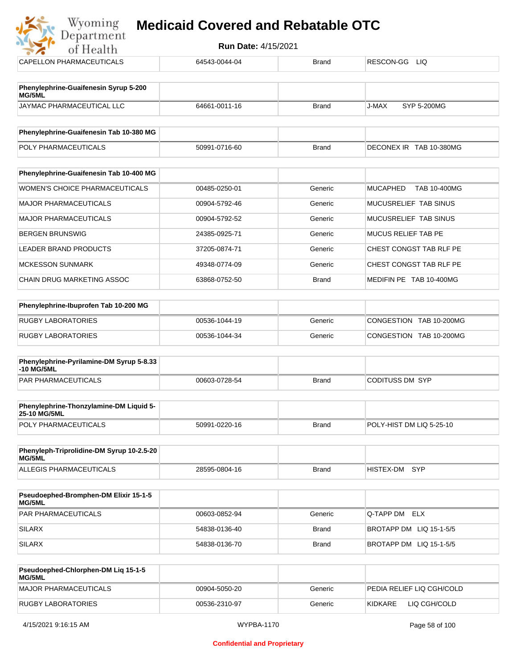| of Health                                       | <b>Run Date: 4/15/2021</b> |              |                                 |  |  |
|-------------------------------------------------|----------------------------|--------------|---------------------------------|--|--|
| CAPELLON PHARMACEUTICALS                        | 64543-0044-04              | <b>Brand</b> | RESCON-GG<br><b>LIQ</b>         |  |  |
|                                                 |                            |              |                                 |  |  |
| Phenylephrine-Guaifenesin Syrup 5-200<br>MG/5ML |                            |              |                                 |  |  |
| JAYMAC PHARMACEUTICAL LLC                       | 64661-0011-16              | <b>Brand</b> | J-MAX<br>SYP 5-200MG            |  |  |
| Phenylephrine-Guaifenesin Tab 10-380 MG         |                            |              |                                 |  |  |
| POLY PHARMACEUTICALS                            | 50991-0716-60              | <b>Brand</b> | DECONEX IR TAB 10-380MG         |  |  |
|                                                 |                            |              |                                 |  |  |
| Phenylephrine-Guaifenesin Tab 10-400 MG         |                            |              |                                 |  |  |
| <b>WOMEN'S CHOICE PHARMACEUTICALS</b>           | 00485-0250-01              | Generic      | <b>MUCAPHED</b><br>TAB 10-400MG |  |  |
| <b>MAJOR PHARMACEUTICALS</b>                    | 00904-5792-46              | Generic      | MUCUSRELIEF TAB SINUS           |  |  |
| <b>MAJOR PHARMACEUTICALS</b>                    | 00904-5792-52              | Generic      | MUCUSRELIEF TAB SINUS           |  |  |
| <b>BERGEN BRUNSWIG</b>                          | 24385-0925-71              | Generic      | <b>MUCUS RELIEF TAB PE</b>      |  |  |
| <b>LEADER BRAND PRODUCTS</b>                    | 37205-0874-71              | Generic      | CHEST CONGST TAB RLF PE         |  |  |
| <b>MCKESSON SUNMARK</b>                         | 49348-0774-09              | Generic      | CHEST CONGST TAB RLF PE         |  |  |
| CHAIN DRUG MARKETING ASSOC                      | 63868-0752-50              | <b>Brand</b> | MEDIFIN PE TAB 10-400MG         |  |  |
|                                                 |                            |              |                                 |  |  |
| Phenylephrine-Ibuprofen Tab 10-200 MG           |                            |              |                                 |  |  |
| <b>RUGBY LABORATORIES</b>                       | 00536-1044-19              | Generic      | CONGESTION TAB 10-200MG         |  |  |
| <b>RUGBY LABORATORIES</b>                       | 00536-1044-34              | Generic      | CONGESTION TAB 10-200MG         |  |  |

| <b>Phenylephrine-Pyrilamine-DM Syrup 5-8.33</b><br>$-10$ MG/5ML |               |       |                 |
|-----------------------------------------------------------------|---------------|-------|-----------------|
| <b>PAR PHARMACEUTICALS</b>                                      | 00603-0728-54 | Brand | CODITUSS DM_SYP |

| <b>Phenylephrine-Thonzylamine-DM Liquid 5-</b><br><b>25-10 MG/5ML</b> |               |              |                          |
|-----------------------------------------------------------------------|---------------|--------------|--------------------------|
| <b>POLY PHARMACEUTICALS</b>                                           | 50991-0220-16 | <b>Brand</b> | POLY-HIST DM LIQ 5-25-10 |

| Phenyleph-Triprolidine-DM Syrup 10-2.5-20<br>MG/5ML |               |       |               |  |
|-----------------------------------------------------|---------------|-------|---------------|--|
| ALLEGIS PHARMACEUTICALS                             | 28595-0804-16 | Brand | HISTEX-DM SYP |  |

| <b>Pseudoephed-Bromphen-DM Elixir 15-1-5</b><br>MG/5ML |               |         |                         |
|--------------------------------------------------------|---------------|---------|-------------------------|
| <b>PAR PHARMACEUTICALS</b>                             | 00603-0852-94 | Generic | <b>Q-TAPP DM ELX</b>    |
| SILARX                                                 | 54838-0136-40 | Brand   | BROTAPP DM LIQ 15-1-5/5 |
| SILARX                                                 | 54838-0136-70 | Brand   | BROTAPP DM LIQ 15-1-5/5 |

| <b>Pseudoephed-Chlorphen-DM Lig 15-1-5</b><br>MG/5ML |               |         |                           |
|------------------------------------------------------|---------------|---------|---------------------------|
| MAJOR PHARMACEUTICALS                                | 00904-5050-20 | Generic | PEDIA RELIEF LIO CGH/COLD |
| RUGBY LABORATORIES                                   | 00536-2310-97 | Generic | LIQ CGH/COLD<br>KIDKARE   |

من<br>من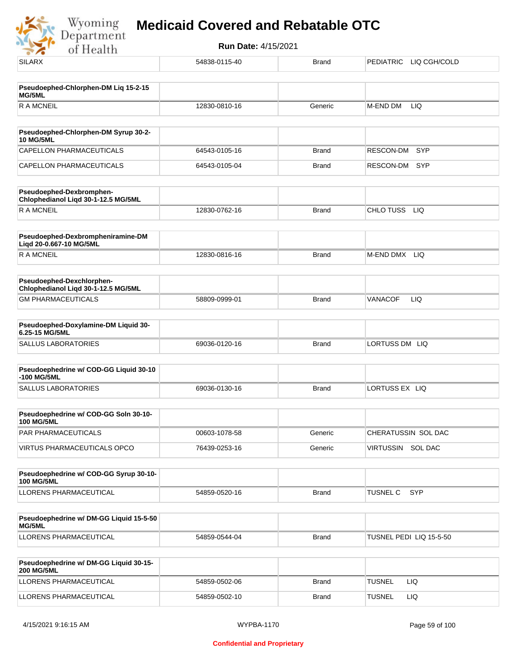Wyoming<br>Department<br>of Health

| <b>SILARX</b>                                                    | 54838-0115-40 | Brand        | PEDIATRIC<br>LIQ CGH/COLD    |
|------------------------------------------------------------------|---------------|--------------|------------------------------|
|                                                                  |               |              |                              |
| Pseudoephed-Chlorphen-DM Liq 15-2-15<br>MG/5ML                   |               |              |                              |
| <b>RAMCNEIL</b>                                                  | 12830-0810-16 | Generic      | M-END DM<br>LIQ              |
| Pseudoephed-Chlorphen-DM Syrup 30-2-                             |               |              |                              |
| <b>10 MG/5ML</b>                                                 |               |              |                              |
| CAPELLON PHARMACEUTICALS                                         | 64543-0105-16 | <b>Brand</b> | RESCON-DM<br><b>SYP</b>      |
| CAPELLON PHARMACEUTICALS                                         | 64543-0105-04 | <b>Brand</b> | RESCON-DM<br>SYP             |
| Pseudoephed-Dexbromphen-<br>Chlophedianol Liqd 30-1-12.5 MG/5ML  |               |              |                              |
| <b>RAMCNEIL</b>                                                  | 12830-0762-16 | <b>Brand</b> | CHLO TUSS<br>LIQ             |
| Pseudoephed-Dexbrompheniramine-DM<br>Ligd 20-0.667-10 MG/5ML     |               |              |                              |
| <b>RAMCNEIL</b>                                                  | 12830-0816-16 | <b>Brand</b> | M-END DMX<br>LIQ             |
| Pseudoephed-Dexchlorphen-<br>Chlophedianol Liqd 30-1-12.5 MG/5ML |               |              |                              |
| <b>GM PHARMACEUTICALS</b>                                        | 58809-0999-01 | <b>Brand</b> | <b>LIQ</b><br><b>VANACOF</b> |
| Pseudoephed-Doxylamine-DM Liquid 30-<br>6.25-15 MG/5ML           |               |              |                              |
| <b>SALLUS LABORATORIES</b>                                       | 69036-0120-16 | <b>Brand</b> | LORTUSS DM LIQ               |
| Pseudoephedrine w/ COD-GG Liquid 30-10                           |               |              |                              |
| -100 MG/5ML                                                      |               |              |                              |
| <b>SALLUS LABORATORIES</b>                                       | 69036-0130-16 | <b>Brand</b> | LORTUSS EX LIQ               |
| Pseudoephedrine w/ COD-GG Soln 30-10-<br><b>100 MG/5ML</b>       |               |              |                              |
| PAR PHARMACEUTICALS                                              | 00603-1078-58 | Generic      | CHERATUSSIN SOL DAC          |
| VIRTUS PHARMACEUTICALS OPCO                                      | 76439-0253-16 | Generic      | VIRTUSSIN SOL DAC            |
| Pseudoephedrine w/ COD-GG Syrup 30-10-<br><b>100 MG/5ML</b>      |               |              |                              |
| LLORENS PHARMACEUTICAL                                           | 54859-0520-16 | <b>Brand</b> | TUSNEL C<br>SYP              |
| Pseudoephedrine w/ DM-GG Liquid 15-5-50                          |               |              |                              |
| MG/5ML                                                           |               |              |                              |
| LLORENS PHARMACEUTICAL                                           | 54859-0544-04 | <b>Brand</b> | TUSNEL PEDI LIQ 15-5-50      |
| Pseudoephedrine w/ DM-GG Liquid 30-15-<br><b>200 MG/5ML</b>      |               |              |                              |
| LLORENS PHARMACEUTICAL                                           | 54859-0502-06 | Brand        | <b>TUSNEL</b><br>LIQ         |
| LLORENS PHARMACEUTICAL                                           | 54859-0502-10 | <b>Brand</b> | <b>TUSNEL</b><br>LIQ         |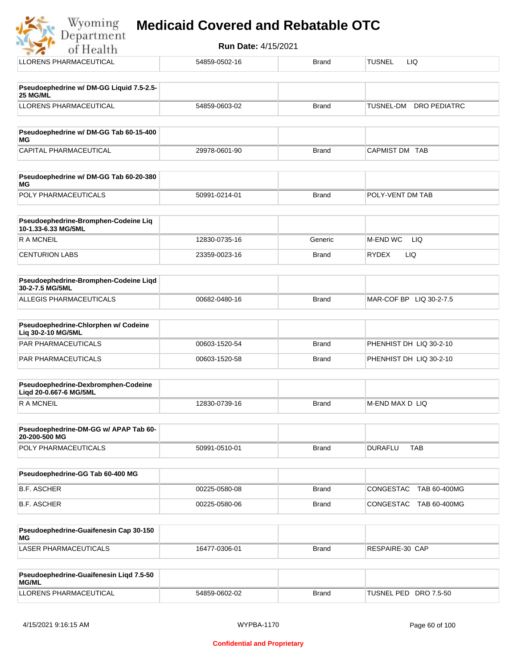| Wyoming<br>Department |  |  |  | <b>Medicaid Covered and Rebatable OTC</b> |  |
|-----------------------|--|--|--|-------------------------------------------|--|
|-----------------------|--|--|--|-------------------------------------------|--|

**Run Date:** 4/15/2021 of Health LLORENS PHARMACEUTICAL **1986-0502-16** 54859-0502-16 Brand TUSNEL LIQ **Pseudoephedrine w/ DM-GG Liquid 7.5-2.5- 25 MG/ML** LLORENS PHARMACEUTICAL 54859-0603-02 Brand TUSNEL-DM DRO PEDIATRC **Pseudoephedrine w/ DM-GG Tab 60-15-400 MG** CAPITAL PHARMACEUTICAL  $29978-0601-90$ Brand CAPMIST DM TAB **Pseudoephedrine w/ DM-GG Tab 60-20-380 MG** POLY PHARMACEUTICALS 50991-0214-01 Brand POLY-VENT DM TAB **Pseudoephedrine-Bromphen-Codeine Liq 10-1.33-6.33 MG/5ML** R A MCNEIL **12830-0735-16** Generic M-END WC LIQ CENTURION LABS 23359-0023-16 Brand RYDEX LIQ **Pseudoephedrine-Bromphen-Codeine Liqd 30-2-7.5 MG/5ML** ALLEGIS PHARMACEUTICALS 00682-0480-16 DATE: DETAIL BRAND MAR-COF BP LIQ 30-2-7.5 **Pseudoephedrine-Chlorphen w/ Codeine Liq 30-2-10 MG/5ML** PAR PHARMACEUTICALS 00603-1520-54 Brand PHENHIST DH LIQ 30-2-10 PAR PHARMACEUTICALS 
and the compact of the compact of the compact of the compact of the compact of the compact of the compact of the compact of the compact of the compact of the compact of the compact of the compact of th **Pseudoephedrine-Dexbromphen-Codeine Liqd 20-0.667-6 MG/5ML** R A MCNEIL **Example 2018** 12830-0739-16 Brand M-END MAX D LIQ **Pseudoephedrine-DM-GG w/ APAP Tab 60- 20-200-500 MG** POLY PHARMACEUTICALS 
and the solution of the solution of the state of the state of the state of the state of the state of the state of the state of the state of the state of the state of the state of the state of the stat **Pseudoephedrine-GG Tab 60-400 MG** B.F. ASCHER 00225-0580-08 Brand CONGESTAC TAB 60-400MG B.F. ASCHER 00225-0580-06 Brand CONGESTAC TAB 60-400MG **Pseudoephedrine-Guaifenesin Cap 30-150 MG** LASER PHARMACEUTICALS 16477-0306-01 Brand RESPAIRE-30 CAP

| Pseudoephedrine-Guaifenesin Ligd 7.5-50<br><b>MG/ML</b> |               |       |                       |
|---------------------------------------------------------|---------------|-------|-----------------------|
| LLORENS PHARMACEUTICAL                                  | 54859-0602-02 | Brand | TUSNEL PED DRO 7.5-50 |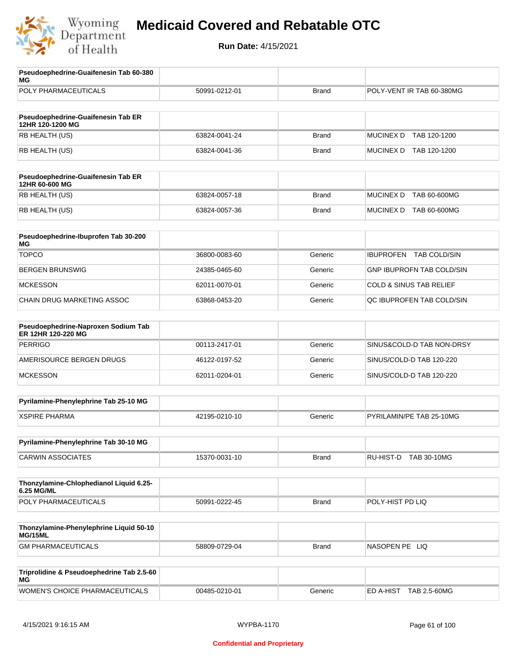

| Pseudoephedrine-Guaifenesin Tab 60-380<br>МG              |               |              |                                         |
|-----------------------------------------------------------|---------------|--------------|-----------------------------------------|
| POLY PHARMACEUTICALS                                      | 50991-0212-01 | <b>Brand</b> | POLY-VENT IR TAB 60-380MG               |
|                                                           |               |              |                                         |
| Pseudoephedrine-Guaifenesin Tab ER<br>12HR 120-1200 MG    |               |              |                                         |
| RB HEALTH (US)                                            | 63824-0041-24 | <b>Brand</b> | <b>MUCINEX D</b><br>TAB 120-1200        |
| RB HEALTH (US)                                            | 63824-0041-36 | <b>Brand</b> | MUCINEX D TAB 120-1200                  |
|                                                           |               |              |                                         |
| Pseudoephedrine-Guaifenesin Tab ER<br>12HR 60-600 MG      |               |              |                                         |
| RB HEALTH (US)                                            | 63824-0057-18 | <b>Brand</b> | <b>MUCINEX D</b><br><b>TAB 60-600MG</b> |
| RB HEALTH (US)                                            | 63824-0057-36 | <b>Brand</b> | MUCINEX D TAB 60-600MG                  |
| Pseudoephedrine-Ibuprofen Tab 30-200<br>МG                |               |              |                                         |
| <b>TOPCO</b>                                              | 36800-0083-60 | Generic      | <b>IBUPROFEN</b><br>TAB COLD/SIN        |
| <b>BERGEN BRUNSWIG</b>                                    | 24385-0465-60 | Generic      | GNP IBUPROFN TAB COLD/SIN               |
| <b>MCKESSON</b>                                           | 62011-0070-01 | Generic      | <b>COLD &amp; SINUS TAB RELIEF</b>      |
| CHAIN DRUG MARKETING ASSOC                                | 63868-0453-20 | Generic      | QC IBUPROFEN TAB COLD/SIN               |
|                                                           |               |              |                                         |
| Pseudoephedrine-Naproxen Sodium Tab<br>ER 12HR 120-220 MG |               |              |                                         |
| <b>PERRIGO</b>                                            | 00113-2417-01 | Generic      | SINUS&COLD-D TAB NON-DRSY               |
| AMERISOURCE BERGEN DRUGS                                  | 46122-0197-52 | Generic      | SINUS/COLD-D TAB 120-220                |
| <b>MCKESSON</b>                                           | 62011-0204-01 | Generic      | SINUS/COLD-D TAB 120-220                |
| Pyrilamine-Phenylephrine Tab 25-10 MG                     |               |              |                                         |
| <b>XSPIRE PHARMA</b>                                      | 42195-0210-10 | Generic      | PYRILAMIN/PE TAB 25-10MG                |
| Pyrilamine-Phenylephrine Tab 30-10 MG                     |               |              |                                         |
| <b>CARWIN ASSOCIATES</b>                                  | 15370-0031-10 | Brand        | RU-HIST-D TAB 30-10MG                   |
|                                                           |               |              |                                         |
| Thonzylamine-Chlophedianol Liquid 6.25-<br>6.25 MG/ML     |               |              |                                         |
| POLY PHARMACEUTICALS                                      | 50991-0222-45 | <b>Brand</b> | POLY-HIST PD LIQ                        |
|                                                           |               |              |                                         |
| Thonzylamine-Phenylephrine Liquid 50-10<br>MG/15ML        |               |              |                                         |
| <b>GM PHARMACEUTICALS</b>                                 | 58809-0729-04 | <b>Brand</b> | NASOPEN PE LIQ                          |
| Triprolidine & Pseudoephedrine Tab 2.5-60<br>МG           |               |              |                                         |
| WOMEN'S CHOICE PHARMACEUTICALS                            | 00485-0210-01 | Generic      | ED A-HIST TAB 2.5-60MG                  |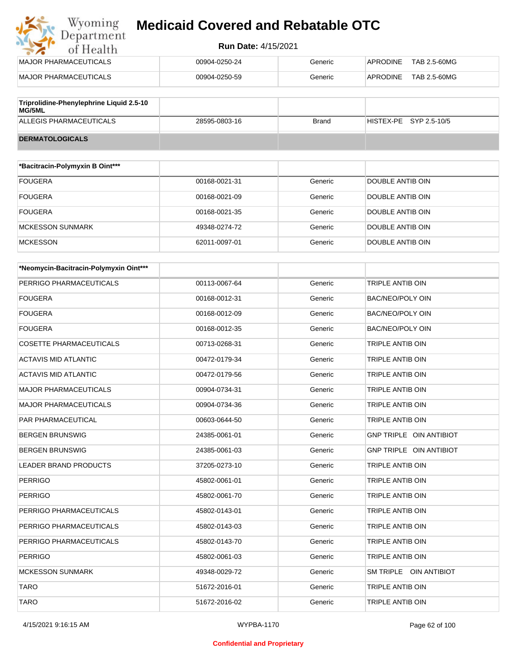#### **Run Date:** 4/15/2021

| MAJOR PHARMACEUTICALS         | 00904-0250-24 | Generic | TAB 2.5-60MG<br>APRODINE |
|-------------------------------|---------------|---------|--------------------------|
| <b>IMAJOR PHARMACEUTICALS</b> | 00904-0250-59 | Generic | APRODINE<br>TAB 2.5-60MG |
| <br>- -<br>.<br>---           |               |         |                          |

| Triprolidine-Phenylephrine Liquid 2.5-10<br>MG/5ML |               |       |                        |
|----------------------------------------------------|---------------|-------|------------------------|
| ALLEGIS PHARMACEUTICALS                            | 28595-0803-16 | Brand | HISTEX-PE SYP 2.5-10/5 |
| <b>DERMATOLOGICALS</b>                             |               |       |                        |

| *Bacitracin-Polymyxin B Oint*** |               |         |                  |
|---------------------------------|---------------|---------|------------------|
| <b>FOUGERA</b>                  | 00168-0021-31 | Generic | DOUBLE ANTIB OIN |
| <b>FOUGERA</b>                  | 00168-0021-09 | Generic | DOUBLE ANTIB OIN |
| <b>FOUGERA</b>                  | 00168-0021-35 | Generic | DOUBLE ANTIB OIN |
| <b>MCKESSON SUNMARK</b>         | 49348-0274-72 | Generic | DOUBLE ANTIB OIN |
| <b>MCKESSON</b>                 | 62011-0097-01 | Generic | DOUBLE ANTIB OIN |

| *Neomycin-Bacitracin-Polymyxin Oint*** |               |         |                         |
|----------------------------------------|---------------|---------|-------------------------|
| PERRIGO PHARMACEUTICALS                | 00113-0067-64 | Generic | <b>TRIPLE ANTIB OIN</b> |
| <b>FOUGERA</b>                         | 00168-0012-31 | Generic | <b>BAC/NEO/POLY OIN</b> |
| <b>FOUGERA</b>                         | 00168-0012-09 | Generic | <b>BAC/NEO/POLY OIN</b> |
| <b>FOUGERA</b>                         | 00168-0012-35 | Generic | BAC/NEO/POLY OIN        |
| <b>COSETTE PHARMACEUTICALS</b>         | 00713-0268-31 | Generic | TRIPLE ANTIB OIN        |
| <b>ACTAVIS MID ATLANTIC</b>            | 00472-0179-34 | Generic | TRIPLE ANTIB OIN        |
| <b>ACTAVIS MID ATLANTIC</b>            | 00472-0179-56 | Generic | <b>TRIPLE ANTIB OIN</b> |
| <b>MAJOR PHARMACEUTICALS</b>           | 00904-0734-31 | Generic | <b>TRIPLE ANTIB OIN</b> |
| <b>MAJOR PHARMACEUTICALS</b>           | 00904-0734-36 | Generic | <b>TRIPLE ANTIB OIN</b> |
| PAR PHARMACEUTICAL                     | 00603-0644-50 | Generic | <b>TRIPLE ANTIB OIN</b> |
| <b>BERGEN BRUNSWIG</b>                 | 24385-0061-01 | Generic | GNP TRIPLE OIN ANTIBIOT |
| <b>BERGEN BRUNSWIG</b>                 | 24385-0061-03 | Generic | GNP TRIPLE OIN ANTIBIOT |
| <b>LEADER BRAND PRODUCTS</b>           | 37205-0273-10 | Generic | <b>TRIPLE ANTIB OIN</b> |
| <b>PERRIGO</b>                         | 45802-0061-01 | Generic | TRIPLE ANTIB OIN        |
| <b>PERRIGO</b>                         | 45802-0061-70 | Generic | <b>TRIPLE ANTIB OIN</b> |
| PERRIGO PHARMACEUTICALS                | 45802-0143-01 | Generic | <b>TRIPLE ANTIB OIN</b> |
| PERRIGO PHARMACEUTICALS                | 45802-0143-03 | Generic | TRIPLE ANTIB OIN        |
| PERRIGO PHARMACEUTICALS                | 45802-0143-70 | Generic | <b>TRIPLE ANTIB OIN</b> |
| <b>PERRIGO</b>                         | 45802-0061-03 | Generic | TRIPLE ANTIB OIN        |
| <b>MCKESSON SUNMARK</b>                | 49348-0029-72 | Generic | SM TRIPLE OIN ANTIBIOT  |
| <b>TARO</b>                            | 51672-2016-01 | Generic | <b>TRIPLE ANTIB OIN</b> |
| <b>TARO</b>                            | 51672-2016-02 | Generic | <b>TRIPLE ANTIB OIN</b> |

#### **Confidential and Proprietary**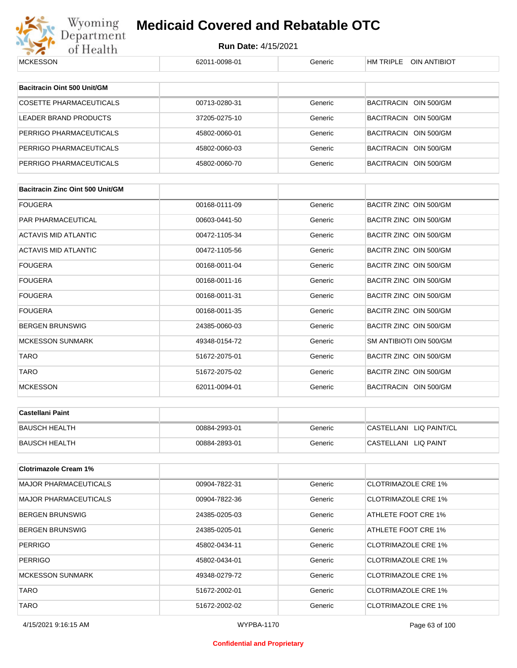

| <b>MCKESSON</b>                         | 62011-0098-01 | Generic | HM TRIPLE OIN ANTIBIOT     |
|-----------------------------------------|---------------|---------|----------------------------|
| Bacitracin Oint 500 Unit/GM             |               |         |                            |
|                                         |               |         |                            |
| <b>COSETTE PHARMACEUTICALS</b>          | 00713-0280-31 | Generic | BACITRACIN OIN 500/GM      |
| <b>LEADER BRAND PRODUCTS</b>            | 37205-0275-10 | Generic | BACITRACIN OIN 500/GM      |
| PERRIGO PHARMACEUTICALS                 | 45802-0060-01 | Generic | BACITRACIN OIN 500/GM      |
| PERRIGO PHARMACEUTICALS                 | 45802-0060-03 | Generic | BACITRACIN OIN 500/GM      |
| PERRIGO PHARMACEUTICALS                 | 45802-0060-70 | Generic | BACITRACIN OIN 500/GM      |
|                                         |               |         |                            |
| <b>Bacitracin Zinc Oint 500 Unit/GM</b> |               |         |                            |
| <b>FOUGERA</b>                          | 00168-0111-09 | Generic | BACITR ZINC OIN 500/GM     |
| PAR PHARMACEUTICAL                      | 00603-0441-50 | Generic | BACITR ZINC OIN 500/GM     |
| ACTAVIS MID ATLANTIC                    | 00472-1105-34 | Generic | BACITR ZINC OIN 500/GM     |
| ACTAVIS MID ATLANTIC                    | 00472-1105-56 | Generic | BACITR ZINC OIN 500/GM     |
| <b>FOUGERA</b>                          | 00168-0011-04 | Generic | BACITR ZINC OIN 500/GM     |
| <b>FOUGERA</b>                          | 00168-0011-16 | Generic | BACITR ZINC OIN 500/GM     |
| <b>FOUGERA</b>                          | 00168-0011-31 | Generic | BACITR ZINC OIN 500/GM     |
| <b>FOUGERA</b>                          | 00168-0011-35 | Generic | BACITR ZINC OIN 500/GM     |
| <b>BERGEN BRUNSWIG</b>                  | 24385-0060-03 | Generic | BACITR ZINC OIN 500/GM     |
| <b>MCKESSON SUNMARK</b>                 | 49348-0154-72 | Generic | SM ANTIBIOTI OIN 500/GM    |
| <b>TARO</b>                             | 51672-2075-01 | Generic | BACITR ZINC OIN 500/GM     |
| <b>TARO</b>                             | 51672-2075-02 | Generic | BACITR ZINC OIN 500/GM     |
| <b>MCKESSON</b>                         | 62011-0094-01 | Generic | BACITRACIN OIN 500/GM      |
| <b>Castellani Paint</b>                 |               |         |                            |
|                                         |               |         |                            |
| <b>BAUSCH HEALTH</b>                    | 00884-2993-01 | Generic | CASTELLANI LIQ PAINT/CL    |
| <b>BAUSCH HEALTH</b>                    | 00884-2893-01 | Generic | CASTELLANI LIQ PAINT       |
| <b>Clotrimazole Cream 1%</b>            |               |         |                            |
| <b>MAJOR PHARMACEUTICALS</b>            | 00904-7822-31 | Generic | <b>CLOTRIMAZOLE CRE 1%</b> |
| <b>MAJOR PHARMACEUTICALS</b>            | 00904-7822-36 | Generic | <b>CLOTRIMAZOLE CRE 1%</b> |
| <b>BERGEN BRUNSWIG</b>                  | 24385-0205-03 | Generic | ATHLETE FOOT CRE 1%        |
| <b>BERGEN BRUNSWIG</b>                  | 24385-0205-01 | Generic | ATHLETE FOOT CRE 1%        |
| <b>PERRIGO</b>                          | 45802-0434-11 | Generic | <b>CLOTRIMAZOLE CRE 1%</b> |
| <b>PERRIGO</b>                          | 45802-0434-01 | Generic | <b>CLOTRIMAZOLE CRE 1%</b> |
| MCKESSON SUNMARK                        | 49348-0279-72 | Generic | <b>CLOTRIMAZOLE CRE 1%</b> |
| <b>TARO</b>                             | 51672-2002-01 | Generic | <b>CLOTRIMAZOLE CRE 1%</b> |
| <b>TARO</b>                             | 51672-2002-02 | Generic | <b>CLOTRIMAZOLE CRE 1%</b> |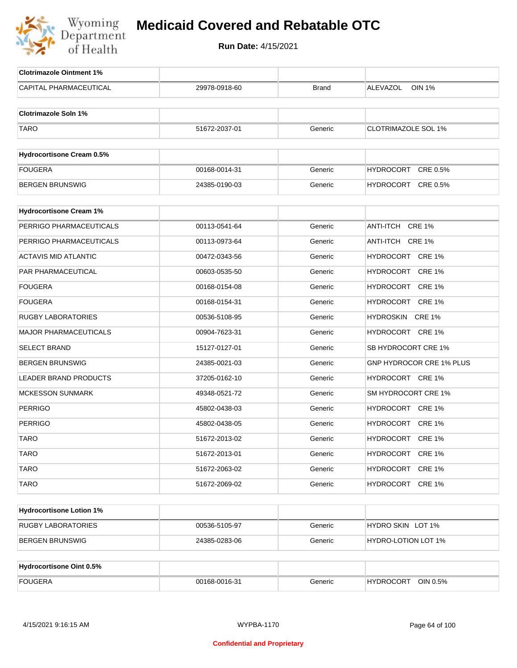

| <b>Clotrimazole Ointment 1%</b>  |               |         |                              |
|----------------------------------|---------------|---------|------------------------------|
| CAPITAL PHARMACEUTICAL           | 29978-0918-60 | Brand   | <b>OIN 1%</b><br>ALEVAZOL    |
|                                  |               |         |                              |
| <b>Clotrimazole Soln 1%</b>      |               |         |                              |
| <b>TARO</b>                      | 51672-2037-01 | Generic | <b>CLOTRIMAZOLE SOL 1%</b>   |
|                                  |               |         |                              |
| <b>Hydrocortisone Cream 0.5%</b> |               |         |                              |
| <b>FOUGERA</b>                   | 00168-0014-31 | Generic | <b>HYDROCORT</b><br>CRE 0.5% |
| <b>BERGEN BRUNSWIG</b>           | 24385-0190-03 | Generic | HYDROCORT CRE 0.5%           |
|                                  |               |         |                              |
| <b>Hydrocortisone Cream 1%</b>   |               |         |                              |
| PERRIGO PHARMACEUTICALS          | 00113-0541-64 | Generic | ANTI-ITCH CRE 1%             |
| PERRIGO PHARMACEUTICALS          | 00113-0973-64 | Generic | ANTI-ITCH CRE 1%             |
| <b>ACTAVIS MID ATLANTIC</b>      | 00472-0343-56 | Generic | HYDROCORT CRE 1%             |
| PAR PHARMACEUTICAL               | 00603-0535-50 | Generic | HYDROCORT CRE 1%             |
| <b>FOUGERA</b>                   | 00168-0154-08 | Generic | HYDROCORT CRE 1%             |
| <b>FOUGERA</b>                   | 00168-0154-31 | Generic | HYDROCORT CRE 1%             |
| <b>RUGBY LABORATORIES</b>        | 00536-5108-95 | Generic | HYDROSKIN<br><b>CRE 1%</b>   |
| <b>MAJOR PHARMACEUTICALS</b>     | 00904-7623-31 | Generic | HYDROCORT CRE 1%             |
| <b>SELECT BRAND</b>              | 15127-0127-01 | Generic | SB HYDROCORT CRE 1%          |
| <b>BERGEN BRUNSWIG</b>           | 24385-0021-03 | Generic | GNP HYDROCOR CRE 1% PLUS     |
| <b>LEADER BRAND PRODUCTS</b>     | 37205-0162-10 | Generic | HYDROCORT CRE 1%             |
| <b>MCKESSON SUNMARK</b>          | 49348-0521-72 | Generic | SM HYDROCORT CRE 1%          |
| <b>PERRIGO</b>                   | 45802-0438-03 | Generic | HYDROCORT CRE 1%             |
| <b>PERRIGO</b>                   | 45802-0438-05 | Generic | HYDROCORT CRE 1%             |
| <b>TARO</b>                      | 51672-2013-02 | Generic | HYDROCORT CRE 1%             |
| <b>TARO</b>                      | 51672-2013-01 | Generic | HYDROCORT CRE 1%             |
| TARO                             | 51672-2063-02 | Generic | HYDROCORT CRE 1%             |
| <b>TARO</b>                      | 51672-2069-02 | Generic | HYDROCORT CRE 1%             |
|                                  |               |         |                              |
| <b>Hydrocortisone Lotion 1%</b>  |               |         |                              |
| <b>RUGBY LABORATORIES</b>        | 00536-5105-97 | Generic | HYDRO SKIN LOT 1%            |
| <b>BERGEN BRUNSWIG</b>           | 24385-0283-06 | Generic | HYDRO-LOTION LOT 1%          |
|                                  |               |         |                              |
| <b>Hydrocortisone Oint 0.5%</b>  |               |         |                              |
| <b>FOUGERA</b>                   | 00168-0016-31 | Generic | HYDROCORT OIN 0.5%           |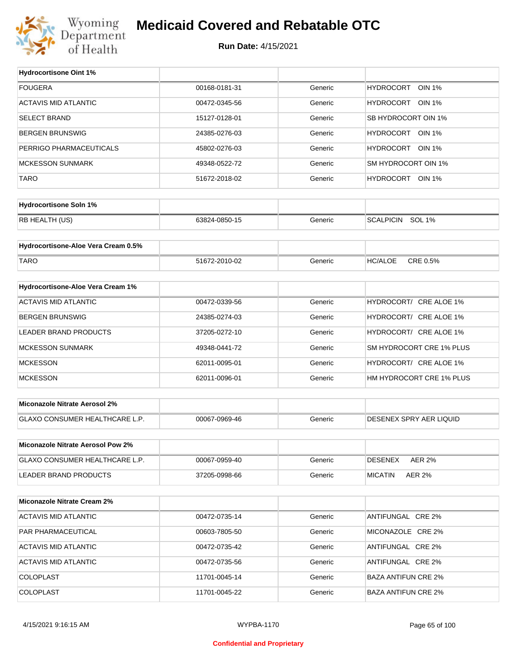

### **Medicaid Covered and Rebatable OTC**

**Run Date:** 4/15/2021

 $\top$ 

| <b>FOUGERA</b><br>00168-0181-31<br><b>HYDROCORT</b><br><b>OIN 1%</b><br>Generic<br><b>ACTAVIS MID ATLANTIC</b><br>HYDROCORT OIN 1%<br>00472-0345-56<br>Generic<br><b>SELECT BRAND</b><br>SB HYDROCORT OIN 1%<br>15127-0128-01<br>Generic<br>HYDROCORT OIN 1%<br><b>BERGEN BRUNSWIG</b><br>24385-0276-03<br>Generic<br>PERRIGO PHARMACEUTICALS<br>HYDROCORT OIN 1%<br>45802-0276-03<br>Generic<br>SM HYDROCORT OIN 1%<br><b>MCKESSON SUNMARK</b><br>Generic<br>49348-0522-72<br><b>TARO</b><br>HYDROCORT OIN 1%<br>51672-2018-02<br>Generic<br><b>Hydrocortisone Soln 1%</b><br>RB HEALTH (US)<br>SCALPICIN SOL 1%<br>63824-0850-15<br>Generic<br>Hydrocortisone-Aloe Vera Cream 0.5%<br>CRE 0.5%<br><b>TARO</b><br><b>HC/ALOE</b><br>51672-2010-02<br>Generic<br>Hydrocortisone-Aloe Vera Cream 1%<br><b>ACTAVIS MID ATLANTIC</b><br>HYDROCORT/ CRE ALOE 1%<br>00472-0339-56<br>Generic<br><b>BERGEN BRUNSWIG</b><br>HYDROCORT/ CRE ALOE 1%<br>24385-0274-03<br>Generic<br>HYDROCORT/ CRE ALOE 1%<br>LEADER BRAND PRODUCTS<br>37205-0272-10<br>Generic<br>SM HYDROCORT CRE 1% PLUS<br><b>MCKESSON SUNMARK</b><br>Generic<br>49348-0441-72<br><b>MCKESSON</b><br>HYDROCORT/ CRE ALOE 1%<br>62011-0095-01<br>Generic<br><b>MCKESSON</b><br>HM HYDROCORT CRE 1% PLUS<br>62011-0096-01<br>Generic<br>Miconazole Nitrate Aerosol 2%<br>GLAXO CONSUMER HEALTHCARE L.P.<br>DESENEX SPRY AER LIQUID<br>00067-0969-46<br>Generic<br>Miconazole Nitrate Aerosol Pow 2%<br>GLAXO CONSUMER HEALTHCARE L.P.<br>Generic<br><b>DESENEX</b><br><b>AER 2%</b><br>00067-0959-40<br>LEADER BRAND PRODUCTS<br><b>MICATIN</b><br>37205-0998-66<br>Generic<br><b>AER 2%</b><br><b>Miconazole Nitrate Cream 2%</b><br><b>ACTAVIS MID ATLANTIC</b><br>ANTIFUNGAL CRE 2%<br>00472-0735-14<br>Generic<br>PAR PHARMACEUTICAL<br>MICONAZOLE CRE 2%<br>00603-7805-50<br>Generic<br>ACTAVIS MID ATLANTIC<br>Generic<br>ANTIFUNGAL CRE 2%<br>00472-0735-42<br><b>ACTAVIS MID ATLANTIC</b><br>ANTIFUNGAL CRE 2%<br>00472-0735-56<br>Generic<br>COLOPLAST<br>Generic<br><b>BAZA ANTIFUN CRE 2%</b><br>11701-0045-14<br>COLOPLAST<br>11701-0045-22<br>Generic<br><b>BAZA ANTIFUN CRE 2%</b> | <b>Hydrocortisone Oint 1%</b> |  |  |
|-----------------------------------------------------------------------------------------------------------------------------------------------------------------------------------------------------------------------------------------------------------------------------------------------------------------------------------------------------------------------------------------------------------------------------------------------------------------------------------------------------------------------------------------------------------------------------------------------------------------------------------------------------------------------------------------------------------------------------------------------------------------------------------------------------------------------------------------------------------------------------------------------------------------------------------------------------------------------------------------------------------------------------------------------------------------------------------------------------------------------------------------------------------------------------------------------------------------------------------------------------------------------------------------------------------------------------------------------------------------------------------------------------------------------------------------------------------------------------------------------------------------------------------------------------------------------------------------------------------------------------------------------------------------------------------------------------------------------------------------------------------------------------------------------------------------------------------------------------------------------------------------------------------------------------------------------------------------------------------------------------------------------------------------------------------------------------------------------------------------------------------------------------------|-------------------------------|--|--|
|                                                                                                                                                                                                                                                                                                                                                                                                                                                                                                                                                                                                                                                                                                                                                                                                                                                                                                                                                                                                                                                                                                                                                                                                                                                                                                                                                                                                                                                                                                                                                                                                                                                                                                                                                                                                                                                                                                                                                                                                                                                                                                                                                           |                               |  |  |
|                                                                                                                                                                                                                                                                                                                                                                                                                                                                                                                                                                                                                                                                                                                                                                                                                                                                                                                                                                                                                                                                                                                                                                                                                                                                                                                                                                                                                                                                                                                                                                                                                                                                                                                                                                                                                                                                                                                                                                                                                                                                                                                                                           |                               |  |  |
|                                                                                                                                                                                                                                                                                                                                                                                                                                                                                                                                                                                                                                                                                                                                                                                                                                                                                                                                                                                                                                                                                                                                                                                                                                                                                                                                                                                                                                                                                                                                                                                                                                                                                                                                                                                                                                                                                                                                                                                                                                                                                                                                                           |                               |  |  |
|                                                                                                                                                                                                                                                                                                                                                                                                                                                                                                                                                                                                                                                                                                                                                                                                                                                                                                                                                                                                                                                                                                                                                                                                                                                                                                                                                                                                                                                                                                                                                                                                                                                                                                                                                                                                                                                                                                                                                                                                                                                                                                                                                           |                               |  |  |
|                                                                                                                                                                                                                                                                                                                                                                                                                                                                                                                                                                                                                                                                                                                                                                                                                                                                                                                                                                                                                                                                                                                                                                                                                                                                                                                                                                                                                                                                                                                                                                                                                                                                                                                                                                                                                                                                                                                                                                                                                                                                                                                                                           |                               |  |  |
|                                                                                                                                                                                                                                                                                                                                                                                                                                                                                                                                                                                                                                                                                                                                                                                                                                                                                                                                                                                                                                                                                                                                                                                                                                                                                                                                                                                                                                                                                                                                                                                                                                                                                                                                                                                                                                                                                                                                                                                                                                                                                                                                                           |                               |  |  |
|                                                                                                                                                                                                                                                                                                                                                                                                                                                                                                                                                                                                                                                                                                                                                                                                                                                                                                                                                                                                                                                                                                                                                                                                                                                                                                                                                                                                                                                                                                                                                                                                                                                                                                                                                                                                                                                                                                                                                                                                                                                                                                                                                           |                               |  |  |
|                                                                                                                                                                                                                                                                                                                                                                                                                                                                                                                                                                                                                                                                                                                                                                                                                                                                                                                                                                                                                                                                                                                                                                                                                                                                                                                                                                                                                                                                                                                                                                                                                                                                                                                                                                                                                                                                                                                                                                                                                                                                                                                                                           |                               |  |  |
|                                                                                                                                                                                                                                                                                                                                                                                                                                                                                                                                                                                                                                                                                                                                                                                                                                                                                                                                                                                                                                                                                                                                                                                                                                                                                                                                                                                                                                                                                                                                                                                                                                                                                                                                                                                                                                                                                                                                                                                                                                                                                                                                                           |                               |  |  |
|                                                                                                                                                                                                                                                                                                                                                                                                                                                                                                                                                                                                                                                                                                                                                                                                                                                                                                                                                                                                                                                                                                                                                                                                                                                                                                                                                                                                                                                                                                                                                                                                                                                                                                                                                                                                                                                                                                                                                                                                                                                                                                                                                           |                               |  |  |
|                                                                                                                                                                                                                                                                                                                                                                                                                                                                                                                                                                                                                                                                                                                                                                                                                                                                                                                                                                                                                                                                                                                                                                                                                                                                                                                                                                                                                                                                                                                                                                                                                                                                                                                                                                                                                                                                                                                                                                                                                                                                                                                                                           |                               |  |  |
|                                                                                                                                                                                                                                                                                                                                                                                                                                                                                                                                                                                                                                                                                                                                                                                                                                                                                                                                                                                                                                                                                                                                                                                                                                                                                                                                                                                                                                                                                                                                                                                                                                                                                                                                                                                                                                                                                                                                                                                                                                                                                                                                                           |                               |  |  |
|                                                                                                                                                                                                                                                                                                                                                                                                                                                                                                                                                                                                                                                                                                                                                                                                                                                                                                                                                                                                                                                                                                                                                                                                                                                                                                                                                                                                                                                                                                                                                                                                                                                                                                                                                                                                                                                                                                                                                                                                                                                                                                                                                           |                               |  |  |
|                                                                                                                                                                                                                                                                                                                                                                                                                                                                                                                                                                                                                                                                                                                                                                                                                                                                                                                                                                                                                                                                                                                                                                                                                                                                                                                                                                                                                                                                                                                                                                                                                                                                                                                                                                                                                                                                                                                                                                                                                                                                                                                                                           |                               |  |  |
|                                                                                                                                                                                                                                                                                                                                                                                                                                                                                                                                                                                                                                                                                                                                                                                                                                                                                                                                                                                                                                                                                                                                                                                                                                                                                                                                                                                                                                                                                                                                                                                                                                                                                                                                                                                                                                                                                                                                                                                                                                                                                                                                                           |                               |  |  |
|                                                                                                                                                                                                                                                                                                                                                                                                                                                                                                                                                                                                                                                                                                                                                                                                                                                                                                                                                                                                                                                                                                                                                                                                                                                                                                                                                                                                                                                                                                                                                                                                                                                                                                                                                                                                                                                                                                                                                                                                                                                                                                                                                           |                               |  |  |
|                                                                                                                                                                                                                                                                                                                                                                                                                                                                                                                                                                                                                                                                                                                                                                                                                                                                                                                                                                                                                                                                                                                                                                                                                                                                                                                                                                                                                                                                                                                                                                                                                                                                                                                                                                                                                                                                                                                                                                                                                                                                                                                                                           |                               |  |  |
|                                                                                                                                                                                                                                                                                                                                                                                                                                                                                                                                                                                                                                                                                                                                                                                                                                                                                                                                                                                                                                                                                                                                                                                                                                                                                                                                                                                                                                                                                                                                                                                                                                                                                                                                                                                                                                                                                                                                                                                                                                                                                                                                                           |                               |  |  |
|                                                                                                                                                                                                                                                                                                                                                                                                                                                                                                                                                                                                                                                                                                                                                                                                                                                                                                                                                                                                                                                                                                                                                                                                                                                                                                                                                                                                                                                                                                                                                                                                                                                                                                                                                                                                                                                                                                                                                                                                                                                                                                                                                           |                               |  |  |
|                                                                                                                                                                                                                                                                                                                                                                                                                                                                                                                                                                                                                                                                                                                                                                                                                                                                                                                                                                                                                                                                                                                                                                                                                                                                                                                                                                                                                                                                                                                                                                                                                                                                                                                                                                                                                                                                                                                                                                                                                                                                                                                                                           |                               |  |  |
|                                                                                                                                                                                                                                                                                                                                                                                                                                                                                                                                                                                                                                                                                                                                                                                                                                                                                                                                                                                                                                                                                                                                                                                                                                                                                                                                                                                                                                                                                                                                                                                                                                                                                                                                                                                                                                                                                                                                                                                                                                                                                                                                                           |                               |  |  |
|                                                                                                                                                                                                                                                                                                                                                                                                                                                                                                                                                                                                                                                                                                                                                                                                                                                                                                                                                                                                                                                                                                                                                                                                                                                                                                                                                                                                                                                                                                                                                                                                                                                                                                                                                                                                                                                                                                                                                                                                                                                                                                                                                           |                               |  |  |
|                                                                                                                                                                                                                                                                                                                                                                                                                                                                                                                                                                                                                                                                                                                                                                                                                                                                                                                                                                                                                                                                                                                                                                                                                                                                                                                                                                                                                                                                                                                                                                                                                                                                                                                                                                                                                                                                                                                                                                                                                                                                                                                                                           |                               |  |  |
|                                                                                                                                                                                                                                                                                                                                                                                                                                                                                                                                                                                                                                                                                                                                                                                                                                                                                                                                                                                                                                                                                                                                                                                                                                                                                                                                                                                                                                                                                                                                                                                                                                                                                                                                                                                                                                                                                                                                                                                                                                                                                                                                                           |                               |  |  |
|                                                                                                                                                                                                                                                                                                                                                                                                                                                                                                                                                                                                                                                                                                                                                                                                                                                                                                                                                                                                                                                                                                                                                                                                                                                                                                                                                                                                                                                                                                                                                                                                                                                                                                                                                                                                                                                                                                                                                                                                                                                                                                                                                           |                               |  |  |
|                                                                                                                                                                                                                                                                                                                                                                                                                                                                                                                                                                                                                                                                                                                                                                                                                                                                                                                                                                                                                                                                                                                                                                                                                                                                                                                                                                                                                                                                                                                                                                                                                                                                                                                                                                                                                                                                                                                                                                                                                                                                                                                                                           |                               |  |  |
|                                                                                                                                                                                                                                                                                                                                                                                                                                                                                                                                                                                                                                                                                                                                                                                                                                                                                                                                                                                                                                                                                                                                                                                                                                                                                                                                                                                                                                                                                                                                                                                                                                                                                                                                                                                                                                                                                                                                                                                                                                                                                                                                                           |                               |  |  |
|                                                                                                                                                                                                                                                                                                                                                                                                                                                                                                                                                                                                                                                                                                                                                                                                                                                                                                                                                                                                                                                                                                                                                                                                                                                                                                                                                                                                                                                                                                                                                                                                                                                                                                                                                                                                                                                                                                                                                                                                                                                                                                                                                           |                               |  |  |
|                                                                                                                                                                                                                                                                                                                                                                                                                                                                                                                                                                                                                                                                                                                                                                                                                                                                                                                                                                                                                                                                                                                                                                                                                                                                                                                                                                                                                                                                                                                                                                                                                                                                                                                                                                                                                                                                                                                                                                                                                                                                                                                                                           |                               |  |  |
|                                                                                                                                                                                                                                                                                                                                                                                                                                                                                                                                                                                                                                                                                                                                                                                                                                                                                                                                                                                                                                                                                                                                                                                                                                                                                                                                                                                                                                                                                                                                                                                                                                                                                                                                                                                                                                                                                                                                                                                                                                                                                                                                                           |                               |  |  |
|                                                                                                                                                                                                                                                                                                                                                                                                                                                                                                                                                                                                                                                                                                                                                                                                                                                                                                                                                                                                                                                                                                                                                                                                                                                                                                                                                                                                                                                                                                                                                                                                                                                                                                                                                                                                                                                                                                                                                                                                                                                                                                                                                           |                               |  |  |
|                                                                                                                                                                                                                                                                                                                                                                                                                                                                                                                                                                                                                                                                                                                                                                                                                                                                                                                                                                                                                                                                                                                                                                                                                                                                                                                                                                                                                                                                                                                                                                                                                                                                                                                                                                                                                                                                                                                                                                                                                                                                                                                                                           |                               |  |  |
|                                                                                                                                                                                                                                                                                                                                                                                                                                                                                                                                                                                                                                                                                                                                                                                                                                                                                                                                                                                                                                                                                                                                                                                                                                                                                                                                                                                                                                                                                                                                                                                                                                                                                                                                                                                                                                                                                                                                                                                                                                                                                                                                                           |                               |  |  |
|                                                                                                                                                                                                                                                                                                                                                                                                                                                                                                                                                                                                                                                                                                                                                                                                                                                                                                                                                                                                                                                                                                                                                                                                                                                                                                                                                                                                                                                                                                                                                                                                                                                                                                                                                                                                                                                                                                                                                                                                                                                                                                                                                           |                               |  |  |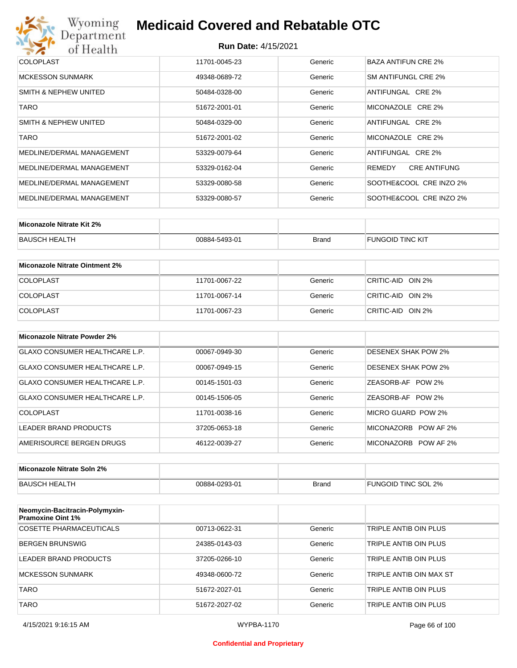

| <b>COLOPLAST</b>          | 11701-0045-23 | Generic | BAZA ANTIFUN CRE 2%           |
|---------------------------|---------------|---------|-------------------------------|
| <b>MCKESSON SUNMARK</b>   | 49348-0689-72 | Generic | SM ANTIFUNGL CRE 2%           |
| SMITH & NEPHEW UNITED     | 50484-0328-00 | Generic | ANTIFUNGAL CRE 2%             |
| TARO                      | 51672-2001-01 | Generic | MICONAZOLE CRE 2%             |
| SMITH & NEPHEW UNITED     | 50484-0329-00 | Generic | ANTIFUNGAL CRE 2%             |
| TARO                      | 51672-2001-02 | Generic | MICONAZOLE CRE 2%             |
| MEDLINE/DERMAL MANAGEMENT | 53329-0079-64 | Generic | ANTIFUNGAL CRE 2%             |
| MEDLINE/DERMAL MANAGEMENT | 53329-0162-04 | Generic | <b>CRE ANTIFUNG</b><br>REMEDY |
| MEDLINE/DERMAL MANAGEMENT | 53329-0080-58 | Generic | SOOTHE&COOL CRE INZO 2%       |
| MEDLINE/DERMAL MANAGEMENT | 53329-0080-57 | Generic | SOOTHE&COOL CRE INZO 2%       |

| Miconazole Nitrate Kit 2% |               |              |                         |
|---------------------------|---------------|--------------|-------------------------|
| BAUSCH HEALTH             | 00884-5493-01 | <b>Brand</b> | <b>FUNGOID TINC KIT</b> |

| Miconazole Nitrate Ointment 2% |               |         |                   |
|--------------------------------|---------------|---------|-------------------|
| <b>COLOPLAST</b>               | 11701-0067-22 | Generic | CRITIC-AID OIN 2% |
| <b>COLOPLAST</b>               | 11701-0067-14 | Generic | CRITIC-AID OIN 2% |
| <b>COLOPLAST</b>               | 11701-0067-23 | Generic | CRITIC-AID OIN 2% |

| Miconazole Nitrate Powder 2%          |               |         |                            |
|---------------------------------------|---------------|---------|----------------------------|
| <b>GLAXO CONSUMER HEALTHCARE L.P.</b> | 00067-0949-30 | Generic | <b>DESENEX SHAK POW 2%</b> |
| GLAXO CONSUMER HEALTHCARE L.P.        | 00067-0949-15 | Generic | <b>DESENEX SHAK POW 2%</b> |
| GLAXO CONSUMER HEALTHCARE L.P.        | 00145-1501-03 | Generic | ZEASORB-AF POW 2%          |
| GLAXO CONSUMER HEALTHCARE L.P.        | 00145-1506-05 | Generic | ZEASORB-AF POW 2%          |
| COLOPLAST                             | 11701-0038-16 | Generic | MICRO GUARD POW 2%         |
| LEADER BRAND PRODUCTS                 | 37205-0653-18 | Generic | MICONAZORB POW AF 2%       |
| AMERISOURCE BERGEN DRUGS              | 46122-0039-27 | Generic | MICONAZORB POW AF 2%       |

| Miconazole Nitrate Soln 2% |               |       |                     |
|----------------------------|---------------|-------|---------------------|
| BAUSCH HEALTH              | 00884-0293-01 | Brand | FUNGOID TINC SOL 2% |

| Neomycin-Bacitracin-Polymyxin-<br><b>Pramoxine Oint 1%</b> |               |         |                         |
|------------------------------------------------------------|---------------|---------|-------------------------|
| COSETTE PHARMACEUTICALS                                    | 00713-0622-31 | Generic | TRIPLE ANTIB OIN PLUS   |
| BERGEN BRUNSWIG                                            | 24385-0143-03 | Generic | TRIPLE ANTIB OIN PLUS   |
| LEADER BRAND PRODUCTS                                      | 37205-0266-10 | Generic | TRIPLE ANTIB OIN PLUS   |
| MCKESSON SUNMARK                                           | 49348-0600-72 | Generic | TRIPLE ANTIB OIN MAX ST |
| <b>TARO</b>                                                | 51672-2027-01 | Generic | TRIPLE ANTIB OIN PLUS   |
| <b>TARO</b>                                                | 51672-2027-02 | Generic | TRIPLE ANTIB OIN PLUS   |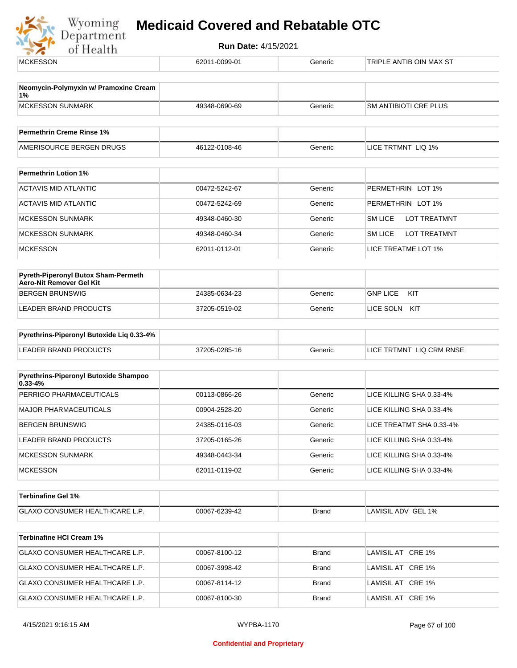Wyoming<br>Department<br>of Health

| <b>MCKESSON</b>                                                 | 62011-0099-01 | Generic | TRIPLE ANTIB OIN MAX ST  |  |
|-----------------------------------------------------------------|---------------|---------|--------------------------|--|
| Neomycin-Polymyxin w/ Pramoxine Cream                           |               |         |                          |  |
| 1%<br><b>MCKESSON SUNMARK</b>                                   | 49348-0690-69 | Generic | SM ANTIBIOTI CRE PLUS    |  |
| <b>Permethrin Creme Rinse 1%</b>                                |               |         |                          |  |
| AMERISOURCE BERGEN DRUGS                                        | 46122-0108-46 | Generic | LICE TRTMNT LIQ 1%       |  |
| <b>Permethrin Lotion 1%</b>                                     |               |         |                          |  |
| <b>ACTAVIS MID ATLANTIC</b>                                     | 00472-5242-67 | Generic | PERMETHRIN LOT 1%        |  |
| <b>ACTAVIS MID ATLANTIC</b>                                     | 00472-5242-69 | Generic | PERMETHRIN LOT 1%        |  |
| <b>MCKESSON SUNMARK</b>                                         | 49348-0460-30 | Generic | SM LICE<br>LOT TREATMNT  |  |
| <b>MCKESSON SUNMARK</b>                                         | 49348-0460-34 | Generic | SM LICE<br>LOT TREATMNT  |  |
| <b>MCKESSON</b>                                                 | 62011-0112-01 | Generic | LICE TREATME LOT 1%      |  |
| Pyreth-Piperonyl Butox Sham-Permeth<br>Aero-Nit Remover Gel Kit |               |         |                          |  |
| <b>BERGEN BRUNSWIG</b>                                          | 24385-0634-23 | Generic | <b>GNP LICE</b><br>KIT   |  |
| LEADER BRAND PRODUCTS                                           | 37205-0519-02 | Generic | LICE SOLN KIT            |  |
| Pyrethrins-Piperonyl Butoxide Liq 0.33-4%                       |               |         |                          |  |
| <b>LEADER BRAND PRODUCTS</b>                                    | 37205-0285-16 | Generic | LICE TRTMNT LIQ CRM RNSE |  |
| Pyrethrins-Piperonyl Butoxide Shampoo                           |               |         |                          |  |
| $0.33 - 4%$<br>PERRIGO PHARMACEUTICALS                          | 00113-0866-26 | Generic | LICE KILLING SHA 0.33-4% |  |
| <b>MAJOR PHARMACEUTICALS</b>                                    | 00904-2528-20 | Generic | LICE KILLING SHA 0.33-4% |  |
| <b>BERGEN BRUNSWIG</b>                                          | 24385-0116-03 | Generic | LICE TREATMT SHA 0.33-4% |  |
| LEADER BRAND PRODUCTS                                           | 37205-0165-26 | Generic | LICE KILLING SHA 0.33-4% |  |
| <b>MCKESSON SUNMARK</b>                                         | 49348-0443-34 | Generic | LICE KILLING SHA 0.33-4% |  |
| <b>MCKESSON</b>                                                 | 62011-0119-02 | Generic | LICE KILLING SHA 0.33-4% |  |
| <b>Terbinafine Gel 1%</b>                                       |               |         |                          |  |
| GLAXO CONSUMER HEALTHCARE L.P.                                  | 00067-6239-42 | Brand   | LAMISIL ADV GEL 1%       |  |
| <b>Terbinafine HCI Cream 1%</b>                                 |               |         |                          |  |
| GLAXO CONSUMER HEALTHCARE L.P.                                  | 00067-8100-12 | Brand   | LAMISIL AT CRE 1%        |  |
| GLAXO CONSUMER HEALTHCARE L.P.                                  | 00067-3998-42 | Brand   | LAMISIL AT CRE 1%        |  |
| GLAXO CONSUMER HEALTHCARE L.P.                                  | 00067-8114-12 | Brand   | LAMISIL AT CRE 1%        |  |
| GLAXO CONSUMER HEALTHCARE L.P.                                  | 00067-8100-30 | Brand   | LAMISIL AT CRE 1%        |  |
|                                                                 |               |         |                          |  |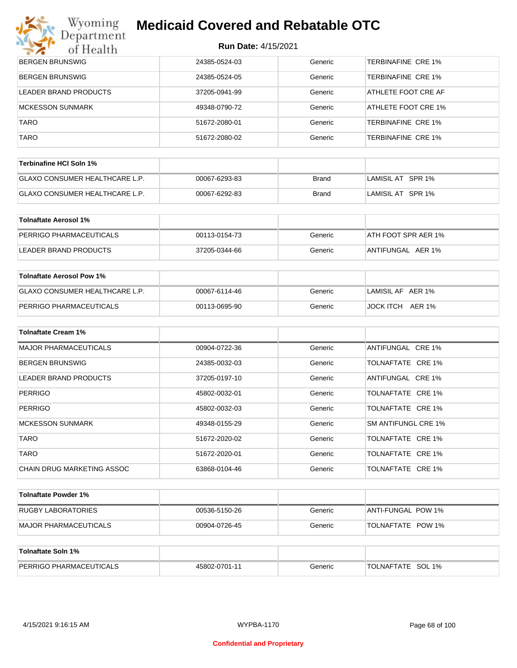## **Wyoming Medicaid Covered and Rebatable OTC**<br>Department

| マズ<br>of Health                  | 11011 Dalt. 4/10/2021 |              |                           |
|----------------------------------|-----------------------|--------------|---------------------------|
| <b>BERGEN BRUNSWIG</b>           | 24385-0524-03         | Generic      | <b>TERBINAFINE CRE 1%</b> |
| <b>BERGEN BRUNSWIG</b>           | 24385-0524-05         | Generic      | <b>TERBINAFINE CRE 1%</b> |
| LEADER BRAND PRODUCTS            | 37205-0941-99         | Generic      | ATHLETE FOOT CRE AF       |
| <b>MCKESSON SUNMARK</b>          | 49348-0790-72         | Generic      | ATHLETE FOOT CRE 1%       |
| <b>TARO</b>                      | 51672-2080-01         | Generic      | TERBINAFINE CRE 1%        |
| <b>TARO</b>                      | 51672-2080-02         | Generic      | <b>TERBINAFINE CRE 1%</b> |
| Terbinafine HCI Soln 1%          |                       |              |                           |
| GLAXO CONSUMER HEALTHCARE L.P.   | 00067-6293-83         | <b>Brand</b> | LAMISIL AT SPR 1%         |
| GLAXO CONSUMER HEALTHCARE L.P.   | 00067-6292-83         | <b>Brand</b> | LAMISIL AT SPR 1%         |
| <b>Tolnaftate Aerosol 1%</b>     |                       |              |                           |
| PERRIGO PHARMACEUTICALS          | 00113-0154-73         | Generic      | ATH FOOT SPR AER 1%       |
| LEADER BRAND PRODUCTS            | 37205-0344-66         | Generic      | ANTIFUNGAL AER 1%         |
| <b>Tolnaftate Aerosol Pow 1%</b> |                       |              |                           |
| GLAXO CONSUMER HEALTHCARE L.P.   | 00067-6114-46         | Generic      | LAMISIL AF AER 1%         |
| PERRIGO PHARMACEUTICALS          | 00113-0695-90         | Generic      | JOCK ITCH AER 1%          |
| <b>Tolnaftate Cream 1%</b>       |                       |              |                           |
| <b>MAJOR PHARMACEUTICALS</b>     | 00904-0722-36         | Generic      | ANTIFUNGAL CRE 1%         |
| <b>BERGEN BRUNSWIG</b>           | 24385-0032-03         | Generic      | TOLNAFTATE CRE 1%         |
| LEADER BRAND PRODUCTS            | 37205-0197-10         | Generic      | ANTIFUNGAL CRE 1%         |
| <b>PERRIGO</b>                   | 45802-0032-01         | Generic      | TOLNAFTATE CRE 1%         |
| <b>PERRIGO</b>                   | 45802-0032-03         | Generic      | TOLNAFTATE CRE 1%         |
| <b>MCKESSON SUNMARK</b>          | 49348-0155-29         | Generic      | SM ANTIFUNGL CRE 1%       |
| <b>TARO</b>                      | 51672-2020-02         | Generic      | TOLNAFTATE CRE 1%         |
| <b>TARO</b>                      | 51672-2020-01         | Generic      | TOLNAFTATE CRE 1%         |
| CHAIN DRUG MARKETING ASSOC       | 63868-0104-46         | Generic      | TOLNAFTATE CRE 1%         |
| <b>Tolnaftate Powder 1%</b>      |                       |              |                           |
| <b>RUGBY LABORATORIES</b>        | 00536-5150-26         | Generic      | ANTI-FUNGAL POW 1%        |
| <b>MAJOR PHARMACEUTICALS</b>     | 00904-0726-45         | Generic      | TOLNAFTATE POW 1%         |
| Tolnaftate Soln 1%               |                       |              |                           |

| 1911816669911170                         |              |         |                                              |
|------------------------------------------|--------------|---------|----------------------------------------------|
| PERRIGO<br><b>CEUTICALS</b><br>J PHARMA∩ | 45802-0701-1 | 3eneric | וחס<br>1%<br><b>ATF</b><br><b>NAI</b><br>ושכ |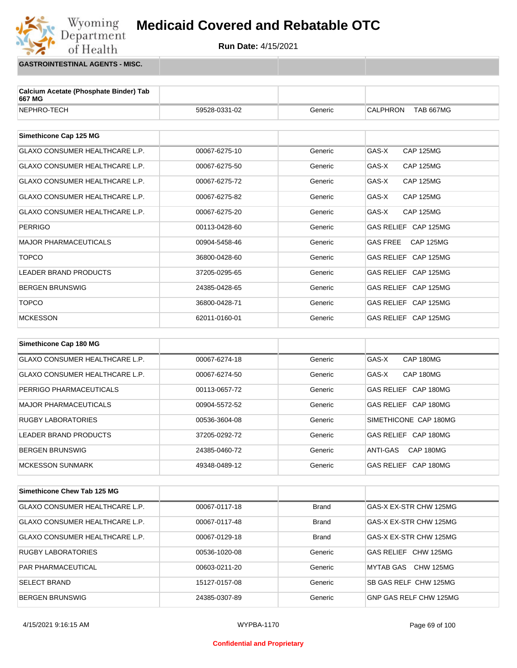

**GASTROINTESTINAL AGENTS - MISC.**

Wyoming<br>Department

of Health

| Calcium Acetate (Phosphate Binder) Tab<br>667 MG |               |         |                                     |
|--------------------------------------------------|---------------|---------|-------------------------------------|
| NEPHRO-TECH                                      | 59528-0331-02 | Generic | <b>CALPHRON</b><br><b>TAB 667MG</b> |
| Simethicone Cap 125 MG                           |               |         |                                     |
|                                                  |               |         |                                     |
| <b>GLAXO CONSUMER HEALTHCARE L.P.</b>            | 00067-6275-10 | Generic | GAS-X<br><b>CAP 125MG</b>           |
| <b>GLAXO CONSUMER HEALTHCARE L.P.</b>            | 00067-6275-50 | Generic | GAS-X<br><b>CAP 125MG</b>           |
| <b>GLAXO CONSUMER HEALTHCARE L.P.</b>            | 00067-6275-72 | Generic | GAS-X<br><b>CAP 125MG</b>           |
| <b>GLAXO CONSUMER HEALTHCARE L.P.</b>            | 00067-6275-82 | Generic | GAS-X<br><b>CAP 125MG</b>           |
| <b>GLAXO CONSUMER HEALTHCARE L.P.</b>            | 00067-6275-20 | Generic | GAS-X<br><b>CAP 125MG</b>           |
| <b>PERRIGO</b>                                   | 00113-0428-60 | Generic | GAS RELIEF CAP 125MG                |
| <b>MAJOR PHARMACEUTICALS</b>                     | 00904-5458-46 | Generic | <b>CAP 125MG</b><br><b>GAS FREE</b> |
| <b>TOPCO</b>                                     | 36800-0428-60 | Generic | GAS RELIEF CAP 125MG                |
| <b>LEADER BRAND PRODUCTS</b>                     | 37205-0295-65 | Generic | GAS RELIEF CAP 125MG                |
| <b>BERGEN BRUNSWIG</b>                           | 24385-0428-65 | Generic | GAS RELIEF CAP 125MG                |
| <b>TOPCO</b>                                     | 36800-0428-71 | Generic | GAS RELIEF CAP 125MG                |
| <b>MCKESSON</b>                                  | 62011-0160-01 | Generic | GAS RELIEF CAP 125MG                |
|                                                  |               |         |                                     |
| Simethicone Cap 180 MG                           |               |         |                                     |
| <b>GLAXO CONSUMER HEALTHCARE L.P.</b>            | 00067-6274-18 | Generic | GAS-X<br>CAP 180MG                  |
| <b>GLAXO CONSUMER HEALTHCARE L.P.</b>            | 00067-6274-50 | Generic | GAS-X<br>CAP 180MG                  |

| PERRIGO PHARMACEUTICALS   | 00113-0657-72 | Generic | GAS RELIEF CAP 180MG  |
|---------------------------|---------------|---------|-----------------------|
| MAJOR PHARMACEUTICALS     | 00904-5572-52 | Generic | GAS RELIEF CAP 180MG  |
| <b>RUGBY LABORATORIES</b> | 00536-3604-08 | Generic | SIMETHICONE CAP 180MG |
| LEADER BRAND PRODUCTS     | 37205-0292-72 | Generic | GAS RELIEF CAP 180MG  |
| <b>BERGEN BRUNSWIG</b>    | 24385-0460-72 | Generic | CAP 180MG<br>ANTI-GAS |
| MCKESSON SUNMARK          | 49348-0489-12 | Generic | GAS RELIEF CAP 180MG  |

| Simethicone Chew Tab 125 MG           |               |              |                        |
|---------------------------------------|---------------|--------------|------------------------|
| <b>GLAXO CONSUMER HEALTHCARE L.P.</b> | 00067-0117-18 | <b>Brand</b> | GAS-X EX-STR CHW 125MG |
| GLAXO CONSUMER HEALTHCARE L.P.        | 00067-0117-48 | <b>Brand</b> | GAS-X EX-STR CHW 125MG |
| GLAXO CONSUMER HEALTHCARE L.P.        | 00067-0129-18 | <b>Brand</b> | GAS-X EX-STR CHW 125MG |
| RUGBY LABORATORIES                    | 00536-1020-08 | Generic      | GAS RELIEF CHW 125MG   |
| <b>PAR PHARMACEUTICAL</b>             | 00603-0211-20 | Generic      | CHW 125MG<br>MYTAB GAS |
| <b>SELECT BRAND</b>                   | 15127-0157-08 | Generic      | SB GAS RELF CHW 125MG  |
| <b>BERGEN BRUNSWIG</b>                | 24385-0307-89 | Generic      | GNP GAS RELF CHW 125MG |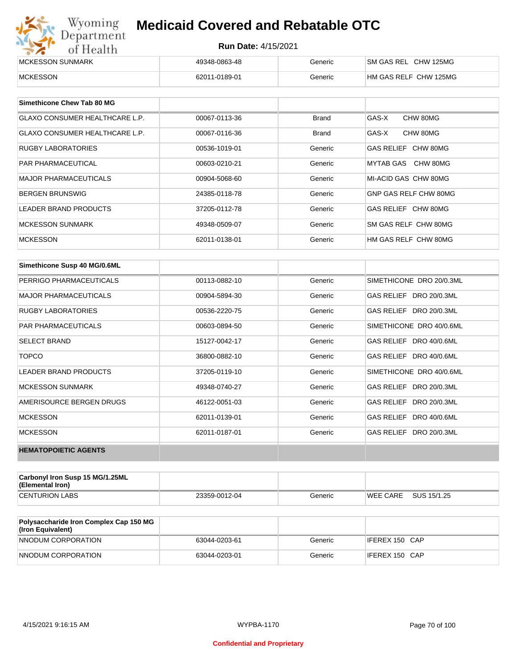| Wyoming          | <b>Medicaid Covered and Rebatable OTC</b><br>Department<br><b>Run Date: 4/15/2021</b><br>of Health |         |                       |  |  |
|------------------|----------------------------------------------------------------------------------------------------|---------|-----------------------|--|--|
|                  |                                                                                                    |         |                       |  |  |
| MCKESSON SUNMARK | 49348-0863-48                                                                                      | Generic | SM GAS REL CHW 125MG  |  |  |
| <b>MCKESSON</b>  | 62011-0189-01                                                                                      | Generic | HM GAS RELF CHW 125MG |  |  |

| Simethicone Chew Tab 80 MG            |               |              |                       |
|---------------------------------------|---------------|--------------|-----------------------|
| GLAXO CONSUMER HEALTHCARE L.P.        | 00067-0113-36 | <b>Brand</b> | GAS-X<br>CHW 80MG     |
| <b>GLAXO CONSUMER HEALTHCARE L.P.</b> | 00067-0116-36 | <b>Brand</b> | CHW 80MG<br>GAS-X     |
| <b>RUGBY LABORATORIES</b>             | 00536-1019-01 | Generic      | GAS RELIEF CHW 80MG   |
| <b>PAR PHARMACEUTICAL</b>             | 00603-0210-21 | Generic      | MYTAB GAS CHW 80MG    |
| <b>MAJOR PHARMACEUTICALS</b>          | 00904-5068-60 | Generic      | MI-ACID GAS CHW 80MG  |
| <b>BERGEN BRUNSWIG</b>                | 24385-0118-78 | Generic      | GNP GAS RELF CHW 80MG |
| <b>LEADER BRAND PRODUCTS</b>          | 37205-0112-78 | Generic      | GAS RELIEF CHW 80MG   |
| MCKESSON SUNMARK                      | 49348-0509-07 | Generic      | SM GAS RELF CHW 80MG  |
| <b>MCKESSON</b>                       | 62011-0138-01 | Generic      | HM GAS RELF CHW 80MG  |

| Simethicone Susp 40 MG/0.6ML |               |         |                          |
|------------------------------|---------------|---------|--------------------------|
| PERRIGO PHARMACEUTICALS      | 00113-0882-10 | Generic | SIMETHICONE DRO 20/0.3ML |
| <b>MAJOR PHARMACEUTICALS</b> | 00904-5894-30 | Generic | GAS RELIEF DRO 20/0.3ML  |
| <b>RUGBY LABORATORIES</b>    | 00536-2220-75 | Generic | GAS RELIEF DRO 20/0.3ML  |
| <b>PAR PHARMACEUTICALS</b>   | 00603-0894-50 | Generic | SIMETHICONE DRO 40/0.6ML |
| <b>SELECT BRAND</b>          | 15127-0042-17 | Generic | GAS RELIEF DRO 40/0.6ML  |
| <b>TOPCO</b>                 | 36800-0882-10 | Generic | GAS RELIEF DRO 40/0.6ML  |
| <b>LEADER BRAND PRODUCTS</b> | 37205-0119-10 | Generic | SIMETHICONE DRO 40/0.6ML |
| <b>MCKESSON SUNMARK</b>      | 49348-0740-27 | Generic | GAS RELIEF DRO 20/0.3ML  |
| AMERISOURCE BERGEN DRUGS     | 46122-0051-03 | Generic | GAS RELIEF DRO 20/0.3ML  |
| <b>MCKESSON</b>              | 62011-0139-01 | Generic | GAS RELIEF DRO 40/0.6ML  |
| <b>MCKESSON</b>              | 62011-0187-01 | Generic | GAS RELIEF DRO 20/0.3ML  |
| <b>HEMATOPOIETIC AGENTS</b>  |               |         |                          |

| Carbonyl Iron Susp 15 MG/1.25ML<br>(Elemental Iron) |               |         |                 |             |
|-----------------------------------------------------|---------------|---------|-----------------|-------------|
| <b>CENTURION LABS</b>                               | 23359-0012-04 | Generic | <b>WEE CARE</b> | SUS 15/1.25 |

| <b>Polysaccharide Iron Complex Cap 150 MG</b><br>(Iron Equivalent) |               |         |                |
|--------------------------------------------------------------------|---------------|---------|----------------|
| NNODUM CORPORATION                                                 | 63044-0203-61 | Generic | IFEREX 150 CAP |
| NNODUM CORPORATION                                                 | 63044-0203-01 | Generic | IFEREX 150 CAP |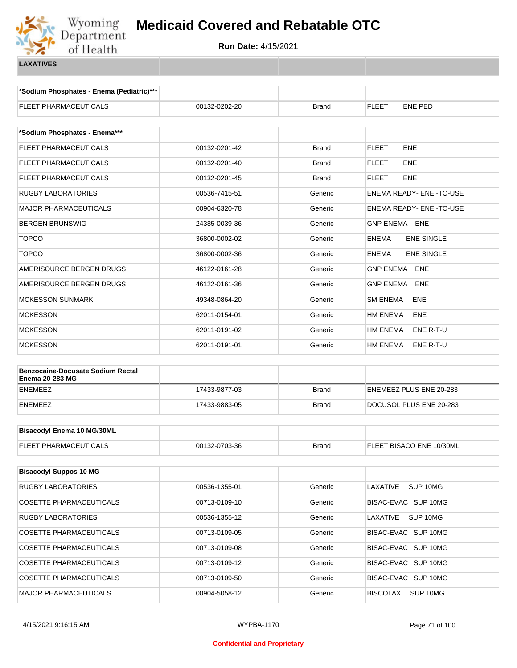

**\*Sodium Phosphates - Enema (Pediatric)\*\*\***

| <b>FLEET PHARMACEUTICALS</b>             | 00132-0202-20 | <b>Brand</b> | FLEET<br><b>ENE PED</b>           |  |  |
|------------------------------------------|---------------|--------------|-----------------------------------|--|--|
| *Sodium Phosphates - Enema***            |               |              |                                   |  |  |
| <b>FLEET PHARMACEUTICALS</b>             | 00132-0201-42 | <b>Brand</b> | <b>FLEET</b><br><b>ENE</b>        |  |  |
| FLEET PHARMACEUTICALS                    | 00132-0201-40 | <b>Brand</b> | <b>FLEET</b><br>ENE               |  |  |
| FLEET PHARMACEUTICALS                    | 00132-0201-45 | Brand        | FLEET<br><b>ENE</b>               |  |  |
| RUGBY LABORATORIES                       | 00536-7415-51 | Generic      | <b>ENEMA READY- ENE -TO-USE</b>   |  |  |
| MAJOR PHARMACEUTICALS                    | 00904-6320-78 | Generic      | ENEMA READY- ENE-TO-USE           |  |  |
| <b>BERGEN BRUNSWIG</b>                   | 24385-0039-36 | Generic      | <b>GNP ENEMA ENE</b>              |  |  |
| <b>TOPCO</b>                             | 36800-0002-02 | Generic      | <b>ENE SINGLE</b><br><b>ENEMA</b> |  |  |
| <b>TOPCO</b>                             | 36800-0002-36 | Generic      | <b>ENE SINGLE</b><br><b>ENEMA</b> |  |  |
| AMERISOURCE BERGEN DRUGS                 | 46122-0161-28 | Generic      | ENE<br><b>GNP ENEMA</b>           |  |  |
| AMERISOURCE BERGEN DRUGS                 | 46122-0161-36 | Generic      | <b>GNP ENEMA</b><br>ENE           |  |  |
| <b>MCKESSON SUNMARK</b>                  | 49348-0864-20 | Generic      | <b>SM ENEMA</b><br>ENE            |  |  |
| <b>MCKESSON</b>                          | 62011-0154-01 | Generic      | HM ENEMA<br>ENE                   |  |  |
| MCKESSON                                 | 62011-0191-02 | Generic      | HM ENEMA<br>ENE R-T-U             |  |  |
| <b>MCKESSON</b>                          | 62011-0191-01 | Generic      | HM ENEMA<br>ENE R-T-U             |  |  |
| <b>Benzocaine-Docusate Sodium Rectal</b> |               |              |                                   |  |  |
| <b>Enema 20-283 MG</b>                   |               |              |                                   |  |  |
| <b>ENEMEEZ</b>                           | 17433-9877-03 | <b>Brand</b> | ENEMEEZ PLUS ENE 20-283           |  |  |
| <b>ENEMEEZ</b>                           | 17433-9883-05 | Brand        | DOCUSOL PLUS ENE 20-283           |  |  |
| <b>Bisacodyl Enema 10 MG/30ML</b>        |               |              |                                   |  |  |
|                                          |               |              |                                   |  |  |
| <b>FLEET PHARMACEUTICALS</b>             | 00132-0703-36 | <b>Brand</b> | FLEET BISACO ENE 10/30ML          |  |  |
| <b>Bisacodyl Suppos 10 MG</b>            |               |              |                                   |  |  |
| <b>RUGBY LABORATORIES</b>                | 00536-1355-01 | Generic      | SUP 10MG<br>LAXATIVE              |  |  |
| <b>COSETTE PHARMACEUTICALS</b>           | 00713-0109-10 | Generic      | BISAC-EVAC SUP 10MG               |  |  |
| RUGBY LABORATORIES                       | 00536-1355-12 | Generic      | LAXATIVE<br>SUP 10MG              |  |  |
| COSETTE PHARMACEUTICALS                  | 00713-0109-05 | Generic      | BISAC-EVAC SUP 10MG               |  |  |
| COSETTE PHARMACEUTICALS                  | 00713-0109-08 | Generic      | BISAC-EVAC SUP 10MG               |  |  |
| COSETTE PHARMACEUTICALS                  | 00713-0109-12 | Generic      | BISAC-EVAC SUP 10MG               |  |  |
| COSETTE PHARMACEUTICALS                  | 00713-0109-50 | Generic      | BISAC-EVAC SUP 10MG               |  |  |
| MAJOR PHARMACEUTICALS                    | 00904-5058-12 | Generic      | <b>BISCOLAX</b><br>SUP 10MG       |  |  |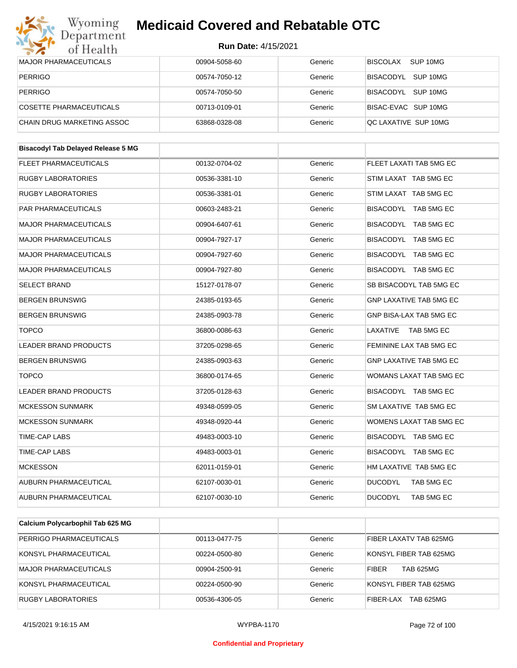| Department<br>of Health                   | Run Date: 4/15/2021 |         |                                 |
|-------------------------------------------|---------------------|---------|---------------------------------|
| <b>MAJOR PHARMACEUTICALS</b>              | 00904-5058-60       | Generic | SUP <sub>10MG</sub><br>BISCOLAX |
| <b>PERRIGO</b>                            | 00574-7050-12       | Generic | BISACODYL<br>SUP 10MG           |
| <b>PERRIGO</b>                            | 00574-7050-50       | Generic | BISACODYL SUP 10MG              |
| <b>COSETTE PHARMACEUTICALS</b>            | 00713-0109-01       | Generic | BISAC-EVAC SUP 10MG             |
| CHAIN DRUG MARKETING ASSOC                | 63868-0328-08       | Generic | QC LAXATIVE SUP 10MG            |
| <b>Bisacodyl Tab Delayed Release 5 MG</b> |                     |         |                                 |
|                                           |                     |         |                                 |
| FLEET PHARMACEUTICALS                     | 00132-0704-02       | Generic | FLEET LAXATI TAB 5MG EC         |
| <b>RUGBY LABORATORIES</b>                 | 00536-3381-10       | Generic | STIM LAXAT TAB 5MG EC           |
| <b>RUGBY LABORATORIES</b>                 | 00536-3381-01       | Generic | STIM LAXAT TAB 5MG EC           |
| PAR PHARMACEUTICALS                       | 00603-2483-21       | Generic | BISACODYL TAB 5MG EC            |
| <b>MAJOR PHARMACEUTICALS</b>              | 00904-6407-61       | Generic | BISACODYL TAB 5MG EC            |
| <b>MAJOR PHARMACEUTICALS</b>              | 00904-7927-17       | Generic | BISACODYL TAB 5MG EC            |
| <b>MAJOR PHARMACEUTICALS</b>              | 00904-7927-60       | Generic | BISACODYL TAB 5MG EC            |
| <b>MAJOR PHARMACEUTICALS</b>              | 00904-7927-80       | Generic | BISACODYL TAB 5MG EC            |
| SELECT BRAND                              | 15127-0178-07       | Generic | SB BISACODYL TAB 5MG EC         |
| <b>BERGEN BRUNSWIG</b>                    | 24385-0193-65       | Generic | <b>GNP LAXATIVE TAB 5MG EC</b>  |
| <b>BERGEN BRUNSWIG</b>                    | 24385-0903-78       | Generic | GNP BISA-LAX TAB 5MG EC         |
| <b>TOPCO</b>                              | 36800-0086-63       | Generic | LAXATIVE TAB 5MG EC             |
| <b>LEADER BRAND PRODUCTS</b>              | 37205-0298-65       | Generic | FEMININE LAX TAB 5MG EC         |
| <b>BERGEN BRUNSWIG</b>                    | 24385-0903-63       | Generic | <b>GNP LAXATIVE TAB 5MG EC</b>  |
| <b>TOPCO</b>                              | 36800-0174-65       | Generic | WOMANS LAXAT TAB 5MG EC         |
| <b>LEADER BRAND PRODUCTS</b>              | 37205-0128-63       | Generic | BISACODYL TAB 5MG EC            |
| <b>MCKESSON SUNMARK</b>                   | 49348-0599-05       | Generic | SM LAXATIVE TAB 5MG EC          |
| <b>MCKESSON SUNMARK</b>                   | 49348-0920-44       | Generic | WOMENS LAXAT TAB 5MG EC         |
| TIME-CAP LABS                             | 49483-0003-10       | Generic | BISACODYL TAB 5MG EC            |
| TIME-CAP LABS                             | 49483-0003-01       | Generic | BISACODYL TAB 5MG EC            |
| <b>MCKESSON</b>                           | 62011-0159-01       | Generic | HM LAXATIVE TAB 5MG EC          |
| AUBURN PHARMACEUTICAL                     | 62107-0030-01       | Generic | <b>DUCODYL</b><br>TAB 5MG EC    |
| AUBURN PHARMACEUTICAL                     | 62107-0030-10       | Generic | <b>DUCODYL</b><br>TAB 5MG EC    |
|                                           |                     |         |                                 |
| Calcium Polycarbophil Tab 625 MG          |                     |         |                                 |
|                                           | 0.0110.01777        |         | FIDED LAVATU TAD COEMO          |

| PERRIGO PHARMACEUTICALS   | 00113-0477-75 | Generic | FIBER LAXATV TAB 625MG           |
|---------------------------|---------------|---------|----------------------------------|
| KONSYL PHARMACEUTICAL     | 00224-0500-80 | Generic | KONSYL FIBER TAB 625MG           |
| MAJOR PHARMACEUTICALS     | 00904-2500-91 | Generic | <b>TAB 625MG</b><br><b>FIBER</b> |
| KONSYL PHARMACEUTICAL     | 00224-0500-90 | Generic | KONSYL FIBER TAB 625MG           |
| <b>RUGBY LABORATORIES</b> | 00536-4306-05 | Generic | TAB 625MG<br>FIBER-LAX           |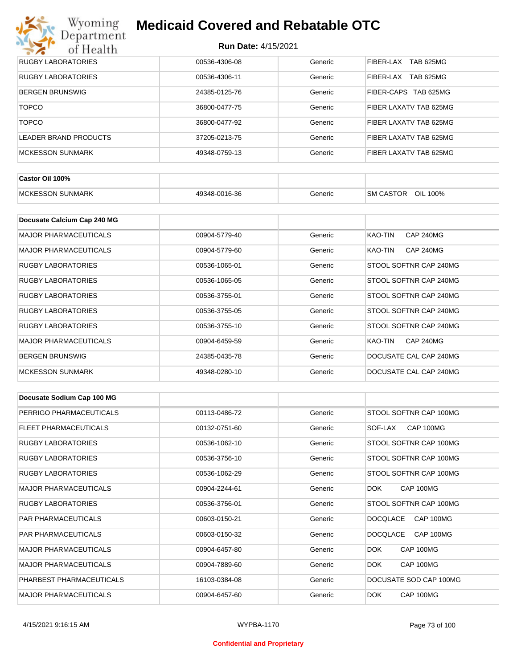

| <b>RUGBY LABORATORIES</b> | 00536-4306-08 | Generic | TAB 625MG<br>FIBER-LAX |
|---------------------------|---------------|---------|------------------------|
| RUGBY LABORATORIES        | 00536-4306-11 | Generic | TAB 625MG<br>FIBER-LAX |
| <b>BERGEN BRUNSWIG</b>    | 24385-0125-76 | Generic | FIBER-CAPS TAB 625MG   |
| <b>TOPCO</b>              | 36800-0477-75 | Generic | FIBER LAXATV TAB 625MG |
| <b>TOPCO</b>              | 36800-0477-92 | Generic | FIBER LAXATV TAB 625MG |
| LEADER BRAND PRODUCTS     | 37205-0213-75 | Generic | FIBER LAXATV TAB 625MG |
| <b>MCKESSON SUNMARK</b>   | 49348-0759-13 | Generic | FIBER LAXATV TAB 625MG |

| Castor Oil 100%         |               |         |                                 |
|-------------------------|---------------|---------|---------------------------------|
| <b>MCKESSON SUNMARK</b> | 49348-0016-36 | Beneric | OIL<br><b>SM CASTOR</b><br>100% |

| Docusate Calcium Cap 240 MG  |               |         |                             |
|------------------------------|---------------|---------|-----------------------------|
| <b>MAJOR PHARMACEUTICALS</b> | 00904-5779-40 | Generic | KAO-TIN<br><b>CAP 240MG</b> |
| <b>MAJOR PHARMACEUTICALS</b> | 00904-5779-60 | Generic | <b>CAP 240MG</b><br>KAO-TIN |
| <b>RUGBY LABORATORIES</b>    | 00536-1065-01 | Generic | STOOL SOFTNR CAP 240MG      |
| RUGBY LABORATORIES           | 00536-1065-05 | Generic | STOOL SOFTNR CAP 240MG      |
| <b>RUGBY LABORATORIES</b>    | 00536-3755-01 | Generic | STOOL SOFTNR CAP 240MG      |
| <b>RUGBY LABORATORIES</b>    | 00536-3755-05 | Generic | STOOL SOFTNR CAP 240MG      |
| RUGBY LABORATORIES           | 00536-3755-10 | Generic | STOOL SOFTNR CAP 240MG      |
| <b>MAJOR PHARMACEUTICALS</b> | 00904-6459-59 | Generic | <b>CAP 240MG</b><br>KAO-TIN |
| <b>BERGEN BRUNSWIG</b>       | 24385-0435-78 | Generic | DOCUSATE CAL CAP 240MG      |
| <b>MCKESSON SUNMARK</b>      | 49348-0280-10 | Generic | DOCUSATE CAL CAP 240MG      |

| Docusate Sodium Cap 100 MG   |               |         |                              |
|------------------------------|---------------|---------|------------------------------|
| PERRIGO PHARMACEUTICALS      | 00113-0486-72 | Generic | STOOL SOFTNR CAP 100MG       |
| FLEET PHARMACEUTICALS        | 00132-0751-60 | Generic | CAP 100MG<br>SOF-LAX         |
| <b>RUGBY LABORATORIES</b>    | 00536-1062-10 | Generic | STOOL SOFTNR CAP 100MG       |
| <b>RUGBY LABORATORIES</b>    | 00536-3756-10 | Generic | STOOL SOFTNR CAP 100MG       |
| <b>RUGBY LABORATORIES</b>    | 00536-1062-29 | Generic | STOOL SOFTNR CAP 100MG       |
| <b>MAJOR PHARMACEUTICALS</b> | 00904-2244-61 | Generic | DOK.<br>CAP 100MG            |
| <b>RUGBY LABORATORIES</b>    | 00536-3756-01 | Generic | STOOL SOFTNR CAP 100MG       |
| <b>PAR PHARMACEUTICALS</b>   | 00603-0150-21 | Generic | <b>DOCQLACE</b><br>CAP 100MG |
| <b>PAR PHARMACEUTICALS</b>   | 00603-0150-32 | Generic | <b>DOCQLACE</b><br>CAP 100MG |
| <b>MAJOR PHARMACEUTICALS</b> | 00904-6457-80 | Generic | CAP 100MG<br>DOK.            |
| <b>MAJOR PHARMACEUTICALS</b> | 00904-7889-60 | Generic | <b>DOK</b><br>CAP 100MG      |
| PHARBEST PHARMACEUTICALS     | 16103-0384-08 | Generic | DOCUSATE SOD CAP 100MG       |
| <b>MAJOR PHARMACEUTICALS</b> | 00904-6457-60 | Generic | DOK.<br>CAP 100MG            |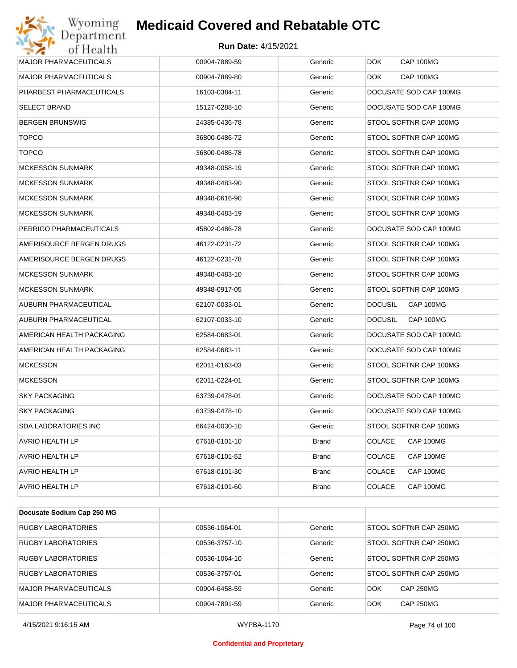| Department<br>of Health      | <b>Run Date: 4/15/2021</b> |              |                             |
|------------------------------|----------------------------|--------------|-----------------------------|
| <b>MAJOR PHARMACEUTICALS</b> | 00904-7889-59              | Generic      | <b>DOK</b><br>CAP 100MG     |
| <b>MAJOR PHARMACEUTICALS</b> | 00904-7889-80              | Generic      | CAP 100MG<br><b>DOK</b>     |
| PHARBEST PHARMACEUTICALS     | 16103-0384-11              | Generic      | DOCUSATE SOD CAP 100MG      |
| <b>SELECT BRAND</b>          | 15127-0288-10              | Generic      | DOCUSATE SOD CAP 100MG      |
| <b>BERGEN BRUNSWIG</b>       | 24385-0436-78              | Generic      | STOOL SOFTNR CAP 100MG      |
| <b>TOPCO</b>                 | 36800-0486-72              | Generic      | STOOL SOFTNR CAP 100MG      |
| <b>TOPCO</b>                 | 36800-0486-78              | Generic      | STOOL SOFTNR CAP 100MG      |
| <b>MCKESSON SUNMARK</b>      | 49348-0058-19              | Generic      | STOOL SOFTNR CAP 100MG      |
| <b>MCKESSON SUNMARK</b>      | 49348-0483-90              | Generic      | STOOL SOFTNR CAP 100MG      |
| <b>MCKESSON SUNMARK</b>      | 49348-0616-90              | Generic      | STOOL SOFTNR CAP 100MG      |
| <b>MCKESSON SUNMARK</b>      | 49348-0483-19              | Generic      | STOOL SOFTNR CAP 100MG      |
| PERRIGO PHARMACEUTICALS      | 45802-0486-78              | Generic      | DOCUSATE SOD CAP 100MG      |
| AMERISOURCE BERGEN DRUGS     | 46122-0231-72              | Generic      | STOOL SOFTNR CAP 100MG      |
| AMERISOURCE BERGEN DRUGS     | 46122-0231-78              | Generic      | STOOL SOFTNR CAP 100MG      |
| <b>MCKESSON SUNMARK</b>      | 49348-0483-10              | Generic      | STOOL SOFTNR CAP 100MG      |
| <b>MCKESSON SUNMARK</b>      | 49348-0917-05              | Generic      | STOOL SOFTNR CAP 100MG      |
| AUBURN PHARMACEUTICAL        | 62107-0033-01              | Generic      | CAP 100MG<br><b>DOCUSIL</b> |
| AUBURN PHARMACEUTICAL        | 62107-0033-10              | Generic      | <b>DOCUSIL</b><br>CAP 100MG |
| AMERICAN HEALTH PACKAGING    | 62584-0683-01              | Generic      | DOCUSATE SOD CAP 100MG      |
| AMERICAN HEALTH PACKAGING    | 62584-0683-11              | Generic      | DOCUSATE SOD CAP 100MG      |
| <b>MCKESSON</b>              | 62011-0163-03              | Generic      | STOOL SOFTNR CAP 100MG      |
| <b>MCKESSON</b>              | 62011-0224-01              | Generic      | STOOL SOFTNR CAP 100MG      |
| <b>SKY PACKAGING</b>         | 63739-0478-01              | Generic      | DOCUSATE SOD CAP 100MG      |
| <b>SKY PACKAGING</b>         | 63739-0478-10              | Generic      | DOCUSATE SOD CAP 100MG      |
| <b>SDA LABORATORIES INC</b>  | 66424-0030-10              | Generic      | STOOL SOFTNR CAP 100MG      |
| <b>AVRIO HEALTH LP</b>       | 67618-0101-10              | <b>Brand</b> | <b>COLACE</b><br>CAP 100MG  |
| AVRIO HEALTH LP              | 67618-0101-52              | Brand        | <b>COLACE</b><br>CAP 100MG  |
| AVRIO HEALTH LP              | 67618-0101-30              | Brand        | <b>COLACE</b><br>CAP 100MG  |
| <b>AVRIO HEALTH LP</b>       | 67618-0101-60              | Brand        | <b>COLACE</b><br>CAP 100MG  |

| <b>Docusate Obdition Oap 200 MO</b> |               |         |                                |
|-------------------------------------|---------------|---------|--------------------------------|
| RUGBY LABORATORIES                  | 00536-1064-01 | Generic | STOOL SOFTNR CAP 250MG         |
| <b>RUGBY LABORATORIES</b>           | 00536-3757-10 | Generic | STOOL SOFTNR CAP 250MG         |
| RUGBY LABORATORIES                  | 00536-1064-10 | Generic | STOOL SOFTNR CAP 250MG         |
| RUGBY LABORATORIES                  | 00536-3757-01 | Generic | STOOL SOFTNR CAP 250MG         |
| <b>MAJOR PHARMACEUTICALS</b>        | 00904-6458-59 | Generic | <b>CAP 250MG</b><br><b>DOK</b> |
| <b>MAJOR PHARMACEUTICALS</b>        | 00904-7891-59 | Generic | <b>CAP 250MG</b><br><b>DOK</b> |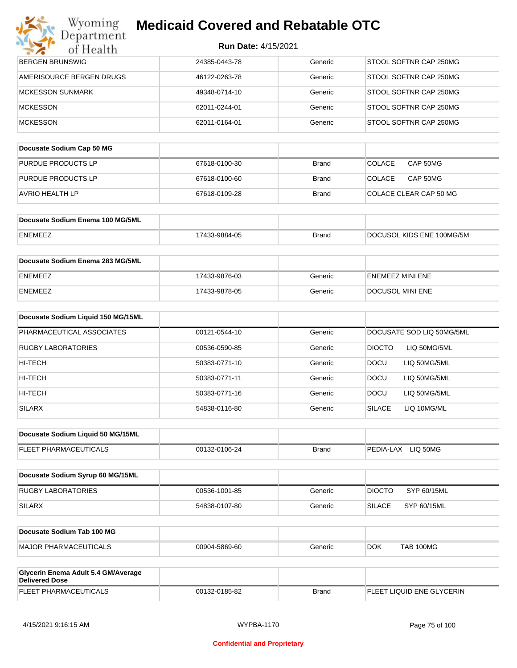| <b>Medicaid Covered and Rebatable OTC</b> |
|-------------------------------------------|
|                                           |

| <b>Run Date: 4/15/2021</b> |  |
|----------------------------|--|
|----------------------------|--|

| Wyoming<br>Department                                        | <b>Medicaid Covered and Rebatable OTC</b> |              |                                |
|--------------------------------------------------------------|-------------------------------------------|--------------|--------------------------------|
| of Health                                                    | <b>Run Date: 4/15/2021</b>                |              |                                |
| <b>BERGEN BRUNSWIG</b>                                       | 24385-0443-78                             | Generic      | STOOL SOFTNR CAP 250MG         |
| AMERISOURCE BERGEN DRUGS                                     | 46122-0263-78                             | Generic      | STOOL SOFTNR CAP 250MG         |
| <b>MCKESSON SUNMARK</b>                                      | 49348-0714-10                             | Generic      | STOOL SOFTNR CAP 250MG         |
| <b>MCKESSON</b>                                              | 62011-0244-01                             | Generic      | STOOL SOFTNR CAP 250MG         |
| <b>MCKESSON</b>                                              | 62011-0164-01                             | Generic      | STOOL SOFTNR CAP 250MG         |
| Docusate Sodium Cap 50 MG                                    |                                           |              |                                |
| PURDUE PRODUCTS LP                                           | 67618-0100-30                             | <b>Brand</b> | <b>COLACE</b><br>CAP 50MG      |
| PURDUE PRODUCTS LP                                           | 67618-0100-60                             | <b>Brand</b> | <b>COLACE</b><br>CAP 50MG      |
| AVRIO HEALTH LP                                              | 67618-0109-28                             | <b>Brand</b> | COLACE CLEAR CAP 50 MG         |
| Docusate Sodium Enema 100 MG/5ML                             |                                           |              |                                |
| <b>ENEMEEZ</b>                                               | 17433-9884-05                             | <b>Brand</b> | DOCUSOL KIDS ENE 100MG/5M      |
| Docusate Sodium Enema 283 MG/5ML                             |                                           |              |                                |
| <b>ENEMEEZ</b>                                               | 17433-9876-03                             | Generic      | ENEMEEZ MINI ENE               |
| <b>ENEMEEZ</b>                                               | 17433-9878-05                             | Generic      | DOCUSOL MINI ENE               |
| Docusate Sodium Liquid 150 MG/15ML                           |                                           |              |                                |
| PHARMACEUTICAL ASSOCIATES                                    | 00121-0544-10                             | Generic      | DOCUSATE SOD LIQ 50MG/5ML      |
| <b>RUGBY LABORATORIES</b>                                    | 00536-0590-85                             | Generic      | <b>DIOCTO</b><br>LIQ 50MG/5ML  |
| HI-TECH                                                      | 50383-0771-10                             | Generic      | <b>DOCU</b><br>LIQ 50MG/5ML    |
| HI-TECH                                                      | 50383-0771-11                             | Generic      | <b>DOCU</b><br>LIQ 50MG/5ML    |
| HI-TECH                                                      | 50383-0771-16                             | Generic      | DOCU<br>LIQ 50MG/5ML           |
| <b>SILARX</b>                                                | 54838-0116-80                             | Generic      | <b>SILACE</b><br>LIQ 10MG/ML   |
| Docusate Sodium Liquid 50 MG/15ML                            |                                           |              |                                |
| FLEET PHARMACEUTICALS                                        | 00132-0106-24                             | <b>Brand</b> | PEDIA-LAX LIQ 50MG             |
| Docusate Sodium Syrup 60 MG/15ML                             |                                           |              |                                |
| <b>RUGBY LABORATORIES</b>                                    | 00536-1001-85                             | Generic      | <b>DIOCTO</b><br>SYP 60/15ML   |
| <b>SILARX</b>                                                | 54838-0107-80                             | Generic      | <b>SILACE</b><br>SYP 60/15ML   |
| Docusate Sodium Tab 100 MG                                   |                                           |              |                                |
| <b>MAJOR PHARMACEUTICALS</b>                                 | 00904-5869-60                             | Generic      | <b>TAB 100MG</b><br><b>DOK</b> |
| Glycerin Enema Adult 5.4 GM/Average<br><b>Delivered Dose</b> |                                           |              |                                |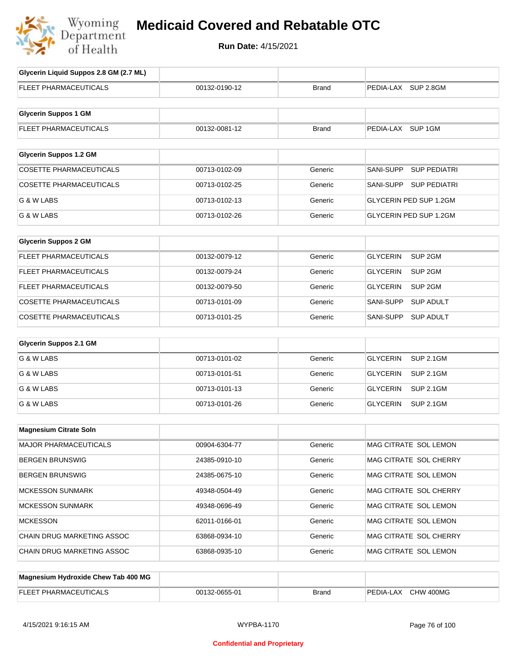

## **Medicaid Covered and Rebatable OTC**

**Run Date:** 4/15/2021

| Glycerin Liquid Suppos 2.8 GM (2.7 ML) |               |              |                                       |
|----------------------------------------|---------------|--------------|---------------------------------------|
| FLEET PHARMACEUTICALS                  | 00132-0190-12 | <b>Brand</b> | PEDIA-LAX SUP 2.8GM                   |
|                                        |               |              |                                       |
| <b>Glycerin Suppos 1 GM</b>            |               |              |                                       |
| FLEET PHARMACEUTICALS                  | 00132-0081-12 | <b>Brand</b> | PEDIA-LAX SUP 1GM                     |
|                                        |               |              |                                       |
| <b>Glycerin Suppos 1.2 GM</b>          |               |              |                                       |
| <b>COSETTE PHARMACEUTICALS</b>         | 00713-0102-09 | Generic      | SANI-SUPP<br><b>SUP PEDIATRI</b>      |
| <b>COSETTE PHARMACEUTICALS</b>         | 00713-0102-25 | Generic      | SANI-SUPP SUP PEDIATRI                |
| G & W LABS                             | 00713-0102-13 | Generic      | <b>GLYCERIN PED SUP 1.2GM</b>         |
| G & W LABS                             | 00713-0102-26 | Generic      | GLYCERIN PED SUP 1.2GM                |
|                                        |               |              |                                       |
| <b>Glycerin Suppos 2 GM</b>            |               |              |                                       |
| FLEET PHARMACEUTICALS                  | 00132-0079-12 | Generic      | <b>GLYCERIN</b><br>SUP <sub>2GM</sub> |
| <b>FLEET PHARMACEUTICALS</b>           | 00132-0079-24 | Generic      | GLYCERIN<br>SUP <sub>2GM</sub>        |
| FLEET PHARMACEUTICALS                  | 00132-0079-50 | Generic      | <b>GLYCERIN</b><br>SUP 2GM            |
| COSETTE PHARMACEUTICALS                | 00713-0101-09 | Generic      | SANI-SUPP<br><b>SUP ADULT</b>         |
| COSETTE PHARMACEUTICALS                | 00713-0101-25 | Generic      | <b>SUP ADULT</b><br>SANI-SUPP         |
| <b>Glycerin Suppos 2.1 GM</b>          |               |              |                                       |
| G & W LABS                             | 00713-0101-02 | Generic      | <b>GLYCERIN</b><br><b>SUP 2.1GM</b>   |
|                                        |               |              |                                       |
| G & W LABS                             | 00713-0101-51 | Generic      | <b>GLYCERIN</b><br><b>SUP 2.1GM</b>   |
| G & W LABS                             | 00713-0101-13 | Generic      | <b>GLYCERIN</b><br><b>SUP 2.1GM</b>   |
| G & W LABS                             | 00713-0101-26 | Generic      | GLYCERIN<br><b>SUP 2.1GM</b>          |
| <b>Magnesium Citrate Soln</b>          |               |              |                                       |
|                                        |               |              |                                       |
| MAJOR PHARMACEUTICALS                  | 00904-6304-77 | Generic      | MAG CITRATE SOL LEMON                 |
| <b>BERGEN BRUNSWIG</b>                 | 24385-0910-10 | Generic      | MAG CITRATE SOL CHERRY                |
| <b>BERGEN BRUNSWIG</b>                 | 24385-0675-10 | Generic      | MAG CITRATE SOL LEMON                 |
| <b>MCKESSON SUNMARK</b>                | 49348-0504-49 | Generic      | MAG CITRATE SOL CHERRY                |
| <b>MCKESSON SUNMARK</b>                | 49348-0696-49 | Generic      | MAG CITRATE SOL LEMON                 |
| <b>MCKESSON</b>                        | 62011-0166-01 | Generic      | MAG CITRATE SOL LEMON                 |
| CHAIN DRUG MARKETING ASSOC             | 63868-0934-10 | Generic      | MAG CITRATE SOL CHERRY                |
| CHAIN DRUG MARKETING ASSOC             | 63868-0935-10 | Generic      | MAG CITRATE SOL LEMON                 |
|                                        |               |              |                                       |
| Magnesium Hydroxide Chew Tab 400 MG    |               |              |                                       |
| FLEET PHARMACEUTICALS                  | 00132-0655-01 | <b>Brand</b> | PEDIA-LAX CHW 400MG                   |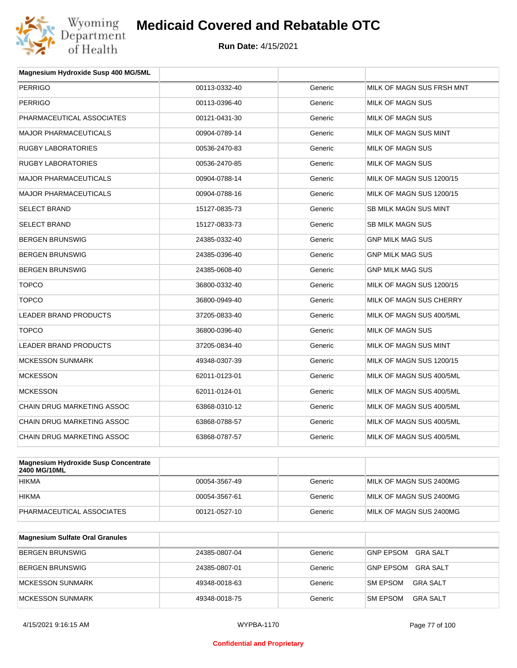

| Magnesium Hydroxide Susp 400 MG/5ML  |               |         |                           |
|--------------------------------------|---------------|---------|---------------------------|
| <b>PERRIGO</b>                       | 00113-0332-40 | Generic | MILK OF MAGN SUS FRSH MNT |
| <b>PERRIGO</b>                       | 00113-0396-40 | Generic | <b>MILK OF MAGN SUS</b>   |
| PHARMACEUTICAL ASSOCIATES            | 00121-0431-30 | Generic | <b>MILK OF MAGN SUS</b>   |
| <b>MAJOR PHARMACEUTICALS</b>         | 00904-0789-14 | Generic | MILK OF MAGN SUS MINT     |
| <b>RUGBY LABORATORIES</b>            | 00536-2470-83 | Generic | MILK OF MAGN SUS          |
| <b>RUGBY LABORATORIES</b>            | 00536-2470-85 | Generic | MILK OF MAGN SUS          |
| <b>MAJOR PHARMACEUTICALS</b>         | 00904-0788-14 | Generic | MILK OF MAGN SUS 1200/15  |
| <b>MAJOR PHARMACEUTICALS</b>         | 00904-0788-16 | Generic | MILK OF MAGN SUS 1200/15  |
| <b>SELECT BRAND</b>                  | 15127-0835-73 | Generic | SB MILK MAGN SUS MINT     |
| <b>SELECT BRAND</b>                  | 15127-0833-73 | Generic | <b>SB MILK MAGN SUS</b>   |
| <b>BERGEN BRUNSWIG</b>               | 24385-0332-40 | Generic | <b>GNP MILK MAG SUS</b>   |
| <b>BERGEN BRUNSWIG</b>               | 24385-0396-40 | Generic | <b>GNP MILK MAG SUS</b>   |
| <b>BERGEN BRUNSWIG</b>               | 24385-0608-40 | Generic | <b>GNP MILK MAG SUS</b>   |
| <b>TOPCO</b>                         | 36800-0332-40 | Generic | MILK OF MAGN SUS 1200/15  |
| <b>TOPCO</b>                         | 36800-0949-40 | Generic | MILK OF MAGN SUS CHERRY   |
| <b>LEADER BRAND PRODUCTS</b>         | 37205-0833-40 | Generic | MILK OF MAGN SUS 400/5ML  |
| <b>TOPCO</b>                         | 36800-0396-40 | Generic | MILK OF MAGN SUS          |
| <b>LEADER BRAND PRODUCTS</b>         | 37205-0834-40 | Generic | MILK OF MAGN SUS MINT     |
| <b>MCKESSON SUNMARK</b>              | 49348-0307-39 | Generic | MILK OF MAGN SUS 1200/15  |
| <b>MCKESSON</b>                      | 62011-0123-01 | Generic | MILK OF MAGN SUS 400/5ML  |
| <b>MCKESSON</b>                      | 62011-0124-01 | Generic | MILK OF MAGN SUS 400/5ML  |
| <b>CHAIN DRUG MARKETING ASSOC</b>    | 63868-0310-12 | Generic | MILK OF MAGN SUS 400/5ML  |
| <b>CHAIN DRUG MARKETING ASSOC</b>    | 63868-0788-57 | Generic | MILK OF MAGN SUS 400/5ML  |
| <b>CHAIN DRUG MARKETING ASSOC</b>    | 63868-0787-57 | Generic | MILK OF MAGN SUS 400/5ML  |
|                                      |               |         |                           |
| Magnosium Hydroxido Susp Concontrato |               |         |                           |

| Magnesium Hydroxide Susp Concentrate<br>2400 MG/10ML |               |         |                         |
|------------------------------------------------------|---------------|---------|-------------------------|
| <b>HIKMA</b>                                         | 00054-3567-49 | Generic | MILK OF MAGN SUS 2400MG |
| <b>HIKMA</b>                                         | 00054-3567-61 | Generic | MILK OF MAGN SUS 2400MG |
| PHARMACEUTICAL ASSOCIATES                            | 00121-0527-10 | Generic | MILK OF MAGN SUS 2400MG |

| Magnesium Sulfate Oral Granules |               |         |                                    |
|---------------------------------|---------------|---------|------------------------------------|
| <b>BERGEN BRUNSWIG</b>          | 24385-0807-04 | Generic | <b>GNP EPSOM</b><br>GRA SALT       |
| <b>BERGEN BRUNSWIG</b>          | 24385-0807-01 | Generic | <b>GNP EPSOM</b><br>GRA SALT       |
| MCKESSON SUNMARK                | 49348-0018-63 | Generic | <b>SM EPSOM</b><br>GRA SALT        |
| MCKESSON SUNMARK                | 49348-0018-75 | Generic | <b>GRA SALT</b><br><b>SM EPSOM</b> |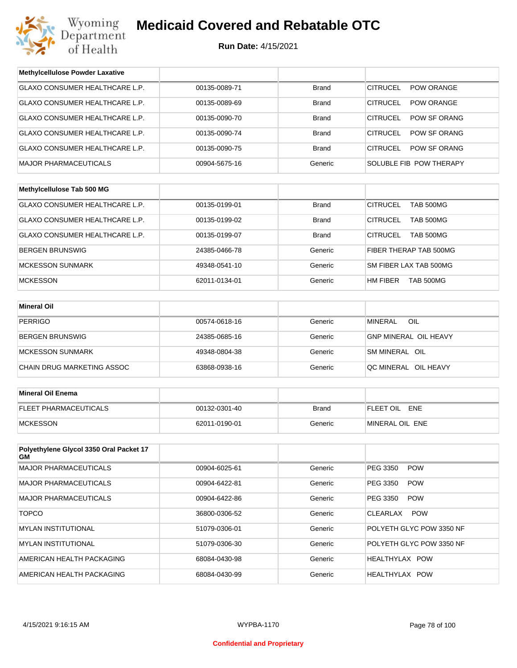

| <b>Methylcellulose Powder Laxative</b>         |               |              |                                     |
|------------------------------------------------|---------------|--------------|-------------------------------------|
| GLAXO CONSUMER HEALTHCARE L.P.                 | 00135-0089-71 | <b>Brand</b> | <b>CITRUCEL</b><br>POW ORANGE       |
| GLAXO CONSUMER HEALTHCARE L.P.                 | 00135-0089-69 | <b>Brand</b> | <b>CITRUCEL</b><br>POW ORANGE       |
| <b>GLAXO CONSUMER HEALTHCARE L.P.</b>          | 00135-0090-70 | <b>Brand</b> | <b>CITRUCEL</b><br>POW SF ORANG     |
| GLAXO CONSUMER HEALTHCARE L.P.                 | 00135-0090-74 | <b>Brand</b> | <b>CITRUCEL</b><br>POW SF ORANG     |
| GLAXO CONSUMER HEALTHCARE L.P.                 | 00135-0090-75 | <b>Brand</b> | <b>CITRUCEL</b><br>POW SF ORANG     |
| <b>MAJOR PHARMACEUTICALS</b>                   | 00904-5675-16 | Generic      | SOLUBLE FIB POW THERAPY             |
|                                                |               |              |                                     |
| Methylcellulose Tab 500 MG                     |               |              |                                     |
| GLAXO CONSUMER HEALTHCARE L.P.                 | 00135-0199-01 | <b>Brand</b> | <b>CITRUCEL</b><br><b>TAB 500MG</b> |
| GLAXO CONSUMER HEALTHCARE L.P.                 | 00135-0199-02 | <b>Brand</b> | <b>CITRUCEL</b><br><b>TAB 500MG</b> |
| GLAXO CONSUMER HEALTHCARE L.P.                 | 00135-0199-07 | <b>Brand</b> | <b>CITRUCEL</b><br><b>TAB 500MG</b> |
| <b>BERGEN BRUNSWIG</b>                         | 24385-0466-78 | Generic      | FIBER THERAP TAB 500MG              |
| <b>MCKESSON SUNMARK</b>                        | 49348-0541-10 | Generic      | SM FIBER LAX TAB 500MG              |
| <b>MCKESSON</b>                                | 62011-0134-01 | Generic      | HM FIBER<br>TAB 500MG               |
|                                                |               |              |                                     |
| <b>Mineral Oil</b>                             |               |              |                                     |
| <b>PERRIGO</b>                                 | 00574-0618-16 | Generic      | <b>MINERAL</b><br>OIL               |
| BERGEN BRUNSWIG                                | 24385-0685-16 | Generic      | <b>GNP MINERAL OIL HEAVY</b>        |
| <b>MCKESSON SUNMARK</b>                        | 49348-0804-38 | Generic      | SM MINERAL OIL                      |
| CHAIN DRUG MARKETING ASSOC                     | 63868-0938-16 | Generic      | QC MINERAL OIL HEAVY                |
|                                                |               |              |                                     |
| <b>Mineral Oil Enema</b>                       |               |              |                                     |
| FLEET PHARMACEUTICALS                          | 00132-0301-40 | <b>Brand</b> | FLEET OIL ENE                       |
| <b>MCKESSON</b>                                | 62011-0190-01 | Generic      | MINERAL OIL ENE                     |
|                                                |               |              |                                     |
| Polyethylene Glycol 3350 Oral Packet 17<br>GM. |               |              |                                     |
| <b>MAJOR PHARMACEUTICALS</b>                   | 00904-6025-61 | Generic      | <b>POW</b><br>PEG 3350              |
| <b>MAJOR PHARMACEUTICALS</b>                   | 00904-6422-81 | Generic      | PEG 3350<br><b>POW</b>              |
| <b>MAJOR PHARMACEUTICALS</b>                   | 00904-6422-86 | Generic      | PEG 3350<br><b>POW</b>              |
| <b>TOPCO</b>                                   | 36800-0306-52 | Generic      | CLEARLAX<br><b>POW</b>              |
| <b>MYLAN INSTITUTIONAL</b>                     | 51079-0306-01 | Generic      | POLYETH GLYC POW 3350 NF            |
| <b>MYLAN INSTITUTIONAL</b>                     | 51079-0306-30 | Generic      | POLYETH GLYC POW 3350 NF            |
| AMERICAN HEALTH PACKAGING                      | 68084-0430-98 | Generic      | HEALTHYLAX POW                      |
| AMERICAN HEALTH PACKAGING                      | 68084-0430-99 | Generic      | HEALTHYLAX POW                      |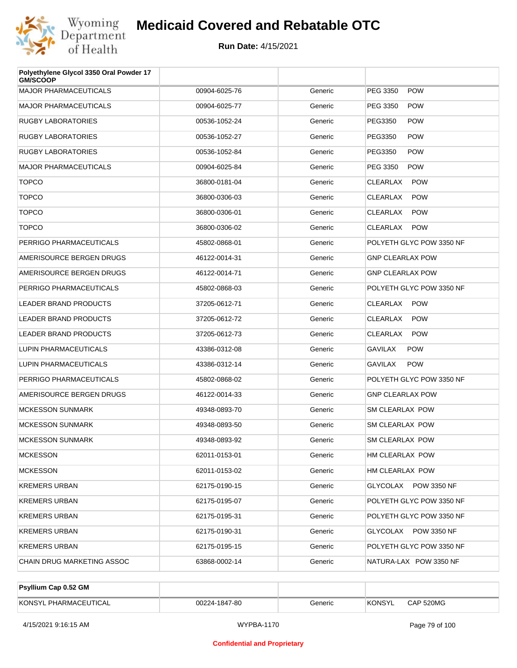

| Polyethylene Glycol 3350 Oral Powder 17<br><b>GM/SCOOP</b> |               |         |                               |
|------------------------------------------------------------|---------------|---------|-------------------------------|
| <b>MAJOR PHARMACEUTICALS</b>                               | 00904-6025-76 | Generic | PEG 3350<br><b>POW</b>        |
| <b>MAJOR PHARMACEUTICALS</b>                               | 00904-6025-77 | Generic | PEG 3350<br><b>POW</b>        |
| RUGBY LABORATORIES                                         | 00536-1052-24 | Generic | PEG3350<br><b>POW</b>         |
| RUGBY LABORATORIES                                         | 00536-1052-27 | Generic | PEG3350<br><b>POW</b>         |
| <b>RUGBY LABORATORIES</b>                                  | 00536-1052-84 | Generic | PEG3350<br><b>POW</b>         |
| <b>MAJOR PHARMACEUTICALS</b>                               | 00904-6025-84 | Generic | PEG 3350<br><b>POW</b>        |
| <b>TOPCO</b>                                               | 36800-0181-04 | Generic | <b>CLEARLAX</b><br><b>POW</b> |
| <b>TOPCO</b>                                               | 36800-0306-03 | Generic | <b>CLEARLAX</b><br><b>POW</b> |
| <b>TOPCO</b>                                               | 36800-0306-01 | Generic | CLEARLAX<br><b>POW</b>        |
| <b>TOPCO</b>                                               | 36800-0306-02 | Generic | CLEARLAX<br><b>POW</b>        |
| PERRIGO PHARMACEUTICALS                                    | 45802-0868-01 | Generic | POLYETH GLYC POW 3350 NF      |
| AMERISOURCE BERGEN DRUGS                                   | 46122-0014-31 | Generic | <b>GNP CLEARLAX POW</b>       |
| AMERISOURCE BERGEN DRUGS                                   | 46122-0014-71 | Generic | <b>GNP CLEARLAX POW</b>       |
| PERRIGO PHARMACEUTICALS                                    | 45802-0868-03 | Generic | POLYETH GLYC POW 3350 NF      |
| <b>LEADER BRAND PRODUCTS</b>                               | 37205-0612-71 | Generic | CLEARLAX<br><b>POW</b>        |
| <b>LEADER BRAND PRODUCTS</b>                               | 37205-0612-72 | Generic | <b>CLEARLAX</b><br><b>POW</b> |
| <b>LEADER BRAND PRODUCTS</b>                               | 37205-0612-73 | Generic | CLEARLAX<br><b>POW</b>        |
| LUPIN PHARMACEUTICALS                                      | 43386-0312-08 | Generic | <b>GAVILAX</b><br><b>POW</b>  |
| LUPIN PHARMACEUTICALS                                      | 43386-0312-14 | Generic | <b>POW</b><br>GAVILAX         |
| PERRIGO PHARMACEUTICALS                                    | 45802-0868-02 | Generic | POLYETH GLYC POW 3350 NF      |
| AMERISOURCE BERGEN DRUGS                                   | 46122-0014-33 | Generic | <b>GNP CLEARLAX POW</b>       |
| <b>MCKESSON SUNMARK</b>                                    | 49348-0893-70 | Generic | SM CLEARLAX POW               |
| <b>MCKESSON SUNMARK</b>                                    | 49348-0893-50 | Generic | <b>SM CLEARLAX POW</b>        |
| MCKESSON SUNMARK                                           | 49348-0893-92 | Generic | SM CLEARLAX POW               |
| <b>MCKESSON</b>                                            | 62011-0153-01 | Generic | HM CLEARLAX POW               |
| <b>MCKESSON</b>                                            | 62011-0153-02 | Generic | HM CLEARLAX POW               |
| <b>KREMERS URBAN</b>                                       | 62175-0190-15 | Generic | GLYCOLAX POW 3350 NF          |
| <b>KREMERS URBAN</b>                                       | 62175-0195-07 | Generic | POLYETH GLYC POW 3350 NF      |
| KREMERS URBAN                                              | 62175-0195-31 | Generic | POLYETH GLYC POW 3350 NF      |
| <b>KREMERS URBAN</b>                                       | 62175-0190-31 | Generic | GLYCOLAX POW 3350 NF          |
| KREMERS URBAN                                              | 62175-0195-15 | Generic | POLYETH GLYC POW 3350 NF      |
| CHAIN DRUG MARKETING ASSOC                                 | 63868-0002-14 | Generic | NATURA-LAX POW 3350 NF        |

| <b>Psyllium Cap 0.52 GM</b> |               |         |         |           |
|-----------------------------|---------------|---------|---------|-----------|
| KONSYL PHARMACEUTICAL       | 00224-1847-80 | Generic | 'KONSYL | CAP 520MG |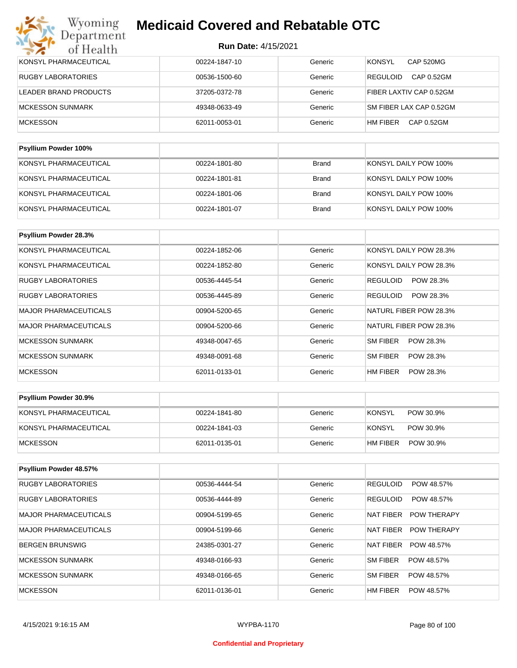| Wyoming<br>Department     | <b>Medicaid Covered and Rebatable OTC</b> |              |                                   |  |  |  |
|---------------------------|-------------------------------------------|--------------|-----------------------------------|--|--|--|
| of Health                 | <b>Run Date: 4/15/2021</b>                |              |                                   |  |  |  |
| KONSYL PHARMACEUTICAL     | 00224-1847-10                             | Generic      | <b>KONSYL</b><br><b>CAP 520MG</b> |  |  |  |
| <b>RUGBY LABORATORIES</b> | 00536-1500-60                             | Generic      | <b>REGULOID</b><br>CAP 0.52GM     |  |  |  |
| LEADER BRAND PRODUCTS     | 37205-0372-78                             | Generic      | FIBER LAXTIV CAP 0.52GM           |  |  |  |
| <b>MCKESSON SUNMARK</b>   | 49348-0633-49                             | Generic      | SM FIBER LAX CAP 0.52GM           |  |  |  |
| <b>MCKESSON</b>           | 62011-0053-01                             | Generic      | CAP 0.52GM<br>HM FIBER            |  |  |  |
| Psyllium Powder 100%      |                                           |              |                                   |  |  |  |
|                           |                                           |              |                                   |  |  |  |
| KONSYL PHARMACEUTICAL     | 00224-1801-80                             | <b>Brand</b> | KONSYL DAILY POW 100%             |  |  |  |

| KONSYL PHARMACEUTICAL | 00224-1801-81 | Brand        | KONSYL DAILY POW 100% |
|-----------------------|---------------|--------------|-----------------------|
| KONSYL PHARMACEUTICAL | 00224-1801-06 | Brand        | KONSYL DAILY POW 100% |
| KONSYL PHARMACEUTICAL | 00224-1801-07 | <b>Brand</b> | KONSYL DAILY POW 100% |

| Psyllium Powder 28.3%        |               |         |                              |
|------------------------------|---------------|---------|------------------------------|
| KONSYL PHARMACEUTICAL        | 00224-1852-06 | Generic | KONSYL DAILY POW 28.3%       |
| KONSYL PHARMACEUTICAL        | 00224-1852-80 | Generic | KONSYL DAILY POW 28.3%       |
| <b>RUGBY LABORATORIES</b>    | 00536-4445-54 | Generic | POW 28.3%<br><b>REGULOID</b> |
| <b>RUGBY LABORATORIES</b>    | 00536-4445-89 | Generic | <b>REGULOID</b><br>POW 28.3% |
| <b>MAJOR PHARMACEUTICALS</b> | 00904-5200-65 | Generic | NATURL FIBER POW 28.3%       |
| <b>MAJOR PHARMACEUTICALS</b> | 00904-5200-66 | Generic | NATURL FIBER POW 28.3%       |
| <b>MCKESSON SUNMARK</b>      | 49348-0047-65 | Generic | SM FIBER<br>POW 28.3%        |
| <b>MCKESSON SUNMARK</b>      | 49348-0091-68 | Generic | SM FIBER<br>POW 28.3%        |
| <b>MCKESSON</b>              | 62011-0133-01 | Generic | HM FIBER<br>POW 28.3%        |

| <b>Psyllium Powder 30.9%</b> |               |         |                       |
|------------------------------|---------------|---------|-----------------------|
| KONSYL PHARMACEUTICAL        | 00224-1841-80 | Generic | KONSYL<br>POW 30.9%   |
| KONSYL PHARMACEUTICAL        | 00224-1841-03 | Generic | KONSYL<br>POW 30.9%   |
| <b>IMCKESSON</b>             | 62011-0135-01 | Generic | HM FIBER<br>POW 30.9% |

| Psyllium Powder 48.57%    |               |         |                                 |
|---------------------------|---------------|---------|---------------------------------|
| <b>RUGBY LABORATORIES</b> | 00536-4444-54 | Generic | <b>REGULOID</b><br>POW 48.57%   |
| <b>RUGBY LABORATORIES</b> | 00536-4444-89 | Generic | <b>REGULOID</b><br>POW 48.57%   |
| MAJOR PHARMACEUTICALS     | 00904-5199-65 | Generic | NAT FIBER<br><b>POW THERAPY</b> |
| MAJOR PHARMACEUTICALS     | 00904-5199-66 | Generic | NAT FIBER<br><b>POW THERAPY</b> |
| BERGEN BRUNSWIG           | 24385-0301-27 | Generic | <b>NAT FIBER</b><br>POW 48.57%  |
| MCKESSON SUNMARK          | 49348-0166-93 | Generic | SM FIBER<br>POW 48.57%          |
| MCKESSON SUNMARK          | 49348-0166-65 | Generic | SM FIBER<br>POW 48.57%          |
| <b>MCKESSON</b>           | 62011-0136-01 | Generic | HM FIBER<br>POW 48.57%          |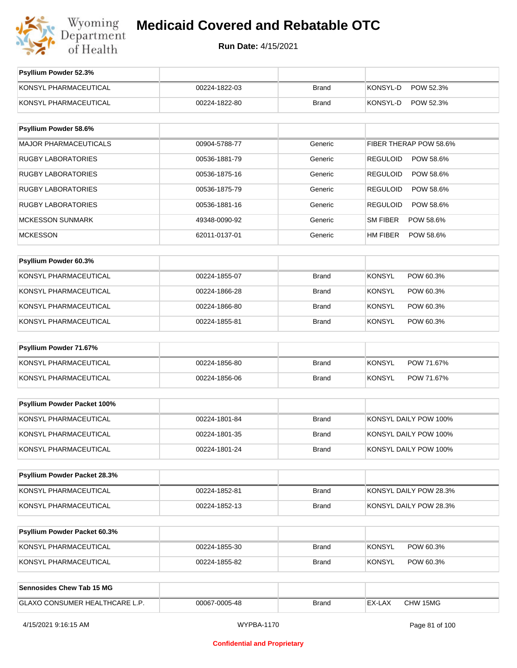

**Run Date:** 4/15/2021

| Psyllium Powder 52.3%          |               |              |                              |
|--------------------------------|---------------|--------------|------------------------------|
| KONSYL PHARMACEUTICAL          | 00224-1822-03 | <b>Brand</b> | KONSYL-D<br>POW 52.3%        |
| KONSYL PHARMACEUTICAL          | 00224-1822-80 | <b>Brand</b> | KONSYL-D<br>POW 52.3%        |
|                                |               |              |                              |
| Psyllium Powder 58.6%          |               |              |                              |
| <b>MAJOR PHARMACEUTICALS</b>   | 00904-5788-77 | Generic      | FIBER THERAP POW 58.6%       |
| <b>RUGBY LABORATORIES</b>      | 00536-1881-79 | Generic      | <b>REGULOID</b><br>POW 58.6% |
| <b>RUGBY LABORATORIES</b>      | 00536-1875-16 | Generic      | <b>REGULOID</b><br>POW 58.6% |
| <b>RUGBY LABORATORIES</b>      | 00536-1875-79 | Generic      | <b>REGULOID</b><br>POW 58.6% |
| <b>RUGBY LABORATORIES</b>      | 00536-1881-16 | Generic      | <b>REGULOID</b><br>POW 58.6% |
| <b>MCKESSON SUNMARK</b>        | 49348-0090-92 | Generic      | SM FIBER<br>POW 58.6%        |
| <b>MCKESSON</b>                | 62011-0137-01 | Generic      | HM FIBER<br>POW 58.6%        |
|                                |               |              |                              |
| Psyllium Powder 60.3%          |               |              |                              |
| KONSYL PHARMACEUTICAL          | 00224-1855-07 | <b>Brand</b> | <b>KONSYL</b><br>POW 60.3%   |
| KONSYL PHARMACEUTICAL          | 00224-1866-28 | <b>Brand</b> | <b>KONSYL</b><br>POW 60.3%   |
| KONSYL PHARMACEUTICAL          | 00224-1866-80 | <b>Brand</b> | <b>KONSYL</b><br>POW 60.3%   |
| KONSYL PHARMACEUTICAL          | 00224-1855-81 | <b>Brand</b> | <b>KONSYL</b><br>POW 60.3%   |
| Psyllium Powder 71.67%         |               |              |                              |
| KONSYL PHARMACEUTICAL          | 00224-1856-80 | <b>Brand</b> | <b>KONSYL</b><br>POW 71.67%  |
| KONSYL PHARMACEUTICAL          | 00224-1856-06 | <b>Brand</b> | <b>KONSYL</b><br>POW 71.67%  |
|                                |               |              |                              |
| Psyllium Powder Packet 100%    |               |              |                              |
| KONSYL PHARMACEUTICAL          | 00224-1801-84 | <b>Brand</b> | KONSYL DAILY POW 100%        |
| KONSYL PHARMACEUTICAL          | 00224-1801-35 | <b>Brand</b> | KONSYL DAILY POW 100%        |
| KONSYL PHARMACEUTICAL          | 00224-1801-24 | <b>Brand</b> | KONSYL DAILY POW 100%        |
|                                |               |              |                              |
| Psyllium Powder Packet 28.3%   |               |              |                              |
| KONSYL PHARMACEUTICAL          | 00224-1852-81 | <b>Brand</b> | KONSYL DAILY POW 28.3%       |
| KONSYL PHARMACEUTICAL          | 00224-1852-13 | <b>Brand</b> | KONSYL DAILY POW 28.3%       |
| Psyllium Powder Packet 60.3%   |               |              |                              |
| KONSYL PHARMACEUTICAL          | 00224-1855-30 | <b>Brand</b> | <b>KONSYL</b><br>POW 60.3%   |
| KONSYL PHARMACEUTICAL          | 00224-1855-82 | <b>Brand</b> | <b>KONSYL</b><br>POW 60.3%   |
|                                |               |              |                              |
| Sennosides Chew Tab 15 MG      |               |              |                              |
| GLAXO CONSUMER HEALTHCARE L.P. | 00067-0005-48 | <b>Brand</b> | EX-LAX<br>CHW 15MG           |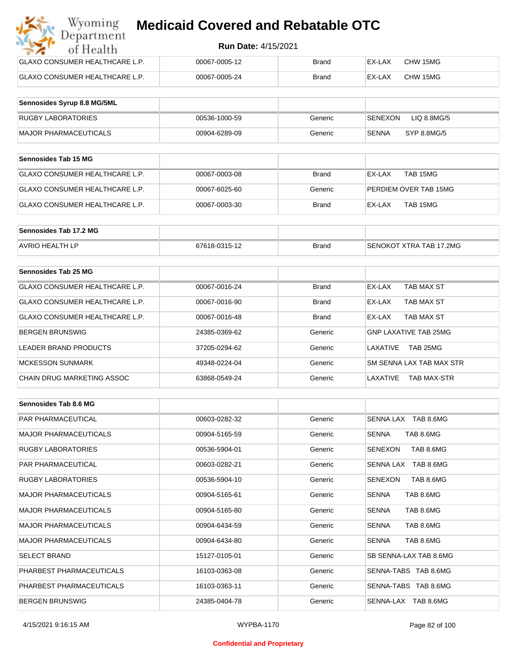| Wyoming<br><b>Medicaid Covered and Rebatable OTC</b><br>Department |                            |              |        |          |  |
|--------------------------------------------------------------------|----------------------------|--------------|--------|----------|--|
| of Health                                                          | <b>Run Date: 4/15/2021</b> |              |        |          |  |
| <b>GLAXO CONSUMER HEALTHCARE L.P.</b>                              | 00067-0005-12              | Brand        | EX-LAX | CHW 15MG |  |
| <b>GLAXO CONSUMER HEALTHCARE L.P.</b>                              | 00067-0005-24              | <b>Brand</b> | EX-LAX | CHW 15MG |  |

| Sennosides Syrup 8.8 MG/5ML |               |         |                        |
|-----------------------------|---------------|---------|------------------------|
| <b>RUGBY LABORATORIES</b>   | 00536-1000-59 | Generic | SENEXON<br>LIQ 8.8MG/5 |
| MAJOR PHARMACEUTICALS       | 00904-6289-09 | Generic | SYP 8.8MG/5<br>SENNA   |

| <b>Sennosides Tab 15 MG</b>     |               |         |                       |
|---------------------------------|---------------|---------|-----------------------|
| IGLAXO CONSUMER HEALTHCARE L.P. | 00067-0003-08 | Brand   | TAB 15MG<br>EX-LAX    |
| GLAXO CONSUMER HEALTHCARE L.P.  | 00067-6025-60 | Generic | PERDIEM OVER TAB 15MG |
| IGLAXO CONSUMER HEALTHCARE L.P. | 00067-0003-30 | Brand   | TAB 15MG<br>EX-LAX    |

| Sennosides Tab 17.2 MG |               |              |                                 |
|------------------------|---------------|--------------|---------------------------------|
| <b>AVRIO HEALTH LP</b> | 67618-0315-12 | <b>Brand</b> | <b>ISENOKOT XTRA TAB 17.2MG</b> |

| Sennosides Tab 25 MG           |               |              |                                |
|--------------------------------|---------------|--------------|--------------------------------|
| GLAXO CONSUMER HEALTHCARE L.P. | 00067-0016-24 | <b>Brand</b> | EX-LAX<br>TAB MAX ST           |
| GLAXO CONSUMER HEALTHCARE L.P. | 00067-0016-90 | <b>Brand</b> | TAB MAX ST<br>EX-LAX           |
| GLAXO CONSUMER HEALTHCARE L.P. | 00067-0016-48 | <b>Brand</b> | TAB MAX ST<br>EX-LAX           |
| <b>BERGEN BRUNSWIG</b>         | 24385-0369-62 | Generic      | GNP LAXATIVE TAB 25MG          |
| LEADER BRAND PRODUCTS          | 37205-0294-62 | Generic      | TAB 25MG<br>I AXATIVE          |
| <b>MCKESSON SUNMARK</b>        | 49348-0224-04 | Generic      | SM SENNA LAX TAB MAX STR       |
| CHAIN DRUG MARKETING ASSOC     | 63868-0549-24 | Generic      | LAXATIVE<br><b>TAB MAX-STR</b> |

| Sennosides Tab 8.6 MG        |               |         |                             |
|------------------------------|---------------|---------|-----------------------------|
| <b>PAR PHARMACEUTICAL</b>    | 00603-0282-32 | Generic | SENNA LAX TAB 8.6MG         |
| <b>MAJOR PHARMACEUTICALS</b> | 00904-5165-59 | Generic | <b>SENNA</b><br>TAB 8.6MG   |
| <b>RUGBY LABORATORIES</b>    | 00536-5904-01 | Generic | TAB 8.6MG<br>SENEXON        |
| <b>PAR PHARMACEUTICAL</b>    | 00603-0282-21 | Generic | SENNA LAX TAB 8.6MG         |
| <b>RUGBY LABORATORIES</b>    | 00536-5904-10 | Generic | <b>SENEXON</b><br>TAB 8.6MG |
| <b>MAJOR PHARMACEUTICALS</b> | 00904-5165-61 | Generic | TAB 8.6MG<br><b>SENNA</b>   |
| <b>MAJOR PHARMACEUTICALS</b> | 00904-5165-80 | Generic | TAB 8.6MG<br><b>SENNA</b>   |
| <b>MAJOR PHARMACEUTICALS</b> | 00904-6434-59 | Generic | <b>SENNA</b><br>TAB 8.6MG   |
| <b>MAJOR PHARMACEUTICALS</b> | 00904-6434-80 | Generic | <b>SENNA</b><br>TAB 8.6MG   |
| <b>SELECT BRAND</b>          | 15127-0105-01 | Generic | SB SENNA-LAX TAB 8.6MG      |
| PHARBEST PHARMACEUTICALS     | 16103-0363-08 | Generic | SENNA-TABS TAB 8.6MG        |
| PHARBEST PHARMACEUTICALS     | 16103-0363-11 | Generic | SENNA-TABS TAB 8.6MG        |
| <b>BERGEN BRUNSWIG</b>       | 24385-0404-78 | Generic | SENNA-LAX TAB 8.6MG         |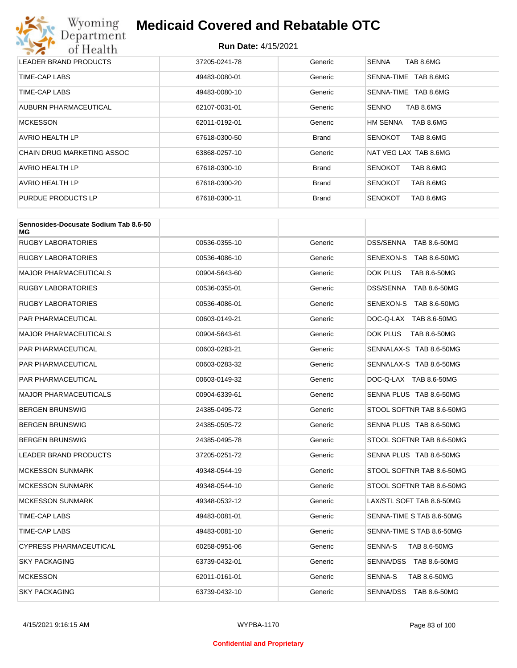

| LEADER BRAND PRODUCTS      | 37205-0241-78 | Generic      | TAB 8.6MG<br><b>SENNA</b>    |
|----------------------------|---------------|--------------|------------------------------|
| TIME-CAP LABS              | 49483-0080-01 | Generic      | TAB 8.6MG<br>SENNA-TIME      |
| TIME-CAP LABS              | 49483-0080-10 | Generic      | TAB 8.6MG<br>SENNA-TIME      |
| AUBURN PHARMACEUTICAL      | 62107-0031-01 | Generic      | TAB 8.6MG<br><b>SENNO</b>    |
| <b>MCKESSON</b>            | 62011-0192-01 | Generic      | <b>HM SENNA</b><br>TAB 8.6MG |
| <b>AVRIO HEALTH LP</b>     | 67618-0300-50 | <b>Brand</b> | TAB 8.6MG<br><b>SENOKOT</b>  |
| CHAIN DRUG MARKETING ASSOC | 63868-0257-10 | Generic      | NAT VEG LAX TAB 8.6MG        |
| <b>AVRIO HEALTH LP</b>     | 67618-0300-10 | <b>Brand</b> | TAB 8.6MG<br><b>SENOKOT</b>  |
| AVRIO HEALTH LP            | 67618-0300-20 | <b>Brand</b> | TAB 8.6MG<br><b>SENOKOT</b>  |
| PURDUE PRODUCTS LP         | 67618-0300-11 | <b>Brand</b> | <b>SENOKOT</b><br>TAB 8.6MG  |

| Sennosides-Docusate Sodium Tab 8.6-50<br>МG |               |         |                           |
|---------------------------------------------|---------------|---------|---------------------------|
| <b>RUGBY LABORATORIES</b>                   | 00536-0355-10 | Generic | DSS/SENNA TAB 8.6-50MG    |
| RUGBY LABORATORIES                          | 00536-4086-10 | Generic | SENEXON-S TAB 8.6-50MG    |
| <b>MAJOR PHARMACEUTICALS</b>                | 00904-5643-60 | Generic | DOK PLUS<br>TAB 8.6-50MG  |
| <b>RUGBY LABORATORIES</b>                   | 00536-0355-01 | Generic | DSS/SENNA TAB 8.6-50MG    |
| <b>RUGBY LABORATORIES</b>                   | 00536-4086-01 | Generic | SENEXON-S TAB 8.6-50MG    |
| PAR PHARMACEUTICAL                          | 00603-0149-21 | Generic | DOC-Q-LAX TAB 8.6-50MG    |
| <b>MAJOR PHARMACEUTICALS</b>                | 00904-5643-61 | Generic | DOK PLUS<br>TAB 8.6-50MG  |
| <b>PAR PHARMACEUTICAL</b>                   | 00603-0283-21 | Generic | SENNALAX-S TAB 8.6-50MG   |
| <b>PAR PHARMACEUTICAL</b>                   | 00603-0283-32 | Generic | SENNALAX-S TAB 8.6-50MG   |
| <b>PAR PHARMACEUTICAL</b>                   | 00603-0149-32 | Generic | DOC-Q-LAX TAB 8.6-50MG    |
| <b>MAJOR PHARMACEUTICALS</b>                | 00904-6339-61 | Generic | SENNA PLUS TAB 8.6-50MG   |
| <b>BERGEN BRUNSWIG</b>                      | 24385-0495-72 | Generic | STOOL SOFTNR TAB 8.6-50MG |
| <b>BERGEN BRUNSWIG</b>                      | 24385-0505-72 | Generic | SENNA PLUS TAB 8.6-50MG   |
| <b>BERGEN BRUNSWIG</b>                      | 24385-0495-78 | Generic | STOOL SOFTNR TAB 8.6-50MG |
| <b>LEADER BRAND PRODUCTS</b>                | 37205-0251-72 | Generic | SENNA PLUS TAB 8.6-50MG   |
| <b>MCKESSON SUNMARK</b>                     | 49348-0544-19 | Generic | STOOL SOFTNR TAB 8.6-50MG |
| <b>MCKESSON SUNMARK</b>                     | 49348-0544-10 | Generic | STOOL SOFTNR TAB 8.6-50MG |
| <b>MCKESSON SUNMARK</b>                     | 49348-0532-12 | Generic | LAX/STL SOFT TAB 8.6-50MG |
| TIME-CAP LABS                               | 49483-0081-01 | Generic | SENNA-TIME S TAB 8.6-50MG |
| TIME-CAP LABS                               | 49483-0081-10 | Generic | SENNA-TIME S TAB 8.6-50MG |
| <b>CYPRESS PHARMACEUTICAL</b>               | 60258-0951-06 | Generic | SENNA-S<br>TAB 8.6-50MG   |
| <b>SKY PACKAGING</b>                        | 63739-0432-01 | Generic | SENNA/DSS TAB 8.6-50MG    |
| <b>MCKESSON</b>                             | 62011-0161-01 | Generic | SENNA-S<br>TAB 8.6-50MG   |
| <b>SKY PACKAGING</b>                        | 63739-0432-10 | Generic | SENNA/DSS TAB 8.6-50MG    |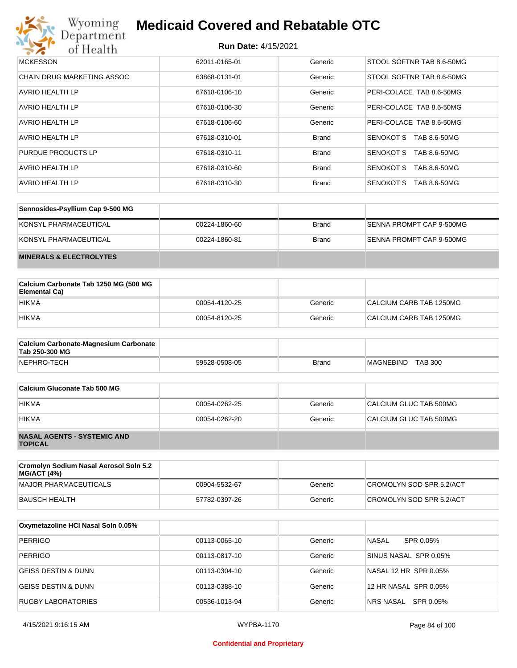

| <b>MCKESSON</b>                   | 62011-0165-01 | Generic      | STOOL SOFTNR TAB 8.6-50MG        |
|-----------------------------------|---------------|--------------|----------------------------------|
| <b>CHAIN DRUG MARKETING ASSOC</b> | 63868-0131-01 | Generic      | STOOL SOFTNR TAB 8.6-50MG        |
| <b>AVRIO HEALTH LP</b>            | 67618-0106-10 | Generic      | PERI-COLACE TAB 8.6-50MG         |
| <b>AVRIO HEALTH LP</b>            | 67618-0106-30 | Generic      | PERI-COLACE TAB 8.6-50MG         |
| <b>AVRIO HEALTH LP</b>            | 67618-0106-60 | Generic      | PERI-COLACE TAB 8.6-50MG         |
| AVRIO HEALTH LP                   | 67618-0310-01 | <b>Brand</b> | TAB 8.6-50MG<br>SENOKOT S        |
| PURDUE PRODUCTS LP                | 67618-0310-11 | <b>Brand</b> | SENOKOT S<br>TAB 8.6-50MG        |
| AVRIO HEALTH LP                   | 67618-0310-60 | <b>Brand</b> | <b>SENOKOT S</b><br>TAB 8.6-50MG |
| AVRIO HEALTH LP                   | 67618-0310-30 | <b>Brand</b> | TAB 8.6-50MG<br><b>SENOKOT S</b> |

| Sennosides-Psyllium Cap 9-500 MG   |               |              |                          |
|------------------------------------|---------------|--------------|--------------------------|
| KONSYL PHARMACEUTICAL              | 00224-1860-60 | <b>Brand</b> | SENNA PROMPT CAP 9-500MG |
| KONSYL PHARMACEUTICAL              | 00224-1860-81 | <b>Brand</b> | SENNA PROMPT CAP 9-500MG |
| <b>MINERALS &amp; ELECTROLYTES</b> |               |              |                          |

| Calcium Carbonate Tab 1250 MG (500 MG<br>Elemental Ca) |               |         |                         |
|--------------------------------------------------------|---------------|---------|-------------------------|
| <b>HIKMA</b>                                           | 00054-4120-25 | Generic | CALCIUM CARB TAB 1250MG |
| <b>HIKMA</b>                                           | 00054-8120-25 | Generic | CALCIUM CARB TAB 1250MG |

| <b>Calcium Carbonate-Magnesium Carbonate</b><br>Tab 250-300 MG |               |              |                             |
|----------------------------------------------------------------|---------------|--------------|-----------------------------|
| NEPHRO-TECH                                                    | 59528-0508-05 | <b>Brand</b> | <b>TAB 300</b><br>MAGNEBIND |

| Calcium Gluconate Tab 500 MG                         |               |         |                        |
|------------------------------------------------------|---------------|---------|------------------------|
| <b>HIKMA</b>                                         | 00054-0262-25 | Generic | CALCIUM GLUC TAB 500MG |
| <b>HIKMA</b>                                         | 00054-0262-20 | Generic | CALCIUM GLUC TAB 500MG |
| <b>NASAL AGENTS - SYSTEMIC AND</b><br><b>TOPICAL</b> |               |         |                        |

| Cromolyn Sodium Nasal Aerosol Soln 5.2<br><b>MG/ACT (4%)</b> |               |         |                          |
|--------------------------------------------------------------|---------------|---------|--------------------------|
| MAJOR PHARMACEUTICALS                                        | 00904-5532-67 | Generic | CROMOLYN SOD SPR 5.2/ACT |
| BAUSCH HEALTH                                                | 57782-0397-26 | Generic | CROMOLYN SOD SPR 5.2/ACT |

| Oxymetazoline HCI Nasal Soln 0.05% |               |         |                       |
|------------------------------------|---------------|---------|-----------------------|
| <b>PERRIGO</b>                     | 00113-0065-10 | Generic | NASAL<br>SPR 0.05%    |
| <b>PERRIGO</b>                     | 00113-0817-10 | Generic | SINUS NASAL SPR 0.05% |
| GEISS DESTIN & DUNN                | 00113-0304-10 | Generic | NASAL 12 HR SPR 0.05% |
| <b>GEISS DESTIN &amp; DUNN</b>     | 00113-0388-10 | Generic | 12 HR NASAL SPR 0.05% |
| <b>RUGBY LABORATORIES</b>          | 00536-1013-94 | Generic | NRS NASAL SPR 0.05%   |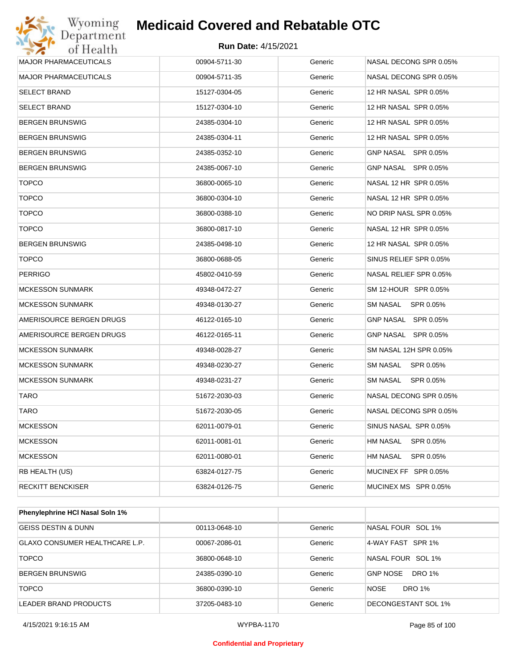#### **Run Date:** 4/15/2021

| Department<br>of Health      | <b>Run Date: 4/15/2021</b> |         |                              |
|------------------------------|----------------------------|---------|------------------------------|
| MAJOR PHARMACEUTICALS        | 00904-5711-30              | Generic | NASAL DECONG SPR 0.05%       |
| <b>MAJOR PHARMACEUTICALS</b> | 00904-5711-35              | Generic | NASAL DECONG SPR 0.05%       |
| <b>SELECT BRAND</b>          | 15127-0304-05              | Generic | 12 HR NASAL SPR 0.05%        |
| <b>SELECT BRAND</b>          | 15127-0304-10              | Generic | 12 HR NASAL SPR 0.05%        |
| <b>BERGEN BRUNSWIG</b>       | 24385-0304-10              | Generic | 12 HR NASAL SPR 0.05%        |
| <b>BERGEN BRUNSWIG</b>       | 24385-0304-11              | Generic | 12 HR NASAL SPR 0.05%        |
| <b>BERGEN BRUNSWIG</b>       | 24385-0352-10              | Generic | GNP NASAL SPR 0.05%          |
| <b>BERGEN BRUNSWIG</b>       | 24385-0067-10              | Generic | GNP NASAL SPR 0.05%          |
| <b>TOPCO</b>                 | 36800-0065-10              | Generic | NASAL 12 HR SPR 0.05%        |
| <b>TOPCO</b>                 | 36800-0304-10              | Generic | NASAL 12 HR SPR 0.05%        |
| <b>TOPCO</b>                 | 36800-0388-10              | Generic | NO DRIP NASL SPR 0.05%       |
| <b>TOPCO</b>                 | 36800-0817-10              | Generic | NASAL 12 HR SPR 0.05%        |
| <b>BERGEN BRUNSWIG</b>       | 24385-0498-10              | Generic | 12 HR NASAL SPR 0.05%        |
| <b>TOPCO</b>                 | 36800-0688-05              | Generic | SINUS RELIEF SPR 0.05%       |
| <b>PERRIGO</b>               | 45802-0410-59              | Generic | NASAL RELIEF SPR 0.05%       |
| <b>MCKESSON SUNMARK</b>      | 49348-0472-27              | Generic | SM 12-HOUR SPR 0.05%         |
| <b>MCKESSON SUNMARK</b>      | 49348-0130-27              | Generic | SM NASAL<br>SPR 0.05%        |
| AMERISOURCE BERGEN DRUGS     | 46122-0165-10              | Generic | GNP NASAL SPR 0.05%          |
| AMERISOURCE BERGEN DRUGS     | 46122-0165-11              | Generic | GNP NASAL SPR 0.05%          |
| <b>MCKESSON SUNMARK</b>      | 49348-0028-27              | Generic | SM NASAL 12H SPR 0.05%       |
| <b>MCKESSON SUNMARK</b>      | 49348-0230-27              | Generic | SM NASAL<br>SPR 0.05%        |
| <b>MCKESSON SUNMARK</b>      | 49348-0231-27              | Generic | SM NASAL<br>SPR 0.05%        |
| TARO                         | 51672-2030-03              | Generic | NASAL DECONG SPR 0.05%       |
| <b>TARO</b>                  | 51672-2030-05              | Generic | NASAL DECONG SPR 0.05%       |
| <b>MCKESSON</b>              | 62011-0079-01              | Generic | SINUS NASAL SPR 0.05%        |
| <b>MCKESSON</b>              | 62011-0081-01              | Generic | SPR 0.05%<br>HM NASAL        |
| <b>MCKESSON</b>              | 62011-0080-01              | Generic | <b>HM NASAL</b><br>SPR 0.05% |
| RB HEALTH (US)               | 63824-0127-75              | Generic | MUCINEX FF SPR 0.05%         |
| <b>RECKITT BENCKISER</b>     | 63824-0126-75              | Generic | MUCINEX MS SPR 0.05%         |

| <b>Phenylephrine HCI Nasal Soln 1%</b> |               |         |                           |
|----------------------------------------|---------------|---------|---------------------------|
| GEISS DESTIN & DUNN                    | 00113-0648-10 | Generic | NASAL FOUR SOL 1%         |
| GLAXO CONSUMER HEALTHCARE L.P.         | 00067-2086-01 | Generic | 4-WAY FAST SPR 1%         |
| <b>TOPCO</b>                           | 36800-0648-10 | Generic | NASAL FOUR SOL 1%         |
| <b>BERGEN BRUNSWIG</b>                 | 24385-0390-10 | Generic | DRO 1%<br><b>GNP NOSE</b> |
| <b>TOPCO</b>                           | 36800-0390-10 | Generic | <b>NOSE</b><br>DRO 1%     |
| LEADER BRAND PRODUCTS                  | 37205-0483-10 | Generic | DECONGESTANT SOL 1%       |

#### **Confidential and Proprietary**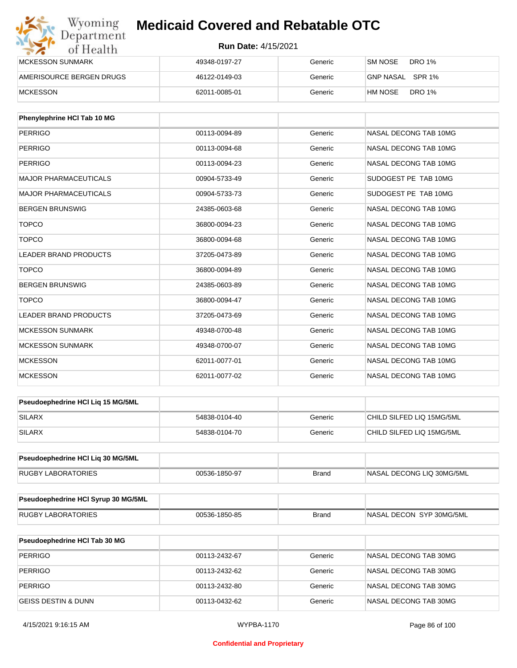| Wyoming<br><b>Medicaid Covered and Rebatable OTC</b><br>Department |                            |         |                          |  |
|--------------------------------------------------------------------|----------------------------|---------|--------------------------|--|
| of Health                                                          | <b>Run Date: 4/15/2021</b> |         |                          |  |
| <b>MCKESSON SUNMARK</b>                                            | 49348-0197-27              | Generic | SM NOSE<br>DRO 1%        |  |
| AMERISOURCE BERGEN DRUGS                                           | 46122-0149-03              | Generic | GNP NASAL SPR 1%         |  |
| <b>MCKESSON</b>                                                    | 62011-0085-01              | Generic | <b>DRO 1%</b><br>HM NOSE |  |

| Phenylephrine HCI Tab 10 MG  |               |         |                       |
|------------------------------|---------------|---------|-----------------------|
| PERRIGO                      | 00113-0094-89 | Generic | NASAL DECONG TAB 10MG |
| <b>PERRIGO</b>               | 00113-0094-68 | Generic | NASAL DECONG TAB 10MG |
| <b>PERRIGO</b>               | 00113-0094-23 | Generic | NASAL DECONG TAB 10MG |
| <b>MAJOR PHARMACEUTICALS</b> | 00904-5733-49 | Generic | SUDOGEST PE TAB 10MG  |
| <b>MAJOR PHARMACEUTICALS</b> | 00904-5733-73 | Generic | SUDOGEST PE TAB 10MG  |
| <b>BERGEN BRUNSWIG</b>       | 24385-0603-68 | Generic | NASAL DECONG TAB 10MG |
| <b>TOPCO</b>                 | 36800-0094-23 | Generic | NASAL DECONG TAB 10MG |
| <b>TOPCO</b>                 | 36800-0094-68 | Generic | NASAL DECONG TAB 10MG |
| <b>LEADER BRAND PRODUCTS</b> | 37205-0473-89 | Generic | NASAL DECONG TAB 10MG |
| <b>TOPCO</b>                 | 36800-0094-89 | Generic | NASAL DECONG TAB 10MG |
| <b>BERGEN BRUNSWIG</b>       | 24385-0603-89 | Generic | NASAL DECONG TAB 10MG |
| <b>TOPCO</b>                 | 36800-0094-47 | Generic | NASAL DECONG TAB 10MG |
| <b>LEADER BRAND PRODUCTS</b> | 37205-0473-69 | Generic | NASAL DECONG TAB 10MG |
| <b>MCKESSON SUNMARK</b>      | 49348-0700-48 | Generic | NASAL DECONG TAB 10MG |
| <b>MCKESSON SUNMARK</b>      | 49348-0700-07 | Generic | NASAL DECONG TAB 10MG |
| <b>MCKESSON</b>              | 62011-0077-01 | Generic | NASAL DECONG TAB 10MG |
| <b>MCKESSON</b>              | 62011-0077-02 | Generic | NASAL DECONG TAB 10MG |

| <b>Pseudoephedrine HCI Lig 15 MG/5ML</b> |               |         |                           |
|------------------------------------------|---------------|---------|---------------------------|
| <b>SILARX</b>                            | 54838-0104-40 | Generic | CHILD SILFED LIQ 15MG/5ML |
| SILARX                                   | 54838-0104-70 | Generic | CHILD SILFED LIQ 15MG/5ML |

| <b>Pseudoephedrine HCI Lig 30 MG/5ML</b> |               |       |                           |
|------------------------------------------|---------------|-------|---------------------------|
| RUGBY LABORATORIES                       | 00536-1850-97 | Brand | NASAL DECONG LIQ 30MG/5ML |

| <b>Pseudoephedrine HCI Syrup 30 MG/5ML</b> |               |       |                           |
|--------------------------------------------|---------------|-------|---------------------------|
| RUGBY LABORATORIES                         | 00536-1850-85 | Brand | INASAL DECON SYP 30MG/5ML |

| <b>Pseudoephedrine HCI Tab 30 MG</b> |               |         |                       |
|--------------------------------------|---------------|---------|-----------------------|
| <b>PERRIGO</b>                       | 00113-2432-67 | Generic | NASAL DECONG TAB 30MG |
| <b>PERRIGO</b>                       | 00113-2432-62 | Generic | NASAL DECONG TAB 30MG |
| <b>PERRIGO</b>                       | 00113-2432-80 | Generic | NASAL DECONG TAB 30MG |
| IGEISS DESTIN & DUNN                 | 00113-0432-62 | Generic | NASAL DECONG TAB 30MG |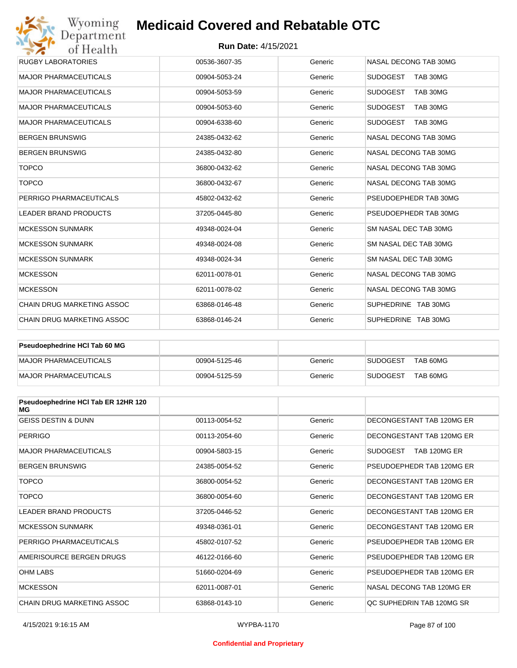#### **Run Date:** 4/15/2021

| Wyoming<br>Department        | <b>Medicaid Covered and Rebatable OTC</b> |         |                             |  |  |
|------------------------------|-------------------------------------------|---------|-----------------------------|--|--|
| of Health                    | <b>Run Date: 4/15/2021</b>                |         |                             |  |  |
| <b>RUGBY LABORATORIES</b>    | 00536-3607-35                             | Generic | NASAL DECONG TAB 30MG       |  |  |
| <b>MAJOR PHARMACEUTICALS</b> | 00904-5053-24                             | Generic | <b>SUDOGEST</b><br>TAB 30MG |  |  |
| <b>MAJOR PHARMACEUTICALS</b> | 00904-5053-59                             | Generic | <b>SUDOGEST</b><br>TAB 30MG |  |  |
| <b>MAJOR PHARMACEUTICALS</b> | 00904-5053-60                             | Generic | <b>SUDOGEST</b><br>TAB 30MG |  |  |
| <b>MAJOR PHARMACEUTICALS</b> | 00904-6338-60                             | Generic | <b>SUDOGEST</b><br>TAB 30MG |  |  |
| <b>BERGEN BRUNSWIG</b>       | 24385-0432-62                             | Generic | NASAL DECONG TAB 30MG       |  |  |
| <b>BERGEN BRUNSWIG</b>       | 24385-0432-80                             | Generic | NASAL DECONG TAB 30MG       |  |  |
| <b>TOPCO</b>                 | 36800-0432-62                             | Generic | NASAL DECONG TAB 30MG       |  |  |
| <b>TOPCO</b>                 | 36800-0432-67                             | Generic | NASAL DECONG TAB 30MG       |  |  |
| PERRIGO PHARMACEUTICALS      | 45802-0432-62                             | Generic | PSEUDOEPHEDR TAB 30MG       |  |  |
| <b>LEADER BRAND PRODUCTS</b> | 37205-0445-80                             | Generic | PSEUDOEPHEDR TAB 30MG       |  |  |
| <b>MCKESSON SUNMARK</b>      | 49348-0024-04                             | Generic | SM NASAL DEC TAB 30MG       |  |  |
| <b>MCKESSON SUNMARK</b>      | 49348-0024-08                             | Generic | SM NASAL DEC TAB 30MG       |  |  |
| <b>MCKESSON SUNMARK</b>      | 49348-0024-34                             | Generic | SM NASAL DEC TAB 30MG       |  |  |
| <b>MCKESSON</b>              | 62011-0078-01                             | Generic | NASAL DECONG TAB 30MG       |  |  |
| <b>MCKESSON</b>              | 62011-0078-02                             | Generic | NASAL DECONG TAB 30MG       |  |  |
| CHAIN DRUG MARKETING ASSOC   | 63868-0146-48                             | Generic | SUPHEDRINE TAB 30MG         |  |  |
| CHAIN DRUG MARKETING ASSOC   | 63868-0146-24                             | Generic | SUPHEDRINE TAB 30MG         |  |  |

| <b>Pseudoephedrine HCI Tab 60 MG</b> |               |         |                             |
|--------------------------------------|---------------|---------|-----------------------------|
| MAJOR PHARMACEUTICALS                | 00904-5125-46 | Generic | TAB 60MG<br><b>SUDOGEST</b> |
| MAJOR PHARMACEUTICALS                | 00904-5125-59 | Generic | TAB 60MG<br><b>SUDOGEST</b> |

| Pseudoephedrine HCI Tab ER 12HR 120<br>МG |               |         |                           |
|-------------------------------------------|---------------|---------|---------------------------|
| <b>GEISS DESTIN &amp; DUNN</b>            | 00113-0054-52 | Generic | DECONGESTANT TAB 120MG ER |
| <b>PERRIGO</b>                            | 00113-2054-60 | Generic | DECONGESTANT TAB 120MG ER |
| <b>MAJOR PHARMACEUTICALS</b>              | 00904-5803-15 | Generic | SUDOGEST<br>TAB 120MG ER  |
| <b>BERGEN BRUNSWIG</b>                    | 24385-0054-52 | Generic | PSEUDOEPHEDR TAB 120MG ER |
| <b>TOPCO</b>                              | 36800-0054-52 | Generic | DECONGESTANT TAB 120MG ER |
| <b>TOPCO</b>                              | 36800-0054-60 | Generic | DECONGESTANT TAB 120MG ER |
| <b>LEADER BRAND PRODUCTS</b>              | 37205-0446-52 | Generic | DECONGESTANT TAB 120MG ER |
| <b>MCKESSON SUNMARK</b>                   | 49348-0361-01 | Generic | DECONGESTANT TAB 120MG ER |
| PERRIGO PHARMACEUTICALS                   | 45802-0107-52 | Generic | PSEUDOEPHEDR TAB 120MG ER |
| AMERISOURCE BERGEN DRUGS                  | 46122-0166-60 | Generic | PSEUDOEPHEDR TAB 120MG ER |
| <b>OHM LABS</b>                           | 51660-0204-69 | Generic | PSEUDOEPHEDR TAB 120MG ER |
| <b>MCKESSON</b>                           | 62011-0087-01 | Generic | NASAL DECONG TAB 120MG ER |
| CHAIN DRUG MARKETING ASSOC                | 63868-0143-10 | Generic | QC SUPHEDRIN TAB 120MG SR |

#### **Confidential and Proprietary**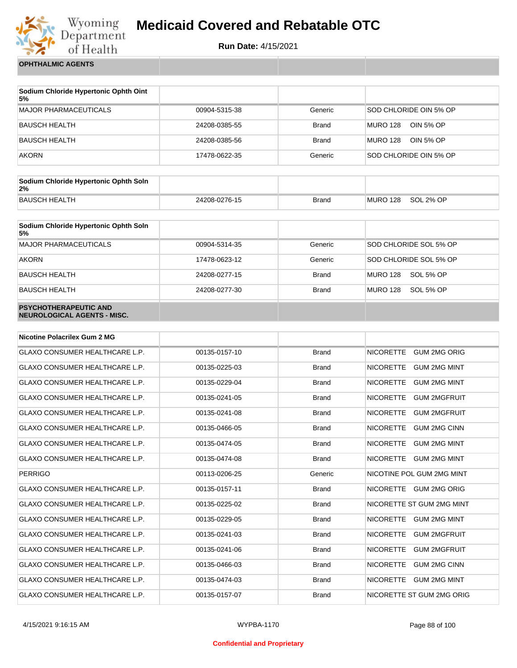

**Run Date:** 4/15/2021

**OPHTHALMIC AGENTS**

| Sodium Chloride Hypertonic Ophth Oint<br>5% |               |              |                        |
|---------------------------------------------|---------------|--------------|------------------------|
| <b>MAJOR PHARMACEUTICALS</b>                | 00904-5315-38 | Generic      | SOD CHLORIDE OIN 5% OP |
| BAUSCH HEALTH                               | 24208-0385-55 | Brand        | MURO 128<br>OIN 5% OP  |
| BAUSCH HEALTH                               | 24208-0385-56 | <b>Brand</b> | MURO 128<br>OIN 5% OP  |
| <b>AKORN</b>                                | 17478-0622-35 | Generic      | SOD CHLORIDE OIN 5% OP |

| Sodium Chloride Hypertonic Ophth Soln<br>2% |               |       |          |           |
|---------------------------------------------|---------------|-------|----------|-----------|
| BAUSCH HEALTH                               | 24208-0276-15 | Brand | MURO 128 | SOL 2% OP |

| Sodium Chloride Hypertonic Ophth Soln<br>5%                        |               |              |                              |
|--------------------------------------------------------------------|---------------|--------------|------------------------------|
| <b>MAJOR PHARMACEUTICALS</b>                                       | 00904-5314-35 | Generic      | SOD CHLORIDE SOL 5% OP       |
| <b>AKORN</b>                                                       | 17478-0623-12 | Generic      | SOD CHLORIDE SOL 5% OP       |
| <b>BAUSCH HEALTH</b>                                               | 24208-0277-15 | <b>Brand</b> | SOL 5% OP<br><b>MURO 128</b> |
| <b>BAUSCH HEALTH</b>                                               | 24208-0277-30 | <b>Brand</b> | <b>MURO 128</b><br>SOL 5% OP |
| <b>PSYCHOTHERAPEUTIC AND</b><br><b>NEUROLOGICAL AGENTS - MISC.</b> |               |              |                              |

| <b>Nicotine Polacrilex Gum 2 MG</b>   |               |              |                                         |
|---------------------------------------|---------------|--------------|-----------------------------------------|
| <b>GLAXO CONSUMER HEALTHCARE L.P.</b> | 00135-0157-10 | <b>Brand</b> | <b>NICORETTE</b><br><b>GUM 2MG ORIG</b> |
| <b>GLAXO CONSUMER HEALTHCARE L.P.</b> | 00135-0225-03 | <b>Brand</b> | <b>GUM 2MG MINT</b><br><b>NICORETTE</b> |
| <b>GLAXO CONSUMER HEALTHCARE L.P.</b> | 00135-0229-04 | <b>Brand</b> | <b>NICORETTE</b><br><b>GUM 2MG MINT</b> |
| <b>GLAXO CONSUMER HEALTHCARE L.P.</b> | 00135-0241-05 | <b>Brand</b> | <b>NICORETTE</b><br><b>GUM 2MGFRUIT</b> |
| <b>GLAXO CONSUMER HEALTHCARE L.P.</b> | 00135-0241-08 | <b>Brand</b> | <b>NICORETTE</b><br><b>GUM 2MGFRUIT</b> |
| <b>GLAXO CONSUMER HEALTHCARE L.P.</b> | 00135-0466-05 | <b>Brand</b> | <b>NICORETTE</b><br><b>GUM 2MG CINN</b> |
| <b>GLAXO CONSUMER HEALTHCARE L.P.</b> | 00135-0474-05 | <b>Brand</b> | <b>NICORETTE</b><br><b>GUM 2MG MINT</b> |
| <b>GLAXO CONSUMER HEALTHCARE L.P.</b> | 00135-0474-08 | <b>Brand</b> | <b>NICORETTE</b><br><b>GUM 2MG MINT</b> |
| <b>PERRIGO</b>                        | 00113-0206-25 | Generic      | NICOTINE POL GUM 2MG MINT               |
| GLAXO CONSUMER HEALTHCARE L.P.        | 00135-0157-11 | <b>Brand</b> | NICORETTE GUM 2MG ORIG                  |
| GLAXO CONSUMER HEALTHCARE L.P.        | 00135-0225-02 | <b>Brand</b> | NICORETTE ST GUM 2MG MINT               |
| <b>GLAXO CONSUMER HEALTHCARE L.P.</b> | 00135-0229-05 | <b>Brand</b> | <b>GUM 2MG MINT</b><br><b>NICORETTE</b> |
| <b>GLAXO CONSUMER HEALTHCARE L.P.</b> | 00135-0241-03 | <b>Brand</b> | <b>NICORETTE</b><br><b>GUM 2MGFRUIT</b> |
| <b>GLAXO CONSUMER HEALTHCARE L.P.</b> | 00135-0241-06 | <b>Brand</b> | <b>NICORETTE</b><br><b>GUM 2MGFRUIT</b> |
| <b>GLAXO CONSUMER HEALTHCARE L.P.</b> | 00135-0466-03 | <b>Brand</b> | <b>NICORETTE</b><br><b>GUM 2MG CINN</b> |
| <b>GLAXO CONSUMER HEALTHCARE L.P.</b> | 00135-0474-03 | <b>Brand</b> | <b>NICORETTE</b><br><b>GUM 2MG MINT</b> |
| <b>GLAXO CONSUMER HEALTHCARE L.P.</b> | 00135-0157-07 | <b>Brand</b> | NICORETTE ST GUM 2MG ORIG               |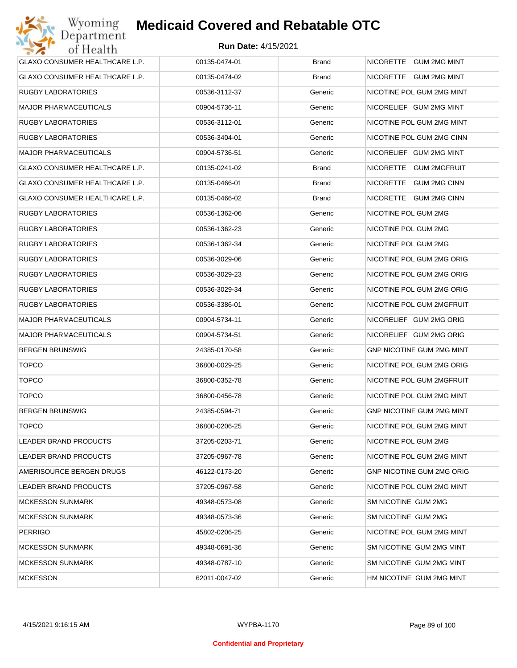| GLAXO CONSUMER HEALTHCARE L.P. | 00135-0474-01 | <b>Brand</b> | NICORETTE GUM 2MG MINT           |
|--------------------------------|---------------|--------------|----------------------------------|
| GLAXO CONSUMER HEALTHCARE L.P. | 00135-0474-02 | <b>Brand</b> | NICORETTE GUM 2MG MINT           |
|                                |               |              | NICOTINE POL GUM 2MG MINT        |
| <b>RUGBY LABORATORIES</b>      | 00536-3112-37 | Generic      |                                  |
| <b>MAJOR PHARMACEUTICALS</b>   | 00904-5736-11 | Generic      | NICORELIEF GUM 2MG MINT          |
| <b>RUGBY LABORATORIES</b>      | 00536-3112-01 | Generic      | NICOTINE POL GUM 2MG MINT        |
| <b>RUGBY LABORATORIES</b>      | 00536-3404-01 | Generic      | NICOTINE POL GUM 2MG CINN        |
| <b>MAJOR PHARMACEUTICALS</b>   | 00904-5736-51 | Generic      | NICORELIEF GUM 2MG MINT          |
| GLAXO CONSUMER HEALTHCARE L.P. | 00135-0241-02 | Brand        | NICORETTE GUM 2MGFRUIT           |
| GLAXO CONSUMER HEALTHCARE L.P. | 00135-0466-01 | <b>Brand</b> | NICORETTE GUM 2MG CINN           |
| GLAXO CONSUMER HEALTHCARE L.P. | 00135-0466-02 | <b>Brand</b> | NICORETTE GUM 2MG CINN           |
| <b>RUGBY LABORATORIES</b>      | 00536-1362-06 | Generic      | NICOTINE POL GUM 2MG             |
| <b>RUGBY LABORATORIES</b>      | 00536-1362-23 | Generic      | NICOTINE POL GUM 2MG             |
| <b>RUGBY LABORATORIES</b>      | 00536-1362-34 | Generic      | NICOTINE POL GUM 2MG             |
| <b>RUGBY LABORATORIES</b>      | 00536-3029-06 | Generic      | NICOTINE POL GUM 2MG ORIG        |
| <b>RUGBY LABORATORIES</b>      | 00536-3029-23 | Generic      | NICOTINE POL GUM 2MG ORIG        |
| <b>RUGBY LABORATORIES</b>      | 00536-3029-34 | Generic      | NICOTINE POL GUM 2MG ORIG        |
| <b>RUGBY LABORATORIES</b>      | 00536-3386-01 | Generic      | NICOTINE POL GUM 2MGFRUIT        |
| <b>MAJOR PHARMACEUTICALS</b>   | 00904-5734-11 | Generic      | NICORELIEF GUM 2MG ORIG          |
| <b>MAJOR PHARMACEUTICALS</b>   | 00904-5734-51 | Generic      | NICORELIEF GUM 2MG ORIG          |
| <b>BERGEN BRUNSWIG</b>         | 24385-0170-58 | Generic      | GNP NICOTINE GUM 2MG MINT        |
| <b>TOPCO</b>                   | 36800-0029-25 | Generic      | NICOTINE POL GUM 2MG ORIG        |
| <b>TOPCO</b>                   | 36800-0352-78 | Generic      | NICOTINE POL GUM 2MGFRUIT        |
| <b>TOPCO</b>                   | 36800-0456-78 | Generic      | NICOTINE POL GUM 2MG MINT        |
| <b>BERGEN BRUNSWIG</b>         | 24385-0594-71 | Generic      | GNP NICOTINE GUM 2MG MINT        |
| <b>TOPCO</b>                   | 36800-0206-25 | Generic      | NICOTINE POL GUM 2MG MINT        |
| LEADER BRAND PRODUCTS          | 37205-0203-71 | Generic      | NICOTINE POL GUM 2MG             |
| LEADER BRAND PRODUCTS          | 37205-0967-78 | Generic      | NICOTINE POL GUM 2MG MINT        |
| AMERISOURCE BERGEN DRUGS       | 46122-0173-20 | Generic      | <b>GNP NICOTINE GUM 2MG ORIG</b> |
| LEADER BRAND PRODUCTS          | 37205-0967-58 | Generic      | NICOTINE POL GUM 2MG MINT        |
| <b>MCKESSON SUNMARK</b>        | 49348-0573-08 | Generic      | SM NICOTINE GUM 2MG              |
| <b>MCKESSON SUNMARK</b>        | 49348-0573-36 | Generic      | SM NICOTINE GUM 2MG              |
| <b>PERRIGO</b>                 | 45802-0206-25 | Generic      | NICOTINE POL GUM 2MG MINT        |
| <b>MCKESSON SUNMARK</b>        | 49348-0691-36 | Generic      | SM NICOTINE GUM 2MG MINT         |
| <b>MCKESSON SUNMARK</b>        | 49348-0787-10 | Generic      | SM NICOTINE GUM 2MG MINT         |
| <b>MCKESSON</b>                | 62011-0047-02 | Generic      | HM NICOTINE GUM 2MG MINT         |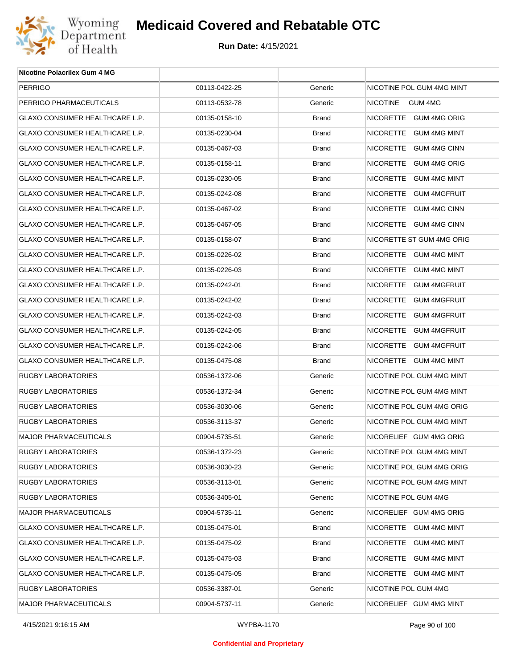

| <b>Nicotine Polacrilex Gum 4 MG</b> |               |              |                            |
|-------------------------------------|---------------|--------------|----------------------------|
| PERRIGO                             | 00113-0422-25 | Generic      | NICOTINE POL GUM 4MG MINT  |
| PERRIGO PHARMACEUTICALS             | 00113-0532-78 | Generic      | <b>NICOTINE</b><br>GUM 4MG |
| GLAXO CONSUMER HEALTHCARE L.P.      | 00135-0158-10 | <b>Brand</b> | NICORETTE GUM 4MG ORIG     |
| GLAXO CONSUMER HEALTHCARE L.P.      | 00135-0230-04 | <b>Brand</b> | NICORETTE GUM 4MG MINT     |
| GLAXO CONSUMER HEALTHCARE L.P.      | 00135-0467-03 | <b>Brand</b> | NICORETTE GUM 4MG CINN     |
| GLAXO CONSUMER HEALTHCARE L.P.      | 00135-0158-11 | <b>Brand</b> | NICORETTE GUM 4MG ORIG     |
| GLAXO CONSUMER HEALTHCARE L.P.      | 00135-0230-05 | <b>Brand</b> | NICORETTE GUM 4MG MINT     |
| GLAXO CONSUMER HEALTHCARE L.P.      | 00135-0242-08 | <b>Brand</b> | NICORETTE GUM 4MGFRUIT     |
| GLAXO CONSUMER HEALTHCARE L.P.      | 00135-0467-02 | <b>Brand</b> | NICORETTE GUM 4MG CINN     |
| GLAXO CONSUMER HEALTHCARE L.P.      | 00135-0467-05 | <b>Brand</b> | NICORETTE GUM 4MG CINN     |
| GLAXO CONSUMER HEALTHCARE L.P.      | 00135-0158-07 | <b>Brand</b> | NICORETTE ST GUM 4MG ORIG  |
| GLAXO CONSUMER HEALTHCARE L.P.      | 00135-0226-02 | <b>Brand</b> | NICORETTE GUM 4MG MINT     |
| GLAXO CONSUMER HEALTHCARE L.P.      | 00135-0226-03 | <b>Brand</b> | NICORETTE GUM 4MG MINT     |
| GLAXO CONSUMER HEALTHCARE L.P.      | 00135-0242-01 | <b>Brand</b> | NICORETTE GUM 4MGFRUIT     |
| GLAXO CONSUMER HEALTHCARE L.P.      | 00135-0242-02 | <b>Brand</b> | NICORETTE GUM 4MGFRUIT     |
| GLAXO CONSUMER HEALTHCARE L.P.      | 00135-0242-03 | <b>Brand</b> | NICORETTE GUM 4MGFRUIT     |
| GLAXO CONSUMER HEALTHCARE L.P.      | 00135-0242-05 | <b>Brand</b> | NICORETTE GUM 4MGFRUIT     |
| GLAXO CONSUMER HEALTHCARE L.P.      | 00135-0242-06 | <b>Brand</b> | NICORETTE GUM 4MGFRUIT     |
| GLAXO CONSUMER HEALTHCARE L.P.      | 00135-0475-08 | <b>Brand</b> | NICORETTE GUM 4MG MINT     |
| RUGBY LABORATORIES                  | 00536-1372-06 | Generic      | NICOTINE POL GUM 4MG MINT  |
| RUGBY LABORATORIES                  | 00536-1372-34 | Generic      | NICOTINE POL GUM 4MG MINT  |
| RUGBY LABORATORIES                  | 00536-3030-06 | Generic      | NICOTINE POL GUM 4MG ORIG  |
| RUGBY LABORATORIES                  | 00536-3113-37 | Generic      | NICOTINE POL GUM 4MG MINT  |
| <b>MAJOR PHARMACEUTICALS</b>        | 00904-5735-51 | Generic      | NICORELIEF GUM 4MG ORIG    |
| RUGBY LABORATORIES                  | 00536-1372-23 | Generic      | NICOTINE POL GUM 4MG MINT  |
| RUGBY LABORATORIES                  | 00536-3030-23 | Generic      | NICOTINE POL GUM 4MG ORIG  |
| <b>RUGBY LABORATORIES</b>           | 00536-3113-01 | Generic      | NICOTINE POL GUM 4MG MINT  |
| RUGBY LABORATORIES                  | 00536-3405-01 | Generic      | NICOTINE POL GUM 4MG       |
| MAJOR PHARMACEUTICALS               | 00904-5735-11 | Generic      | NICORELIEF GUM 4MG ORIG    |
| GLAXO CONSUMER HEALTHCARE L.P.      | 00135-0475-01 | <b>Brand</b> | NICORETTE GUM 4MG MINT     |
| GLAXO CONSUMER HEALTHCARE L.P.      | 00135-0475-02 | <b>Brand</b> | NICORETTE GUM 4MG MINT     |
| GLAXO CONSUMER HEALTHCARE L.P.      | 00135-0475-03 | <b>Brand</b> | NICORETTE GUM 4MG MINT     |
| GLAXO CONSUMER HEALTHCARE L.P.      | 00135-0475-05 | Brand        | NICORETTE GUM 4MG MINT     |
| RUGBY LABORATORIES                  | 00536-3387-01 | Generic      | NICOTINE POL GUM 4MG       |
| MAJOR PHARMACEUTICALS               | 00904-5737-11 | Generic      | NICORELIEF GUM 4MG MINT    |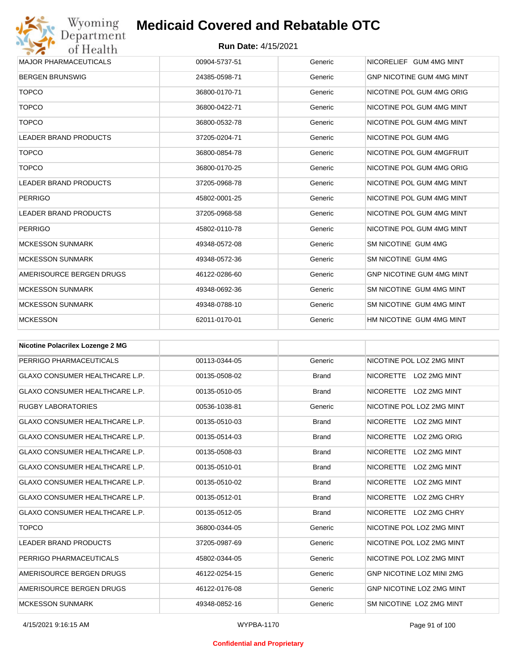

| <b>MAJOR PHARMACEUTICALS</b> | 00904-5737-51 | Generic | NICORELIEF GUM 4MG MINT          |
|------------------------------|---------------|---------|----------------------------------|
| <b>BERGEN BRUNSWIG</b>       | 24385-0598-71 | Generic | <b>GNP NICOTINE GUM 4MG MINT</b> |
| <b>TOPCO</b>                 | 36800-0170-71 | Generic | NICOTINE POL GUM 4MG ORIG        |
| <b>TOPCO</b>                 | 36800-0422-71 | Generic | NICOTINE POL GUM 4MG MINT        |
| <b>TOPCO</b>                 | 36800-0532-78 | Generic | NICOTINE POL GUM 4MG MINT        |
| <b>LEADER BRAND PRODUCTS</b> | 37205-0204-71 | Generic | NICOTINE POL GUM 4MG             |
| <b>TOPCO</b>                 | 36800-0854-78 | Generic | NICOTINE POL GUM 4MGFRUIT        |
| <b>TOPCO</b>                 | 36800-0170-25 | Generic | NICOTINE POL GUM 4MG ORIG        |
| <b>LEADER BRAND PRODUCTS</b> | 37205-0968-78 | Generic | NICOTINE POL GUM 4MG MINT        |
| <b>PERRIGO</b>               | 45802-0001-25 | Generic | NICOTINE POL GUM 4MG MINT        |
| <b>LEADER BRAND PRODUCTS</b> | 37205-0968-58 | Generic | NICOTINE POL GUM 4MG MINT        |
| <b>PERRIGO</b>               | 45802-0110-78 | Generic | NICOTINE POL GUM 4MG MINT        |
| <b>MCKESSON SUNMARK</b>      | 49348-0572-08 | Generic | SM NICOTINE GUM 4MG              |
| <b>MCKESSON SUNMARK</b>      | 49348-0572-36 | Generic | SM NICOTINE GUM 4MG              |
| AMERISOURCE BERGEN DRUGS     | 46122-0286-60 | Generic | <b>GNP NICOTINE GUM 4MG MINT</b> |
| <b>MCKESSON SUNMARK</b>      | 49348-0692-36 | Generic | SM NICOTINE GUM 4MG MINT         |
| <b>MCKESSON SUNMARK</b>      | 49348-0788-10 | Generic | SM NICOTINE GUM 4MG MINT         |
| <b>MCKESSON</b>              | 62011-0170-01 | Generic | HM NICOTINE GUM 4MG MINT         |

| <b>Nicotine Polacrilex Lozenge 2 MG</b> |               |              |                                         |
|-----------------------------------------|---------------|--------------|-----------------------------------------|
| PERRIGO PHARMACEUTICALS                 | 00113-0344-05 | Generic      | NICOTINE POL LOZ 2MG MINT               |
| <b>GLAXO CONSUMER HEALTHCARE L.P.</b>   | 00135-0508-02 | <b>Brand</b> | NICORETTE LOZ 2MG MINT                  |
| <b>GLAXO CONSUMER HEALTHCARE L.P.</b>   | 00135-0510-05 | <b>Brand</b> | NICORETTE LOZ 2MG MINT                  |
| <b>RUGBY LABORATORIES</b>               | 00536-1038-81 | Generic      | NICOTINE POL LOZ 2MG MINT               |
| <b>GLAXO CONSUMER HEALTHCARE L.P.</b>   | 00135-0510-03 | <b>Brand</b> | NICORETTE LOZ 2MG MINT                  |
| <b>GLAXO CONSUMER HEALTHCARE L.P.</b>   | 00135-0514-03 | <b>Brand</b> | <b>NICORETTE</b><br>LOZ 2MG ORIG        |
| <b>GLAXO CONSUMER HEALTHCARE L.P.</b>   | 00135-0508-03 | <b>Brand</b> | <b>NICORETTE</b><br><b>LOZ 2MG MINT</b> |
| <b>GLAXO CONSUMER HEALTHCARE L.P.</b>   | 00135-0510-01 | <b>Brand</b> | <b>NICORETTE</b><br>LOZ 2MG MINT        |
| <b>GLAXO CONSUMER HEALTHCARE L.P.</b>   | 00135-0510-02 | <b>Brand</b> | <b>NICORETTE</b><br><b>LOZ 2MG MINT</b> |
| <b>GLAXO CONSUMER HEALTHCARE L.P.</b>   | 00135-0512-01 | <b>Brand</b> | <b>NICORETTE</b><br>LOZ 2MG CHRY        |
| <b>GLAXO CONSUMER HEALTHCARE L.P.</b>   | 00135-0512-05 | <b>Brand</b> | <b>NICORETTE</b><br>LOZ 2MG CHRY        |
| <b>TOPCO</b>                            | 36800-0344-05 | Generic      | NICOTINE POL LOZ 2MG MINT               |
| <b>LEADER BRAND PRODUCTS</b>            | 37205-0987-69 | Generic      | NICOTINE POL LOZ 2MG MINT               |
| PERRIGO PHARMACEUTICALS                 | 45802-0344-05 | Generic      | NICOTINE POL LOZ 2MG MINT               |
| AMERISOURCE BERGEN DRUGS                | 46122-0254-15 | Generic      | <b>GNP NICOTINE LOZ MINI 2MG</b>        |
| AMERISOURCE BERGEN DRUGS                | 46122-0176-08 | Generic      | GNP NICOTINE LOZ 2MG MINT               |
| <b>MCKESSON SUNMARK</b>                 | 49348-0852-16 | Generic      | SM NICOTINE LOZ 2MG MINT                |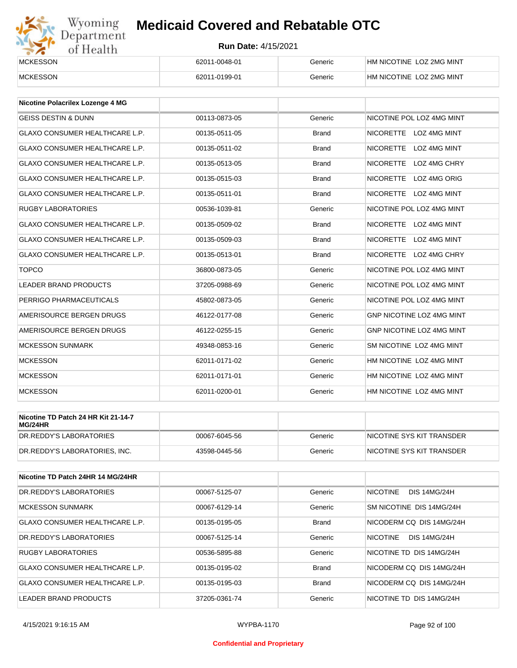# Wyoming<br>Department<br>of Health

## **Medicaid Covered and Rebatable OTC**

| <b>MCKESSON</b> | 62011-0048-01 | Generic | HM NICOTINE LOZ 2MG MINT |
|-----------------|---------------|---------|--------------------------|
| <b>MCKESSON</b> | 62011-0199-01 | Generic | HM NICOTINE LOZ 2MG MINT |

| <b>Nicotine Polacrilex Lozenge 4 MG</b> |               |              |                                         |
|-----------------------------------------|---------------|--------------|-----------------------------------------|
| <b>GEISS DESTIN &amp; DUNN</b>          | 00113-0873-05 | Generic      | NICOTINE POL LOZ 4MG MINT               |
| <b>GLAXO CONSUMER HEALTHCARE L.P.</b>   | 00135-0511-05 | <b>Brand</b> | NICORETTE LOZ 4MG MINT                  |
| <b>GLAXO CONSUMER HEALTHCARE L.P.</b>   | 00135-0511-02 | <b>Brand</b> | <b>NICORETTE</b><br>LOZ 4MG MINT        |
| <b>GLAXO CONSUMER HEALTHCARE L.P.</b>   | 00135-0513-05 | <b>Brand</b> | <b>NICORETTE</b><br>LOZ 4MG CHRY        |
| <b>GLAXO CONSUMER HEALTHCARE L.P.</b>   | 00135-0515-03 | <b>Brand</b> | NICORETTE LOZ 4MG ORIG                  |
| <b>GLAXO CONSUMER HEALTHCARE L.P.</b>   | 00135-0511-01 | <b>Brand</b> | <b>NICORETTE</b><br><b>LOZ 4MG MINT</b> |
| <b>RUGBY LABORATORIES</b>               | 00536-1039-81 | Generic      | NICOTINE POL LOZ 4MG MINT               |
| <b>GLAXO CONSUMER HEALTHCARE L.P.</b>   | 00135-0509-02 | <b>Brand</b> | <b>NICORETTE</b><br>LOZ 4MG MINT        |
| <b>GLAXO CONSUMER HEALTHCARE L.P.</b>   | 00135-0509-03 | <b>Brand</b> | NICORETTE LOZ 4MG MINT                  |
| <b>GLAXO CONSUMER HEALTHCARE L.P.</b>   | 00135-0513-01 | <b>Brand</b> | NICORETTE LOZ 4MG CHRY                  |
| <b>TOPCO</b>                            | 36800-0873-05 | Generic      | NICOTINE POL LOZ 4MG MINT               |
| <b>LEADER BRAND PRODUCTS</b>            | 37205-0988-69 | Generic      | NICOTINE POL LOZ 4MG MINT               |
| PERRIGO PHARMACEUTICALS                 | 45802-0873-05 | Generic      | NICOTINE POL LOZ 4MG MINT               |
| AMERISOURCE BERGEN DRUGS                | 46122-0177-08 | Generic      | GNP NICOTINE LOZ 4MG MINT               |
| AMERISOURCE BERGEN DRUGS                | 46122-0255-15 | Generic      | <b>GNP NICOTINE LOZ 4MG MINT</b>        |
| <b>MCKESSON SUNMARK</b>                 | 49348-0853-16 | Generic      | SM NICOTINE LOZ 4MG MINT                |
| <b>MCKESSON</b>                         | 62011-0171-02 | Generic      | HM NICOTINE LOZ 4MG MINT                |
| <b>MCKESSON</b>                         | 62011-0171-01 | Generic      | HM NICOTINE LOZ 4MG MINT                |
| <b>MCKESSON</b>                         | 62011-0200-01 | Generic      | HM NICOTINE LOZ 4MG MINT                |

| Nicotine TD Patch 24 HR Kit 21-14-7<br>MG/24HR |               |         |                           |
|------------------------------------------------|---------------|---------|---------------------------|
| IDR.REDDY'S LABORATORIES                       | 00067-6045-56 | Generic | NICOTINE SYS KIT TRANSDER |
| DR.REDDY'S LABORATORIES. INC.                  | 43598-0445-56 | Generic | NICOTINE SYS KIT TRANSDER |

| Nicotine TD Patch 24HR 14 MG/24HR |               |              |                                        |
|-----------------------------------|---------------|--------------|----------------------------------------|
| DR.REDDY'S LABORATORIES           | 00067-5125-07 | Generic      | <b>NICOTINE</b><br><b>DIS 14MG/24H</b> |
| <b>MCKESSON SUNMARK</b>           | 00067-6129-14 | Generic      | SM NICOTINE DIS 14MG/24H               |
| GLAXO CONSUMER HEALTHCARE L.P.    | 00135-0195-05 | <b>Brand</b> | NICODERM CO DIS 14MG/24H               |
| DR.REDDY'S LABORATORIES           | 00067-5125-14 | Generic      | <b>NICOTINE</b><br><b>DIS 14MG/24H</b> |
| <b>RUGBY LABORATORIES</b>         | 00536-5895-88 | Generic      | NICOTINE TD DIS 14MG/24H               |
| GLAXO CONSUMER HEALTHCARE L.P.    | 00135-0195-02 | <b>Brand</b> | NICODERM CO DIS 14MG/24H               |
| GLAXO CONSUMER HEALTHCARE L.P.    | 00135-0195-03 | <b>Brand</b> | NICODERM CO DIS 14MG/24H               |
| LEADER BRAND PRODUCTS             | 37205-0361-74 | Generic      | NICOTINE TD DIS 14MG/24H               |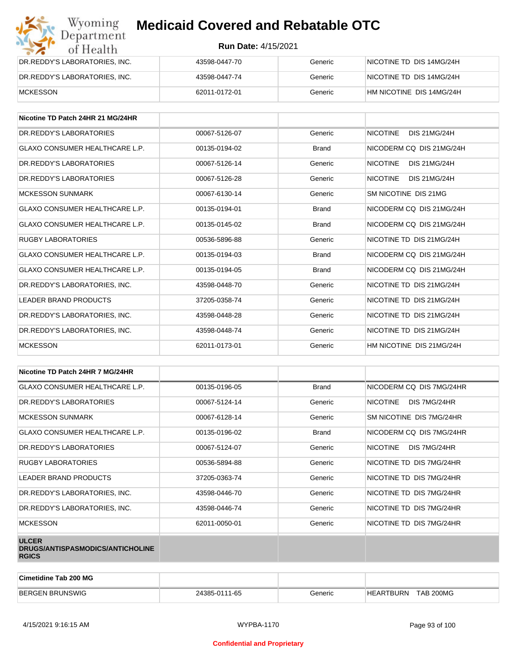| Wyoming<br><b>Medicaid Covered and Rebatable OTC</b><br>Department |                            |         |                          |  |
|--------------------------------------------------------------------|----------------------------|---------|--------------------------|--|
| of Health                                                          | <b>Run Date: 4/15/2021</b> |         |                          |  |
| DR.REDDY'S LABORATORIES, INC.                                      | 43598-0447-70              | Generic | NICOTINE TD DIS 14MG/24H |  |
| DR.REDDY'S LABORATORIES, INC.                                      | 43598-0447-74              | Generic | NICOTINE TD DIS 14MG/24H |  |
| <b>MCKESSON</b>                                                    | 62011-0172-01              | Generic | HM NICOTINE DIS 14MG/24H |  |

| Nicotine TD Patch 24HR 21 MG/24HR     |               |              |                                        |
|---------------------------------------|---------------|--------------|----------------------------------------|
| DR.REDDY'S LABORATORIES               | 00067-5126-07 | Generic      | <b>DIS 21MG/24H</b><br><b>NICOTINE</b> |
| <b>GLAXO CONSUMER HEALTHCARE L.P.</b> | 00135-0194-02 | <b>Brand</b> | NICODERM CO DIS 21MG/24H               |
| DR. REDDY'S LABORATORIES              | 00067-5126-14 | Generic      | <b>NICOTINE</b><br><b>DIS 21MG/24H</b> |
| DR. REDDY'S LABORATORIES              | 00067-5126-28 | Generic      | <b>NICOTINE</b><br><b>DIS 21MG/24H</b> |
| <b>MCKESSON SUNMARK</b>               | 00067-6130-14 | Generic      | SM NICOTINE DIS 21MG                   |
| GLAXO CONSUMER HEALTHCARE L.P.        | 00135-0194-01 | <b>Brand</b> | NICODERM CO DIS 21MG/24H               |
| <b>GLAXO CONSUMER HEALTHCARE L.P.</b> | 00135-0145-02 | <b>Brand</b> | NICODERM CO DIS 21MG/24H               |
| <b>RUGBY LABORATORIES</b>             | 00536-5896-88 | Generic      | NICOTINE TD DIS 21MG/24H               |
| <b>GLAXO CONSUMER HEALTHCARE L.P.</b> | 00135-0194-03 | <b>Brand</b> | NICODERM CO DIS 21MG/24H               |
| <b>GLAXO CONSUMER HEALTHCARE L.P.</b> | 00135-0194-05 | <b>Brand</b> | NICODERM CO DIS 21MG/24H               |
| DR.REDDY'S LABORATORIES, INC.         | 43598-0448-70 | Generic      | NICOTINE TD DIS 21MG/24H               |
| <b>LEADER BRAND PRODUCTS</b>          | 37205-0358-74 | Generic      | NICOTINE TD DIS 21MG/24H               |
| DR.REDDY'S LABORATORIES, INC.         | 43598-0448-28 | Generic      | NICOTINE TD DIS 21MG/24H               |
| DR.REDDY'S LABORATORIES, INC.         | 43598-0448-74 | Generic      | NICOTINE TD DIS 21MG/24H               |
| <b>MCKESSON</b>                       | 62011-0173-01 | Generic      | HM NICOTINE DIS 21MG/24H               |

| Nicotine TD Patch 24HR 7 MG/24HR                                 |               |              |                                 |
|------------------------------------------------------------------|---------------|--------------|---------------------------------|
| <b>GLAXO CONSUMER HEALTHCARE L.P.</b>                            | 00135-0196-05 | <b>Brand</b> | NICODERM CQ DIS 7MG/24HR        |
| DR. REDDY'S LABORATORIES                                         | 00067-5124-14 | Generic      | <b>NICOTINE</b><br>DIS 7MG/24HR |
| <b>MCKESSON SUNMARK</b>                                          | 00067-6128-14 | Generic      | SM NICOTINE DIS 7MG/24HR        |
| GLAXO CONSUMER HEALTHCARE L.P.                                   | 00135-0196-02 | <b>Brand</b> | NICODERM CQ DIS 7MG/24HR        |
| DR. REDDY'S LABORATORIES                                         | 00067-5124-07 | Generic      | NICOTINE<br>DIS 7MG/24HR        |
| <b>RUGBY LABORATORIES</b>                                        | 00536-5894-88 | Generic      | NICOTINE TD DIS 7MG/24HR        |
| <b>LEADER BRAND PRODUCTS</b>                                     | 37205-0363-74 | Generic      | NICOTINE TD DIS 7MG/24HR        |
| DR.REDDY'S LABORATORIES, INC.                                    | 43598-0446-70 | Generic      | NICOTINE TD DIS 7MG/24HR        |
| DR.REDDY'S LABORATORIES, INC.                                    | 43598-0446-74 | Generic      | NICOTINE TD DIS 7MG/24HR        |
| <b>MCKESSON</b>                                                  | 62011-0050-01 | Generic      | NICOTINE TD DIS 7MG/24HR        |
| <b>ULCER</b><br>DRUGS/ANTISPASMODICS/ANTICHOLINE<br><b>RGICS</b> |               |              |                                 |

| <b>Cimetidine Tab 200 MG</b> |               |         |                                    |
|------------------------------|---------------|---------|------------------------------------|
| <b>BERGEN</b><br>I BRUNSWIG  | 24385-0111-65 | ∃eneric | <b>TAB 200MG</b><br>ARTBURN:<br>HF |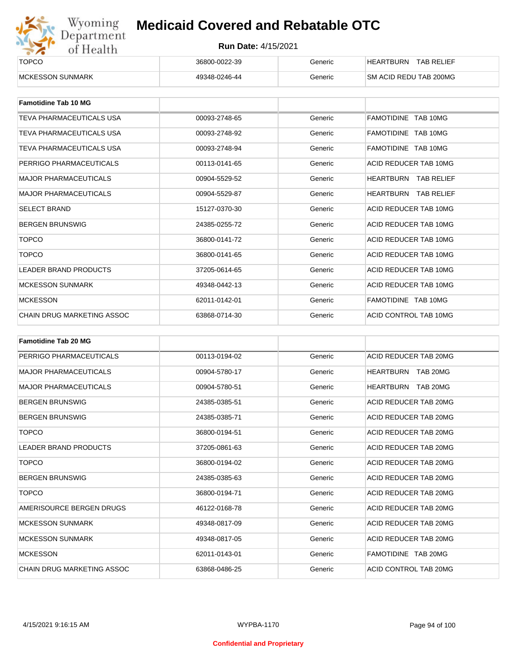

| ______<br><b>TOPCO</b>   | 36800-0022-39 | Generic | <b>TAB RELIEF</b><br><b>HEARTBURN</b> |
|--------------------------|---------------|---------|---------------------------------------|
| <b>IMCKESSON SUNMARK</b> | 49348-0246-44 | Generic | SM ACID REDU TAB 200MG                |

| <b>Famotidine Tab 10 MG</b>  |               |         |                             |
|------------------------------|---------------|---------|-----------------------------|
| TEVA PHARMACEUTICALS USA     | 00093-2748-65 | Generic | FAMOTIDINE TAB 10MG         |
| TEVA PHARMACEUTICALS USA     | 00093-2748-92 | Generic | FAMOTIDINE TAB 10MG         |
| TEVA PHARMACEUTICALS USA     | 00093-2748-94 | Generic | FAMOTIDINE TAB 10MG         |
| PERRIGO PHARMACEUTICALS      | 00113-0141-65 | Generic | ACID REDUCER TAB 10MG       |
| <b>MAJOR PHARMACEUTICALS</b> | 00904-5529-52 | Generic | HEARTBURN TAB RELIEF        |
| <b>MAJOR PHARMACEUTICALS</b> | 00904-5529-87 | Generic | <b>HEARTBURN TAB RELIEF</b> |
| <b>SELECT BRAND</b>          | 15127-0370-30 | Generic | ACID REDUCER TAB 10MG       |
| <b>BERGEN BRUNSWIG</b>       | 24385-0255-72 | Generic | ACID REDUCER TAB 10MG       |
| <b>TOPCO</b>                 | 36800-0141-72 | Generic | ACID REDUCER TAB 10MG       |
| <b>TOPCO</b>                 | 36800-0141-65 | Generic | ACID REDUCER TAB 10MG       |
| <b>LEADER BRAND PRODUCTS</b> | 37205-0614-65 | Generic | ACID REDUCER TAB 10MG       |
| <b>MCKESSON SUNMARK</b>      | 49348-0442-13 | Generic | ACID REDUCER TAB 10MG       |
| <b>MCKESSON</b>              | 62011-0142-01 | Generic | FAMOTIDINE TAB 10MG         |
| CHAIN DRUG MARKETING ASSOC   | 63868-0714-30 | Generic | ACID CONTROL TAB 10MG       |

| <b>Famotidine Tab 20 MG</b>       |               |         |                              |
|-----------------------------------|---------------|---------|------------------------------|
| PERRIGO PHARMACEUTICALS           | 00113-0194-02 | Generic | ACID REDUCER TAB 20MG        |
| <b>MAJOR PHARMACEUTICALS</b>      | 00904-5780-17 | Generic | TAB 20MG<br>HEARTBURN        |
| <b>MAJOR PHARMACEUTICALS</b>      | 00904-5780-51 | Generic | <b>HEARTBURN</b><br>TAB 20MG |
| <b>BERGEN BRUNSWIG</b>            | 24385-0385-51 | Generic | ACID REDUCER TAB 20MG        |
| <b>BERGEN BRUNSWIG</b>            | 24385-0385-71 | Generic | ACID REDUCER TAB 20MG        |
| <b>TOPCO</b>                      | 36800-0194-51 | Generic | ACID REDUCER TAB 20MG        |
| <b>LEADER BRAND PRODUCTS</b>      | 37205-0861-63 | Generic | ACID REDUCER TAB 20MG        |
| <b>TOPCO</b>                      | 36800-0194-02 | Generic | ACID REDUCER TAB 20MG        |
| <b>BERGEN BRUNSWIG</b>            | 24385-0385-63 | Generic | ACID REDUCER TAB 20MG        |
| <b>TOPCO</b>                      | 36800-0194-71 | Generic | ACID REDUCER TAB 20MG        |
| AMERISOURCE BERGEN DRUGS          | 46122-0168-78 | Generic | ACID REDUCER TAB 20MG        |
| <b>MCKESSON SUNMARK</b>           | 49348-0817-09 | Generic | ACID REDUCER TAB 20MG        |
| <b>MCKESSON SUNMARK</b>           | 49348-0817-05 | Generic | ACID REDUCER TAB 20MG        |
| <b>MCKESSON</b>                   | 62011-0143-01 | Generic | FAMOTIDINE TAB 20MG          |
| <b>CHAIN DRUG MARKETING ASSOC</b> | 63868-0486-25 | Generic | ACID CONTROL TAB 20MG        |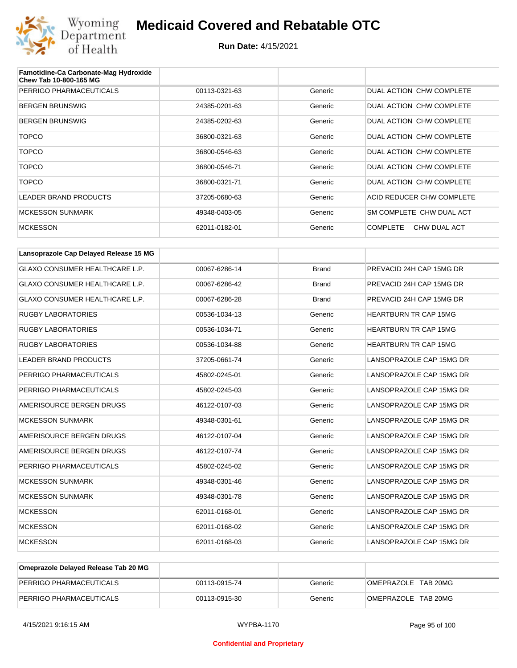

| Famotidine-Ca Carbonate-Mag Hydroxide<br><b>Chew Tab 10-800-165 MG</b> |               |         |                                 |
|------------------------------------------------------------------------|---------------|---------|---------------------------------|
| PERRIGO PHARMACEUTICALS                                                | 00113-0321-63 | Generic | DUAL ACTION CHW COMPLETE        |
| <b>BERGEN BRUNSWIG</b>                                                 | 24385-0201-63 | Generic | DUAL ACTION CHW COMPLETE        |
| <b>BERGEN BRUNSWIG</b>                                                 | 24385-0202-63 | Generic | DUAL ACTION CHW COMPLETE        |
| <b>TOPCO</b>                                                           | 36800-0321-63 | Generic | DUAL ACTION CHW COMPLETE        |
| <b>TOPCO</b>                                                           | 36800-0546-63 | Generic | DUAL ACTION CHW COMPLETE        |
| <b>TOPCO</b>                                                           | 36800-0546-71 | Generic | DUAL ACTION CHW COMPLETE        |
| <b>TOPCO</b>                                                           | 36800-0321-71 | Generic | DUAL ACTION CHW COMPLETE        |
| <b>LEADER BRAND PRODUCTS</b>                                           | 37205-0680-63 | Generic | ACID REDUCER CHW COMPLETE       |
| <b>MCKESSON SUNMARK</b>                                                | 49348-0403-05 | Generic | SM COMPLETE CHW DUAL ACT        |
| <b>MCKESSON</b>                                                        | 62011-0182-01 | Generic | <b>COMPLETE</b><br>CHW DUAL ACT |

| Lansoprazole Cap Delayed Release 15 MG |               |              |                              |
|----------------------------------------|---------------|--------------|------------------------------|
| <b>GLAXO CONSUMER HEALTHCARE L.P.</b>  | 00067-6286-14 | <b>Brand</b> | PREVACID 24H CAP 15MG DR     |
| GLAXO CONSUMER HEALTHCARE L.P.         | 00067-6286-42 | <b>Brand</b> | PREVACID 24H CAP 15MG DR     |
| GLAXO CONSUMER HEALTHCARE L.P.         | 00067-6286-28 | <b>Brand</b> | PREVACID 24H CAP 15MG DR     |
| <b>RUGBY LABORATORIES</b>              | 00536-1034-13 | Generic      | <b>HEARTBURN TR CAP 15MG</b> |
| <b>RUGBY LABORATORIES</b>              | 00536-1034-71 | Generic      | <b>HEARTBURN TR CAP 15MG</b> |
| <b>RUGBY LABORATORIES</b>              | 00536-1034-88 | Generic      | <b>HEARTBURN TR CAP 15MG</b> |
| <b>LEADER BRAND PRODUCTS</b>           | 37205-0661-74 | Generic      | LANSOPRAZOLE CAP 15MG DR     |
| PERRIGO PHARMACEUTICALS                | 45802-0245-01 | Generic      | LANSOPRAZOLE CAP 15MG DR     |
| PERRIGO PHARMACEUTICALS                | 45802-0245-03 | Generic      | LANSOPRAZOLE CAP 15MG DR     |
| AMERISOURCE BERGEN DRUGS               | 46122-0107-03 | Generic      | LANSOPRAZOLE CAP 15MG DR     |
| <b>MCKESSON SUNMARK</b>                | 49348-0301-61 | Generic      | LANSOPRAZOLE CAP 15MG DR     |
| AMERISOURCE BERGEN DRUGS               | 46122-0107-04 | Generic      | LANSOPRAZOLE CAP 15MG DR     |
| AMERISOURCE BERGEN DRUGS               | 46122-0107-74 | Generic      | LANSOPRAZOLE CAP 15MG DR     |
| PERRIGO PHARMACEUTICALS                | 45802-0245-02 | Generic      | LANSOPRAZOLE CAP 15MG DR     |
| <b>MCKESSON SUNMARK</b>                | 49348-0301-46 | Generic      | LANSOPRAZOLE CAP 15MG DR     |
| <b>MCKESSON SUNMARK</b>                | 49348-0301-78 | Generic      | LANSOPRAZOLE CAP 15MG DR     |
| <b>MCKESSON</b>                        | 62011-0168-01 | Generic      | LANSOPRAZOLE CAP 15MG DR     |
| <b>MCKESSON</b>                        | 62011-0168-02 | Generic      | LANSOPRAZOLE CAP 15MG DR     |
| <b>MCKESSON</b>                        | 62011-0168-03 | Generic      | LANSOPRAZOLE CAP 15MG DR     |

| Omeprazole Delayed Release Tab 20 MG |               |         |                     |
|--------------------------------------|---------------|---------|---------------------|
| PERRIGO PHARMACEUTICALS              | 00113-0915-74 | Generic | OMEPRAZOLE TAB 20MG |
| PERRIGO PHARMACEUTICALS              | 00113-0915-30 | Generic | OMEPRAZOLE TAB 20MG |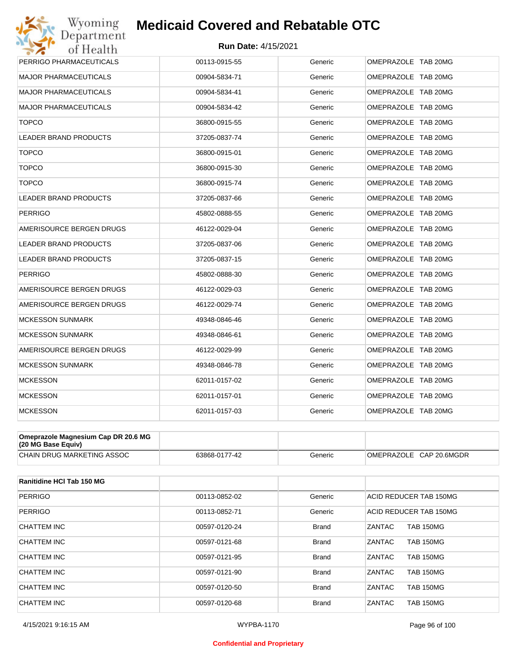#### **Run Date:** 4/15/2021

| PERRIGO PHARMACEUTICALS      | 00113-0915-55 | Generic | OMEPRAZOLE TAB 20MG |
|------------------------------|---------------|---------|---------------------|
| <b>MAJOR PHARMACEUTICALS</b> | 00904-5834-71 | Generic | OMEPRAZOLE TAB 20MG |
| <b>MAJOR PHARMACEUTICALS</b> | 00904-5834-41 | Generic | OMEPRAZOLE TAB 20MG |
| <b>MAJOR PHARMACEUTICALS</b> | 00904-5834-42 | Generic | OMEPRAZOLE TAB 20MG |
| <b>TOPCO</b>                 | 36800-0915-55 | Generic | OMEPRAZOLE TAB 20MG |
| LEADER BRAND PRODUCTS        | 37205-0837-74 | Generic | OMEPRAZOLE TAB 20MG |
| <b>TOPCO</b>                 | 36800-0915-01 | Generic | OMEPRAZOLE TAB 20MG |
| <b>TOPCO</b>                 | 36800-0915-30 | Generic | OMEPRAZOLE TAB 20MG |
| <b>TOPCO</b>                 | 36800-0915-74 | Generic | OMEPRAZOLE TAB 20MG |
| LEADER BRAND PRODUCTS        | 37205-0837-66 | Generic | OMEPRAZOLE TAB 20MG |
| <b>PERRIGO</b>               | 45802-0888-55 | Generic | OMEPRAZOLE TAB 20MG |
| AMERISOURCE BERGEN DRUGS     | 46122-0029-04 | Generic | OMEPRAZOLE TAB 20MG |
| <b>LEADER BRAND PRODUCTS</b> | 37205-0837-06 | Generic | OMEPRAZOLE TAB 20MG |
| <b>LEADER BRAND PRODUCTS</b> | 37205-0837-15 | Generic | OMEPRAZOLE TAB 20MG |
| <b>PERRIGO</b>               | 45802-0888-30 | Generic | OMEPRAZOLE TAB 20MG |
| AMERISOURCE BERGEN DRUGS     | 46122-0029-03 | Generic | OMEPRAZOLE TAB 20MG |
| AMERISOURCE BERGEN DRUGS     | 46122-0029-74 | Generic | OMEPRAZOLE TAB 20MG |
| <b>MCKESSON SUNMARK</b>      | 49348-0846-46 | Generic | OMEPRAZOLE TAB 20MG |
| <b>MCKESSON SUNMARK</b>      | 49348-0846-61 | Generic | OMEPRAZOLE TAB 20MG |
| AMERISOURCE BERGEN DRUGS     | 46122-0029-99 | Generic | OMEPRAZOLE TAB 20MG |
| <b>MCKESSON SUNMARK</b>      | 49348-0846-78 | Generic | OMEPRAZOLE TAB 20MG |
| <b>MCKESSON</b>              | 62011-0157-02 | Generic | OMEPRAZOLE TAB 20MG |
| <b>MCKESSON</b>              | 62011-0157-01 | Generic | OMEPRAZOLE TAB 20MG |
| <b>MCKESSON</b>              | 62011-0157-03 | Generic | OMEPRAZOLE TAB 20MG |

| Omeprazole Magnesium Cap DR 20.6 MG<br>(20 MG Base Equiv) |               |         |                         |
|-----------------------------------------------------------|---------------|---------|-------------------------|
| CHAIN DRUG MARKETING ASSOC                                | 63868-0177-42 | Generic | OMEPRAZOLE CAP 20.6MGDR |

| Ranitidine HCI Tab 150 MG |               |              |                                   |
|---------------------------|---------------|--------------|-----------------------------------|
| <b>PERRIGO</b>            | 00113-0852-02 | Generic      | ACID REDUCER TAB 150MG            |
| <b>PERRIGO</b>            | 00113-0852-71 | Generic      | ACID REDUCER TAB 150MG            |
| CHATTEM INC               | 00597-0120-24 | <b>Brand</b> | <b>ZANTAC</b><br><b>TAB 150MG</b> |
| CHATTEM INC               | 00597-0121-68 | <b>Brand</b> | ZANTAC<br><b>TAB 150MG</b>        |
| CHATTEM INC               | 00597-0121-95 | <b>Brand</b> | <b>ZANTAC</b><br><b>TAB 150MG</b> |
| CHATTEM INC               | 00597-0121-90 | <b>Brand</b> | <b>ZANTAC</b><br><b>TAB 150MG</b> |
| <b>CHATTEM INC</b>        | 00597-0120-50 | <b>Brand</b> | <b>ZANTAC</b><br><b>TAB 150MG</b> |
| CHATTEM INC               | 00597-0120-68 | Brand        | ZANTAC<br><b>TAB 150MG</b>        |

#### **Confidential and Proprietary**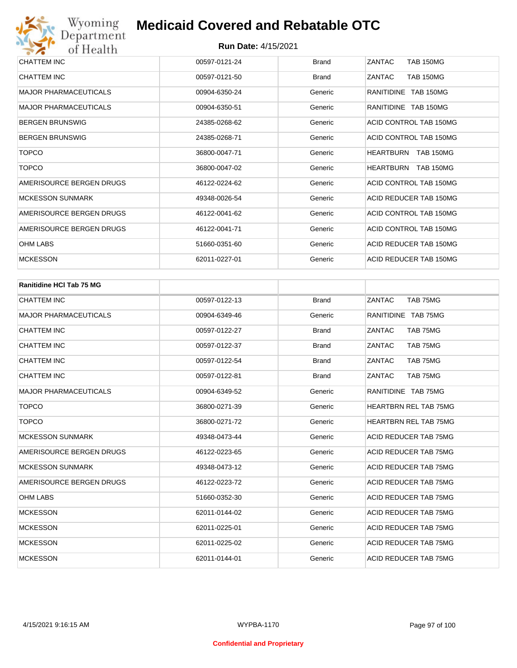| CHATTEM INC                  | 00597-0121-24 | <b>Brand</b> | ZANTAC<br><b>TAB 150MG</b>           |
|------------------------------|---------------|--------------|--------------------------------------|
| CHATTEM INC                  | 00597-0121-50 | <b>Brand</b> | ZANTAC<br><b>TAB 150MG</b>           |
| <b>MAJOR PHARMACEUTICALS</b> | 00904-6350-24 | Generic      | RANITIDINE TAB 150MG                 |
| <b>MAJOR PHARMACEUTICALS</b> | 00904-6350-51 | Generic      | RANITIDINE TAB 150MG                 |
| <b>BERGEN BRUNSWIG</b>       | 24385-0268-62 | Generic      | ACID CONTROL TAB 150MG               |
| <b>BERGEN BRUNSWIG</b>       | 24385-0268-71 | Generic      | ACID CONTROL TAB 150MG               |
| <b>TOPCO</b>                 | 36800-0047-71 | Generic      | <b>HEARTBURN</b><br><b>TAB 150MG</b> |
| <b>TOPCO</b>                 | 36800-0047-02 | Generic      | <b>HEARTBURN</b><br><b>TAB 150MG</b> |
| AMERISOURCE BERGEN DRUGS     | 46122-0224-62 | Generic      | ACID CONTROL TAB 150MG               |
| <b>MCKESSON SUNMARK</b>      | 49348-0026-54 | Generic      | ACID REDUCER TAB 150MG               |
| AMERISOURCE BERGEN DRUGS     | 46122-0041-62 | Generic      | ACID CONTROL TAB 150MG               |
| AMERISOURCE BERGEN DRUGS     | 46122-0041-71 | Generic      | ACID CONTROL TAB 150MG               |
| <b>OHM LABS</b>              | 51660-0351-60 | Generic      | ACID REDUCER TAB 150MG               |
| <b>MCKESSON</b>              | 62011-0227-01 | Generic      | ACID REDUCER TAB 150MG               |

| <b>Ranitidine HCI Tab 75 MG</b> |               |              |                              |
|---------------------------------|---------------|--------------|------------------------------|
| <b>CHATTEM INC</b>              | 00597-0122-13 | <b>Brand</b> | ZANTAC<br>TAB 75MG           |
| <b>MAJOR PHARMACEUTICALS</b>    | 00904-6349-46 | Generic      | RANITIDINE TAB 75MG          |
| <b>CHATTEM INC</b>              | 00597-0122-27 | <b>Brand</b> | ZANTAC<br>TAB 75MG           |
| <b>CHATTEM INC</b>              | 00597-0122-37 | <b>Brand</b> | ZANTAC<br>TAB 75MG           |
| <b>CHATTEM INC</b>              | 00597-0122-54 | <b>Brand</b> | ZANTAC<br>TAB 75MG           |
| <b>CHATTEM INC</b>              | 00597-0122-81 | <b>Brand</b> | ZANTAC<br>TAB 75MG           |
| <b>MAJOR PHARMACEUTICALS</b>    | 00904-6349-52 | Generic      | RANITIDINE TAB 75MG          |
| <b>TOPCO</b>                    | 36800-0271-39 | Generic      | <b>HEARTBRN REL TAB 75MG</b> |
| <b>TOPCO</b>                    | 36800-0271-72 | Generic      | <b>HEARTBRN REL TAB 75MG</b> |
| <b>MCKESSON SUNMARK</b>         | 49348-0473-44 | Generic      | ACID REDUCER TAB 75MG        |
| AMERISOURCE BERGEN DRUGS        | 46122-0223-65 | Generic      | ACID REDUCER TAB 75MG        |
| <b>MCKESSON SUNMARK</b>         | 49348-0473-12 | Generic      | ACID REDUCER TAB 75MG        |
| AMERISOURCE BERGEN DRUGS        | 46122-0223-72 | Generic      | ACID REDUCER TAB 75MG        |
| <b>OHM LABS</b>                 | 51660-0352-30 | Generic      | ACID REDUCER TAB 75MG        |
| <b>MCKESSON</b>                 | 62011-0144-02 | Generic      | ACID REDUCER TAB 75MG        |
| <b>MCKESSON</b>                 | 62011-0225-01 | Generic      | ACID REDUCER TAB 75MG        |
| <b>MCKESSON</b>                 | 62011-0225-02 | Generic      | ACID REDUCER TAB 75MG        |
| <b>MCKESSON</b>                 | 62011-0144-01 | Generic      | <b>ACID REDUCER TAB 75MG</b> |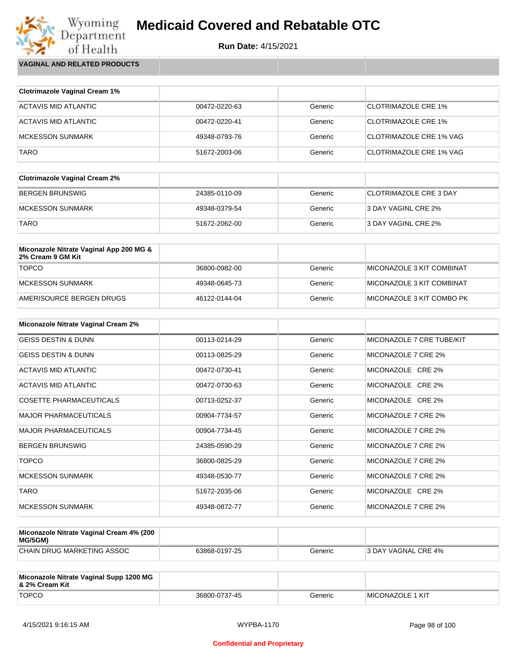

Wyoming<br>Department<br>of Health **VAGINAL AND RELATED PRODUCTS**

| <b>Clotrimazole Vaginal Cream 1%</b> |               |         |                                |
|--------------------------------------|---------------|---------|--------------------------------|
| ACTAVIS MID ATLANTIC                 | 00472-0220-63 | Generic | <b>CLOTRIMAZOLE CRE 1%</b>     |
| ACTAVIS MID ATLANTIC                 | 00472-0220-41 | Generic | <b>CLOTRIMAZOLE CRE 1%</b>     |
| MCKESSON SUNMARK                     | 49348-0793-76 | Generic | CLOTRIMAZOLE CRE 1% VAG        |
| <b>TARO</b>                          | 51672-2003-06 | Generic | <b>CLOTRIMAZOLE CRE 1% VAG</b> |

| <b>Clotrimazole Vaginal Cream 2%</b> |               |         |                        |
|--------------------------------------|---------------|---------|------------------------|
| BERGEN BRUNSWIG                      | 24385-0110-09 | Generic | CLOTRIMAZOLE CRE 3 DAY |
| MCKESSON SUNMARK                     | 49348-0379-54 | Generic | 3 DAY VAGINL CRE 2%    |
| <b>TARO</b>                          | 51672-2062-00 | Generic | 3 DAY VAGINL CRE 2%    |

| Miconazole Nitrate Vaginal App 200 MG &<br>2% Cream 9 GM Kit |               |         |                            |
|--------------------------------------------------------------|---------------|---------|----------------------------|
| <b>TOPCO</b>                                                 | 36800-0982-00 | Generic | MICONAZOLE 3 KIT COMBINAT  |
| MCKESSON SUNMARK                                             | 49348-0645-73 | Generic | ™IICONAZOLE 3 KIT COMBINAT |
| AMERISOURCE BERGEN DRUGS                                     | 46122-0144-04 | Generic | MICONAZOLE 3 KIT COMBO PK  |

| <b>Miconazole Nitrate Vaginal Cream 2%</b> |               |         |                           |
|--------------------------------------------|---------------|---------|---------------------------|
| <b>GEISS DESTIN &amp; DUNN</b>             | 00113-0214-29 | Generic | MICONAZOLE 7 CRE TUBE/KIT |
| <b>GEISS DESTIN &amp; DUNN</b>             | 00113-0825-29 | Generic | MICONAZOLE 7 CRE 2%       |
| ACTAVIS MID ATLANTIC                       | 00472-0730-41 | Generic | MICONAZOLE CRE 2%         |
| ACTAVIS MID ATLANTIC                       | 00472-0730-63 | Generic | MICONAZOLE CRE 2%         |
| <b>COSETTE PHARMACEUTICALS</b>             | 00713-0252-37 | Generic | MICONAZOLE CRE 2%         |
| <b>MAJOR PHARMACEUTICALS</b>               | 00904-7734-57 | Generic | MICONAZOLE 7 CRE 2%       |
| <b>MAJOR PHARMACEUTICALS</b>               | 00904-7734-45 | Generic | MICONAZOLE 7 CRE 2%       |
| <b>BERGEN BRUNSWIG</b>                     | 24385-0590-29 | Generic | MICONAZOLE 7 CRE 2%       |
| <b>TOPCO</b>                               | 36800-0825-29 | Generic | MICONAZOLE 7 CRE 2%       |
| <b>MCKESSON SUNMARK</b>                    | 49348-0530-77 | Generic | MICONAZOLE 7 CRE 2%       |
| <b>TARO</b>                                | 51672-2035-06 | Generic | MICONAZOLE CRE 2%         |
| <b>MCKESSON SUNMARK</b>                    | 49348-0872-77 | Generic | MICONAZOLE 7 CRE 2%       |

| Miconazole Nitrate Vaginal Cream 4% (200<br>MG/5GM) |               |         |                     |
|-----------------------------------------------------|---------------|---------|---------------------|
| CHAIN DRUG MARKETING ASSOC                          | 63868-0197-25 | Generic | 3 DAY VAGNAL CRE 4% |

| Miconazole Nitrate Vaginal Supp 1200 MG<br>8. 2% Cream Kit |               |         |                         |
|------------------------------------------------------------|---------------|---------|-------------------------|
| <b>TOPCO</b>                                               | 36800-0737-45 | Generic | <b>MICONAZOLE 1 KIT</b> |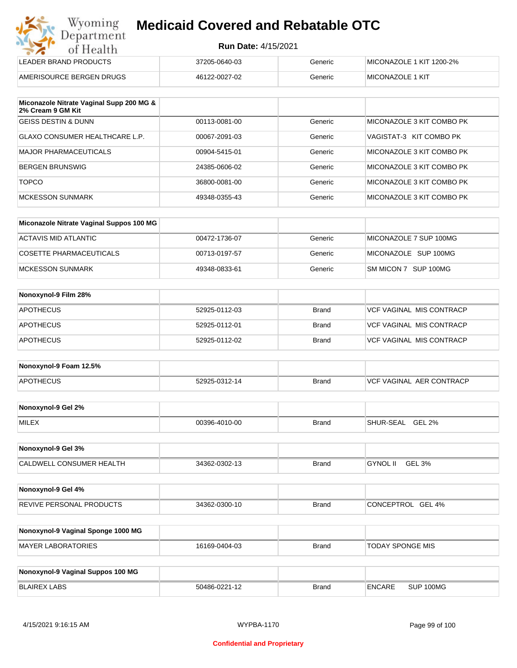| Wyoming    |
|------------|
| Department |
| of Health  |
|            |

| LEADER BRAND PRODUCTS    | 37205-0640-03 | Generic | MICONAZOLE 1 KIT 1200-2% |
|--------------------------|---------------|---------|--------------------------|
| AMERISOURCE BERGEN DRUGS | 46122-0027-02 | Generic | <b>IMICONAZOLE 1 KIT</b> |

| Miconazole Nitrate Vaginal Supp 200 MG &<br>2% Cream 9 GM Kit |               |         |                           |
|---------------------------------------------------------------|---------------|---------|---------------------------|
| <b>GEISS DESTIN &amp; DUNN</b>                                | 00113-0081-00 | Generic | MICONAZOLE 3 KIT COMBO PK |
| GLAXO CONSUMER HEALTHCARE L.P.                                | 00067-2091-03 | Generic | VAGISTAT-3 KIT COMBO PK   |
| <b>MAJOR PHARMACEUTICALS</b>                                  | 00904-5415-01 | Generic | MICONAZOLE 3 KIT COMBO PK |
| <b>BERGEN BRUNSWIG</b>                                        | 24385-0606-02 | Generic | MICONAZOLE 3 KIT COMBO PK |
| <b>TOPCO</b>                                                  | 36800-0081-00 | Generic | MICONAZOLE 3 KIT COMBO PK |
| <b>MCKESSON SUNMARK</b>                                       | 49348-0355-43 | Generic | MICONAZOLE 3 KIT COMBO PK |

| Miconazole Nitrate Vaginal Suppos 100 MG |               |         |                        |
|------------------------------------------|---------------|---------|------------------------|
| ACTAVIS MID ATLANTIC                     | 00472-1736-07 | Generic | MICONAZOLE 7 SUP 100MG |
| COSETTE PHARMACEUTICALS                  | 00713-0197-57 | Generic | MICONAZOLE SUP 100MG   |
| MCKESSON SUNMARK                         | 49348-0833-61 | Generic | SM MICON 7 SUP 100MG   |

| Nonoxynol-9 Film 28% |               |              |                                 |
|----------------------|---------------|--------------|---------------------------------|
| <b>APOTHECUS</b>     | 52925-0112-03 | <b>Brand</b> | <b>VCF VAGINAL MIS CONTRACP</b> |
| <b>APOTHECUS</b>     | 52925-0112-01 | <b>Brand</b> | <b>VCF VAGINAL MIS CONTRACP</b> |
| <b>APOTHECUS</b>     | 52925-0112-02 | <b>Brand</b> | <b>VCF VAGINAL MIS CONTRACP</b> |

| Nonoxynol-9 Foam 12.5% |               |              |                                  |
|------------------------|---------------|--------------|----------------------------------|
| <b>APOTHECUS</b>       | 52925-0312-14 | <b>Brand</b> | <b>IVCF VAGINAL AER CONTRACP</b> |

| Nonoxynol-9 Gel 2% |               |       |                            |
|--------------------|---------------|-------|----------------------------|
| <b>MILEX</b>       | 00396-4010-00 | Brand | <b>GEL 2%</b><br>SHUR-SEAL |

| Nonoxynol-9 Gel 3%              |               |              |                                       |
|---------------------------------|---------------|--------------|---------------------------------------|
| <b>CALDWELL CONSUMER HEALTH</b> | 34362-0302-13 | <b>Brand</b> | <b>GEL</b><br>3% ـ<br><b>GYNOL II</b> |

| Nonoxynol-9 Gel 4%              |               |       |                   |
|---------------------------------|---------------|-------|-------------------|
| <b>REVIVE PERSONAL PRODUCTS</b> | 34362-0300-10 | Brand | CONCEPTROL GEL 4% |

| Nonoxynol-9 Vaginal Sponge 1000 MG |               |              |                         |
|------------------------------------|---------------|--------------|-------------------------|
| <b>MAYER LABORATORIES</b>          | 16169-0404-03 | <b>Brand</b> | <b>TODAY SPONGE MIS</b> |

| Nonoxynol-9 Vaginal Suppos 100 MG |               |              |               |           |
|-----------------------------------|---------------|--------------|---------------|-----------|
| BLAIREX LABS                      | 50486-0221-12 | <b>Brand</b> | <b>ENCARE</b> | SUP 100MG |